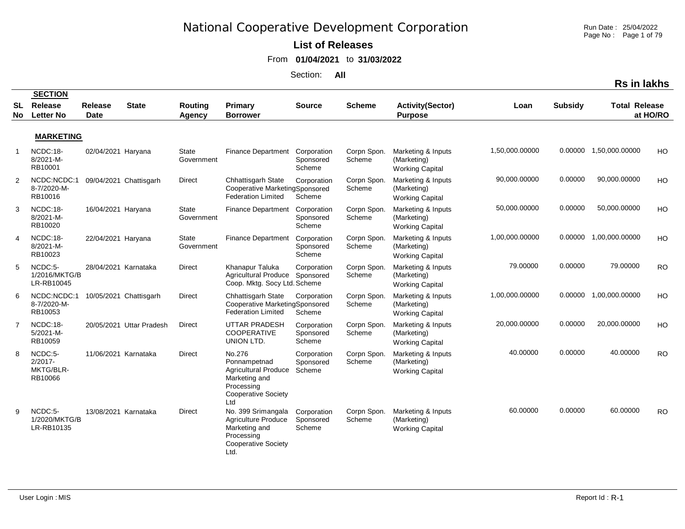**List of Releases** 

From **01/04/2021** to **31/03/2022**

Section: **All**

|                 |                                               |                               |                          |                            |                                                                                                                           |                                    |                       |                                                             |                |                | RS III IAKIIS          |           |
|-----------------|-----------------------------------------------|-------------------------------|--------------------------|----------------------------|---------------------------------------------------------------------------------------------------------------------------|------------------------------------|-----------------------|-------------------------------------------------------------|----------------|----------------|------------------------|-----------|
|                 | <b>SECTION</b>                                |                               |                          |                            |                                                                                                                           |                                    |                       |                                                             |                |                |                        |           |
| <b>SL</b><br>No | Release<br><b>Letter No</b>                   | <b>Release</b><br><b>Date</b> | <b>State</b>             | Routing<br>Agency          | Primary<br><b>Borrower</b>                                                                                                | <b>Source</b>                      | <b>Scheme</b>         | <b>Activity(Sector)</b><br><b>Purpose</b>                   | Loan           | <b>Subsidy</b> | <b>Total Release</b>   | at HO/RO  |
|                 |                                               |                               |                          |                            |                                                                                                                           |                                    |                       |                                                             |                |                |                        |           |
|                 | <b>MARKETING</b>                              |                               |                          |                            |                                                                                                                           |                                    |                       |                                                             |                |                |                        |           |
|                 | NCDC:18-<br>8/2021-M-<br>RB10001              | 02/04/2021 Haryana            |                          | State<br>Government        | <b>Finance Department</b>                                                                                                 | Corporation<br>Sponsored<br>Scheme | Corpn Spon.<br>Scheme | Marketing & Inputs<br>(Marketing)<br><b>Working Capital</b> | 1,50,000.00000 |                | 0.00000 1,50,000.00000 | HO        |
| $\overline{2}$  | NCDC:NCDC:1<br>8-7/2020-M-<br>RB10016         |                               | 09/04/2021 Chattisgarh   | <b>Direct</b>              | Chhattisgarh State<br>Cooperative MarketingSponsored<br><b>Federation Limited</b>                                         | Corporation<br>Scheme              | Corpn Spon.<br>Scheme | Marketing & Inputs<br>(Marketing)<br><b>Working Capital</b> | 90,000.00000   | 0.00000        | 90,000.00000           | HO        |
| 3               | NCDC:18-<br>8/2021-M-<br>RB10020              | 16/04/2021 Haryana            |                          | <b>State</b><br>Government | <b>Finance Department</b>                                                                                                 | Corporation<br>Sponsored<br>Scheme | Corpn Spon.<br>Scheme | Marketing & Inputs<br>(Marketing)<br><b>Working Capital</b> | 50,000.00000   | 0.00000        | 50,000.00000           | HO        |
| 4               | NCDC:18-<br>8/2021-M-<br>RB10023              | 22/04/2021 Haryana            |                          | <b>State</b><br>Government | <b>Finance Department</b>                                                                                                 | Corporation<br>Sponsored<br>Scheme | Corpn Spon.<br>Scheme | Marketing & Inputs<br>(Marketing)<br><b>Working Capital</b> | 1,00,000.00000 |                | 0.00000 1.00.000.00000 | HO        |
| 5               | NCDC:5-<br>1/2016/MKTG/B<br>LR-RB10045        | 28/04/2021 Karnataka          |                          | <b>Direct</b>              | Khanapur Taluka<br>Agricultural Produce Sponsored<br>Coop. Mktg. Socy Ltd. Scheme                                         | Corporation                        | Corpn Spon.<br>Scheme | Marketing & Inputs<br>(Marketing)<br><b>Working Capital</b> | 79.00000       | 0.00000        | 79.00000               | <b>RO</b> |
| -6              | NCDC:NCDC:1<br>8-7/2020-M-<br>RB10053         |                               | 10/05/2021 Chattisgarh   | <b>Direct</b>              | Chhattisgarh State<br>Cooperative MarketingSponsored<br><b>Federation Limited</b>                                         | Corporation<br>Scheme              | Corpn Spon.<br>Scheme | Marketing & Inputs<br>(Marketing)<br><b>Working Capital</b> | 1,00,000.00000 | 0.00000        | 1,00,000.00000         | HO        |
| -7              | NCDC:18-<br>5/2021-M-<br>RB10059              |                               | 20/05/2021 Uttar Pradesh | <b>Direct</b>              | <b>UTTAR PRADESH</b><br><b>COOPERATIVE</b><br>UNION LTD.                                                                  | Corporation<br>Sponsored<br>Scheme | Corpn Spon.<br>Scheme | Marketing & Inputs<br>(Marketing)<br><b>Working Capital</b> | 20,000.00000   | 0.00000        | 20,000.00000           | HO        |
| 8               | NCDC:5-<br>$2/2017 -$<br>MKTG/BLR-<br>RB10066 | 11/06/2021 Karnataka          |                          | <b>Direct</b>              | No.276<br>Ponnampetnad<br><b>Agricultural Produce</b><br>Marketing and<br>Processing<br><b>Cooperative Society</b><br>Ltd | Corporation<br>Sponsored<br>Scheme | Corpn Spon.<br>Scheme | Marketing & Inputs<br>(Marketing)<br><b>Working Capital</b> | 40.00000       | 0.00000        | 40.00000               | <b>RO</b> |
| 9               | NCDC:5-<br>1/2020/MKTG/B<br>LR-RB10135        | 13/08/2021 Karnataka          |                          | Direct                     | No. 399 Srimangala<br><b>Agriculture Produce</b><br>Marketing and<br>Processing<br><b>Cooperative Society</b><br>Ltd.     | Corporation<br>Sponsored<br>Scheme | Corpn Spon.<br>Scheme | Marketing & Inputs<br>(Marketing)<br><b>Working Capital</b> | 60.00000       | 0.00000        | 60.00000               | <b>RO</b> |

Run Date : 25/04/2022 Page No : Page 1 of 79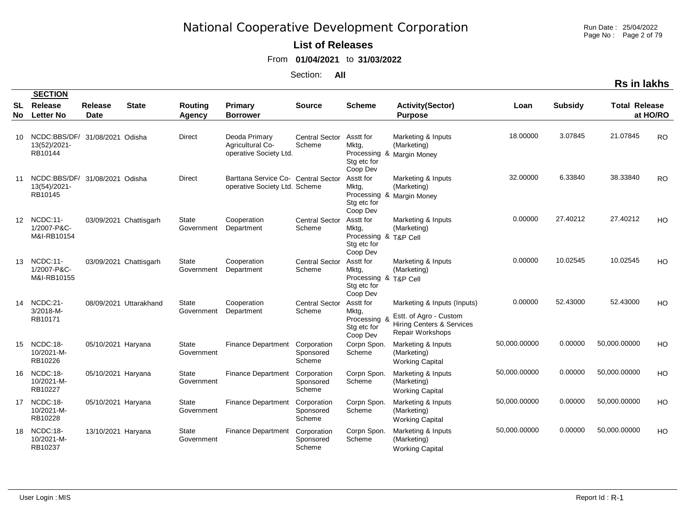Run Date : 25/04/2022 Page No : Page 2 of 79

**Rs in lakhs**

#### **List of Releases**

From **01/04/2021** to **31/03/2022**

|                  | <b>SECTION</b>                                            |                               |                        |                            |                                                                      |                                    |                                                                        |                                                                                                                   |              |                |                      |           |
|------------------|-----------------------------------------------------------|-------------------------------|------------------------|----------------------------|----------------------------------------------------------------------|------------------------------------|------------------------------------------------------------------------|-------------------------------------------------------------------------------------------------------------------|--------------|----------------|----------------------|-----------|
| <b>SL</b><br>No. | Release<br><b>Letter No</b>                               | <b>Release</b><br><b>Date</b> | <b>State</b>           | Routing<br>Agency          | Primary<br><b>Borrower</b>                                           | <b>Source</b>                      | <b>Scheme</b>                                                          | <b>Activity(Sector)</b><br><b>Purpose</b>                                                                         | Loan         | <b>Subsidy</b> | <b>Total Release</b> | at HO/RO  |
| 10               | NCDC:BBS/DF/ 31/08/2021 Odisha<br>13(52)/2021-<br>RB10144 |                               |                        | <b>Direct</b>              | Deoda Primary<br>Agricultural Co-<br>operative Society Ltd.          | <b>Central Sector</b><br>Scheme    | Asstt for<br>Mktg,<br>Stg etc for<br>Coop Dev                          | Marketing & Inputs<br>(Marketing)<br>Processing & Margin Money                                                    | 18.00000     | 3.07845        | 21.07845             | <b>RO</b> |
| 11               | NCDC:BBS/DF/ 31/08/2021 Odisha<br>13(54)/2021-<br>RB10145 |                               |                        | <b>Direct</b>              | Barttana Service Co- Central Sector<br>operative Society Ltd. Scheme |                                    | Asstt for<br>Mktg,<br>Stg etc for<br>Coop Dev                          | Marketing & Inputs<br>(Marketing)<br>Processing & Margin Money                                                    | 32.00000     | 6.33840        | 38.33840             | <b>RO</b> |
| 12               | NCDC:11-<br>1/2007-P&C-<br>M&I-RB10154                    |                               | 03/09/2021 Chattisgarh | <b>State</b><br>Government | Cooperation<br>Department                                            | <b>Central Sector</b><br>Scheme    | Asstt for<br>Mktg,<br>Processing & T&P Cell<br>Stg etc for<br>Coop Dev | Marketing & Inputs<br>(Marketing)                                                                                 | 0.00000      | 27.40212       | 27.40212             | HO        |
| 13               | NCDC:11-<br>1/2007-P&C-<br>M&I-RB10155                    |                               | 03/09/2021 Chattisgarh | <b>State</b><br>Government | Cooperation<br>Department                                            | <b>Central Sector</b><br>Scheme    | Asstt for<br>Mktg,<br>Processing & T&P Cell<br>Stg etc for<br>Coop Dev | Marketing & Inputs<br>(Marketing)                                                                                 | 0.00000      | 10.02545       | 10.02545             | HO        |
| 14               | NCDC:21-<br>3/2018-M-<br>RB10171                          |                               | 08/09/2021 Uttarakhand | <b>State</b><br>Government | Cooperation<br>Department                                            | <b>Central Sector</b><br>Scheme    | Asstt for<br>Mktg,<br>Processing 8<br>Stg etc for<br>Coop Dev          | Marketing & Inputs (Inputs)<br>Estt. of Agro - Custom<br><b>Hiring Centers &amp; Services</b><br>Repair Workshops | 0.00000      | 52.43000       | 52.43000             | HO        |
|                  | 15 NCDC:18-<br>10/2021-M-<br>RB10226                      | 05/10/2021 Haryana            |                        | State<br>Government        | <b>Finance Department</b>                                            | Corporation<br>Sponsored<br>Scheme | Corpn Spon.<br>Scheme                                                  | Marketing & Inputs<br>(Marketing)<br><b>Working Capital</b>                                                       | 50,000.00000 | 0.00000        | 50,000.00000         | HO        |
| 16               | NCDC:18-<br>10/2021-M-<br>RB10227                         | 05/10/2021 Haryana            |                        | <b>State</b><br>Government | <b>Finance Department</b>                                            | Corporation<br>Sponsored<br>Scheme | Corpn Spon.<br>Scheme                                                  | Marketing & Inputs<br>(Marketing)<br><b>Working Capital</b>                                                       | 50,000.00000 | 0.00000        | 50,000.00000         | HO        |
|                  | 17 NCDC:18-<br>10/2021-M-<br>RB10228                      | 05/10/2021 Haryana            |                        | <b>State</b><br>Government | <b>Finance Department</b>                                            | Corporation<br>Sponsored<br>Scheme | Corpn Spon.<br>Scheme                                                  | Marketing & Inputs<br>(Marketing)<br><b>Working Capital</b>                                                       | 50,000.00000 | 0.00000        | 50,000.00000         | HO        |
| 18               | NCDC:18-<br>10/2021-M-<br>RB10237                         | 13/10/2021 Haryana            |                        | <b>State</b><br>Government | <b>Finance Department</b>                                            | Corporation<br>Sponsored<br>Scheme | Corpn Spon.<br>Scheme                                                  | Marketing & Inputs<br>(Marketing)<br><b>Working Capital</b>                                                       | 50,000.00000 | 0.00000        | 50,000.00000         | HO        |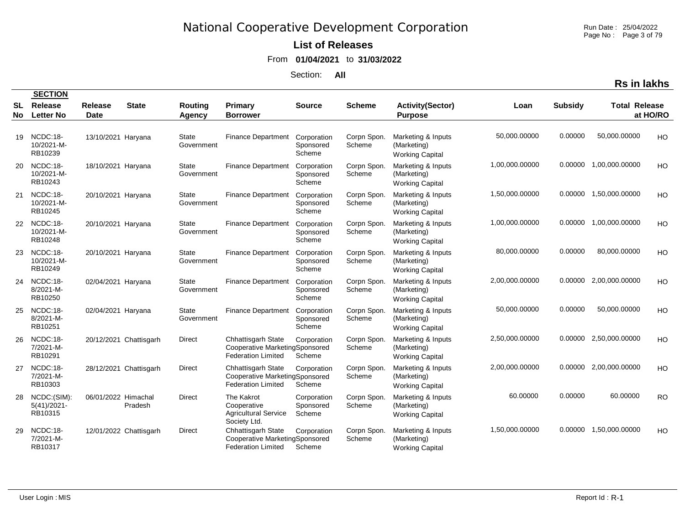Run Date : 25/04/2022 Page No: Page 3 of 79

#### **List of Releases**

From **01/04/2021** to **31/03/2022**

Section: **All**

| SL<br>No | Release<br><b>Letter No</b>              | <b>Release</b><br><b>Date</b> | <b>State</b>           | <b>Routing</b><br>Agency   | Primary<br><b>Borrower</b>                                                               | <b>Source</b>                      | <b>Scheme</b>         | <b>Activity(Sector)</b><br><b>Purpose</b>                   | Loan           | <b>Subsidy</b> | <b>Total Release</b> | at HO/RO  |
|----------|------------------------------------------|-------------------------------|------------------------|----------------------------|------------------------------------------------------------------------------------------|------------------------------------|-----------------------|-------------------------------------------------------------|----------------|----------------|----------------------|-----------|
| 19       | NCDC:18-<br>10/2021-M-<br>RB10239        | 13/10/2021 Haryana            |                        | State<br>Government        | <b>Finance Department</b>                                                                | Corporation<br>Sponsored<br>Scheme | Corpn Spon.<br>Scheme | Marketing & Inputs<br>(Marketing)<br><b>Working Capital</b> | 50,000.00000   | 0.00000        | 50,000.00000         | HO        |
| 20       | NCDC:18-<br>10/2021-M-<br>RB10243        | 18/10/2021 Haryana            |                        | <b>State</b><br>Government | <b>Finance Department</b>                                                                | Corporation<br>Sponsored<br>Scheme | Corpn Spon.<br>Scheme | Marketing & Inputs<br>(Marketing)<br><b>Working Capital</b> | 1,00,000.00000 | 0.00000        | 1,00,000.00000       | HO        |
| 21       | NCDC:18-<br>10/2021-M-<br>RB10245        | 20/10/2021 Haryana            |                        | State<br>Government        | Finance Department                                                                       | Corporation<br>Sponsored<br>Scheme | Corpn Spon.<br>Scheme | Marketing & Inputs<br>(Marketing)<br><b>Working Capital</b> | 1,50,000.00000 | 0.00000        | 1,50,000.00000       | HO        |
| 22       | NCDC:18-<br>10/2021-M-<br>RB10248        | 20/10/2021 Haryana            |                        | <b>State</b><br>Government | <b>Finance Department</b>                                                                | Corporation<br>Sponsored<br>Scheme | Corpn Spon.<br>Scheme | Marketing & Inputs<br>(Marketing)<br><b>Working Capital</b> | 1,00,000.00000 | 0.00000        | 1,00,000.00000       | HO        |
| 23       | NCDC:18-<br>10/2021-M-<br>RB10249        | 20/10/2021 Haryana            |                        | <b>State</b><br>Government | <b>Finance Department</b>                                                                | Corporation<br>Sponsored<br>Scheme | Corpn Spon.<br>Scheme | Marketing & Inputs<br>(Marketing)<br><b>Working Capital</b> | 80,000.00000   | 0.00000        | 80,000.00000         | HO        |
| 24       | NCDC:18-<br>8/2021-M-<br>RB10250         | 02/04/2021 Haryana            |                        | <b>State</b><br>Government | <b>Finance Department</b>                                                                | Corporation<br>Sponsored<br>Scheme | Corpn Spon.<br>Scheme | Marketing & Inputs<br>(Marketing)<br><b>Working Capital</b> | 2,00,000.00000 | 0.00000        | 2,00,000.00000       | HO        |
| 25       | NCDC:18-<br>8/2021-M-<br>RB10251         | 02/04/2021 Haryana            |                        | <b>State</b><br>Government | <b>Finance Department</b>                                                                | Corporation<br>Sponsored<br>Scheme | Corpn Spon.<br>Scheme | Marketing & Inputs<br>(Marketing)<br><b>Working Capital</b> | 50,000.00000   | 0.00000        | 50,000.00000         | HO        |
| 26       | NCDC:18-<br>7/2021-M-<br>RB10291         |                               | 20/12/2021 Chattisgarh | Direct                     | Chhattisgarh State<br>Cooperative MarketingSponsored<br><b>Federation Limited</b>        | Corporation<br>Scheme              | Corpn Spon.<br>Scheme | Marketing & Inputs<br>(Marketing)<br><b>Working Capital</b> | 2,50,000.00000 | 0.00000        | 2,50,000.00000       | HO        |
| 27       | NCDC:18-<br>7/2021-M-<br>RB10303         |                               | 28/12/2021 Chattisgarh | Direct                     | Chhattisgarh State<br>Cooperative MarketingSponsored<br><b>Federation Limited</b>        | Corporation<br>Scheme              | Corpn Spon.<br>Scheme | Marketing & Inputs<br>(Marketing)<br><b>Working Capital</b> | 2,00,000.00000 | 0.00000        | 2,00,000.00000       | HO        |
| 28       | NCDC:(SIM):<br>$5(41)/2021 -$<br>RB10315 | 06/01/2022 Himachal           | Pradesh                | <b>Direct</b>              | The Kakrot<br>Cooperative<br><b>Agricultural Service</b><br>Society Ltd.                 | Corporation<br>Sponsored<br>Scheme | Corpn Spon.<br>Scheme | Marketing & Inputs<br>(Marketing)<br><b>Working Capital</b> | 60.00000       | 0.00000        | 60.00000             | <b>RO</b> |
| 29       | NCDC:18-<br>7/2021-M-<br>RB10317         |                               | 12/01/2022 Chattisgarh | <b>Direct</b>              | <b>Chhattisgarh State</b><br>Cooperative MarketingSponsored<br><b>Federation Limited</b> | Corporation<br>Scheme              | Corpn Spon.<br>Scheme | Marketing & Inputs<br>(Marketing)<br><b>Working Capital</b> | 1,50,000.00000 | 0.00000        | 1,50,000.00000       | HO        |

**No**

 **SECTION**

**Rs in lakhs**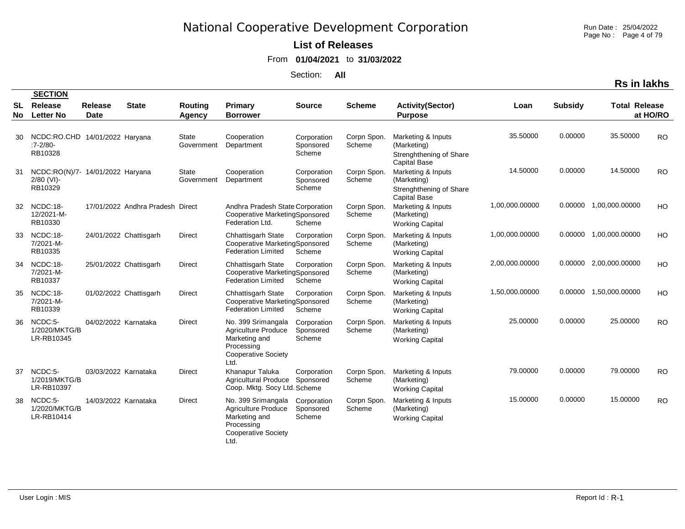Run Date : 25/04/2022 Page No : Page 4 of 79

### **List of Releases**

From **01/04/2021** to **31/03/2022**

Section: **All**

|          | <b>SECTION</b>                                              |                               |                           |                                 |                                                                                                                       |                                    |                       |                                                                                     |                |                |                        |           |
|----------|-------------------------------------------------------------|-------------------------------|---------------------------|---------------------------------|-----------------------------------------------------------------------------------------------------------------------|------------------------------------|-----------------------|-------------------------------------------------------------------------------------|----------------|----------------|------------------------|-----------|
| SL<br>No | Release<br><b>Letter No</b>                                 | <b>Release</b><br><b>Date</b> | <b>State</b>              | <b>Routing</b><br><b>Agency</b> | <b>Primary</b><br><b>Borrower</b>                                                                                     | <b>Source</b>                      | <b>Scheme</b>         | <b>Activity(Sector)</b><br><b>Purpose</b>                                           | Loan           | <b>Subsidy</b> | <b>Total Release</b>   | at HO/RO  |
| 30       | NCDC:RO.CHD 14/01/2022 Haryana<br>$.7 - 2/80$<br>RB10328    |                               |                           | <b>State</b><br>Government      | Cooperation<br>Department                                                                                             | Corporation<br>Sponsored<br>Scheme | Corpn Spon.<br>Scheme | Marketing & Inputs<br>(Marketing)<br>Strenghthening of Share<br><b>Capital Base</b> | 35.50000       | 0.00000        | 35.50000               | <b>RO</b> |
| 31       | NCDC:RO(N)/7- 14/01/2022 Haryana<br>$2/80$ (VI)-<br>RB10329 |                               |                           | <b>State</b><br>Government      | Cooperation<br>Department                                                                                             | Corporation<br>Sponsored<br>Scheme | Corpn Spon.<br>Scheme | Marketing & Inputs<br>(Marketing)<br>Strenghthening of Share<br><b>Capital Base</b> | 14.50000       | 0.00000        | 14.50000               | <b>RO</b> |
| 32       | NCDC:18-<br>12/2021-M-<br>RB10330                           |                               | 17/01/2022 Andhra Pradesh | Direct                          | Andhra Pradesh State Corporation<br>Cooperative MarketingSponsored<br>Federation Ltd.                                 | Scheme                             | Corpn Spon.<br>Scheme | Marketing & Inputs<br>(Marketing)<br><b>Working Capital</b>                         | 1,00,000.00000 |                | 0.00000 1,00,000.00000 | HO        |
| 33       | NCDC:18-<br>7/2021-M-<br>RB10335                            |                               | 24/01/2022 Chattisgarh    | Direct                          | <b>Chhattisgarh State</b><br>Cooperative MarketingSponsored<br><b>Federation Limited</b>                              | Corporation<br>Scheme              | Corpn Spon.<br>Scheme | Marketing & Inputs<br>(Marketing)<br><b>Working Capital</b>                         | 1,00,000.00000 |                | 0.00000 1.00.000.00000 | <b>HO</b> |
| 34       | NCDC:18-<br>7/2021-M-<br>RB10337                            |                               | 25/01/2022 Chattisgarh    | Direct                          | <b>Chhattisgarh State</b><br>Cooperative MarketingSponsored<br><b>Federation Limited</b>                              | Corporation<br>Scheme              | Corpn Spon.<br>Scheme | Marketing & Inputs<br>(Marketing)<br><b>Working Capital</b>                         | 2,00,000.00000 |                | 0.00000 2,00,000.00000 | HO        |
| 35       | NCDC:18-<br>7/2021-M-<br>RB10339                            |                               | 01/02/2022 Chattisgarh    | <b>Direct</b>                   | <b>Chhattisgarh State</b><br>Cooperative MarketingSponsored<br><b>Federation Limited</b>                              | Corporation<br>Scheme              | Corpn Spon.<br>Scheme | Marketing & Inputs<br>(Marketing)<br><b>Working Capital</b>                         | 1,50,000.00000 |                | 0.00000 1,50,000.00000 | HO        |
| 36       | NCDC:5-<br>1/2020/MKTG/B<br>LR-RB10345                      | 04/02/2022 Karnataka          |                           | <b>Direct</b>                   | No. 399 Srimangala<br><b>Agriculture Produce</b><br>Marketing and<br>Processing<br><b>Cooperative Society</b><br>Ltd. | Corporation<br>Sponsored<br>Scheme | Corpn Spon.<br>Scheme | Marketing & Inputs<br>(Marketing)<br><b>Working Capital</b>                         | 25.00000       | 0.00000        | 25.00000               | <b>RO</b> |
| 37       | NCDC:5-<br>1/2019/MKTG/B<br>LR-RB10397                      | 03/03/2022 Karnataka          |                           | <b>Direct</b>                   | Khanapur Taluka<br>Agricultural Produce Sponsored<br>Coop. Mktg. Socy Ltd. Scheme                                     | Corporation                        | Corpn Spon.<br>Scheme | Marketing & Inputs<br>(Marketing)<br><b>Working Capital</b>                         | 79.00000       | 0.00000        | 79.00000               | <b>RO</b> |
| 38       | NCDC:5-<br>1/2020/MKTG/B<br>LR-RB10414                      | 14/03/2022 Karnataka          |                           | <b>Direct</b>                   | No. 399 Srimangala<br>Agriculture Produce<br>Marketing and<br>Processing<br><b>Cooperative Society</b><br>Ltd.        | Corporation<br>Sponsored<br>Scheme | Corpn Spon.<br>Scheme | Marketing & Inputs<br>(Marketing)<br><b>Working Capital</b>                         | 15.00000       | 0.00000        | 15.00000               | <b>RO</b> |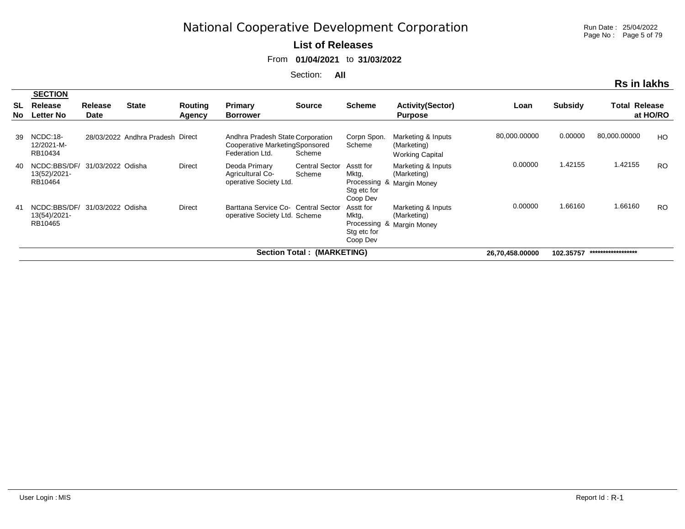#### **List of Releases**

From **01/04/2021** to **31/03/2022**

Section: **All**

|                   | <b>SECTION</b>                                                                   |                        |                                  |                   |                                                                                       |                                 |                                               |                                                                |              |                |              |                     |  |
|-------------------|----------------------------------------------------------------------------------|------------------------|----------------------------------|-------------------|---------------------------------------------------------------------------------------|---------------------------------|-----------------------------------------------|----------------------------------------------------------------|--------------|----------------|--------------|---------------------|--|
| <b>SL</b><br>No l | Release<br><b>Letter No</b>                                                      | <b>Release</b><br>Date | <b>State</b>                     | Routing<br>Agency | Primary<br><b>Borrower</b>                                                            | <b>Source</b>                   | <b>Scheme</b>                                 | <b>Activity(Sector)</b><br><b>Purpose</b>                      | Loan         | <b>Subsidy</b> | Total        | Release<br>at HO/RO |  |
| 39                | NCDC:18-<br>12/2021-M-<br>RB10434                                                |                        | 28/03/2022 Andhra Pradesh Direct |                   | Andhra Pradesh State Corporation<br>Cooperative MarketingSponsored<br>Federation Ltd. | Scheme                          | Corpn Spon.<br>Scheme                         | Marketing & Inputs<br>(Marketing)<br><b>Working Capital</b>    | 80,000.00000 | 0.00000        | 80,000.00000 | HO                  |  |
| 40                | NCDC:BBS/DF/<br>13(52)/2021-<br>RB10464                                          | 31/03/2022 Odisha      |                                  | <b>Direct</b>     | Deoda Primary<br><b>Agricultural Co-</b><br>operative Society Ltd.                    | <b>Central Sector</b><br>Scheme | Asstt for<br>Mktg,<br>Stg etc for<br>Coop Dev | Marketing & Inputs<br>(Marketing)<br>Processing & Margin Money | 0.00000      | 1.42155        | 1.42155      | <b>RO</b>           |  |
| -41               | NCDC:BBS/DF/<br>13(54)/2021-<br>RB10465                                          | 31/03/2022 Odisha      |                                  | <b>Direct</b>     | Barttana Service Co- Central Sector<br>operative Society Ltd. Scheme                  |                                 | Asstt for<br>Mktg,<br>Stg etc for<br>Coop Dev | Marketing & Inputs<br>(Marketing)<br>Processing & Margin Money | 0.00000      | 1.66160        | 1.66160      | <b>RO</b>           |  |
|                   | Section Total: (MARKETING)<br>******************<br>102.35757<br>26,70,458.00000 |                        |                                  |                   |                                                                                       |                                 |                                               |                                                                |              |                |              |                     |  |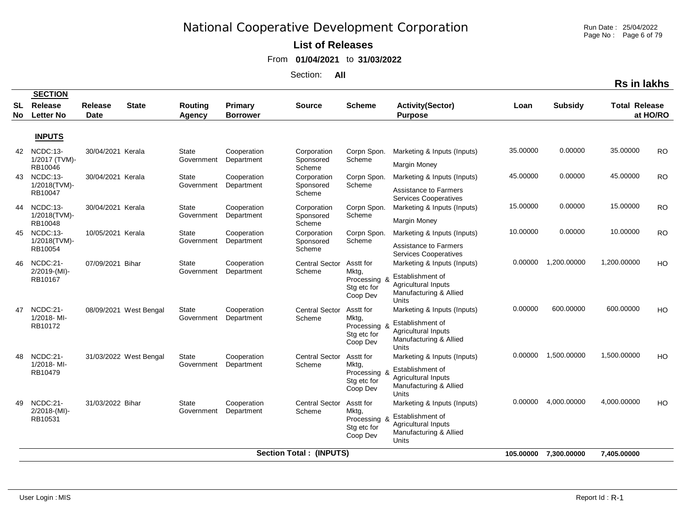Run Date : 25/04/2022 Page No: Page 6 of 79

#### **List of Releases**

From **01/04/2021** to **31/03/2022**

|                 |                                               |                        |                        |                            |                            |                                    |                                                               |                                                                                                                         |          |                       | <b>Rs in lakhs</b>   |           |
|-----------------|-----------------------------------------------|------------------------|------------------------|----------------------------|----------------------------|------------------------------------|---------------------------------------------------------------|-------------------------------------------------------------------------------------------------------------------------|----------|-----------------------|----------------------|-----------|
| <b>SL</b><br>No | <b>SECTION</b><br>Release<br><b>Letter No</b> | Release<br><b>Date</b> | <b>State</b>           | Routing<br><b>Agency</b>   | Primary<br><b>Borrower</b> | <b>Source</b>                      | <b>Scheme</b>                                                 | <b>Activity(Sector)</b><br><b>Purpose</b>                                                                               | Loan     | <b>Subsidy</b>        | <b>Total Release</b> | at HO/RO  |
|                 | <b>INPUTS</b>                                 |                        |                        |                            |                            |                                    |                                                               |                                                                                                                         |          |                       |                      |           |
| 42              | NCDC:13-<br>1/2017 (TVM)-<br>RB10046          | 30/04/2021 Kerala      |                        | State<br>Government        | Cooperation<br>Department  | Corporation<br>Sponsored<br>Scheme | Corpn Spon.<br>Scheme                                         | Marketing & Inputs (Inputs)<br><b>Margin Money</b>                                                                      | 35.00000 | 0.00000               | 35.00000             | <b>RO</b> |
| 43              | NCDC:13-<br>1/2018(TVM)-<br>RB10047           | 30/04/2021 Kerala      |                        | <b>State</b><br>Government | Cooperation<br>Department  | Corporation<br>Sponsored<br>Scheme | Corpn Spon.<br>Scheme                                         | Marketing & Inputs (Inputs)<br><b>Assistance to Farmers</b><br><b>Services Cooperatives</b>                             | 45.00000 | 0.00000               | 45.00000             | <b>RO</b> |
| 44              | NCDC:13-<br>1/2018(TVM)-<br>RB10048           | 30/04/2021 Kerala      |                        | State<br>Government        | Cooperation<br>Department  | Corporation<br>Sponsored<br>Scheme | Corpn Spon.<br>Scheme                                         | Marketing & Inputs (Inputs)<br>Margin Money                                                                             | 15.00000 | 0.00000               | 15.00000             | <b>RO</b> |
| 45              | NCDC:13-<br>1/2018(TVM)-<br>RB10054           | 10/05/2021 Kerala      |                        | <b>State</b><br>Government | Cooperation<br>Department  | Corporation<br>Sponsored<br>Scheme | Corpn Spon.<br>Scheme                                         | Marketing & Inputs (Inputs)<br><b>Assistance to Farmers</b><br><b>Services Cooperatives</b>                             | 10.00000 | 0.00000               | 10.00000             | <b>RO</b> |
| 46              | NCDC:21-<br>$2/2019-(Ml)$ -<br>RB10167        | 07/09/2021 Bihar       |                        | State<br>Government        | Cooperation<br>Department  | <b>Central Sector</b><br>Scheme    | Asstt for<br>Mktg,<br>Processing<br>Stg etc for<br>Coop Dev   | Marketing & Inputs (Inputs)<br>Establishment of<br><b>Agricultural Inputs</b><br>Manufacturing & Allied<br>Units        | 0.00000  | 1,200.00000           | 1,200.00000          | HO        |
| 47              | NCDC:21-<br>1/2018-MI-<br>RB10172             |                        | 08/09/2021 West Bengal | State<br>Government        | Cooperation<br>Department  | <b>Central Sector</b><br>Scheme    | Asstt for<br>Mktg,<br>Processing &<br>Stg etc for<br>Coop Dev | Marketing & Inputs (Inputs)<br>Establishment of<br><b>Agricultural Inputs</b><br>Manufacturing & Allied<br><b>Units</b> | 0.00000  | 600.00000             | 600.00000            | HO        |
| 48              | NCDC:21-<br>1/2018-MI-<br>RB10479             |                        | 31/03/2022 West Bengal | State<br>Government        | Cooperation<br>Department  | <b>Central Sector</b><br>Scheme    | Asstt for<br>Mktg,<br>Processing<br>Stg etc for<br>Coop Dev   | Marketing & Inputs (Inputs)<br>Establishment of<br><b>Agricultural Inputs</b><br>Manufacturing & Allied<br>Units        | 0.00000  | 1,500.00000           | 1,500.00000          | HO        |
| 49              | NCDC:21-<br>$2/2018-(MI)$ -<br>RB10531        | 31/03/2022 Bihar       |                        | State<br>Government        | Cooperation<br>Department  | <b>Central Sector</b><br>Scheme    | Asstt for<br>Mktg,<br>Processing<br>Stg etc for<br>Coop Dev   | Marketing & Inputs (Inputs)<br>Establishment of<br><b>Agricultural Inputs</b><br>Manufacturing & Allied<br>Units        | 0.00000  | 4,000.00000           | 4.000.00000          | HO        |
|                 |                                               |                        |                        |                            |                            | <b>Section Total: (INPUTS)</b>     |                                                               |                                                                                                                         |          | 105.00000 7,300.00000 | 7,405.00000          |           |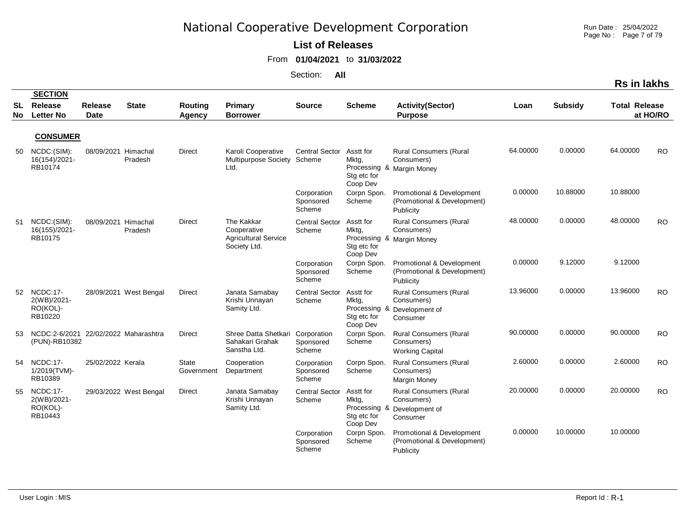Run Date : 25/04/2022 Page No : Page 7 of 79

#### **List of Releases**

From **01/04/2021** to **31/03/2022**

|          |                                                       |                               |                        |                                 |                                                                          |                                    |                                               |                                                                                        |          |                | <b>Rs in lakhs</b>   |           |
|----------|-------------------------------------------------------|-------------------------------|------------------------|---------------------------------|--------------------------------------------------------------------------|------------------------------------|-----------------------------------------------|----------------------------------------------------------------------------------------|----------|----------------|----------------------|-----------|
| SL<br>No | <b>SECTION</b><br>Release<br><b>Letter No</b>         | <b>Release</b><br><b>Date</b> | <b>State</b>           | <b>Routing</b><br><b>Agency</b> | Primary<br><b>Borrower</b>                                               | <b>Source</b>                      | <b>Scheme</b>                                 | <b>Activity(Sector)</b><br><b>Purpose</b>                                              | Loan     | <b>Subsidy</b> | <b>Total Release</b> | at HO/RO  |
|          | <b>CONSUMER</b>                                       |                               |                        |                                 |                                                                          |                                    |                                               |                                                                                        |          |                |                      |           |
| 50       | NCDC: (SIM):<br>16(154)/2021-<br>RB10174              | 08/09/2021                    | Himachal<br>Pradesh    | <b>Direct</b>                   | Karoli Cooperative<br>Multipurpose Society Scheme<br>Ltd.                | <b>Central Sector</b>              | Asstt for<br>Mktg,<br>Stg etc for<br>Coop Dev | <b>Rural Consumers (Rural</b><br>Consumers)<br>Processing & Margin Money               | 64.00000 | 0.00000        | 64.00000             | <b>RO</b> |
|          |                                                       |                               |                        |                                 |                                                                          | Corporation<br>Sponsored<br>Scheme | Corpn Spon.<br>Scheme                         | Promotional & Development<br>(Promotional & Development)<br>Publicity                  | 0.00000  | 10.88000       | 10.88000             |           |
| 51       | NCDC:(SIM):<br>16(155)/2021-<br>RB10175               | 08/09/2021                    | Himachal<br>Pradesh    | <b>Direct</b>                   | The Kakkar<br>Cooperative<br><b>Agricultural Service</b><br>Society Ltd. | <b>Central Sector</b><br>Scheme    | Asstt for<br>Mktg,<br>Stg etc for<br>Coop Dev | <b>Rural Consumers (Rural</b><br>Consumers)<br>Processing & Margin Money               | 48.00000 | 0.00000        | 48.00000             | <b>RO</b> |
|          |                                                       |                               |                        |                                 |                                                                          | Corporation<br>Sponsored<br>Scheme | Corpn Spon.<br>Scheme                         | Promotional & Development<br>(Promotional & Development)<br>Publicity                  | 0.00000  | 9.12000        | 9.12000              |           |
| 52       | $NCDC:17-$<br>2(WB)/2021-<br>RO(KOL)-<br>RB10220      |                               | 28/09/2021 West Bengal | <b>Direct</b>                   | Janata Samabay<br>Krishi Unnayan<br>Samity Ltd.                          | <b>Central Sector</b><br>Scheme    | Asstt for<br>Mktg,<br>Stg etc for<br>Coop Dev | <b>Rural Consumers (Rural</b><br>Consumers)<br>Processing & Development of<br>Consumer | 13.96000 | 0.00000        | 13.96000             | <b>RO</b> |
| 53       | NCDC:2-6/2021<br>(PUN)-RB10382                        |                               | 22/02/2022 Maharashtra | Direct                          | Shree Datta Shetkari Corporation<br>Sahakari Grahak<br>Sanstha Ltd.      | Sponsored<br>Scheme                | Corpn Spon.<br>Scheme                         | <b>Rural Consumers (Rural</b><br>Consumers)<br><b>Working Capital</b>                  | 90.00000 | 0.00000        | 90.00000             | <b>RO</b> |
| 54       | <b>NCDC:17-</b><br>1/2019(TVM)-<br>RB10389            | 25/02/2022 Kerala             |                        | <b>State</b><br>Government      | Cooperation<br>Department                                                | Corporation<br>Sponsored<br>Scheme | Corpn Spon.<br>Scheme                         | <b>Rural Consumers (Rural</b><br>Consumers)<br><b>Margin Money</b>                     | 2.60000  | 0.00000        | 2.60000              | <b>RO</b> |
| 55       | <b>NCDC:17-</b><br>2(WB)/2021-<br>RO(KOL)-<br>RB10443 |                               | 29/03/2022 West Bengal | <b>Direct</b>                   | Janata Samabay<br>Krishi Unnayan<br>Samity Ltd.                          | <b>Central Sector</b><br>Scheme    | Asstt for<br>Mktg,<br>Stg etc for<br>Coop Dev | <b>Rural Consumers (Rural</b><br>Consumers)<br>Processing & Development of<br>Consumer | 20.00000 | 0.00000        | 20.00000             | <b>RO</b> |
|          |                                                       |                               |                        |                                 |                                                                          | Corporation<br>Sponsored<br>Scheme | Corpn Spon<br>Scheme                          | Promotional & Development<br>(Promotional & Development)<br>Publicity                  | 0.00000  | 10.00000       | 10.00000             |           |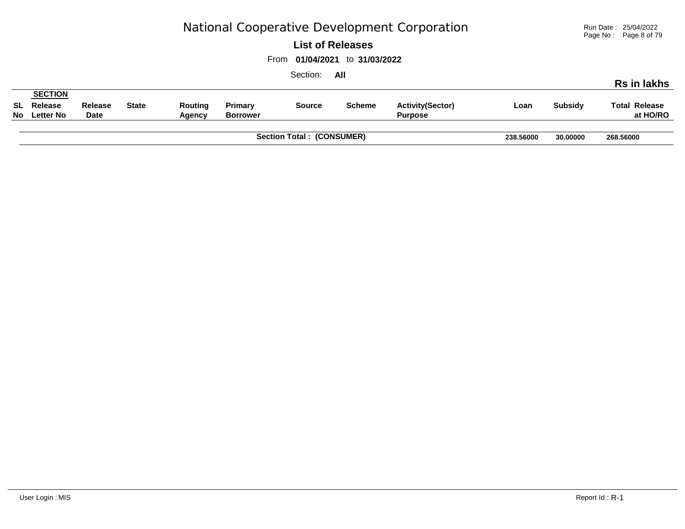Run Date : 25/04/2022 Page No : Page 8 of 79

#### **List of Releases**

From **01/04/2021** to **31/03/2022**

|                            |                               |              | 238.56000         | 30,00000                   | 268.56000     |               |                                           |      |                |                                  |
|----------------------------|-------------------------------|--------------|-------------------|----------------------------|---------------|---------------|-------------------------------------------|------|----------------|----------------------------------|
| SL Release<br>No Letter No | <b>Release</b><br><b>Date</b> | <b>State</b> | Routing<br>Agency | Primary<br><b>Borrower</b> | <b>Source</b> | <b>Scheme</b> | <b>Activity(Sector)</b><br><b>Purpose</b> | Loan | <b>Subsidy</b> | <b>Total Release</b><br>at HO/RO |
| <b>SECTION</b>             |                               |              |                   |                            |               |               |                                           |      |                |                                  |
|                            |                               |              |                   |                            | Section:      | All           |                                           |      |                | <b>Rs in lakhs</b>               |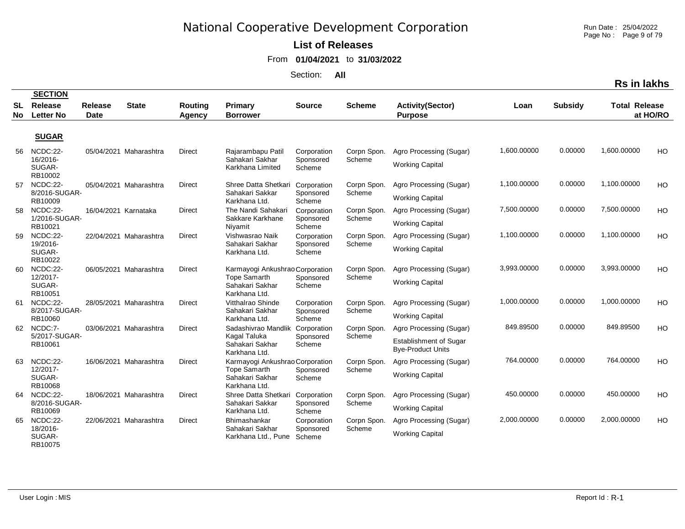Run Date : 25/04/2022 Page No: Page 9 of 79

**Rs in lakhs**

#### **List of Releases**

From **01/04/2021** to **31/03/2022**

|                 | <b>SECTION</b>                            |                               |                        |                          |                                                                                            |                                    |                       |                                                                                      |             |                |                      |          |
|-----------------|-------------------------------------------|-------------------------------|------------------------|--------------------------|--------------------------------------------------------------------------------------------|------------------------------------|-----------------------|--------------------------------------------------------------------------------------|-------------|----------------|----------------------|----------|
| <b>SL</b><br>No | Release<br><b>Letter No</b>               | <b>Release</b><br><b>Date</b> | <b>State</b>           | <b>Routing</b><br>Agency | Primary<br><b>Borrower</b>                                                                 | <b>Source</b>                      | <b>Scheme</b>         | <b>Activity(Sector)</b><br><b>Purpose</b>                                            | Loan        | <b>Subsidy</b> | <b>Total Release</b> | at HO/RO |
|                 | <b>SUGAR</b>                              |                               |                        |                          |                                                                                            |                                    |                       |                                                                                      |             |                |                      |          |
| 56              | NCDC:22-<br>16/2016-<br>SUGAR-<br>RB10002 |                               | 05/04/2021 Maharashtra | <b>Direct</b>            | Rajarambapu Patil<br>Sahakari Sakhar<br>Karkhana Limited                                   | Corporation<br>Sponsored<br>Scheme | Corpn Spon.<br>Scheme | Agro Processing (Sugar)<br><b>Working Capital</b>                                    | 1,600.00000 | 0.00000        | 1,600.00000          | HO       |
| 57              | NCDC:22-<br>8/2016-SUGAR-<br>RB10009      |                               | 05/04/2021 Maharashtra | Direct                   | Shree Datta Shetkari<br>Sahakari Sakkar<br>Karkhana Ltd.                                   | Corporation<br>Sponsored<br>Scheme | Corpn Spon.<br>Scheme | Agro Processing (Sugar)<br><b>Working Capital</b>                                    | 1,100.00000 | 0.00000        | 1,100.00000          | HO       |
| 58              | NCDC:22-<br>1/2016-SUGAR-<br>RB10021      | 16/04/2021 Karnataka          |                        | <b>Direct</b>            | The Nandi Sahakari<br>Sakkare Karkhane<br>Niyamit                                          | Corporation<br>Sponsored<br>Scheme | Corpn Spon.<br>Scheme | Agro Processing (Sugar)<br><b>Working Capital</b>                                    | 7,500.00000 | 0.00000        | 7,500.00000          | HO       |
| 59              | NCDC:22-<br>19/2016-<br>SUGAR-<br>RB10022 |                               | 22/04/2021 Maharashtra | <b>Direct</b>            | Vishwasrao Naik<br>Sahakari Sakhar<br>Karkhana Ltd.                                        | Corporation<br>Sponsored<br>Scheme | Corpn Spon.<br>Scheme | Agro Processing (Sugar)<br><b>Working Capital</b>                                    | 1,100.00000 | 0.00000        | 1,100.00000          | HO       |
| 60              | NCDC:22-<br>12/2017-<br>SUGAR-<br>RB10051 |                               | 06/05/2021 Maharashtra | <b>Direct</b>            | Karmayogi Ankushrao Corporation<br><b>Tope Samarth</b><br>Sahakari Sakhar<br>Karkhana Ltd. | Sponsored<br>Scheme                | Corpn Spon.<br>Scheme | Agro Processing (Sugar)<br><b>Working Capital</b>                                    | 3,993.00000 | 0.00000        | 3,993.00000          | HO       |
| 61              | NCDC:22-<br>8/2017-SUGAR-<br>RB10060      |                               | 28/05/2021 Maharashtra | Direct                   | Vitthalrao Shinde<br>Sahakari Sakhar<br>Karkhana Ltd.                                      | Corporation<br>Sponsored<br>Scheme | Corpn Spon.<br>Scheme | Agro Processing (Sugar)<br><b>Working Capital</b>                                    | 1,000.00000 | 0.00000        | 1,000.00000          | HO       |
|                 | 62 NCDC:7-<br>5/2017-SUGAR-<br>RB10061    |                               | 03/06/2021 Maharashtra | <b>Direct</b>            | Sadashivrao Mandlik<br>Kagal Taluka<br>Sahakari Sakhar<br>Karkhana Ltd.                    | Corporation<br>Sponsored<br>Scheme | Corpn Spon.<br>Scheme | Agro Processing (Sugar)<br><b>Establishment of Sugar</b><br><b>Bye-Product Units</b> | 849.89500   | 0.00000        | 849.89500            | HO       |
| 63              | NCDC:22-<br>12/2017-<br>SUGAR-<br>RB10068 |                               | 16/06/2021 Maharashtra | Direct                   | Karmayogi Ankushrao Corporation<br><b>Tope Samarth</b><br>Sahakari Sakhar<br>Karkhana Ltd. | Sponsored<br>Scheme                | Corpn Spon.<br>Scheme | Agro Processing (Sugar)<br><b>Working Capital</b>                                    | 764.00000   | 0.00000        | 764.00000            | HO       |
|                 | 64 NCDC:22-<br>8/2016-SUGAR-<br>RB10069   |                               | 18/06/2021 Maharashtra | <b>Direct</b>            | Shree Datta Shetkari<br>Sahakari Sakkar<br>Karkhana Ltd.                                   | Corporation<br>Sponsored<br>Scheme | Corpn Spon.<br>Scheme | Agro Processing (Sugar)<br><b>Working Capital</b>                                    | 450.00000   | 0.00000        | 450.00000            | HO       |
| 65              | NCDC:22-<br>18/2016-<br>SUGAR-<br>RB10075 |                               | 22/06/2021 Maharashtra | Direct                   | Bhimashankar<br>Sahakari Sakhar<br>Karkhana Ltd., Pune Scheme                              | Corporation<br>Sponsored           | Corpn Spon.<br>Scheme | Agro Processing (Sugar)<br><b>Working Capital</b>                                    | 2,000.00000 | 0.00000        | 2,000.00000          | HO       |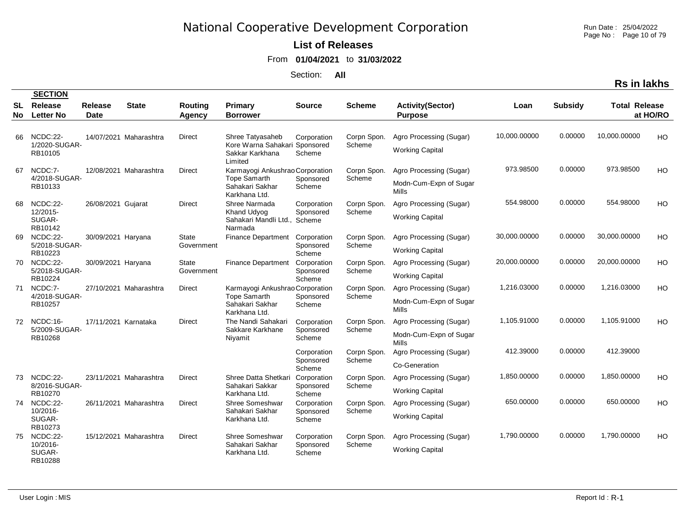#### **List of Releases**

From **01/04/2021** to **31/03/2022**

|                  |                                              |                        |                        |                          |                                                                                                       |                                    |                       |                                                            |              |                | <b>Rs in lakhs</b>   |          |
|------------------|----------------------------------------------|------------------------|------------------------|--------------------------|-------------------------------------------------------------------------------------------------------|------------------------------------|-----------------------|------------------------------------------------------------|--------------|----------------|----------------------|----------|
|                  | <b>SECTION</b>                               |                        |                        |                          |                                                                                                       |                                    |                       |                                                            |              |                |                      |          |
| <b>SL</b><br>No. | Release<br><b>Letter No</b>                  | <b>Release</b><br>Date | <b>State</b>           | <b>Routing</b><br>Agency | Primary<br><b>Borrower</b>                                                                            | <b>Source</b>                      | <b>Scheme</b>         | <b>Activity(Sector)</b><br><b>Purpose</b>                  | Loan         | <b>Subsidy</b> | <b>Total Release</b> | at HO/RO |
| 66               | NCDC:22-<br>1/2020-SUGAR-<br>RB10105         |                        | 14/07/2021 Maharashtra | Direct                   | Shree Tatyasaheb<br>Kore Warna Sahakari Sponsored<br>Sakkar Karkhana                                  | Corporation<br>Scheme              | Corpn Spon.<br>Scheme | Agro Processing (Sugar)<br><b>Working Capital</b>          | 10,000.00000 | 0.00000        | 10,000.00000         | HO       |
| 67               | NCDC:7-<br>4/2018-SUGAR-<br>RB10133          |                        | 12/08/2021 Maharashtra | <b>Direct</b>            | Limited<br>Karmayogi Ankushrao Corporation<br><b>Tope Samarth</b><br>Sahakari Sakhar<br>Karkhana Ltd. | Sponsored<br>Scheme                | Corpn Spon.<br>Scheme | Agro Processing (Sugar)<br>Modn-Cum-Expn of Sugar<br>Mills | 973.98500    | 0.00000        | 973.98500            | HO       |
| 68               | NCDC:22-<br>12/2015-<br>SUGAR-<br>RB10142    | 26/08/2021 Gujarat     |                        | <b>Direct</b>            | Shree Narmada<br>Khand Udyog<br>Sahakari Mandli Ltd., Scheme<br>Narmada                               | Corporation<br>Sponsored           | Corpn Spon.<br>Scheme | Agro Processing (Sugar)<br><b>Working Capital</b>          | 554.98000    | 0.00000        | 554.98000            | HO       |
| 69               | NCDC:22-<br>5/2018-SUGAR-<br>RB10223         | 30/09/2021 Haryana     |                        | State<br>Government      | Finance Department Corporation                                                                        | Sponsored<br>Scheme                | Corpn Spon.<br>Scheme | Agro Processing (Sugar)<br><b>Working Capital</b>          | 30,000.00000 | 0.00000        | 30,000.00000         | HO       |
| 70               | NCDC:22-<br>5/2018-SUGAR-<br>RB10224         | 30/09/2021 Haryana     |                        | State<br>Government      | Finance Department                                                                                    | Corporation<br>Sponsored<br>Scheme | Corpn Spon.<br>Scheme | Agro Processing (Sugar)<br><b>Working Capital</b>          | 20,000.00000 | 0.00000        | 20,000.00000         | HO       |
| 71               | NCDC:7-<br>4/2018-SUGAR-<br>RB10257          |                        | 27/10/2021 Maharashtra | Direct                   | Karmayogi Ankushrao Corporation<br><b>Tope Samarth</b><br>Sahakari Sakhar<br>Karkhana Ltd.            | Sponsored<br>Scheme                | Corpn Spon.<br>Scheme | Agro Processing (Sugar)<br>Modn-Cum-Expn of Sugar<br>Mills | 1,216.03000  | 0.00000        | 1,216.03000          | HO       |
|                  | 72 NCDC:16-<br>5/2009-SUGAR-<br>RB10268      | 17/11/2021 Karnataka   |                        | Direct                   | The Nandi Sahakari<br>Sakkare Karkhane<br>Nivamit                                                     | Corporation<br>Sponsored<br>Scheme | Corpn Spon.<br>Scheme | Agro Processing (Sugar)<br>Modn-Cum-Expn of Sugar<br>Mills | 1,105.91000  | 0.00000        | 1,105.91000          | HO       |
|                  |                                              |                        |                        |                          |                                                                                                       | Corporation<br>Sponsored<br>Scheme | Corpn Spon.<br>Scheme | Agro Processing (Sugar)<br>Co-Generation                   | 412.39000    | 0.00000        | 412.39000            |          |
|                  | 73 NCDC:22-<br>8/2016-SUGAR-<br>RB10270      |                        | 23/11/2021 Maharashtra | Direct                   | Shree Datta Shetkari<br>Sahakari Sakkar<br>Karkhana Ltd.                                              | Corporation<br>Sponsored<br>Scheme | Corpn Spon.<br>Scheme | Agro Processing (Sugar)<br><b>Working Capital</b>          | 1,850.00000  | 0.00000        | 1,850.00000          | HO       |
| 74               | NCDC:22-<br>10/2016-<br>SUGAR-<br>RB10273    |                        | 26/11/2021 Maharashtra | Direct                   | Shree Someshwar<br>Sahakari Sakhar<br>Karkhana Ltd.                                                   | Corporation<br>Sponsored<br>Scheme | Corpn Spon.<br>Scheme | Agro Processing (Sugar)<br><b>Working Capital</b>          | 650.00000    | 0.00000        | 650.00000            | HO       |
|                  | 75 NCDC:22-<br>10/2016-<br>SUGAR-<br>RB10288 |                        | 15/12/2021 Maharashtra | Direct                   | <b>Shree Someshwar</b><br>Sahakari Sakhar<br>Karkhana Ltd.                                            | Corporation<br>Sponsored<br>Scheme | Corpn Spon.<br>Scheme | Agro Processing (Sugar)<br><b>Working Capital</b>          | 1,790.00000  | 0.00000        | 1,790.00000          | HO       |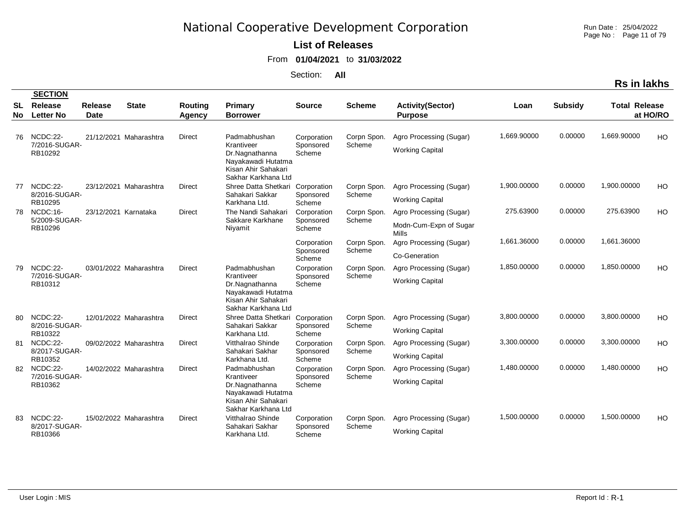Run Date : 25/04/2022 Page No : Page 11 of 79

#### **List of Releases**

From **01/04/2021** to **31/03/2022**

|                 |                              |                               |                        |                          |                                                                                                  |                          |                       |                                           |             |                | <b>Rs in lakhs</b>   |           |
|-----------------|------------------------------|-------------------------------|------------------------|--------------------------|--------------------------------------------------------------------------------------------------|--------------------------|-----------------------|-------------------------------------------|-------------|----------------|----------------------|-----------|
|                 | <b>SECTION</b>               |                               |                        |                          |                                                                                                  |                          |                       |                                           |             |                |                      |           |
| <b>SL</b><br>No | Release<br><b>Letter No</b>  | <b>Release</b><br><b>Date</b> | <b>State</b>           | <b>Routing</b><br>Agency | Primary<br><b>Borrower</b>                                                                       | <b>Source</b>            | <b>Scheme</b>         | <b>Activity(Sector)</b><br><b>Purpose</b> | Loan        | <b>Subsidy</b> | <b>Total Release</b> | at HO/RO  |
| 76              | NCDC:22-                     |                               | 21/12/2021 Maharashtra | <b>Direct</b>            | Padmabhushan                                                                                     | Corporation              | Corpn Spon.           | Agro Processing (Sugar)                   | 1,669.90000 | 0.00000        | 1,669.90000          | HO        |
|                 | 7/2016-SUGAR-<br>RB10292     |                               |                        |                          | Krantiveer<br>Dr.Nagnathanna<br>Nayakawadi Hutatma<br>Kisan Ahir Sahakari<br>Sakhar Karkhana Ltd | Sponsored<br>Scheme      | Scheme                | <b>Working Capital</b>                    |             |                |                      |           |
|                 | 77 NCDC:22-<br>8/2016-SUGAR- |                               | 23/12/2021 Maharashtra | <b>Direct</b>            | Shree Datta Shetkari<br>Sahakari Sakkar                                                          | Corporation<br>Sponsored | Corpn Spon.<br>Scheme | Agro Processing (Sugar)                   | 1,900.00000 | 0.00000        | 1,900.00000          | HO        |
|                 | RB10295                      |                               |                        |                          | Karkhana Ltd.                                                                                    | Scheme                   |                       | <b>Working Capital</b>                    |             |                |                      |           |
| 78              | NCDC:16-<br>5/2009-SUGAR-    | 23/12/2021 Karnataka          |                        | <b>Direct</b>            | The Nandi Sahakari                                                                               | Corporation              | Corpn Spon.<br>Scheme | Agro Processing (Sugar)                   | 275.63900   | 0.00000        | 275.63900            | HO        |
|                 | RB10296                      |                               |                        |                          | Sakkare Karkhane<br>Nivamit                                                                      | Sponsored<br>Scheme      |                       | Modn-Cum-Expn of Sugar<br>Mills           |             |                |                      |           |
|                 |                              |                               |                        |                          |                                                                                                  | Corporation              | Corpn Spon.           | Agro Processing (Sugar)                   | 1,661.36000 | 0.00000        | 1,661.36000          |           |
|                 |                              |                               |                        |                          |                                                                                                  | Sponsored<br>Scheme      | Scheme                | Co-Generation                             |             |                |                      |           |
| 79              | NCDC:22-                     |                               | 03/01/2022 Maharashtra | <b>Direct</b>            | Padmabhushan                                                                                     | Corporation              | Corpn Spon.           | Agro Processing (Sugar)                   | 1,850.00000 | 0.00000        | 1,850.00000          | <b>HO</b> |
|                 | 7/2016-SUGAR-<br>RB10312     |                               |                        |                          | Krantiveer<br>Dr.Nagnathanna<br>Nayakawadi Hutatma<br>Kisan Ahir Sahakari<br>Sakhar Karkhana Ltd | Sponsored<br>Scheme      | Scheme                | <b>Working Capital</b>                    |             |                |                      |           |
| 80              | NCDC:22-                     |                               | 12/01/2022 Maharashtra | Direct                   | Shree Datta Shetkari                                                                             | Corporation              | Corpn Spon.           | Agro Processing (Sugar)                   | 3,800.00000 | 0.00000        | 3,800.00000          | <b>HO</b> |
|                 | 8/2016-SUGAR-<br>RB10322     |                               |                        |                          | Sahakari Sakkar<br>Karkhana Ltd.                                                                 | Sponsored<br>Scheme      | Scheme                | <b>Working Capital</b>                    |             |                |                      |           |
| 81              | NCDC:22-                     |                               | 09/02/2022 Maharashtra | <b>Direct</b>            | Vitthalrao Shinde                                                                                | Corporation              | Corpn Spon.           | Agro Processing (Sugar)                   | 3,300.00000 | 0.00000        | 3,300.00000          | HO        |
|                 | 8/2017-SUGAR-<br>RB10352     |                               |                        |                          | Sahakari Sakhar<br>Karkhana Ltd.                                                                 | Sponsored<br>Scheme      | Scheme                | <b>Working Capital</b>                    |             |                |                      |           |
| 82              | NCDC:22-                     |                               | 14/02/2022 Maharashtra | <b>Direct</b>            | Padmabhushan                                                                                     | Corporation              | Corpn Spon.           | Agro Processing (Sugar)                   | 1,480.00000 | 0.00000        | 1,480.00000          | HO        |
|                 | 7/2016-SUGAR-<br>RB10362     |                               |                        |                          | Krantiveer<br>Dr.Nagnathanna<br>Nayakawadi Hutatma<br>Kisan Ahir Sahakari<br>Sakhar Karkhana Ltd | Sponsored<br>Scheme      | Scheme                | <b>Working Capital</b>                    |             |                |                      |           |
| 83              | NCDC:22-<br>8/2017-SUGAR-    |                               | 15/02/2022 Maharashtra | <b>Direct</b>            | Vitthalrao Shinde<br>Sahakari Sakhar                                                             | Corporation              | Corpn Spon.<br>Scheme | Agro Processing (Sugar)                   | 1,500.00000 | 0.00000        | 1,500.00000          | <b>HO</b> |
|                 | RB10366                      |                               |                        |                          | Karkhana Ltd.                                                                                    | Sponsored<br>Scheme      |                       | <b>Working Capital</b>                    |             |                |                      |           |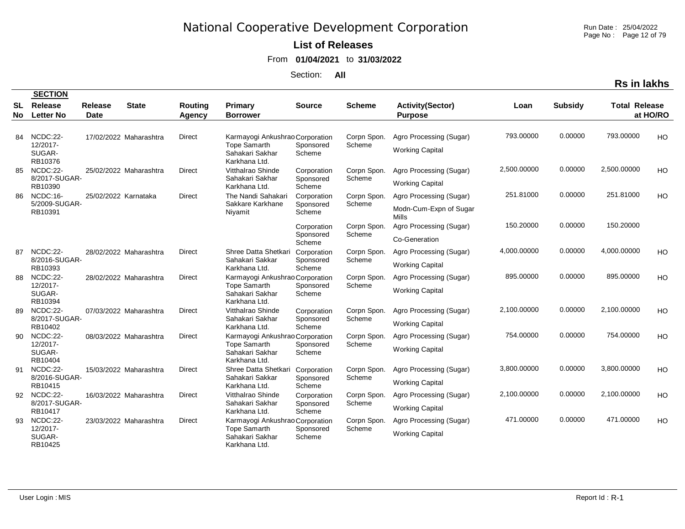Run Date : 25/04/2022 Page No : Page 12 of 79

#### **List of Releases**

From **01/04/2021** to **31/03/2022**

|     |                               |                      |                        |               |                                                         |                     |                       |                                 |             |                | <b>Rs in lakhs</b>   |          |
|-----|-------------------------------|----------------------|------------------------|---------------|---------------------------------------------------------|---------------------|-----------------------|---------------------------------|-------------|----------------|----------------------|----------|
| SL  | <b>SECTION</b><br>Release     | <b>Release</b>       | <b>State</b>           | Routing       | <b>Primary</b>                                          | <b>Source</b>       | <b>Scheme</b>         | <b>Activity(Sector)</b>         | Loan        | <b>Subsidy</b> | <b>Total Release</b> |          |
| No. | <b>Letter No</b>              | Date                 |                        | Agency        | <b>Borrower</b>                                         |                     |                       | <b>Purpose</b>                  |             |                |                      | at HO/RO |
| 84  | NCDC:22-<br>12/2017-          |                      | 17/02/2022 Maharashtra | Direct        | Karmayogi Ankushrao Corporation<br>Tope Samarth         | Sponsored           | Corpn Spon.<br>Scheme | Agro Processing (Sugar)         | 793.00000   | 0.00000        | 793.00000            | HO       |
|     | SUGAR-<br>RB10376             |                      |                        |               | Sahakari Sakhar<br>Karkhana Ltd.                        | Scheme              |                       | <b>Working Capital</b>          |             |                |                      |          |
| 85  | NCDC:22-                      |                      | 25/02/2022 Maharashtra | <b>Direct</b> | Vitthalrao Shinde                                       | Corporation         | Corpn Spon.           | Agro Processing (Sugar)         | 2,500.00000 | 0.00000        | 2,500.00000          | HO       |
|     | 8/2017-SUGAR-<br>RB10390      |                      |                        |               | Sahakari Sakhar<br>Karkhana Ltd.                        | Sponsored<br>Scheme | Scheme                | <b>Working Capital</b>          |             |                |                      |          |
| 86  | NCDC:16-<br>5/2009-SUGAR-     | 25/02/2022 Karnataka |                        | Direct        | The Nandi Sahakari                                      | Corporation         | Corpn Spon.           | Agro Processing (Sugar)         | 251.81000   | 0.00000        | 251.81000            | HO       |
|     | RB10391                       |                      |                        |               | Sakkare Karkhane<br>Niyamit                             | Sponsored<br>Scheme | Scheme                | Modn-Cum-Expn of Sugar<br>Mills |             |                |                      |          |
|     |                               |                      |                        |               |                                                         | Corporation         | Corpn Spon.           | Agro Processing (Sugar)         | 150.20000   | 0.00000        | 150.20000            |          |
|     |                               |                      |                        |               |                                                         | Sponsored<br>Scheme | Scheme                | Co-Generation                   |             |                |                      |          |
|     | 87 NCDC:22-                   |                      | 28/02/2022 Maharashtra | Direct        | Shree Datta Shetkari                                    | Corporation         | Corpn Spon.           | Agro Processing (Sugar)         | 4,000.00000 | 0.00000        | 4,000.00000          | HO       |
|     | 8/2016-SUGAR-<br>RB10393      |                      |                        |               | Sahakari Sakkar<br>Karkhana Ltd.                        | Sponsored<br>Scheme | Scheme                | <b>Working Capital</b>          |             |                |                      |          |
| 88  | NCDC:22-                      |                      | 28/02/2022 Maharashtra | <b>Direct</b> | Karmayogi Ankushrao Corporation                         |                     | Corpn Spon.           | Agro Processing (Sugar)         | 895.00000   | 0.00000        | 895.00000            | HO       |
|     | 12/2017-<br>SUGAR-<br>RB10394 |                      |                        |               | Tope Samarth<br>Sahakari Sakhar<br>Karkhana Ltd.        | Sponsored<br>Scheme | Scheme                | <b>Working Capital</b>          |             |                |                      |          |
| 89  | NCDC:22-                      |                      | 07/03/2022 Maharashtra | <b>Direct</b> | Vitthalrao Shinde                                       | Corporation         | Corpn Spon.           | Agro Processing (Sugar)         | 2,100.00000 | 0.00000        | 2,100.00000          | HO       |
|     | 8/2017-SUGAR-<br>RB10402      |                      |                        |               | Sahakari Sakhar<br>Karkhana Ltd.                        | Sponsored<br>Scheme | Scheme                | <b>Working Capital</b>          |             |                |                      |          |
| 90  | NCDC:22-<br>12/2017-          |                      | 08/03/2022 Maharashtra | Direct        | Karmayogi Ankushrao Corporation                         |                     | Corpn Spon.           | Agro Processing (Sugar)         | 754.00000   | 0.00000        | 754.00000            | HO       |
|     | SUGAR-<br>RB10404             |                      |                        |               | <b>Tope Samarth</b><br>Sahakari Sakhar<br>Karkhana Ltd. | Sponsored<br>Scheme | Scheme                | <b>Working Capital</b>          |             |                |                      |          |
| 91  | NCDC:22-                      |                      | 15/03/2022 Maharashtra | <b>Direct</b> | Shree Datta Shetkari                                    | Corporation         | Corpn Spon.           | Agro Processing (Sugar)         | 3,800.00000 | 0.00000        | 3,800.00000          | HO       |
|     | 8/2016-SUGAR-<br>RB10415      |                      |                        |               | Sahakari Sakkar<br>Karkhana Ltd.                        | Sponsored<br>Scheme | Scheme                | <b>Working Capital</b>          |             |                |                      |          |
|     | 92 NCDC:22-                   |                      | 16/03/2022 Maharashtra | <b>Direct</b> | Vitthalrao Shinde                                       | Corporation         | Corpn Spon.           | Agro Processing (Sugar)         | 2,100.00000 | 0.00000        | 2,100.00000          | HO       |
|     | 8/2017-SUGAR-<br>RB10417      |                      |                        |               | Sahakari Sakhar<br>Karkhana Ltd.                        | Sponsored<br>Scheme | Scheme                | <b>Working Capital</b>          |             |                |                      |          |
| 93  | NCDC:22-                      |                      | 23/03/2022 Maharashtra | <b>Direct</b> | Karmayogi Ankushrao Corporation                         |                     | Corpn Spon.           | Agro Processing (Sugar)         | 471.00000   | 0.00000        | 471.00000            | HO       |
|     | 12/2017-<br>SUGAR-<br>RB10425 |                      |                        |               | <b>Tope Samarth</b><br>Sahakari Sakhar<br>Karkhana Ltd. | Sponsored<br>Scheme | Scheme                | <b>Working Capital</b>          |             |                |                      |          |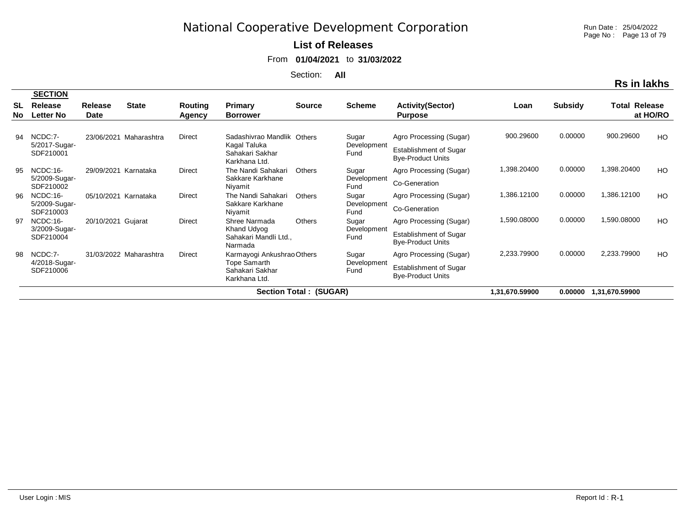#### **List of Releases**

From **01/04/2021** to **31/03/2022**

Section: **All**

|            | <b>SECTION</b>              |                        |                        |                   |                                                         |                               |                     |                                                           |                |                |                      |          |
|------------|-----------------------------|------------------------|------------------------|-------------------|---------------------------------------------------------|-------------------------------|---------------------|-----------------------------------------------------------|----------------|----------------|----------------------|----------|
| SL<br>No l | Release<br><b>Letter No</b> | Release<br><b>Date</b> | <b>State</b>           | Routing<br>Agency | Primary<br><b>Borrower</b>                              | <b>Source</b>                 | <b>Scheme</b>       | <b>Activity(Sector)</b><br><b>Purpose</b>                 | Loan           | <b>Subsidy</b> | <b>Total Release</b> | at HO/RO |
| 94         | NCDC:7-                     | 23/06/2021             | Maharashtra            | <b>Direct</b>     | Sadashivrao Mandlik Others                              |                               | Sugar               | Agro Processing (Sugar)                                   | 900.29600      | 0.00000        | 900.29600            | HO       |
| 95         | 5/2017-Sugar-<br>SDF210001  |                        |                        |                   | Kagal Taluka<br>Sahakari Sakhar<br>Karkhana Ltd.        |                               | Development<br>Fund | <b>Establishment of Sugar</b><br><b>Bye-Product Units</b> |                |                |                      |          |
|            | NCDC:16-                    | 29/09/2021             | Karnataka              | Direct            | The Nandi Sahakari                                      | <b>Others</b>                 | Sugar               | Agro Processing (Sugar)                                   | 1,398.20400    | 0.00000        | 1,398.20400          | HO       |
|            | 5/2009-Sugar-<br>SDF210002  |                        |                        |                   | Sakkare Karkhane<br>Niyamit                             |                               | Development<br>Fund | Co-Generation                                             |                |                |                      |          |
| 96         | NCDC:16-                    | 05/10/2021             | Karnataka              | Direct            | The Nandi Sahakari                                      | <b>Others</b>                 | Sugar               | Agro Processing (Sugar)                                   | 1,386.12100    | 0.00000        | 1,386.12100          | HO       |
|            | 5/2009-Sugar-<br>SDF210003  |                        |                        |                   | Sakkare Karkhane<br>Niyamit                             |                               | Development<br>Fund | Co-Generation                                             |                |                |                      |          |
| 97         | NCDC:16-                    | 20/10/2021             | Gujarat                | Direct            | Shree Narmada                                           | <b>Others</b>                 | Sugar               | Agro Processing (Sugar)                                   | 1,590.08000    | 0.00000        | 1,590.08000          | HO       |
|            | 3/2009-Sugar-<br>SDF210004  |                        |                        |                   | Khand Udyog<br>Sahakari Mandli Ltd.,<br>Narmada         |                               | Development<br>Fund | Establishment of Sugar<br><b>Bye-Product Units</b>        |                |                |                      |          |
| 98         | NCDC:7-                     |                        | 31/03/2022 Maharashtra | Direct            | Karmayogi Ankushrao Others                              |                               | Sugar               | Agro Processing (Sugar)                                   | 2,233.79900    | 0.00000        | 2,233.79900          | HO       |
|            | 4/2018-Sugar-<br>SDF210006  |                        |                        |                   | <b>Tope Samarth</b><br>Sahakari Sakhar<br>Karkhana Ltd. |                               | Development<br>Fund | Establishment of Sugar<br><b>Bye-Product Units</b>        |                |                |                      |          |
|            |                             |                        |                        |                   |                                                         | <b>Section Total: (SUGAR)</b> |                     |                                                           | 1,31,670.59900 | 0.00000        | 1,31,670.59900       |          |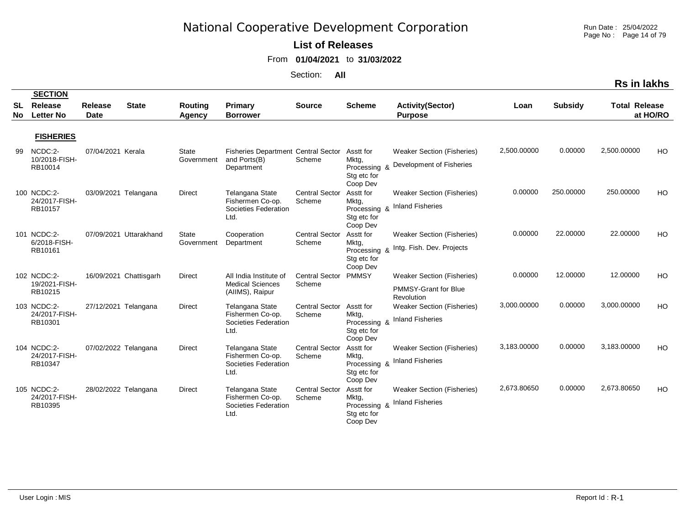Run Date : 25/04/2022 Page No : Page 14 of 79

#### **List of Releases**

From **01/04/2021** to **31/03/2022**

|                 |                                               |                               |                        |                            |                                                                          |                                 |                                                                           |                                                                         |             |                | Rs in lakhs          |          |
|-----------------|-----------------------------------------------|-------------------------------|------------------------|----------------------------|--------------------------------------------------------------------------|---------------------------------|---------------------------------------------------------------------------|-------------------------------------------------------------------------|-------------|----------------|----------------------|----------|
| SL<br><b>No</b> | <b>SECTION</b><br>Release<br><b>Letter No</b> | <b>Release</b><br><b>Date</b> | <b>State</b>           | <b>Routing</b><br>Agency   | <b>Primary</b><br><b>Borrower</b>                                        | <b>Source</b>                   | <b>Scheme</b>                                                             | <b>Activity(Sector)</b><br><b>Purpose</b>                               | Loan        | <b>Subsidy</b> | <b>Total Release</b> | at HO/RO |
|                 | <b>FISHERIES</b>                              |                               |                        |                            |                                                                          |                                 |                                                                           |                                                                         |             |                |                      |          |
| 99              | NCDC:2-<br>10/2018-FISH-<br>RB10014           | 07/04/2021 Kerala             |                        | <b>State</b><br>Government | <b>Fisheries Department Central Sector</b><br>and Ports(B)<br>Department | Scheme                          | Asstt for<br>Mktg,<br>Processing &<br>Stg etc for                         | <b>Weaker Section (Fisheries)</b><br>Development of Fisheries           | 2,500.00000 | 0.00000        | 2,500.00000          | HO       |
|                 | 100 NCDC:2-<br>24/2017-FISH-<br>RB10157       |                               | 03/09/2021 Telangana   | Direct                     | Telangana State<br>Fishermen Co-op.<br>Societies Federation<br>Ltd.      | <b>Central Sector</b><br>Scheme | Coop Dev<br>Asstt for<br>Mktg,<br>Processing &<br>Stg etc for<br>Coop Dev | <b>Weaker Section (Fisheries)</b><br><b>Inland Fisheries</b>            | 0.00000     | 250.00000      | 250.00000            | HO       |
|                 | 101 NCDC:2-<br>6/2018-FISH-<br>RB10161        |                               | 07/09/2021 Uttarakhand | State<br>Government        | Cooperation<br>Department                                                | <b>Central Sector</b><br>Scheme | Asstt for<br>Mktg,<br>Processing &<br>Stg etc for<br>Coop Dev             | <b>Weaker Section (Fisheries)</b><br>Intg. Fish. Dev. Projects          | 0.00000     | 22.00000       | 22.00000             | HO       |
|                 | 102 NCDC:2-<br>19/2021-FISH-<br>RB10215       |                               | 16/09/2021 Chattisgarh | <b>Direct</b>              | All India Institute of<br><b>Medical Sciences</b><br>(AllMS), Raipur     | <b>Central Sector</b><br>Scheme | <b>PMMSY</b>                                                              | <b>Weaker Section (Fisheries)</b><br>PMMSY-Grant for Blue<br>Revolution | 0.00000     | 12.00000       | 12.00000             | HO       |
|                 | 103 NCDC:2-<br>24/2017-FISH-<br>RB10301       |                               | 27/12/2021 Telangana   | <b>Direct</b>              | Telangana State<br>Fishermen Co-op.<br>Societies Federation<br>Ltd.      | <b>Central Sector</b><br>Scheme | Asstt for<br>Mktg,<br>Processing &<br>Stg etc for<br>Coop Dev             | <b>Weaker Section (Fisheries)</b><br><b>Inland Fisheries</b>            | 3,000.00000 | 0.00000        | 3,000.00000          | HO       |
|                 | 104 NCDC:2-<br>24/2017-FISH-<br>RB10347       |                               | 07/02/2022 Telangana   | <b>Direct</b>              | Telangana State<br>Fishermen Co-op.<br>Societies Federation<br>Ltd.      | <b>Central Sector</b><br>Scheme | Asstt for<br>Mktg.<br>Processing &<br>Stg etc for<br>Coop Dev             | <b>Weaker Section (Fisheries)</b><br><b>Inland Fisheries</b>            | 3,183.00000 | 0.00000        | 3,183.00000          | HO       |
|                 | 105 NCDC:2-<br>24/2017-FISH-<br>RB10395       |                               | 28/02/2022 Telangana   | Direct                     | Telangana State<br>Fishermen Co-op.<br>Societies Federation<br>Ltd.      | <b>Central Sector</b><br>Scheme | Asstt for<br>Mktg,<br>Processing &<br>Stg etc for<br>Coop Dev             | <b>Weaker Section (Fisheries)</b><br><b>Inland Fisheries</b>            | 2,673.80650 | 0.00000        | 2,673.80650          | HO       |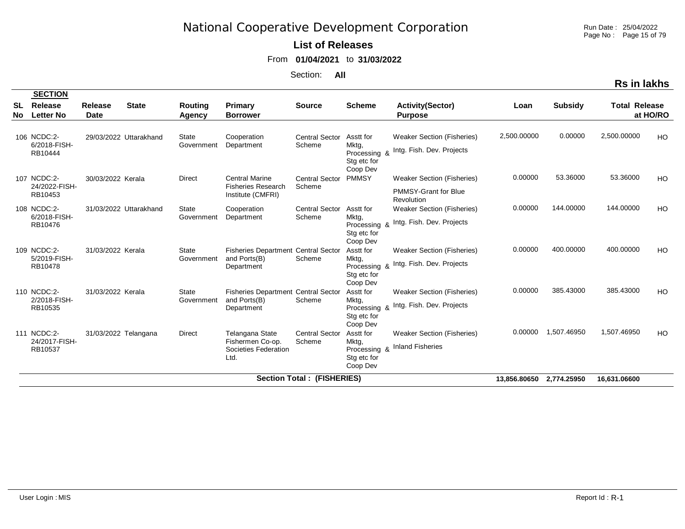Run Date : 25/04/2022 Page No : Page 15 of 79

**Rs in lakhs**

### **List of Releases**

From **01/04/2021** to **31/03/2022**

|                  | <b>SECTION</b>                          |                               |                        |                            |                                                                          |                                   |                                                               |                                                                                |                          |                |                      |          |
|------------------|-----------------------------------------|-------------------------------|------------------------|----------------------------|--------------------------------------------------------------------------|-----------------------------------|---------------------------------------------------------------|--------------------------------------------------------------------------------|--------------------------|----------------|----------------------|----------|
| <b>SL</b><br>No. | Release<br><b>Letter No</b>             | <b>Release</b><br><b>Date</b> | <b>State</b>           | Routing<br>Agency          | <b>Primary</b><br><b>Borrower</b>                                        | <b>Source</b>                     | <b>Scheme</b>                                                 | <b>Activity(Sector)</b><br><b>Purpose</b>                                      | Loan                     | <b>Subsidy</b> | <b>Total Release</b> | at HO/RO |
|                  | 106 NCDC:2-<br>6/2018-FISH-<br>RB10444  |                               | 29/03/2022 Uttarakhand | State<br>Government        | Cooperation<br>Department                                                | <b>Central Sector</b><br>Scheme   | Asstt for<br>Mktg,<br>Processing &<br>Stg etc for<br>Coop Dev | <b>Weaker Section (Fisheries)</b><br>Intg. Fish. Dev. Projects                 | 2,500.00000              | 0.00000        | 2,500.00000          | HO       |
|                  | 107 NCDC:2-<br>24/2022-FISH-<br>RB10453 | 30/03/2022 Kerala             |                        | <b>Direct</b>              | <b>Central Marine</b><br><b>Fisheries Research</b><br>Institute (CMFRI)  | <b>Central Sector</b><br>Scheme   | <b>PMMSY</b>                                                  | <b>Weaker Section (Fisheries)</b><br><b>PMMSY-Grant for Blue</b><br>Revolution | 0.00000                  | 53.36000       | 53.36000             | HO       |
|                  | 108 NCDC:2-<br>6/2018-FISH-<br>RB10476  |                               | 31/03/2022 Uttarakhand | <b>State</b><br>Government | Cooperation<br>Department                                                | <b>Central Sector</b><br>Scheme   | Asstt for<br>Mktg,<br>Processing &<br>Stg etc for<br>Coop Dev | <b>Weaker Section (Fisheries)</b><br>Intg. Fish. Dev. Projects                 | 0.00000                  | 144.00000      | 144.00000            | HO       |
|                  | 109 NCDC:2-<br>5/2019-FISH-<br>RB10478  | 31/03/2022 Kerala             |                        | <b>State</b><br>Government | Fisheries Department Central Sector<br>and Ports(B)<br>Department        | Scheme                            | Asstt for<br>Mktg,<br>Processing &<br>Stg etc for<br>Coop Dev | <b>Weaker Section (Fisheries)</b><br>Intg. Fish. Dev. Projects                 | 0.00000                  | 400.00000      | 400.00000            | HO       |
|                  | 110 NCDC:2-<br>2/2018-FISH-<br>RB10535  | 31/03/2022 Kerala             |                        | <b>State</b><br>Government | <b>Fisheries Department Central Sector</b><br>and Ports(B)<br>Department | Scheme                            | Asstt for<br>Mktg,<br>Stg etc for<br>Coop Dev                 | <b>Weaker Section (Fisheries)</b><br>Processing & Intg. Fish. Dev. Projects    | 0.00000                  | 385.43000      | 385.43000            | HO.      |
|                  | 111 NCDC:2-<br>24/2017-FISH-<br>RB10537 | 31/03/2022 Telangana          |                        | Direct                     | Telangana State<br>Fishermen Co-op.<br>Societies Federation<br>Ltd.      | <b>Central Sector</b><br>Scheme   | Asstt for<br>Mktg,<br>Processing &<br>Stg etc for<br>Coop Dev | <b>Weaker Section (Fisheries)</b><br><b>Inland Fisheries</b>                   | 0.00000                  | 1,507.46950    | 1,507.46950          | HO       |
|                  |                                         |                               |                        |                            |                                                                          | <b>Section Total: (FISHERIES)</b> |                                                               |                                                                                | 13,856.80650 2,774.25950 |                | 16.631.06600         |          |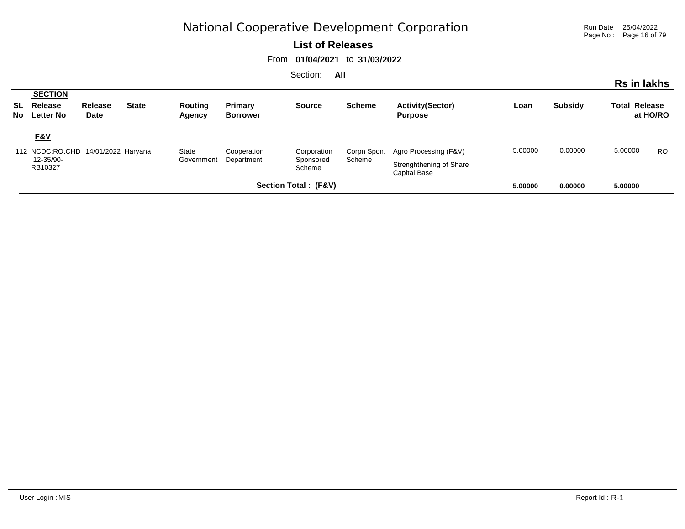Run Date : 25/04/2022 Page No : Page 16 of 79

#### **List of Releases**

From **01/04/2021** to **31/03/2022**

| .<br>Rs in lakhs                                                                                                                                                                                                                                                          |                                                       |                        |              |                          |                            |               |               |                                           |         |                |                      |           |
|---------------------------------------------------------------------------------------------------------------------------------------------------------------------------------------------------------------------------------------------------------------------------|-------------------------------------------------------|------------------------|--------------|--------------------------|----------------------------|---------------|---------------|-------------------------------------------|---------|----------------|----------------------|-----------|
|                                                                                                                                                                                                                                                                           | <b>SECTION</b><br><b>SL</b> Release<br>No Letter No   | <b>Release</b><br>Date | <b>State</b> | <b>Routing</b><br>Agency | Primary<br><b>Borrower</b> | <b>Source</b> | <b>Scheme</b> | <b>Activity(Sector)</b><br><b>Purpose</b> | Loan    | <b>Subsidy</b> | <b>Total Release</b> | at HO/RO  |
| <b>F&amp;V</b><br>112 NCDC:RO.CHD 14/01/2022 Haryana<br>State<br>Agro Processing (F&V)<br>Cooperation<br>Corpn Spon.<br>Corporation<br>Scheme<br>$:12 - 35/90 -$<br>Government<br>Department<br>Sponsored<br>Strenghthening of Share<br>RB10327<br>Scheme<br>Capital Base |                                                       |                        |              |                          |                            |               |               |                                           | 5.00000 | 0.00000        | 5.00000              | <b>RO</b> |
|                                                                                                                                                                                                                                                                           | Section Total: (F&V)<br>5.00000<br>5.00000<br>0.00000 |                        |              |                          |                            |               |               |                                           |         |                |                      |           |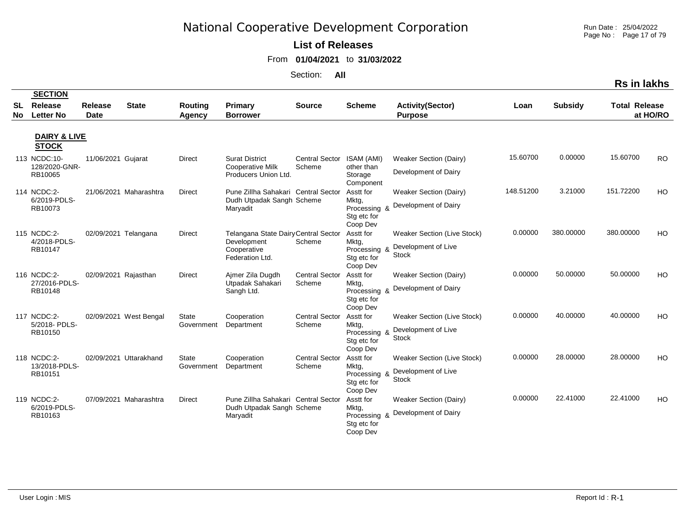**List of Releases** 

From **01/04/2021** to **31/03/2022**

Section: **All**

|            |                                               |                    |                        |                            |                                                                                       |                                 |                                                               |                                                                           |           |                |                      | <b>Rs in lakhs</b> |
|------------|-----------------------------------------------|--------------------|------------------------|----------------------------|---------------------------------------------------------------------------------------|---------------------------------|---------------------------------------------------------------|---------------------------------------------------------------------------|-----------|----------------|----------------------|--------------------|
| SL.<br>No. | <b>SECTION</b><br>Release<br><b>Letter No</b> | Release<br>Date    | <b>State</b>           | Routing<br>Agency          | Primary<br><b>Borrower</b>                                                            | <b>Source</b>                   | <b>Scheme</b>                                                 | <b>Activity(Sector)</b><br><b>Purpose</b>                                 | Loan      | <b>Subsidy</b> | <b>Total Release</b> | at HO/RO           |
|            | <b>DAIRY &amp; LIVE</b><br><b>STOCK</b>       |                    |                        |                            |                                                                                       |                                 |                                                               |                                                                           |           |                |                      |                    |
|            | 113 NCDC:10-<br>128/2020-GNR-<br>RB10065      | 11/06/2021 Gujarat |                        | <b>Direct</b>              | <b>Surat District</b><br>Cooperative Milk<br>Producers Union Ltd.                     | <b>Central Sector</b><br>Scheme | ISAM (AMI)<br>other than<br>Storage<br>Component              | <b>Weaker Section (Dairy)</b><br>Development of Dairy                     | 15.60700  | 0.00000        | 15.60700             | <b>RO</b>          |
|            | 114 NCDC:2-<br>6/2019-PDLS-<br>RB10073        |                    | 21/06/2021 Maharashtra | Direct                     | Pune Zillha Sahakari Central Sector<br>Dudh Utpadak Sangh Scheme<br>Maryadit          |                                 | Asstt for<br>Mktg,<br>Processing &<br>Stg etc for<br>Coop Dev | <b>Weaker Section (Dairy)</b><br>Development of Dairy                     | 148.51200 | 3.21000        | 151.72200            | HO                 |
|            | 115 NCDC:2-<br>4/2018-PDLS-<br>RB10147        |                    | 02/09/2021 Telangana   | <b>Direct</b>              | Telangana State Dairy Central Sector<br>Development<br>Cooperative<br>Federation Ltd. | Scheme                          | Asstt for<br>Mktg,<br>Processing &<br>Stg etc for<br>Coop Dev | Weaker Section (Live Stock)<br>Development of Live<br><b>Stock</b>        | 0.00000   | 380.00000      | 380.00000            | HO                 |
|            | 116 NCDC:2-<br>27/2016-PDLS-<br>RB10148       |                    | 02/09/2021 Rajasthan   | Direct                     | Aimer Zila Dugdh<br>Utpadak Sahakari<br>Sangh Ltd.                                    | <b>Central Sector</b><br>Scheme | Asstt for<br>Mktg,<br>Processing &<br>Stg etc for<br>Coop Dev | <b>Weaker Section (Dairy)</b><br>Development of Dairy                     | 0.00000   | 50.00000       | 50.00000             | HO                 |
|            | 117 NCDC:2-<br>5/2018-PDLS-<br>RB10150        |                    | 02/09/2021 West Bengal | State<br>Government        | Cooperation<br>Department                                                             | <b>Central Sector</b><br>Scheme | Asstt for<br>Mktg,<br>Processing &<br>Stg etc for<br>Coop Dev | <b>Weaker Section (Live Stock)</b><br>Development of Live<br><b>Stock</b> | 0.00000   | 40.00000       | 40.00000             | HO                 |
|            | 118 NCDC:2-<br>13/2018-PDLS-<br>RB10151       |                    | 02/09/2021 Uttarakhand | <b>State</b><br>Government | Cooperation<br>Department                                                             | <b>Central Sector</b><br>Scheme | Asstt for<br>Mktg,<br>Processing &<br>Stg etc for<br>Coop Dev | Weaker Section (Live Stock)<br>Development of Live<br><b>Stock</b>        | 0.00000   | 28.00000       | 28.00000             | HO                 |
|            | 119 NCDC:2-<br>6/2019-PDLS-<br>RB10163        |                    | 07/09/2021 Maharashtra | <b>Direct</b>              | Pune Zillha Sahakari Central Sector<br>Dudh Utpadak Sangh Scheme<br>Maryadit          |                                 | Asstt for<br>Mktg,<br>Processing &<br>Stg etc for<br>Coop Dev | <b>Weaker Section (Dairy)</b><br>Development of Dairy                     | 0.00000   | 22.41000       | 22.41000             | HO                 |

Run Date : 25/04/2022 Page No : Page 17 of 79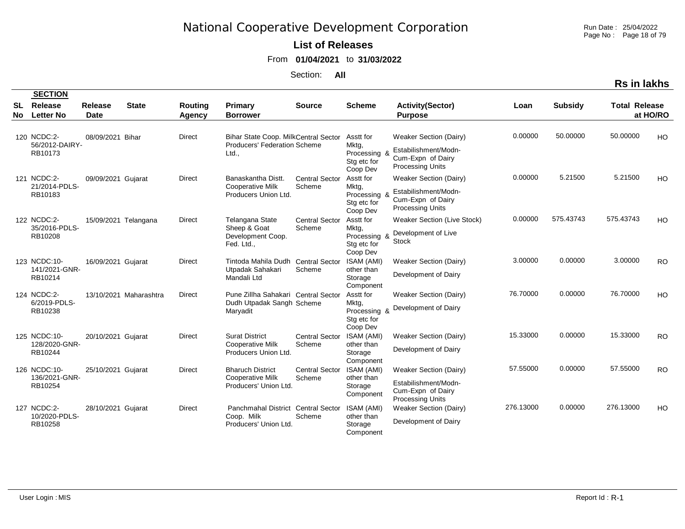**List of Releases** 

From **01/04/2021** to **31/03/2022**

Section: **All**

| tion | Run Date: 25/04/2022   |
|------|------------------------|
|      | Page No: Page 18 of 79 |

|           | <b>SECTION</b>                           |                        |                        |                          |                                                                               |                                 |                                                               |                                                                                                       |           |                |                      |           |
|-----------|------------------------------------------|------------------------|------------------------|--------------------------|-------------------------------------------------------------------------------|---------------------------------|---------------------------------------------------------------|-------------------------------------------------------------------------------------------------------|-----------|----------------|----------------------|-----------|
| SL<br>No. | Release<br><b>Letter No</b>              | Release<br><b>Date</b> | <b>State</b>           | <b>Routing</b><br>Agency | Primary<br><b>Borrower</b>                                                    | <b>Source</b>                   | <b>Scheme</b>                                                 | <b>Activity(Sector)</b><br><b>Purpose</b>                                                             | Loan      | <b>Subsidy</b> | <b>Total Release</b> | at HO/RO  |
|           | 120 NCDC:2-<br>56/2012-DAIRY-<br>RB10173 | 08/09/2021 Bihar       |                        | <b>Direct</b>            | Bihar State Coop. MilkCentral Sector<br>Producers' Federation Scheme<br>Ltd., |                                 | Asstt for<br>Mktg,<br>Processing &<br>Stg etc for<br>Coop Dev | Weaker Section (Dairy)<br>Estabilishment/Modn-<br>Cum-Expn of Dairy<br><b>Processing Units</b>        | 0.00000   | 50.00000       | 50.00000             | HO        |
|           | 121 NCDC:2-<br>21/2014-PDLS-<br>RB10183  | 09/09/2021 Gujarat     |                        | <b>Direct</b>            | Banaskantha Distt.<br><b>Cooperative Milk</b><br>Producers Union Ltd.         | <b>Central Sector</b><br>Scheme | Asstt for<br>Mktg,<br>Processing &<br>Stg etc for<br>Coop Dev | <b>Weaker Section (Dairy)</b><br>Estabilishment/Modn-<br>Cum-Expn of Dairy<br><b>Processing Units</b> | 0.00000   | 5.21500        | 5.21500              | HO        |
|           | 122 NCDC:2-<br>35/2016-PDLS-<br>RB10208  |                        | 15/09/2021 Telangana   | <b>Direct</b>            | Telangana State<br>Sheep & Goat<br>Development Coop.<br>Fed. Ltd.,            | <b>Central Sector</b><br>Scheme | Asstt for<br>Mktg,<br>Processing &<br>Stg etc for<br>Coop Dev | <b>Weaker Section (Live Stock)</b><br>Development of Live<br><b>Stock</b>                             | 0.00000   | 575.43743      | 575.43743            | HO        |
|           | 123 NCDC:10-<br>141/2021-GNR-<br>RB10214 | 16/09/2021 Gujarat     |                        | <b>Direct</b>            | Tintoda Mahila Dudh Central Sector<br>Utpadak Sahakari<br>Mandali Ltd         | Scheme                          | ISAM (AMI)<br>other than<br>Storage<br>Component              | Weaker Section (Dairy)<br>Development of Dairy                                                        | 3.00000   | 0.00000        | 3.00000              | <b>RO</b> |
|           | 124 NCDC:2-<br>6/2019-PDLS-<br>RB10238   |                        | 13/10/2021 Maharashtra | <b>Direct</b>            | Pune Zillha Sahakari Central Sector<br>Dudh Utpadak Sangh Scheme<br>Maryadit  |                                 | Asstt for<br>Mktg,<br>Processing &<br>Stg etc for<br>Coop Dev | Weaker Section (Dairy)<br>Development of Dairy                                                        | 76.70000  | 0.00000        | 76.70000             | HO        |
|           | 125 NCDC:10-<br>128/2020-GNR-<br>RB10244 | 20/10/2021 Gujarat     |                        | Direct                   | <b>Surat District</b><br><b>Cooperative Milk</b><br>Producers Union Ltd.      | <b>Central Sector</b><br>Scheme | ISAM (AMI)<br>other than<br>Storage<br>Component              | Weaker Section (Dairy)<br>Development of Dairy                                                        | 15.33000  | 0.00000        | 15.33000             | <b>RO</b> |
|           | 126 NCDC:10-<br>136/2021-GNR-<br>RB10254 | 25/10/2021 Gujarat     |                        | Direct                   | <b>Bharuch District</b><br><b>Cooperative Milk</b><br>Producers' Union Ltd.   | <b>Central Sector</b><br>Scheme | ISAM (AMI)<br>other than<br>Storage<br>Component              | Weaker Section (Dairy)<br>Estabilishment/Modn-<br>Cum-Expn of Dairy<br><b>Processing Units</b>        | 57.55000  | 0.00000        | 57.55000             | <b>RO</b> |
|           | 127 NCDC:2-<br>10/2020-PDLS-<br>RB10258  | 28/10/2021 Gujarat     |                        | <b>Direct</b>            | Panchmahal District Central Sector<br>Coop. Milk<br>Producers' Union Ltd.     | Scheme                          | ISAM (AMI)<br>other than<br>Storage<br>Component              | Weaker Section (Dairy)<br>Development of Dairy                                                        | 276.13000 | 0.00000        | 276.13000            | HO        |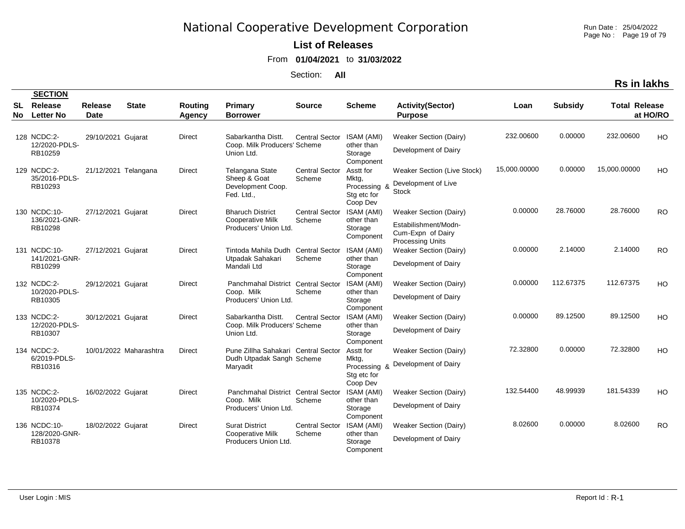Run Date : 25/04/2022 Page No : Page 19 of 79

**Rs in lakhs**

### **List of Releases**

From **01/04/2021** to **31/03/2022**

Section: **All**

|                 | <b>SECTION</b>              |                               |                        |                          |                                                  |                       |                                                  |                                                                      |              |                |                      |           |
|-----------------|-----------------------------|-------------------------------|------------------------|--------------------------|--------------------------------------------------|-----------------------|--------------------------------------------------|----------------------------------------------------------------------|--------------|----------------|----------------------|-----------|
| <b>SL</b><br>No | Release<br><b>Letter No</b> | <b>Release</b><br><b>Date</b> | <b>State</b>           | <b>Routing</b><br>Agency | <b>Primary</b><br><b>Borrower</b>                | <b>Source</b>         | <b>Scheme</b>                                    | <b>Activity(Sector)</b><br><b>Purpose</b>                            | Loan         | <b>Subsidy</b> | <b>Total Release</b> | at HO/RO  |
|                 |                             |                               |                        |                          |                                                  |                       |                                                  |                                                                      |              |                |                      |           |
|                 | 128 NCDC:2-                 | 29/10/2021 Gujarat            |                        | <b>Direct</b>            | Sabarkantha Distt.                               | <b>Central Sector</b> | ISAM (AMI)                                       | <b>Weaker Section (Dairy)</b>                                        | 232.00600    | 0.00000        | 232.00600            | HO        |
|                 | 12/2020-PDLS-<br>RB10259    |                               |                        |                          | Coop. Milk Producers' Scheme<br>Union Ltd.       |                       | other than<br>Storage<br>Component               | Development of Dairy                                                 |              |                |                      |           |
|                 | 129 NCDC:2-                 | 21/12/2021 Telangana          |                        | <b>Direct</b>            | Telangana State                                  | <b>Central Sector</b> | Asstt for                                        | Weaker Section (Live Stock)                                          | 15,000.00000 | 0.00000        | 15,000.00000         | HO        |
|                 | 35/2016-PDLS-<br>RB10293    |                               |                        |                          | Sheep & Goat<br>Development Coop.<br>Fed. Ltd.,  | Scheme                | Mktg,<br>Processing &<br>Stg etc for<br>Coop Dev | Development of Live<br><b>Stock</b>                                  |              |                |                      |           |
|                 | 130 NCDC:10-                | 27/12/2021 Gujarat            |                        | <b>Direct</b>            | <b>Bharuch District</b>                          | <b>Central Sector</b> | <b>ISAM (AMI)</b>                                | <b>Weaker Section (Dairy)</b>                                        | 0.00000      | 28.76000       | 28.76000             | <b>RO</b> |
|                 | 136/2021-GNR-<br>RB10298    |                               |                        |                          | <b>Cooperative Milk</b><br>Producers' Union Ltd. | Scheme                | other than<br>Storage<br>Component               | Estabilishment/Modn-<br>Cum-Expn of Dairy<br><b>Processing Units</b> |              |                |                      |           |
|                 | 131 NCDC:10-                | 27/12/2021 Gujarat            |                        | <b>Direct</b>            | Tintoda Mahila Dudh                              | <b>Central Sector</b> | ISAM (AMI)                                       | <b>Weaker Section (Dairy)</b>                                        | 0.00000      | 2.14000        | 2.14000              | <b>RO</b> |
|                 | 141/2021-GNR-<br>RB10299    |                               |                        |                          | Utpadak Sahakari<br>Mandali Ltd                  | Scheme                | other than<br>Storage<br>Component               | Development of Dairy                                                 |              |                |                      |           |
|                 | 132 NCDC:2-                 | 29/12/2021 Gujarat            |                        | <b>Direct</b>            | Panchmahal District Central Sector               |                       | ISAM (AMI)                                       | Weaker Section (Dairy)                                               | 0.00000      | 112.67375      | 112.67375            | HO        |
|                 | 10/2020-PDLS-<br>RB10305    |                               |                        |                          | Coop. Milk<br>Producers' Union Ltd.              | Scheme                | other than<br>Storage<br>Component               | Development of Dairy                                                 |              |                |                      |           |
|                 | 133 NCDC:2-                 | 30/12/2021 Gujarat            |                        | <b>Direct</b>            | Sabarkantha Distt.                               | <b>Central Sector</b> | ISAM (AMI)                                       | Weaker Section (Dairy)                                               | 0.00000      | 89.12500       | 89.12500             | HO        |
|                 | 12/2020-PDLS-<br>RB10307    |                               |                        |                          | Coop. Milk Producers' Scheme<br>Union Ltd.       |                       | other than<br>Storage<br>Component               | Development of Dairy                                                 |              |                |                      |           |
|                 | 134 NCDC:2-                 |                               | 10/01/2022 Maharashtra | <b>Direct</b>            | Pune Zillha Sahakari Central Sector              |                       | Asstt for                                        | <b>Weaker Section (Dairy)</b>                                        | 72.32800     | 0.00000        | 72.32800             | HO        |
|                 | 6/2019-PDLS-<br>RB10316     |                               |                        |                          | Dudh Utpadak Sangh Scheme<br>Maryadit            |                       | Mktg,<br>Processing &<br>Stg etc for<br>Coop Dev | Development of Dairy                                                 |              |                |                      |           |
|                 | 135 NCDC:2-                 | 16/02/2022 Gujarat            |                        | Direct                   | Panchmahal District Central Sector               |                       | ISAM (AMI)                                       | <b>Weaker Section (Dairy)</b>                                        | 132.54400    | 48.99939       | 181.54339            | HO        |
|                 | 10/2020-PDLS-<br>RB10374    |                               |                        |                          | Coop. Milk<br>Producers' Union Ltd.              | Scheme                | other than<br>Storage<br>Component               | Development of Dairy                                                 |              |                |                      |           |
|                 | 136 NCDC:10-                | 18/02/2022 Gujarat            |                        | <b>Direct</b>            | <b>Surat District</b>                            | <b>Central Sector</b> | ISAM (AMI)                                       | <b>Weaker Section (Dairy)</b>                                        | 8.02600      | 0.00000        | 8.02600              | <b>RO</b> |
|                 | 128/2020-GNR-<br>RB10378    |                               |                        |                          | <b>Cooperative Milk</b><br>Producers Union Ltd.  | Scheme                | other than<br>Storage                            | Development of Dairy                                                 |              |                |                      |           |

Component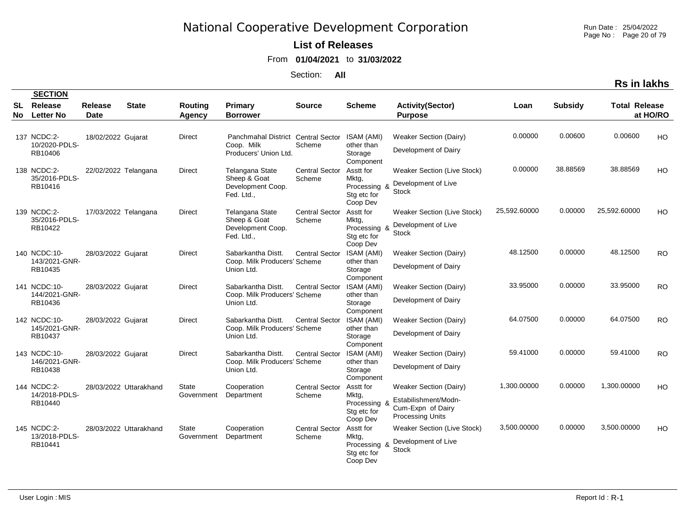Run Date : 25/04/2022 Page No : Page 20 of 79

**Rs in lakhs**

### **List of Releases**

From **01/04/2021** to **31/03/2022**

Section: **All**

|                  | <b>SECTION</b>                           |                        |                        |                            |                                                                           |                                 |                                                               |                                                                                                       |              |                |                      |           |
|------------------|------------------------------------------|------------------------|------------------------|----------------------------|---------------------------------------------------------------------------|---------------------------------|---------------------------------------------------------------|-------------------------------------------------------------------------------------------------------|--------------|----------------|----------------------|-----------|
| <b>SL</b><br>No. | Release<br><b>Letter No</b>              | <b>Release</b><br>Date | <b>State</b>           | <b>Routing</b><br>Agency   | <b>Primary</b><br><b>Borrower</b>                                         | <b>Source</b>                   | <b>Scheme</b>                                                 | <b>Activity(Sector)</b><br><b>Purpose</b>                                                             | Loan         | <b>Subsidy</b> | <b>Total Release</b> | at HO/RO  |
|                  | 137 NCDC:2-<br>10/2020-PDLS-<br>RB10406  | 18/02/2022 Gujarat     |                        | <b>Direct</b>              | Panchmahal District Central Sector<br>Coop. Milk<br>Producers' Union Ltd. | Scheme                          | ISAM (AMI)<br>other than<br>Storage<br>Component              | <b>Weaker Section (Dairy)</b><br>Development of Dairy                                                 | 0.00000      | 0.00600        | 0.00600              | HO        |
|                  | 138 NCDC:2-<br>35/2016-PDLS-<br>RB10416  | 22/02/2022 Telangana   |                        | <b>Direct</b>              | Telangana State<br>Sheep & Goat<br>Development Coop.<br>Fed. Ltd.,        | <b>Central Sector</b><br>Scheme | Asstt for<br>Mktg,<br>Processing &<br>Stg etc for<br>Coop Dev | Weaker Section (Live Stock)<br>Development of Live<br><b>Stock</b>                                    | 0.00000      | 38.88569       | 38.88569             | HO        |
|                  | 139 NCDC:2-<br>35/2016-PDLS-<br>RB10422  | 17/03/2022 Telangana   |                        | Direct                     | Telangana State<br>Sheep & Goat<br>Development Coop.<br>Fed. Ltd.,        | <b>Central Sector</b><br>Scheme | Asstt for<br>Mktg,<br>Processing &<br>Stg etc for<br>Coop Dev | <b>Weaker Section (Live Stock)</b><br>Development of Live<br><b>Stock</b>                             | 25,592.60000 | 0.00000        | 25,592.60000         | HO        |
|                  | 140 NCDC:10-<br>143/2021-GNR-<br>RB10435 | 28/03/2022 Gujarat     |                        | <b>Direct</b>              | Sabarkantha Distt.<br>Coop. Milk Producers' Scheme<br>Union Ltd.          | <b>Central Sector</b>           | ISAM (AMI)<br>other than<br>Storage<br>Component              | Weaker Section (Dairy)<br>Development of Dairy                                                        | 48.12500     | 0.00000        | 48.12500             | <b>RO</b> |
|                  | 141 NCDC:10-<br>144/2021-GNR-<br>RB10436 | 28/03/2022 Gujarat     |                        | Direct                     | Sabarkantha Distt.<br>Coop. Milk Producers' Scheme<br>Union Ltd.          | <b>Central Sector</b>           | ISAM (AMI)<br>other than<br>Storage<br>Component              | <b>Weaker Section (Dairy)</b><br>Development of Dairy                                                 | 33.95000     | 0.00000        | 33.95000             | <b>RO</b> |
|                  | 142 NCDC:10-<br>145/2021-GNR-<br>RB10437 | 28/03/2022 Gujarat     |                        | <b>Direct</b>              | Sabarkantha Distt.<br>Coop. Milk Producers' Scheme<br>Union Ltd.          | <b>Central Sector</b>           | ISAM (AMI)<br>other than<br>Storage<br>Component              | <b>Weaker Section (Dairy)</b><br>Development of Dairy                                                 | 64.07500     | 0.00000        | 64.07500             | <b>RO</b> |
|                  | 143 NCDC:10-<br>146/2021-GNR-<br>RB10438 | 28/03/2022 Gujarat     |                        | Direct                     | Sabarkantha Distt.<br>Coop. Milk Producers' Scheme<br>Union Ltd.          | <b>Central Sector</b>           | ISAM (AMI)<br>other than<br>Storage<br>Component              | <b>Weaker Section (Dairy)</b><br>Development of Dairy                                                 | 59.41000     | 0.00000        | 59.41000             | <b>RO</b> |
|                  | 144 NCDC:2-<br>14/2018-PDLS-<br>RB10440  |                        | 28/03/2022 Uttarakhand | <b>State</b><br>Government | Cooperation<br>Department                                                 | <b>Central Sector</b><br>Scheme | Asstt for<br>Mktg,<br>Processing &<br>Stg etc for<br>Coop Dev | <b>Weaker Section (Dairy)</b><br>Estabilishment/Modn-<br>Cum-Expn of Dairy<br><b>Processing Units</b> | 1,300.00000  | 0.00000        | 1.300.00000          | HO        |
|                  | 145 NCDC:2-<br>13/2018-PDLS-<br>RB10441  |                        | 28/03/2022 Uttarakhand | <b>State</b><br>Government | Cooperation<br>Department                                                 | <b>Central Sector</b><br>Scheme | Asstt for<br>Mktg,<br>Processing &<br>Stg etc for             | Weaker Section (Live Stock)<br>Development of Live<br><b>Stock</b>                                    | 3,500.00000  | 0.00000        | 3.500.00000          | HO        |

Coop Dev

User Login : MIS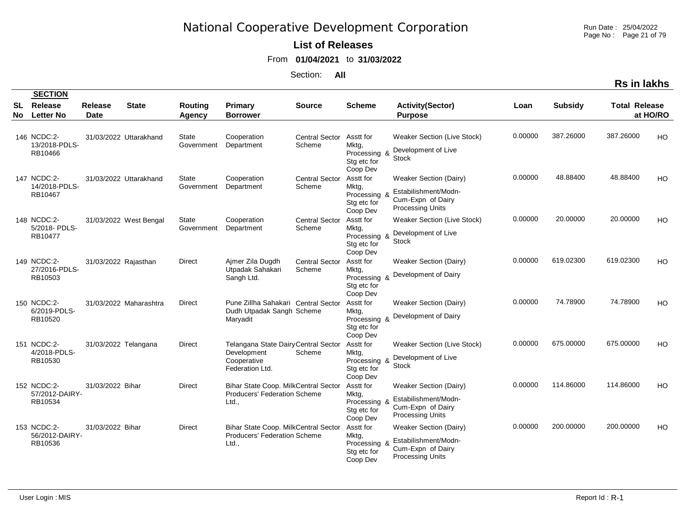Run Date : 25/04/2022 Page No : Page 21 of 79

#### **List of Releases**

From **01/04/2021** to **31/03/2022**

Section: **All**

|    | <b>SECTION</b>                           |                        |                        |                                 |                                                                                       |                                 |                                                               |                                                                                                       |         |                |                      |                |
|----|------------------------------------------|------------------------|------------------------|---------------------------------|---------------------------------------------------------------------------------------|---------------------------------|---------------------------------------------------------------|-------------------------------------------------------------------------------------------------------|---------|----------------|----------------------|----------------|
| SL | Release<br>No Letter No                  | Release<br><b>Date</b> | <b>State</b>           | <b>Routing</b><br><b>Agency</b> | Primary<br><b>Borrower</b>                                                            | <b>Source</b>                   | <b>Scheme</b>                                                 | <b>Activity(Sector)</b><br><b>Purpose</b>                                                             | Loan    | <b>Subsidy</b> | <b>Total Release</b> | at HO/RO       |
|    | 146 NCDC:2-<br>13/2018-PDLS-<br>RB10466  |                        | 31/03/2022 Uttarakhand | State<br>Government             | Cooperation<br>Department                                                             | Central Sector<br>Scheme        | Asstt for<br>Mktg,<br>Processing &<br>Stg etc for<br>Coop Dev | Weaker Section (Live Stock)<br>Development of Live<br><b>Stock</b>                                    | 0.00000 | 387.26000      | 387.26000            | H <sub>O</sub> |
|    | 147 NCDC:2-<br>14/2018-PDLS-<br>RB10467  |                        | 31/03/2022 Uttarakhand | State<br>Government             | Cooperation<br>Department                                                             | <b>Central Sector</b><br>Scheme | Asstt for<br>Mktg,<br>Processing &<br>Stg etc for<br>Coop Dev | <b>Weaker Section (Dairy)</b><br>Estabilishment/Modn-<br>Cum-Expn of Dairy<br><b>Processing Units</b> | 0.00000 | 48.88400       | 48.88400             | HO             |
|    | 148 NCDC:2-<br>5/2018 PDLS<br>RB10477    |                        | 31/03/2022 West Bengal | State<br>Government             | Cooperation<br>Department                                                             | <b>Central Sector</b><br>Scheme | Asstt for<br>Mktg,<br>Processing &<br>Stg etc for<br>Coop Dev | <b>Weaker Section (Live Stock)</b><br>Development of Live<br><b>Stock</b>                             | 0.00000 | 20.00000       | 20.00000             | H <sub>O</sub> |
|    | 149 NCDC:2-<br>27/2016-PDLS-<br>RB10503  | 31/03/2022 Rajasthan   |                        | Direct                          | Ajmer Zila Dugdh<br>Utpadak Sahakari<br>Sangh Ltd.                                    | <b>Central Sector</b><br>Scheme | Asstt for<br>Mktg,<br>Processing &<br>Stg etc for<br>Coop Dev | Weaker Section (Dairy)<br>Development of Dairy                                                        | 0.00000 | 619.02300      | 619.02300            | HO             |
|    | 150 NCDC:2-<br>6/2019-PDLS-<br>RB10520   |                        | 31/03/2022 Maharashtra | Direct                          | Pune Zillha Sahakari Central Sector<br>Dudh Utpadak Sangh Scheme<br>Maryadit          |                                 | Asstt for<br>Mktg,<br>Processing &<br>Stg etc for<br>Coop Dev | Weaker Section (Dairy)<br>Development of Dairy                                                        | 0.00000 | 74.78900       | 74.78900             | <b>HO</b>      |
|    | 151 NCDC:2-<br>4/2018-PDLS-<br>RB10530   | 31/03/2022 Telangana   |                        | Direct                          | Telangana State Dairy Central Sector<br>Development<br>Cooperative<br>Federation Ltd. | Scheme                          | Asstt for<br>Mktg,<br>Processing &<br>Stg etc for<br>Coop Dev | Weaker Section (Live Stock)<br>Development of Live<br><b>Stock</b>                                    | 0.00000 | 675.00000      | 675.00000            | <b>HO</b>      |
|    | 152 NCDC:2-<br>57/2012-DAIRY-<br>RB10534 | 31/03/2022 Bihar       |                        | <b>Direct</b>                   | Bihar State Coop. MilkCentral Sector<br><b>Producers' Federation Scheme</b><br>Ltd.,  |                                 | Asstt for<br>Mktg,<br>Processing 8<br>Stg etc for<br>Coop Dev | <b>Weaker Section (Dairy)</b><br>Estabilishment/Modn-<br>Cum-Expn of Dairy<br><b>Processing Units</b> | 0.00000 | 114.86000      | 114.86000            | HO             |
|    | 153 NCDC:2-<br>56/2012-DAIRY-<br>RB10536 | 31/03/2022 Bihar       |                        | <b>Direct</b>                   | Bihar State Coop. MilkCentral Sector<br>Producers' Federation Scheme<br>Ltd.,         |                                 | Asstt for<br>Mktg,<br>Processing &<br>Stg etc for<br>Coop Dev | <b>Weaker Section (Dairy)</b><br>Estabilishment/Modn-<br>Cum-Expn of Dairy<br><b>Processing Units</b> | 0.00000 | 200.00000      | 200.00000            | H <sub>O</sub> |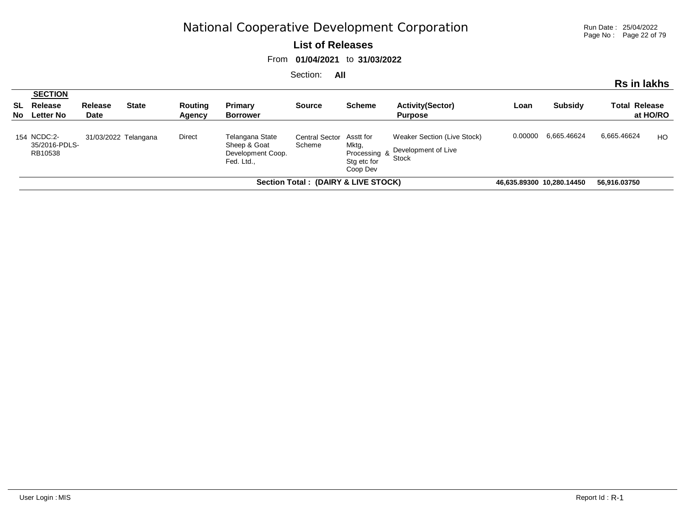Run Date : 25/04/2022 Page No : Page 22 of 79

#### **List of Releases**

From **01/04/2021** to **31/03/2022**

| Rs in lakhs                         |                                                     |                      |              |                   |                                                                    |                                 |                                                               |                                                                    |                           |                |                      |          |
|-------------------------------------|-----------------------------------------------------|----------------------|--------------|-------------------|--------------------------------------------------------------------|---------------------------------|---------------------------------------------------------------|--------------------------------------------------------------------|---------------------------|----------------|----------------------|----------|
|                                     | <b>SECTION</b><br><b>SL</b> Release<br>No Letter No | Release<br>Date      | <b>State</b> | Routing<br>Agency | Primary<br><b>Borrower</b>                                         | <b>Source</b>                   | <b>Scheme</b>                                                 | <b>Activity(Sector)</b><br><b>Purpose</b>                          | Loan                      | <b>Subsidy</b> | <b>Total Release</b> | at HO/RO |
|                                     | 154 NCDC:2-<br>35/2016-PDLS-<br>RB10538             | 31/03/2022 Telangana |              | Direct            | Telangana State<br>Sheep & Goat<br>Development Coop.<br>Fed. Ltd., | <b>Central Sector</b><br>Scheme | Asstt for<br>Mktg,<br>Processing &<br>Stg etc for<br>Coop Dev | Weaker Section (Live Stock)<br>Development of Live<br><b>Stock</b> | 0.00000                   | 6.665.46624    | 6,665.46624          | HO       |
| Section Total: (DAIRY & LIVE STOCK) |                                                     |                      |              |                   |                                                                    |                                 |                                                               |                                                                    | 46,635.89300 10,280.14450 |                | 56,916.03750         |          |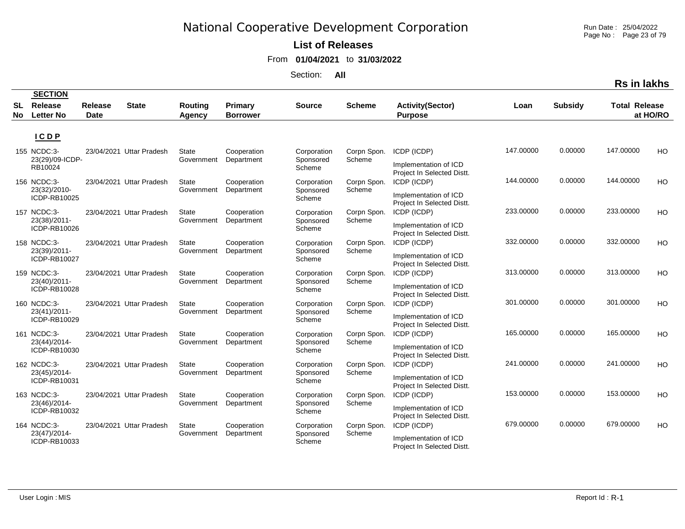**List of Releases** 

From **01/04/2021** to **31/03/2022**

Section: **All**

|    |                                |                |                          |                            |                           |                          |                       |                                                     |           |                | טוואו ווו טרו        |          |
|----|--------------------------------|----------------|--------------------------|----------------------------|---------------------------|--------------------------|-----------------------|-----------------------------------------------------|-----------|----------------|----------------------|----------|
| SL | <b>SECTION</b><br>Release      | <b>Release</b> | <b>State</b>             | Routing                    | Primary                   | <b>Source</b>            | <b>Scheme</b>         | <b>Activity(Sector)</b>                             | Loan      | <b>Subsidy</b> | <b>Total Release</b> |          |
| No | <b>Letter No</b>               | <b>Date</b>    |                          | <b>Agency</b>              | <b>Borrower</b>           |                          |                       | <b>Purpose</b>                                      |           |                |                      | at HO/RO |
|    |                                |                |                          |                            |                           |                          |                       |                                                     |           |                |                      |          |
|    | ICDP                           |                |                          |                            |                           |                          |                       |                                                     |           |                |                      |          |
|    | 155 NCDC:3-<br>23(29)/09-ICDP- |                | 23/04/2021 Uttar Pradesh | State<br>Government        | Cooperation<br>Department | Corporation<br>Sponsored | Corpn Spon.<br>Scheme | ICDP (ICDP)                                         | 147.00000 | 0.00000        | 147.00000            | HO       |
|    | RB10024                        |                |                          |                            |                           | Scheme                   |                       | Implementation of ICD<br>Project In Selected Distt. |           |                |                      |          |
|    | 156 NCDC:3-<br>23(32)/2010-    |                | 23/04/2021 Uttar Pradesh | <b>State</b><br>Government | Cooperation<br>Department | Corporation<br>Sponsored | Corpn Spon.<br>Scheme | ICDP (ICDP)                                         | 144.00000 | 0.00000        | 144.00000            | HO       |
|    | ICDP-RB10025                   |                |                          |                            |                           | Scheme                   |                       | Implementation of ICD<br>Project In Selected Distt. |           |                |                      |          |
|    | 157 NCDC:3-<br>23(38)/2011-    |                | 23/04/2021 Uttar Pradesh | <b>State</b><br>Government | Cooperation<br>Department | Corporation<br>Sponsored | Corpn Spon.<br>Scheme | ICDP (ICDP)                                         | 233.00000 | 0.00000        | 233.00000            | HO       |
|    | ICDP-RB10026                   |                |                          |                            |                           | Scheme                   |                       | Implementation of ICD<br>Project In Selected Distt. |           |                |                      |          |
|    | 158 NCDC:3-<br>23(39)/2011-    |                | 23/04/2021 Uttar Pradesh | <b>State</b><br>Government | Cooperation               | Corporation              | Corpn Spon.<br>Scheme | ICDP (ICDP)                                         | 332.00000 | 0.00000        | 332.00000            | HO       |
|    | ICDP-RB10027                   |                |                          |                            | Department                | Sponsored<br>Scheme      |                       | Implementation of ICD<br>Project In Selected Distt. |           |                |                      |          |
|    | 159 NCDC:3-                    |                | 23/04/2021 Uttar Pradesh | <b>State</b>               | Cooperation               | Corporation              | Corpn Spon.           | ICDP (ICDP)                                         | 313.00000 | 0.00000        | 313.00000            | HO       |
|    | 23(40)/2011-<br>ICDP-RB10028   |                |                          | Government                 | Department                | Sponsored<br>Scheme      | Scheme                | Implementation of ICD<br>Project In Selected Distt. |           |                |                      |          |
|    | 160 NCDC:3-<br>23(41)/2011-    |                | 23/04/2021 Uttar Pradesh | <b>State</b>               | Cooperation<br>Department | Corporation<br>Sponsored | Corpn Spon.<br>Scheme | ICDP (ICDP)                                         | 301.00000 | 0.00000        | 301.00000            | HO       |
|    | ICDP-RB10029                   |                |                          | Government                 |                           | Scheme                   |                       | Implementation of ICD<br>Project In Selected Distt. |           |                |                      |          |
|    | 161 NCDC:3-<br>23(44)/2014-    |                | 23/04/2021 Uttar Pradesh | <b>State</b>               | Cooperation               | Corporation<br>Sponsored | Corpn Spon.<br>Scheme | ICDP (ICDP)                                         | 165.00000 | 0.00000        | 165.00000            | HO       |
|    | ICDP-RB10030                   |                |                          | Government                 | Department                | Scheme                   |                       | Implementation of ICD<br>Project In Selected Distt. |           |                |                      |          |
|    | 162 NCDC:3-<br>23(45)/2014-    |                | 23/04/2021 Uttar Pradesh | State<br>Government        | Cooperation<br>Department | Corporation<br>Sponsored | Corpn Spon.<br>Scheme | ICDP (ICDP)                                         | 241.00000 | 0.00000        | 241.00000            | HO       |
|    | ICDP-RB10031                   |                |                          |                            |                           | Scheme                   |                       | Implementation of ICD<br>Project In Selected Distt. |           |                |                      |          |
|    | 163 NCDC:3-                    |                | 23/04/2021 Uttar Pradesh | <b>State</b>               | Cooperation               | Corporation              | Corpn Spon.           | ICDP (ICDP)                                         | 153.00000 | 0.00000        | 153.00000            | HO       |
|    | 23(46)/2014-<br>ICDP-RB10032   |                |                          | Government                 | Department                | Sponsored<br>Scheme      | Scheme                | Implementation of ICD<br>Project In Selected Distt. |           |                |                      |          |
|    | 164 NCDC:3-<br>23(47)/2014-    |                | 23/04/2021 Uttar Pradesh | <b>State</b><br>Government | Cooperation<br>Department | Corporation<br>Sponsored | Corpn Spon.<br>Scheme | ICDP (ICDP)                                         | 679.00000 | 0.00000        | 679.00000            | HO       |
|    | ICDP-RB10033                   |                |                          |                            |                           | Scheme                   |                       | Implementation of ICD<br>Project In Selected Distt. |           |                |                      |          |

User Login : MIS

Run Date : 25/04/2022 Page No : Page 23 of 79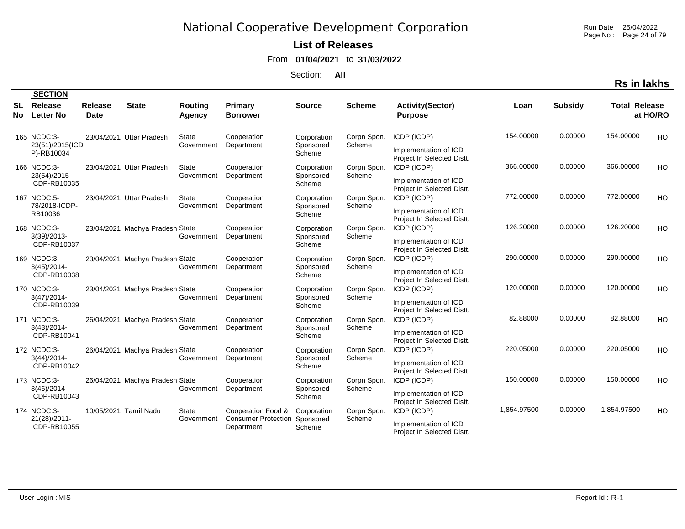Run Date : 25/04/2022 Page No : Page 24 of 79

### **List of Releases**

From **01/04/2021** to **31/03/2022**

Section: **All**

|                  | <b>SECTION</b>                                |                        |                                 |                            |                                                                |                                    |                       |                                                                                                  |             |                |                      |           |
|------------------|-----------------------------------------------|------------------------|---------------------------------|----------------------------|----------------------------------------------------------------|------------------------------------|-----------------------|--------------------------------------------------------------------------------------------------|-------------|----------------|----------------------|-----------|
| <b>SL</b><br>No. | Release<br><b>Letter No</b>                   | Release<br><b>Date</b> | <b>State</b>                    | Routing<br>Agency          | Primary<br><b>Borrower</b>                                     | <b>Source</b>                      | <b>Scheme</b>         | <b>Activity(Sector)</b><br><b>Purpose</b>                                                        | Loan        | <b>Subsidy</b> | <b>Total Release</b> | at HO/RO  |
|                  | 165 NCDC:3-<br>23(51)/2015(ICD<br>P)-RB10034  |                        | 23/04/2021 Uttar Pradesh        | State<br>Government        | Cooperation<br>Department                                      | Corporation<br>Sponsored<br>Scheme | Corpn Spon.<br>Scheme | ICDP (ICDP)<br>Implementation of ICD                                                             | 154.00000   | 0.00000        | 154.00000            | <b>HO</b> |
|                  | 166 NCDC:3-<br>23(54)/2015-<br>ICDP-RB10035   |                        | 23/04/2021 Uttar Pradesh        | <b>State</b><br>Government | Cooperation<br>Department                                      | Corporation<br>Sponsored<br>Scheme | Corpn Spon.<br>Scheme | Project In Selected Distt.<br>ICDP (ICDP)<br>Implementation of ICD<br>Project In Selected Distt. | 366.00000   | 0.00000        | 366.00000            | HO        |
|                  | 167 NCDC:5-<br>78/2018-ICDP-<br>RB10036       |                        | 23/04/2021 Uttar Pradesh        | State<br>Government        | Cooperation<br>Department                                      | Corporation<br>Sponsored<br>Scheme | Corpn Spon.<br>Scheme | ICDP (ICDP)<br>Implementation of ICD<br>Project In Selected Distt.                               | 772.00000   | 0.00000        | 772.00000            | <b>HO</b> |
|                  | 168 NCDC:3-<br>$3(39)/2013-$<br>ICDP-RB10037  |                        | 23/04/2021 Madhya Pradesh State | Government                 | Cooperation<br>Department                                      | Corporation<br>Sponsored<br>Scheme | Corpn Spon.<br>Scheme | ICDP (ICDP)<br>Implementation of ICD<br>Project In Selected Distt.                               | 126.20000   | 0.00000        | 126.20000            | <b>HO</b> |
|                  | 169 NCDC:3-<br>$3(45)/2014$ -<br>ICDP-RB10038 |                        | 23/04/2021 Madhya Pradesh State | Government                 | Cooperation<br>Department                                      | Corporation<br>Sponsored<br>Scheme | Corpn Spon.<br>Scheme | ICDP (ICDP)<br>Implementation of ICD<br>Project In Selected Distt.                               | 290.00000   | 0.00000        | 290.00000            | HO        |
|                  | 170 NCDC:3-<br>$3(47)/2014$ -<br>ICDP-RB10039 |                        | 23/04/2021 Madhya Pradesh State | Government                 | Cooperation<br>Department                                      | Corporation<br>Sponsored<br>Scheme | Corpn Spon.<br>Scheme | ICDP (ICDP)<br>Implementation of ICD<br>Project In Selected Distt.                               | 120.00000   | 0.00000        | 120.00000            | <b>HO</b> |
|                  | 171 NCDC:3-<br>$3(43)/2014$ -<br>ICDP-RB10041 |                        | 26/04/2021 Madhya Pradesh State | Government                 | Cooperation<br>Department                                      | Corporation<br>Sponsored<br>Scheme | Corpn Spon.<br>Scheme | ICDP (ICDP)<br>Implementation of ICD<br>Project In Selected Distt.                               | 82.88000    | 0.00000        | 82.88000             | <b>HO</b> |
|                  | 172 NCDC:3-<br>3(44)/2014<br>ICDP-RB10042     |                        | 26/04/2021 Madhya Pradesh State | Government                 | Cooperation<br>Department                                      | Corporation<br>Sponsored<br>Scheme | Corpn Spon.<br>Scheme | ICDP (ICDP)<br>Implementation of ICD<br>Project In Selected Distt.                               | 220.05000   | 0.00000        | 220.05000            | <b>HO</b> |
|                  | 173 NCDC:3-<br>$3(46)/2014$ -<br>ICDP-RB10043 |                        | 26/04/2021 Madhya Pradesh State | Government                 | Cooperation<br>Department                                      | Corporation<br>Sponsored<br>Scheme | Corpn Spon.<br>Scheme | ICDP (ICDP)<br>Implementation of ICD<br>Project In Selected Distt.                               | 150.00000   | 0.00000        | 150.00000            | <b>HO</b> |
|                  | 174 NCDC:3-<br>21(28)/2011-<br>ICDP-RB10055   |                        | 10/05/2021 Tamil Nadu           | <b>State</b><br>Government | Cooperation Food &<br><b>Consumer Protection</b><br>Department | Corporation<br>Sponsored<br>Scheme | Corpn Spon.<br>Scheme | ICDP (ICDP)<br>Implementation of ICD<br>Project In Selected Distt.                               | 1,854.97500 | 0.00000        | 1,854.97500          | <b>HO</b> |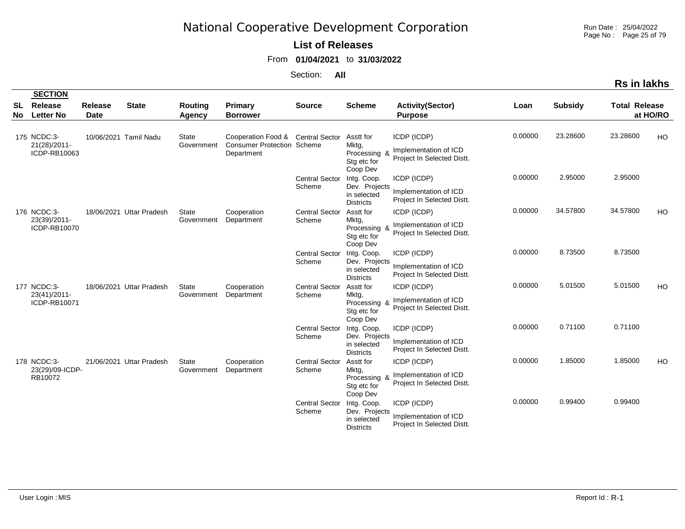Run Date : 25/04/2022 Page No : Page 25 of 79

#### **List of Releases**

From **01/04/2021** to **31/03/2022**

|     |                                             |                |                          |                            |                                                                                      |                                 |                                                                 |                                                                    |         |                | Rs in lakhs          |          |
|-----|---------------------------------------------|----------------|--------------------------|----------------------------|--------------------------------------------------------------------------------------|---------------------------------|-----------------------------------------------------------------|--------------------------------------------------------------------|---------|----------------|----------------------|----------|
| SL  | <b>SECTION</b><br>Release                   | <b>Release</b> | <b>State</b>             | <b>Routing</b>             | Primary                                                                              | <b>Source</b>                   | <b>Scheme</b>                                                   | <b>Activity(Sector)</b>                                            | Loan    | <b>Subsidy</b> | <b>Total Release</b> |          |
| No. | <b>Letter No</b>                            | <b>Date</b>    |                          | <b>Agency</b>              | <b>Borrower</b>                                                                      |                                 |                                                                 | <b>Purpose</b>                                                     |         |                |                      | at HO/RO |
|     | 175 NCDC:3-<br>21(28)/2011-<br>ICDP-RB10063 |                | 10/06/2021 Tamil Nadu    | <b>State</b><br>Government | Cooperation Food & Central Sector<br><b>Consumer Protection Scheme</b><br>Department |                                 | Asstt for<br>Mktg,<br>Processing &<br>Stg etc for<br>Coop Dev   | ICDP (ICDP)<br>Implementation of ICD<br>Project In Selected Distt. | 0.00000 | 23.28600       | 23.28600             | HO       |
|     |                                             |                |                          |                            |                                                                                      | <b>Central Sector</b><br>Scheme | Intg. Coop.<br>Dev. Projects<br>in selected<br><b>Districts</b> | ICDP (ICDP)<br>Implementation of ICD<br>Project In Selected Distt. | 0.00000 | 2.95000        | 2.95000              |          |
|     | 176 NCDC:3-<br>23(39)/2011-<br>ICDP-RB10070 |                | 18/06/2021 Uttar Pradesh | State<br>Government        | Cooperation<br>Department                                                            | <b>Central Sector</b><br>Scheme | Asstt for<br>Mktg,<br>Processing &<br>Stg etc for<br>Coop Dev   | ICDP (ICDP)<br>Implementation of ICD<br>Project In Selected Distt. | 0.00000 | 34.57800       | 34.57800             | HO       |
|     |                                             |                |                          |                            |                                                                                      | <b>Central Sector</b><br>Scheme | Intg. Coop.<br>Dev. Projects<br>in selected<br><b>Districts</b> | ICDP (ICDP)<br>Implementation of ICD<br>Project In Selected Distt. | 0.00000 | 8.73500        | 8.73500              |          |
|     | 177 NCDC:3-<br>23(41)/2011-<br>ICDP-RB10071 |                | 18/06/2021 Uttar Pradesh | State<br>Government        | Cooperation<br>Department                                                            | <b>Central Sector</b><br>Scheme | Asstt for<br>Mktg,<br>Processing &<br>Stg etc for<br>Coop Dev   | ICDP (ICDP)<br>Implementation of ICD<br>Project In Selected Distt. | 0.00000 | 5.01500        | 5.01500              | HO       |
|     |                                             |                |                          |                            |                                                                                      | <b>Central Sector</b><br>Scheme | Intg. Coop.<br>Dev. Projects<br>in selected<br><b>Districts</b> | ICDP (ICDP)<br>Implementation of ICD<br>Project In Selected Distt. | 0.00000 | 0.71100        | 0.71100              |          |
|     | 178 NCDC:3-<br>23(29)/09-ICDP-<br>RB10072   |                | 21/06/2021 Uttar Pradesh | <b>State</b><br>Government | Cooperation<br>Department                                                            | <b>Central Sector</b><br>Scheme | Asstt for<br>Mktg,<br>Processing &<br>Stg etc for<br>Coop Dev   | ICDP (ICDP)<br>Implementation of ICD<br>Project In Selected Distt. | 0.00000 | 1.85000        | 1.85000              | HO       |
|     |                                             |                |                          |                            |                                                                                      | <b>Central Sector</b><br>Scheme | Intg. Coop.<br>Dev. Projects<br>in selected<br><b>Districts</b> | ICDP (ICDP)<br>Implementation of ICD<br>Project In Selected Distt. | 0.00000 | 0.99400        | 0.99400              |          |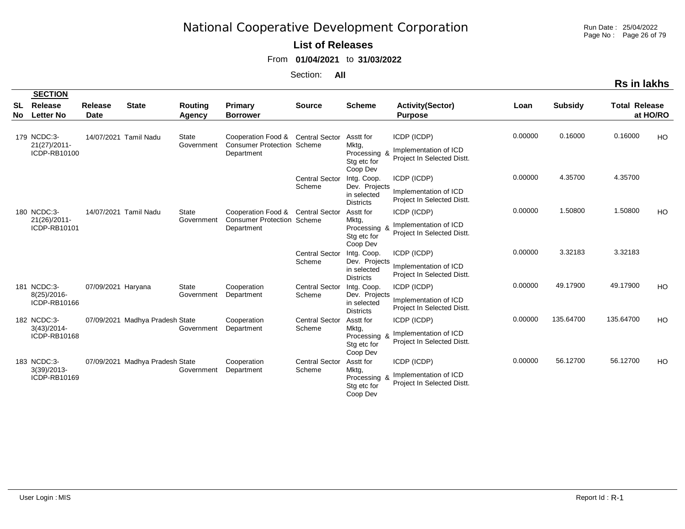Run Date : 25/04/2022 Page No : Page 26 of 79

#### **List of Releases**

From **01/04/2021** to **31/03/2022**

Section: **All**

|           |                                               |                               |                                 |                            |                                                                                      |                                 |                                                                 |                                                                    |         |                | Rs in lakhs          |           |
|-----------|-----------------------------------------------|-------------------------------|---------------------------------|----------------------------|--------------------------------------------------------------------------------------|---------------------------------|-----------------------------------------------------------------|--------------------------------------------------------------------|---------|----------------|----------------------|-----------|
|           | <b>SECTION</b>                                |                               |                                 |                            |                                                                                      |                                 |                                                                 |                                                                    |         |                |                      |           |
| SL<br>No. | <b>Release</b><br><b>Letter No</b>            | <b>Release</b><br><b>Date</b> | <b>State</b>                    | Routing<br><b>Agency</b>   | Primary<br><b>Borrower</b>                                                           | <b>Source</b>                   | <b>Scheme</b>                                                   | <b>Activity(Sector)</b><br><b>Purpose</b>                          | Loan    | <b>Subsidy</b> | <b>Total Release</b> | at HO/RO  |
|           | 179 NCDC:3-<br>21(27)/2011-<br>ICDP-RB10100   |                               | 14/07/2021 Tamil Nadu           | <b>State</b><br>Government | Cooperation Food & Central Sector<br><b>Consumer Protection Scheme</b><br>Department |                                 | Asstt for<br>Mktg,<br>Processing &<br>Stg etc for<br>Coop Dev   | ICDP (ICDP)<br>Implementation of ICD<br>Project In Selected Distt. | 0.00000 | 0.16000        | 0.16000              | <b>HO</b> |
|           |                                               |                               |                                 |                            |                                                                                      | <b>Central Sector</b><br>Scheme | Intg. Coop.<br>Dev. Projects<br>in selected<br><b>Districts</b> | ICDP (ICDP)<br>Implementation of ICD<br>Project In Selected Distt. | 0.00000 | 4.35700        | 4.35700              |           |
|           | 180 NCDC:3-<br>21(26)/2011-<br>ICDP-RB10101   |                               | 14/07/2021 Tamil Nadu           | <b>State</b><br>Government | Cooperation Food & Central Sector<br><b>Consumer Protection Scheme</b><br>Department |                                 | Asstt for<br>Mktg,<br>Processing &<br>Stg etc for<br>Coop Dev   | ICDP (ICDP)<br>Implementation of ICD<br>Project In Selected Distt. | 0.00000 | 1.50800        | 1.50800              | HO        |
|           |                                               |                               |                                 |                            |                                                                                      | <b>Central Sector</b><br>Scheme | Intg. Coop.<br>Dev. Projects<br>in selected<br><b>Districts</b> | ICDP (ICDP)<br>Implementation of ICD<br>Project In Selected Distt. | 0.00000 | 3.32183        | 3.32183              |           |
|           | 181 NCDC:3-<br>$8(25)/2016$ -<br>ICDP-RB10166 | 07/09/2021 Haryana            |                                 | <b>State</b><br>Government | Cooperation<br>Department                                                            | <b>Central Sector</b><br>Scheme | Intg. Coop.<br>Dev. Projects<br>in selected<br><b>Districts</b> | ICDP (ICDP)<br>Implementation of ICD<br>Project In Selected Distt. | 0.00000 | 49.17900       | 49.17900             | HO        |
|           | 182 NCDC:3-<br>$3(43)/2014$ -<br>ICDP-RB10168 |                               | 07/09/2021 Madhya Pradesh State | Government                 | Cooperation<br>Department                                                            | <b>Central Sector</b><br>Scheme | Asstt for<br>Mktg,<br>Processing &<br>Stg etc for<br>Coop Dev   | ICDP (ICDP)<br>Implementation of ICD<br>Project In Selected Distt. | 0.00000 | 135.64700      | 135.64700            | HO        |
|           | 183 NCDC:3-<br>$3(39)/2013-$<br>ICDP-RB10169  |                               | 07/09/2021 Madhya Pradesh State | Government                 | Cooperation<br>Department                                                            | <b>Central Sector</b><br>Scheme | Asstt for<br>Mktg,<br>Processing &<br>Stg etc for<br>Coop Dev   | ICDP (ICDP)<br>Implementation of ICD<br>Project In Selected Distt. | 0.00000 | 56.12700       | 56.12700             | HO        |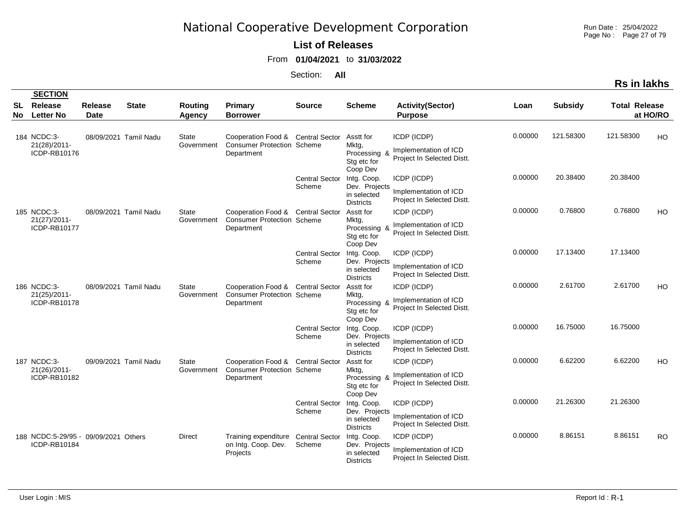Run Date : 25/04/2022 Page No : Page 27 of 79

#### **List of Releases**

From **01/04/2021** to **31/03/2022**

|          |                                                      |                               |                       |                            |                                                                                      |                                 |                                                                 |                                                                    |         |                | <b>Rs in lakhs</b>   |           |
|----------|------------------------------------------------------|-------------------------------|-----------------------|----------------------------|--------------------------------------------------------------------------------------|---------------------------------|-----------------------------------------------------------------|--------------------------------------------------------------------|---------|----------------|----------------------|-----------|
|          | <b>SECTION</b>                                       |                               |                       |                            |                                                                                      |                                 |                                                                 |                                                                    |         |                |                      |           |
| SL<br>No | <b>Release</b><br><b>Letter No</b>                   | <b>Release</b><br><b>Date</b> | <b>State</b>          | Routing<br>Agency          | Primary<br><b>Borrower</b>                                                           | <b>Source</b>                   | <b>Scheme</b>                                                   | <b>Activity(Sector)</b><br><b>Purpose</b>                          | Loan    | <b>Subsidy</b> | <b>Total Release</b> | at HO/RO  |
|          | 184 NCDC:3-<br>21(28)/2011-<br>ICDP-RB10176          |                               | 08/09/2021 Tamil Nadu | <b>State</b><br>Government | Cooperation Food & Central Sector<br><b>Consumer Protection Scheme</b><br>Department |                                 | Asstt for<br>Mktg,<br>Processing &<br>Stg etc for<br>Coop Dev   | ICDP (ICDP)<br>Implementation of ICD<br>Project In Selected Distt. | 0.00000 | 121.58300      | 121.58300            | HO        |
|          |                                                      |                               |                       |                            |                                                                                      | <b>Central Sector</b><br>Scheme | Intg. Coop.<br>Dev. Projects<br>in selected<br><b>Districts</b> | ICDP (ICDP)<br>Implementation of ICD<br>Project In Selected Distt. | 0.00000 | 20.38400       | 20.38400             |           |
|          | 185 NCDC:3-<br>21(27)/2011-<br>ICDP-RB10177          |                               | 08/09/2021 Tamil Nadu | State<br>Government        | Cooperation Food & Central Sector<br><b>Consumer Protection Scheme</b><br>Department |                                 | Asstt for<br>Mktg,<br>Processing &<br>Stg etc for<br>Coop Dev   | ICDP (ICDP)<br>Implementation of ICD<br>Project In Selected Distt. | 0.00000 | 0.76800        | 0.76800              | HO        |
|          |                                                      |                               |                       |                            |                                                                                      | <b>Central Sector</b><br>Scheme | Intg. Coop.<br>Dev. Projects<br>in selected<br><b>Districts</b> | ICDP (ICDP)<br>Implementation of ICD<br>Project In Selected Distt. | 0.00000 | 17.13400       | 17.13400             |           |
|          | 186 NCDC:3-<br>21(25)/2011-<br>ICDP-RB10178          |                               | 08/09/2021 Tamil Nadu | State<br>Government        | Cooperation Food & Central Sector<br><b>Consumer Protection Scheme</b><br>Department |                                 | Asstt for<br>Mktg,<br>Processing &<br>Stg etc for<br>Coop Dev   | ICDP (ICDP)<br>Implementation of ICD<br>Project In Selected Distt. | 0.00000 | 2.61700        | 2.61700              | HO        |
|          |                                                      |                               |                       |                            |                                                                                      | <b>Central Sector</b><br>Scheme | Intg. Coop.<br>Dev. Projects<br>in selected<br><b>Districts</b> | ICDP (ICDP)<br>Implementation of ICD<br>Project In Selected Distt. | 0.00000 | 16.75000       | 16.75000             |           |
|          | 187 NCDC:3-<br>21(26)/2011-<br>ICDP-RB10182          |                               | 09/09/2021 Tamil Nadu | State<br>Government        | Cooperation Food & Central Sector<br><b>Consumer Protection Scheme</b><br>Department |                                 | Asstt for<br>Mktg,<br>Processing &<br>Stg etc for<br>Coop Dev   | ICDP (ICDP)<br>Implementation of ICD<br>Project In Selected Distt. | 0.00000 | 6.62200        | 6.62200              | HO        |
|          |                                                      |                               |                       |                            |                                                                                      | <b>Central Sector</b><br>Scheme | Intg. Coop.<br>Dev. Projects<br>in selected<br><b>Districts</b> | ICDP (ICDP)<br>Implementation of ICD<br>Project In Selected Distt. | 0.00000 | 21.26300       | 21.26300             |           |
|          | 188 NCDC:5-29/95 - 09/09/2021 Others<br>ICDP-RB10184 |                               |                       | Direct                     | Training expenditure Central Sector<br>on Intg. Coop. Dev.<br>Projects               | Scheme                          | Intg. Coop.<br>Dev. Projects<br>in selected<br><b>Districts</b> | ICDP (ICDP)<br>Implementation of ICD<br>Project In Selected Distt. | 0.00000 | 8.86151        | 8.86151              | <b>RO</b> |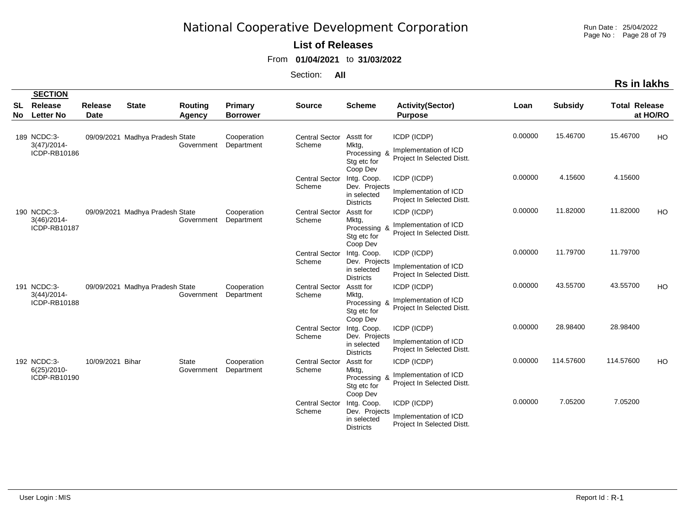Run Date : 25/04/2022 Page No : Page 28 of 79

#### **List of Releases**

From **01/04/2021** to **31/03/2022**

|           |                                               |                        |                                 |                                 |                            |                                 |                                                                 |                                                                    |         |                | Rs in lakhs          |           |
|-----------|-----------------------------------------------|------------------------|---------------------------------|---------------------------------|----------------------------|---------------------------------|-----------------------------------------------------------------|--------------------------------------------------------------------|---------|----------------|----------------------|-----------|
|           | <b>SECTION</b>                                |                        |                                 |                                 |                            |                                 |                                                                 |                                                                    |         |                |                      |           |
| SL<br>No. | Release<br><b>Letter No</b>                   | Release<br><b>Date</b> | <b>State</b>                    | <b>Routing</b><br><b>Agency</b> | Primary<br><b>Borrower</b> | <b>Source</b>                   | <b>Scheme</b>                                                   | <b>Activity(Sector)</b><br><b>Purpose</b>                          | Loan    | <b>Subsidy</b> | <b>Total Release</b> | at HO/RO  |
|           | 189 NCDC:3-<br>$3(47)/2014$ -<br>ICDP-RB10186 |                        | 09/09/2021 Madhya Pradesh State | Government                      | Cooperation<br>Department  | <b>Central Sector</b><br>Scheme | Asstt for<br>Mktg,<br>Processing &<br>Stg etc for<br>Coop Dev   | ICDP (ICDP)<br>Implementation of ICD<br>Project In Selected Distt. | 0.00000 | 15.46700       | 15.46700             | HO        |
|           |                                               |                        |                                 |                                 |                            | <b>Central Sector</b><br>Scheme | Intg. Coop.<br>Dev. Projects<br>in selected<br><b>Districts</b> | ICDP (ICDP)<br>Implementation of ICD<br>Project In Selected Distt. | 0.00000 | 4.15600        | 4.15600              |           |
|           | 190 NCDC:3-<br>$3(46)/2014$ -<br>ICDP-RB10187 |                        | 09/09/2021 Madhya Pradesh State | Government                      | Cooperation<br>Department  | <b>Central Sector</b><br>Scheme | Asstt for<br>Mktg,<br>Processing<br>Stg etc for<br>Coop Dev     | ICDP (ICDP)<br>Implementation of ICD<br>Project In Selected Distt. | 0.00000 | 11.82000       | 11.82000             | <b>HO</b> |
|           |                                               |                        |                                 |                                 |                            | <b>Central Sector</b><br>Scheme | Intg. Coop.<br>Dev. Projects<br>in selected<br><b>Districts</b> | ICDP (ICDP)<br>Implementation of ICD<br>Project In Selected Distt. | 0.00000 | 11.79700       | 11.79700             |           |
|           | 191 NCDC:3-<br>3(44)/2014<br>ICDP-RB10188     |                        | 09/09/2021 Madhya Pradesh State | Government                      | Cooperation<br>Department  | <b>Central Sector</b><br>Scheme | Asstt for<br>Mktg,<br>Processing &<br>Stg etc for<br>Coop Dev   | ICDP (ICDP)<br>Implementation of ICD<br>Project In Selected Distt. | 0.00000 | 43.55700       | 43.55700             | HO        |
|           |                                               |                        |                                 |                                 |                            | <b>Central Sector</b><br>Scheme | Intg. Coop.<br>Dev. Projects<br>in selected<br><b>Districts</b> | ICDP (ICDP)<br>Implementation of ICD<br>Project In Selected Distt. | 0.00000 | 28.98400       | 28.98400             |           |
|           | 192 NCDC:3-<br>$6(25)/2010-$<br>ICDP-RB10190  | 10/09/2021 Bihar       |                                 | <b>State</b><br>Government      | Cooperation<br>Department  | <b>Central Sector</b><br>Scheme | Asstt for<br>Mktg,<br>Processing &<br>Stg etc for<br>Coop Dev   | ICDP (ICDP)<br>Implementation of ICD<br>Project In Selected Distt. | 0.00000 | 114.57600      | 114.57600            | HO        |
|           |                                               |                        |                                 |                                 |                            | <b>Central Sector</b><br>Scheme | Intg. Coop.<br>Dev. Projects<br>in selected<br><b>Districts</b> | ICDP (ICDP)<br>Implementation of ICD<br>Project In Selected Distt. | 0.00000 | 7.05200        | 7.05200              |           |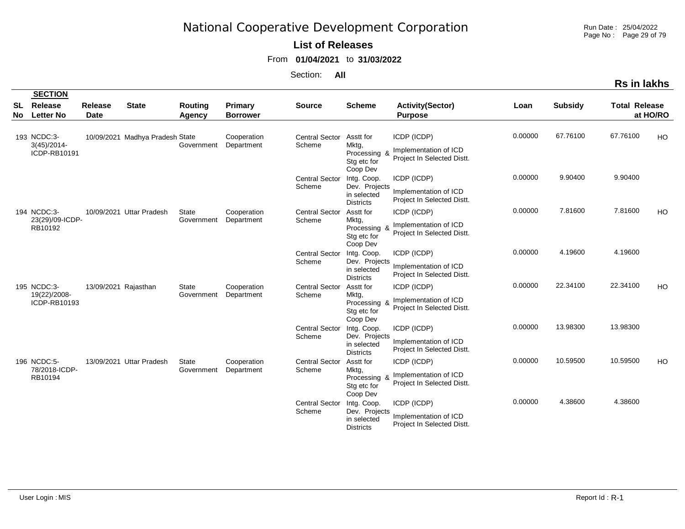Run Date : 25/04/2022 Page No : Page 29 of 79

#### **List of Releases**

From **01/04/2021** to **31/03/2022**

|           |                                               |                        |                                 |                            |                            |                                 |                                                                 |                                                                    |         |                | Rs in lakhs          |           |
|-----------|-----------------------------------------------|------------------------|---------------------------------|----------------------------|----------------------------|---------------------------------|-----------------------------------------------------------------|--------------------------------------------------------------------|---------|----------------|----------------------|-----------|
|           | <b>SECTION</b>                                |                        |                                 |                            |                            |                                 |                                                                 |                                                                    |         |                |                      |           |
| SL<br>No. | Release<br><b>Letter No</b>                   | Release<br><b>Date</b> | <b>State</b>                    | <b>Routing</b><br>Agency   | Primary<br><b>Borrower</b> | <b>Source</b>                   | <b>Scheme</b>                                                   | <b>Activity(Sector)</b><br><b>Purpose</b>                          | Loan    | <b>Subsidy</b> | <b>Total Release</b> | at HO/RO  |
|           | 193 NCDC:3-<br>$3(45)/2014$ -<br>ICDP-RB10191 |                        | 10/09/2021 Madhya Pradesh State | Government                 | Cooperation<br>Department  | <b>Central Sector</b><br>Scheme | Asstt for<br>Mktg,<br>Processing &<br>Stg etc for<br>Coop Dev   | ICDP (ICDP)<br>Implementation of ICD<br>Project In Selected Distt. | 0.00000 | 67.76100       | 67.76100             | HO        |
|           |                                               |                        |                                 |                            |                            | <b>Central Sector</b><br>Scheme | Intg. Coop.<br>Dev. Projects<br>in selected<br><b>Districts</b> | ICDP (ICDP)<br>Implementation of ICD<br>Project In Selected Distt. | 0.00000 | 9.90400        | 9.90400              |           |
|           | 194 NCDC:3-<br>23(29)/09-ICDP-<br>RB10192     |                        | 10/09/2021 Uttar Pradesh        | <b>State</b><br>Government | Cooperation<br>Department  | <b>Central Sector</b><br>Scheme | Asstt for<br>Mktg,<br>Processing<br>Stg etc for<br>Coop Dev     | ICDP (ICDP)<br>Implementation of ICD<br>Project In Selected Distt. | 0.00000 | 7.81600        | 7.81600              | <b>HO</b> |
|           |                                               |                        |                                 |                            |                            | <b>Central Sector</b><br>Scheme | Intg. Coop.<br>Dev. Projects<br>in selected<br><b>Districts</b> | ICDP (ICDP)<br>Implementation of ICD<br>Project In Selected Distt. | 0.00000 | 4.19600        | 4.19600              |           |
|           | 195 NCDC:3-<br>19(22)/2008-<br>ICDP-RB10193   | 13/09/2021 Rajasthan   |                                 | <b>State</b><br>Government | Cooperation<br>Department  | <b>Central Sector</b><br>Scheme | Asstt for<br>Mktg,<br>Processing &<br>Stg etc for<br>Coop Dev   | ICDP (ICDP)<br>Implementation of ICD<br>Project In Selected Distt. | 0.00000 | 22.34100       | 22.34100             | HO        |
|           |                                               |                        |                                 |                            |                            | <b>Central Sector</b><br>Scheme | Intg. Coop.<br>Dev. Projects<br>in selected<br><b>Districts</b> | ICDP (ICDP)<br>Implementation of ICD<br>Project In Selected Distt. | 0.00000 | 13.98300       | 13.98300             |           |
|           | 196 NCDC:5-<br>78/2018-ICDP-<br>RB10194       |                        | 13/09/2021 Uttar Pradesh        | State<br>Government        | Cooperation<br>Department  | <b>Central Sector</b><br>Scheme | Asstt for<br>Mktg,<br>Processing &<br>Stg etc for<br>Coop Dev   | ICDP (ICDP)<br>Implementation of ICD<br>Project In Selected Distt. | 0.00000 | 10.59500       | 10.59500             | HO        |
|           |                                               |                        |                                 |                            |                            | <b>Central Sector</b><br>Scheme | Intg. Coop.<br>Dev. Projects<br>in selected<br><b>Districts</b> | ICDP (ICDP)<br>Implementation of ICD<br>Project In Selected Distt. | 0.00000 | 4.38600        | 4.38600              |           |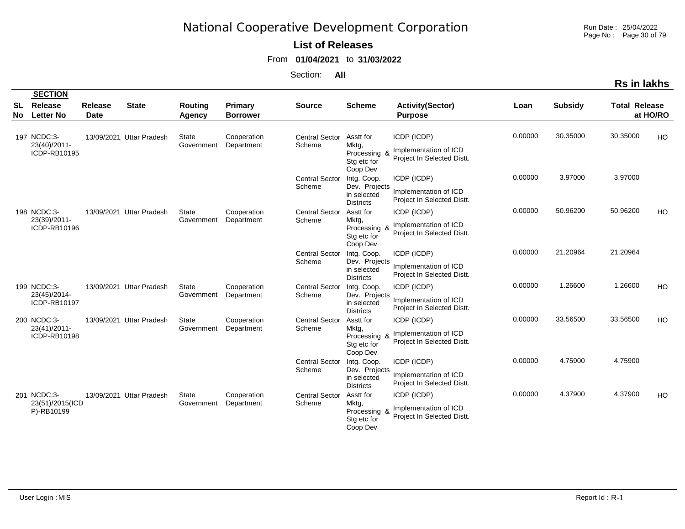Run Date : 25/04/2022 Page No : Page 30 of 79

### **List of Releases**

From **01/04/2021** to **31/03/2022**

| n. | іакі |
|----|------|
|    |      |

|          | <b>SECTION</b>                               |                               |                          |                            |                            |                                 |                                                                 |                                                                    |         |                |                      |           |
|----------|----------------------------------------------|-------------------------------|--------------------------|----------------------------|----------------------------|---------------------------------|-----------------------------------------------------------------|--------------------------------------------------------------------|---------|----------------|----------------------|-----------|
| SL<br>No | Release<br><b>Letter No</b>                  | <b>Release</b><br><b>Date</b> | <b>State</b>             | <b>Routing</b><br>Agency   | Primary<br><b>Borrower</b> | <b>Source</b>                   | <b>Scheme</b>                                                   | <b>Activity(Sector)</b><br><b>Purpose</b>                          | Loan    | <b>Subsidy</b> | <b>Total Release</b> | at HO/RO  |
|          | 197 NCDC:3-<br>23(40)/2011-<br>ICDP-RB10195  |                               | 13/09/2021 Uttar Pradesh | State<br>Government        | Cooperation<br>Department  | <b>Central Sector</b><br>Scheme | Asstt for<br>Mktg,<br>Processing &<br>Stg etc for<br>Coop Dev   | ICDP (ICDP)<br>Implementation of ICD<br>Project In Selected Distt. | 0.00000 | 30.35000       | 30.35000             | HO        |
|          |                                              |                               |                          |                            |                            | <b>Central Sector</b><br>Scheme | Intg. Coop.<br>Dev. Projects<br>in selected<br><b>Districts</b> | ICDP (ICDP)<br>Implementation of ICD<br>Project In Selected Distt. | 0.00000 | 3.97000        | 3.97000              |           |
|          | 198 NCDC:3-<br>23(39)/2011-<br>ICDP-RB10196  |                               | 13/09/2021 Uttar Pradesh | State<br>Government        | Cooperation<br>Department  | <b>Central Sector</b><br>Scheme | Asstt for<br>Mktg,<br>Processing &<br>Stg etc for<br>Coop Dev   | ICDP (ICDP)<br>Implementation of ICD<br>Project In Selected Distt. | 0.00000 | 50.96200       | 50.96200             | HO        |
|          |                                              |                               |                          |                            |                            | <b>Central Sector</b><br>Scheme | Intg. Coop.<br>Dev. Projects<br>in selected<br><b>Districts</b> | ICDP (ICDP)<br>Implementation of ICD<br>Project In Selected Distt. | 0.00000 | 21.20964       | 21.20964             |           |
|          | 199 NCDC:3-<br>23(45)/2014-<br>ICDP-RB10197  |                               | 13/09/2021 Uttar Pradesh | <b>State</b><br>Government | Cooperation<br>Department  | <b>Central Sector</b><br>Scheme | Intg. Coop.<br>Dev. Projects<br>in selected<br><b>Districts</b> | ICDP (ICDP)<br>Implementation of ICD<br>Project In Selected Distt. | 0.00000 | 1.26600        | 1.26600              | <b>HO</b> |
|          | 200 NCDC:3-<br>23(41)/2011-<br>ICDP-RB10198  |                               | 13/09/2021 Uttar Pradesh | State<br>Government        | Cooperation<br>Department  | <b>Central Sector</b><br>Scheme | Asstt for<br>Mktg,<br>Processing &<br>Stg etc for<br>Coop Dev   | ICDP (ICDP)<br>Implementation of ICD<br>Project In Selected Distt. | 0.00000 | 33.56500       | 33.56500             | HO        |
|          |                                              |                               |                          |                            |                            | <b>Central Sector</b><br>Scheme | Intg. Coop.<br>Dev. Projects<br>in selected<br><b>Districts</b> | ICDP (ICDP)<br>Implementation of ICD<br>Project In Selected Distt. | 0.00000 | 4.75900        | 4.75900              |           |
|          | 201 NCDC:3-<br>23(51)/2015(ICD<br>P)-RB10199 |                               | 13/09/2021 Uttar Pradesh | <b>State</b><br>Government | Cooperation<br>Department  | <b>Central Sector</b><br>Scheme | Asstt for<br>Mktg,<br>Processing &<br>Stg etc for<br>Coop Dev   | ICDP (ICDP)<br>Implementation of ICD<br>Project In Selected Distt. | 0.00000 | 4.37900        | 4.37900              | HO        |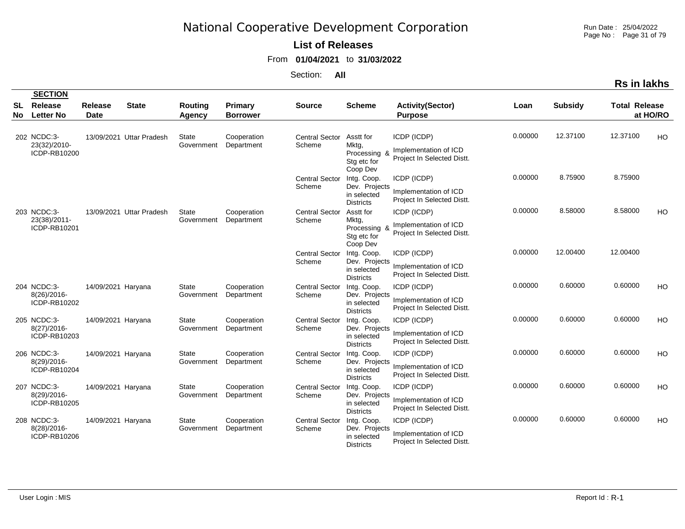Run Date : 25/04/2022 Page No : Page 31 of 79

#### **List of Releases**

From **01/04/2021** to **31/03/2022**

|--|

|                 | <b>SECTION</b>                              |                               |                          |                            |                            |                                 |                                                                             |                                                                    |         |                |                      |          |
|-----------------|---------------------------------------------|-------------------------------|--------------------------|----------------------------|----------------------------|---------------------------------|-----------------------------------------------------------------------------|--------------------------------------------------------------------|---------|----------------|----------------------|----------|
| <b>SL</b><br>No | Release<br><b>Letter No</b>                 | <b>Release</b><br><b>Date</b> | <b>State</b>             | <b>Routing</b><br>Agency   | Primary<br><b>Borrower</b> | <b>Source</b>                   | <b>Scheme</b>                                                               | <b>Activity(Sector)</b><br><b>Purpose</b>                          | Loan    | <b>Subsidy</b> | <b>Total Release</b> | at HO/RO |
|                 | 202 NCDC:3-<br>23(32)/2010-<br>ICDP-RB10200 |                               | 13/09/2021 Uttar Pradesh | <b>State</b><br>Government | Cooperation<br>Department  | <b>Central Sector</b><br>Scheme | Asstt for<br>Mktg,<br>Processing 8<br>Stg etc for                           | ICDP (ICDP)<br>Implementation of ICD<br>Project In Selected Distt. | 0.00000 | 12.37100       | 12.37100             | HO       |
|                 |                                             |                               |                          |                            |                            | <b>Central Sector</b><br>Scheme | Coop Dev<br>Intg. Coop.<br>Dev. Projects<br>in selected<br><b>Districts</b> | ICDP (ICDP)<br>Implementation of ICD<br>Project In Selected Distt. | 0.00000 | 8.75900        | 8.75900              |          |
|                 | 203 NCDC:3-<br>23(38)/2011-<br>ICDP-RB10201 |                               | 13/09/2021 Uttar Pradesh | <b>State</b><br>Government | Cooperation<br>Department  | <b>Central Sector</b><br>Scheme | Asstt for<br>Mktg,<br>Processing &<br>Stg etc for<br>Coop Dev               | ICDP (ICDP)<br>Implementation of ICD<br>Project In Selected Distt. | 0.00000 | 8.58000        | 8.58000              | HO       |
|                 |                                             |                               |                          |                            |                            | <b>Central Sector</b><br>Scheme | Intg. Coop.<br>Dev. Projects<br>in selected<br><b>Districts</b>             | ICDP (ICDP)<br>Implementation of ICD<br>Project In Selected Distt. | 0.00000 | 12.00400       | 12.00400             |          |
|                 | 204 NCDC:3-<br>8(26)/2016-<br>ICDP-RB10202  | 14/09/2021 Haryana            |                          | <b>State</b><br>Government | Cooperation<br>Department  | <b>Central Sector</b><br>Scheme | Intg. Coop.<br>Dev. Projects<br>in selected<br><b>Districts</b>             | ICDP (ICDP)<br>Implementation of ICD<br>Project In Selected Distt. | 0.00000 | 0.60000        | 0.60000              | HO       |
|                 | 205 NCDC:3-<br>8(27)/2016-<br>ICDP-RB10203  | 14/09/2021 Haryana            |                          | <b>State</b><br>Government | Cooperation<br>Department  | <b>Central Sector</b><br>Scheme | Intg. Coop.<br>Dev. Projects<br>in selected<br><b>Districts</b>             | ICDP (ICDP)<br>Implementation of ICD<br>Project In Selected Distt. | 0.00000 | 0.60000        | 0.60000              | HO       |
|                 | 206 NCDC:3-<br>8(29)/2016-<br>ICDP-RB10204  | 14/09/2021 Haryana            |                          | <b>State</b><br>Government | Cooperation<br>Department  | <b>Central Sector</b><br>Scheme | Intg. Coop.<br>Dev. Projects<br>in selected<br><b>Districts</b>             | ICDP (ICDP)<br>Implementation of ICD<br>Project In Selected Distt. | 0.00000 | 0.60000        | 0.60000              | HO       |
|                 | 207 NCDC:3-<br>8(29)/2016-<br>ICDP-RB10205  | 14/09/2021 Haryana            |                          | <b>State</b><br>Government | Cooperation<br>Department  | <b>Central Sector</b><br>Scheme | Intg. Coop.<br>Dev. Projects<br>in selected<br><b>Districts</b>             | ICDP (ICDP)<br>Implementation of ICD<br>Project In Selected Distt. | 0.00000 | 0.60000        | 0.60000              | HO       |
|                 | 208 NCDC:3-<br>8(28)/2016-<br>ICDP-RB10206  | 14/09/2021 Haryana            |                          | <b>State</b><br>Government | Cooperation<br>Department  | <b>Central Sector</b><br>Scheme | Intg. Coop.<br>Dev. Projects<br>in selected<br><b>Districts</b>             | ICDP (ICDP)<br>Implementation of ICD<br>Project In Selected Distt. | 0.00000 | 0.60000        | 0.60000              | HO       |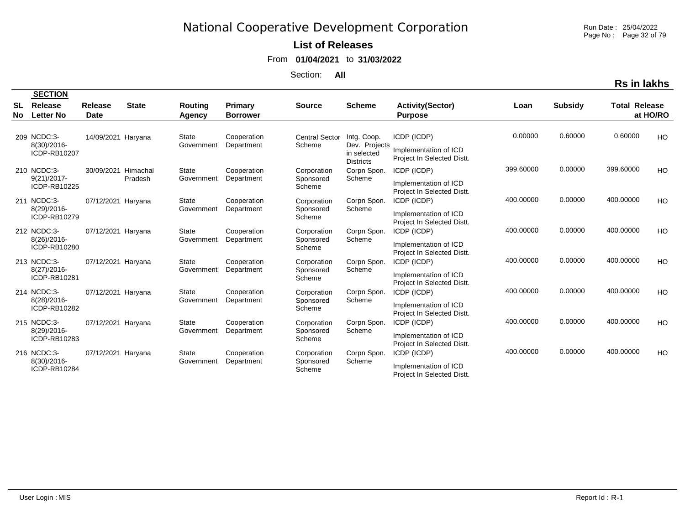Run Date : 25/04/2022 Page No : Page 32 of 79

#### **List of Releases**

From **01/04/2021** to **31/03/2022**

Section: **All**

|          | <b>SECTION</b>                             |                        |              |                                 |                                   |                                 |                                                                 |                                                                    |           |                |                      |           |
|----------|--------------------------------------------|------------------------|--------------|---------------------------------|-----------------------------------|---------------------------------|-----------------------------------------------------------------|--------------------------------------------------------------------|-----------|----------------|----------------------|-----------|
| SL<br>No | Release<br><b>Letter No</b>                | Release<br><b>Date</b> | <b>State</b> | <b>Routing</b><br><b>Agency</b> | <b>Primary</b><br><b>Borrower</b> | <b>Source</b>                   | <b>Scheme</b>                                                   | <b>Activity(Sector)</b><br><b>Purpose</b>                          | Loan      | <b>Subsidy</b> | <b>Total Release</b> | at HO/RO  |
|          |                                            |                        |              |                                 |                                   |                                 |                                                                 |                                                                    |           |                |                      |           |
|          | 209 NCDC:3-<br>8(30)/2016-<br>ICDP-RB10207 | 14/09/2021 Haryana     |              | State<br>Government             | Cooperation<br>Department         | <b>Central Sector</b><br>Scheme | Intg. Coop.<br>Dev. Projects<br>in selected<br><b>Districts</b> | ICDP (ICDP)<br>Implementation of ICD<br>Project In Selected Distt. | 0.00000   | 0.60000        | 0.60000              | <b>HO</b> |
|          | 210 NCDC:3-                                | 30/09/2021             | Himachal     | <b>State</b>                    | Cooperation                       | Corporation                     | Corpn Spon.                                                     | ICDP (ICDP)                                                        | 399.60000 | 0.00000        | 399.60000            | HO.       |
|          | $9(21)/2017$ -<br>ICDP-RB10225             |                        | Pradesh      | Government                      | Department                        | Sponsored<br>Scheme             | Scheme                                                          | Implementation of ICD<br>Project In Selected Distt.                |           |                |                      |           |
|          | 211 NCDC:3-                                | 07/12/2021 Haryana     |              | State                           | Cooperation                       | Corporation                     | Corpn Spon.                                                     | ICDP (ICDP)                                                        | 400.00000 | 0.00000        | 400.00000            | <b>HO</b> |
|          | 8(29)/2016-<br>ICDP-RB10279                |                        |              | Government                      | Department                        | Sponsored<br>Scheme             | Scheme                                                          | Implementation of ICD<br>Project In Selected Distt.                |           |                |                      |           |
|          | 212 NCDC:3-                                | 07/12/2021 Haryana     |              | State                           | Cooperation                       | Corporation                     | Corpn Spon.                                                     | ICDP (ICDP)                                                        | 400.00000 | 0.00000        | 400.00000            | HO        |
|          | $8(26)/2016$ -<br>ICDP-RB10280             |                        |              | Government                      | Department                        | Sponsored<br>Scheme             | Scheme                                                          | Implementation of ICD<br>Project In Selected Distt.                |           |                |                      |           |
|          | 213 NCDC:3-                                | 07/12/2021 Haryana     |              | <b>State</b>                    | Cooperation                       | Corporation                     | Corpn Spon.                                                     | ICDP (ICDP)                                                        | 400.00000 | 0.00000        | 400.00000            | <b>HO</b> |
|          | $8(27)/2016$ -<br>ICDP-RB10281             |                        |              | Government                      | Department                        | Sponsored<br>Scheme             | Scheme                                                          | Implementation of ICD<br>Project In Selected Distt.                |           |                |                      |           |
|          | 214 NCDC:3-                                | 07/12/2021 Haryana     |              | <b>State</b>                    | Cooperation                       | Corporation                     | Corpn Spon.                                                     | ICDP (ICDP)                                                        | 400.00000 | 0.00000        | 400.00000            | <b>HO</b> |
|          | 8(28)/2016-<br>ICDP-RB10282                |                        |              | Government                      | Department                        | Sponsored<br>Scheme             | Scheme                                                          | Implementation of ICD<br>Project In Selected Distt.                |           |                |                      |           |
|          | 215 NCDC:3-                                | 07/12/2021 Haryana     |              | <b>State</b>                    | Cooperation                       | Corporation                     | Corpn Spon.                                                     | ICDP (ICDP)                                                        | 400.00000 | 0.00000        | 400.00000            | <b>HO</b> |
|          | 8(29)/2016-<br>ICDP-RB10283                |                        |              | Government                      | Department                        | Sponsored<br>Scheme             | Scheme                                                          | Implementation of ICD<br>Project In Selected Distt.                |           |                |                      |           |
|          | 216 NCDC:3-                                | 07/12/2021 Haryana     |              | <b>State</b>                    | Cooperation                       | Corporation                     | Corpn Spon.                                                     | ICDP (ICDP)                                                        | 400.00000 | 0.00000        | 400.00000            | HO        |
|          | 8(30)/2016-<br>ICDP-RB10284                |                        |              | Government                      | Department                        | Sponsored<br>Scheme             | Scheme                                                          | Implementation of ICD<br>Project In Selected Distt.                |           |                |                      |           |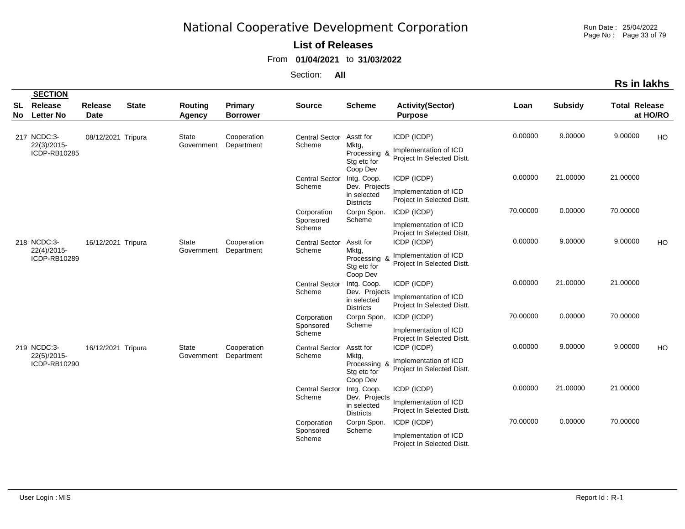Run Date : 25/04/2022 Page No : Page 33 of 79

### **List of Releases**

From **01/04/2021** to **31/03/2022**

| ın | іакг |
|----|------|
|    |      |

|                        | <b>SECTION</b>                             |                        |                                           |                           |                                   |                                                               |                                                                    |                                                                    |          |                |                      |          |
|------------------------|--------------------------------------------|------------------------|-------------------------------------------|---------------------------|-----------------------------------|---------------------------------------------------------------|--------------------------------------------------------------------|--------------------------------------------------------------------|----------|----------------|----------------------|----------|
| <b>SL</b><br><b>No</b> | Release<br><b>Letter No</b>                | Release<br><b>Date</b> | <b>State</b>                              | Routing<br><b>Agency</b>  | <b>Primary</b><br><b>Borrower</b> | <b>Source</b>                                                 | <b>Scheme</b>                                                      | <b>Activity(Sector)</b><br><b>Purpose</b>                          | Loan     | <b>Subsidy</b> | <b>Total Release</b> | at HO/RO |
|                        | 217 NCDC:3-<br>22(3)/2015-<br>ICDP-RB10285 | 08/12/2021 Tripura     |                                           | State<br>Government       | Cooperation<br>Department         | <b>Central Sector</b><br>Scheme                               | Asstt for<br>Mktg,<br>Processing &<br>Stg etc for<br>Coop Dev      | ICDP (ICDP)<br>Implementation of ICD<br>Project In Selected Distt. | 0.00000  | 9.00000        | 9.00000              | HO       |
|                        |                                            |                        |                                           |                           |                                   | <b>Central Sector</b><br>Scheme                               | Intg. Coop.<br>Dev. Projects<br>in selected<br><b>Districts</b>    | ICDP (ICDP)<br>Implementation of ICD<br>Project In Selected Distt. | 0.00000  | 21.00000       | 21.00000             |          |
|                        |                                            |                        |                                           |                           |                                   | Corporation<br>Sponsored<br>Scheme                            | Corpn Spon.<br>Scheme                                              | ICDP (ICDP)<br>Implementation of ICD<br>Project In Selected Distt. | 70.00000 | 0.00000        | 70.00000             |          |
|                        | 218 NCDC:3-<br>22(4)/2015-<br>ICDP-RB10289 | 16/12/2021 Tripura     |                                           | State<br>Government       | Cooperation<br>Department         | <b>Central Sector</b><br>Scheme                               | Asstt for<br>Mktg,<br>Processing &<br>Stg etc for<br>Coop Dev      | ICDP (ICDP)<br>Implementation of ICD<br>Project In Selected Distt. | 0.00000  | 9.00000        | 9.00000              | HO       |
|                        |                                            |                        |                                           |                           |                                   | <b>Central Sector</b><br>Scheme                               | Intg. Coop.<br>Dev. Projects<br>in selected<br><b>Districts</b>    | ICDP (ICDP)<br>Implementation of ICD<br>Project In Selected Distt. | 0.00000  | 21.00000       | 21.00000             |          |
|                        |                                            |                        |                                           |                           |                                   | Corporation<br>Sponsored<br>Scheme                            | Corpn Spon.<br>Scheme                                              | ICDP (ICDP)<br>Implementation of ICD<br>Project In Selected Distt. | 70.00000 | 0.00000        | 70.00000             |          |
|                        | 219 NCDC:3-<br>22(5)/2015-<br>ICDP-RB10290 |                        | 16/12/2021 Tripura<br>State<br>Government | Cooperation<br>Department | <b>Central Sector</b><br>Scheme   | Asstt for<br>Mktg,<br>Processing &<br>Stg etc for<br>Coop Dev | ICDP (ICDP)<br>Implementation of ICD<br>Project In Selected Distt. | 0.00000                                                            | 9.00000  | 9.00000        | HO                   |          |
|                        |                                            |                        |                                           |                           |                                   | <b>Central Sector</b><br>Scheme                               | Intg. Coop.<br>Dev. Projects<br>in selected<br><b>Districts</b>    | ICDP (ICDP)<br>Implementation of ICD<br>Project In Selected Distt. | 0.00000  | 21.00000       | 21.00000             |          |
|                        |                                            |                        |                                           |                           |                                   | Corporation<br>Sponsored<br>Scheme                            | Corpn Spon.<br>Scheme                                              | ICDP (ICDP)<br>Implementation of ICD<br>Project In Selected Distt. | 70.00000 | 0.00000        | 70.00000             |          |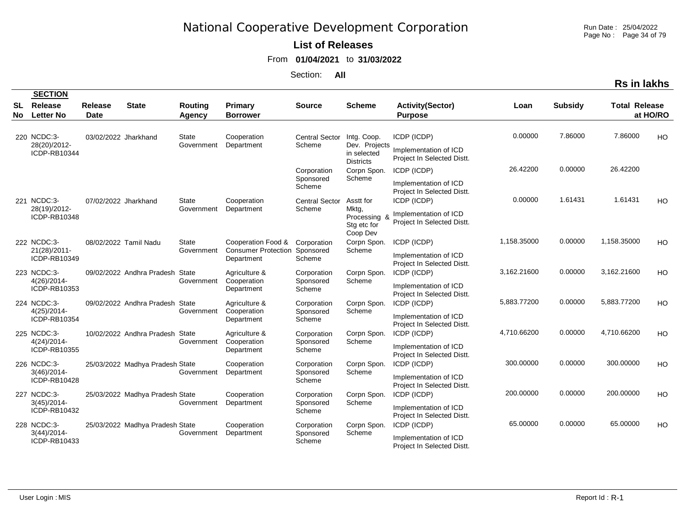Run Date : 25/04/2022 Page No : Page 34 of 79

#### **List of Releases**

From **01/04/2021** to **31/03/2022**

Section: **All**

**Rs in lakhs**

|          | <b>SECTION</b>                                |                        |                                 |                            |                                                                |                                    |                                         |                                                     |             |                |                      |           |
|----------|-----------------------------------------------|------------------------|---------------------------------|----------------------------|----------------------------------------------------------------|------------------------------------|-----------------------------------------|-----------------------------------------------------|-------------|----------------|----------------------|-----------|
| SL<br>No | Release<br><b>Letter No</b>                   | Release<br><b>Date</b> | <b>State</b>                    | Routing<br>Agency          | <b>Primary</b><br><b>Borrower</b>                              | <b>Source</b>                      | <b>Scheme</b>                           | <b>Activity(Sector)</b><br><b>Purpose</b>           | Loan        | <b>Subsidy</b> | <b>Total Release</b> | at HO/RO  |
|          | 220 NCDC:3-<br>28(20)/2012-                   | 03/02/2022 Jharkhand   |                                 | <b>State</b><br>Government | Cooperation<br>Department                                      | <b>Central Sector</b><br>Scheme    | Intg. Coop.<br>Dev. Projects            | ICDP (ICDP)                                         | 0.00000     | 7.86000        | 7.86000              | HO        |
|          | ICDP-RB10344                                  |                        |                                 |                            |                                                                |                                    | in selected<br><b>Districts</b>         | Implementation of ICD<br>Project In Selected Distt. |             |                |                      |           |
|          |                                               |                        |                                 |                            |                                                                | Corporation<br>Sponsored           | Corpn Spon.<br>Scheme                   | ICDP (ICDP)                                         | 26.42200    | 0.00000        | 26.42200             |           |
|          |                                               |                        |                                 |                            |                                                                | Scheme                             |                                         | Implementation of ICD<br>Project In Selected Distt. |             |                |                      |           |
|          | 221 NCDC:3-<br>28(19)/2012-                   | 07/02/2022 Jharkhand   |                                 | <b>State</b><br>Government | Cooperation<br>Department                                      | <b>Central Sector</b><br>Scheme    | Asstt for<br>Mktg,                      | ICDP (ICDP)                                         | 0.00000     | 1.61431        | 1.61431              | HO        |
|          | ICDP-RB10348                                  |                        |                                 |                            |                                                                |                                    | Processing &<br>Stg etc for<br>Coop Dev | Implementation of ICD<br>Project In Selected Distt. |             |                |                      |           |
|          | 222 NCDC:3-<br>21(28)/2011-                   |                        | 08/02/2022 Tamil Nadu           | State<br>Government        | Cooperation Food &<br><b>Consumer Protection</b><br>Department | Corporation<br>Sponsored<br>Scheme | Corpn Spon.<br>Scheme                   | ICDP (ICDP)                                         | 1,158.35000 | 0.00000        | 1,158.35000          | HO        |
|          | ICDP-RB10349                                  |                        |                                 |                            |                                                                |                                    |                                         | Implementation of ICD<br>Project In Selected Distt. |             |                |                      |           |
|          | 223 NCDC:3-<br>$4(26)/2014$ -<br>ICDP-RB10353 |                        | 09/02/2022 Andhra Pradesh       | State<br>Government        | Agriculture &<br>Cooperation                                   | Corporation<br>Sponsored<br>Scheme | Corpn Spon.<br>Scheme                   | ICDP (ICDP)                                         | 3,162.21600 | 0.00000        | 3,162.21600          | HO        |
|          |                                               |                        |                                 |                            | Department                                                     |                                    |                                         | Implementation of ICD<br>Project In Selected Distt. |             |                |                      |           |
|          | 224 NCDC:3-<br>$4(25)/2014$ -                 |                        | 09/02/2022 Andhra Pradesh       | State<br>Government        | Agriculture &<br>Cooperation                                   | Corporation<br>Sponsored           | Corpn Spon.<br>Scheme                   | ICDP (ICDP)                                         | 5,883.77200 | 0.00000        | 5,883.77200          | HO        |
|          | ICDP-RB10354                                  |                        |                                 |                            | Department                                                     | Scheme                             |                                         | Implementation of ICD<br>Project In Selected Distt. |             |                |                      |           |
|          | 225 NCDC:3-<br>$4(24)/2014$ -                 |                        | 10/02/2022 Andhra Pradesh       | State<br>Government        | Agriculture &<br>Cooperation                                   | Corporation<br>Sponsored           | Corpn Spon.<br>Scheme                   | ICDP (ICDP)                                         | 4,710.66200 | 0.00000        | 4,710.66200          | <b>HO</b> |
|          | ICDP-RB10355                                  |                        |                                 |                            | Department                                                     | Scheme                             |                                         | Implementation of ICD<br>Project In Selected Distt. |             |                |                      |           |
|          | 226 NCDC:3-<br>$3(46)/2014$ -                 |                        | 25/03/2022 Madhya Pradesh State | Government                 | Cooperation<br>Department                                      | Corporation<br>Sponsored           | Corpn Spon.<br>Scheme                   | ICDP (ICDP)                                         | 300.00000   | 0.00000        | 300.00000            | HO        |
|          | ICDP-RB10428                                  |                        |                                 |                            |                                                                | Scheme                             |                                         | Implementation of ICD<br>Project In Selected Distt. |             |                |                      |           |
|          | 227 NCDC:3-<br>$3(45)/2014$ -                 |                        | 25/03/2022 Madhya Pradesh State | Government                 | Cooperation<br>Department                                      | Corporation<br>Sponsored           | Corpn Spon.<br>Scheme                   | ICDP (ICDP)                                         | 200.00000   | 0.00000        | 200.00000            | HO        |
|          | ICDP-RB10432                                  |                        |                                 |                            |                                                                | Scheme                             |                                         | Implementation of ICD<br>Project In Selected Distt. |             |                |                      |           |
|          | 228 NCDC:3-<br>$3(44)/2014$ -                 |                        | 25/03/2022 Madhya Pradesh State | Government                 | Cooperation<br>Department                                      | Corporation<br>Sponsored           | Corpn Spon.<br>Scheme                   | ICDP (ICDP)                                         | 65.00000    | 0.00000        | 65.00000             | HO        |
|          | ICDP-RB10433                                  |                        |                                 |                            |                                                                | Scheme                             |                                         | Implementation of ICD<br>Project In Selected Distt. |             |                |                      |           |

**SECTION**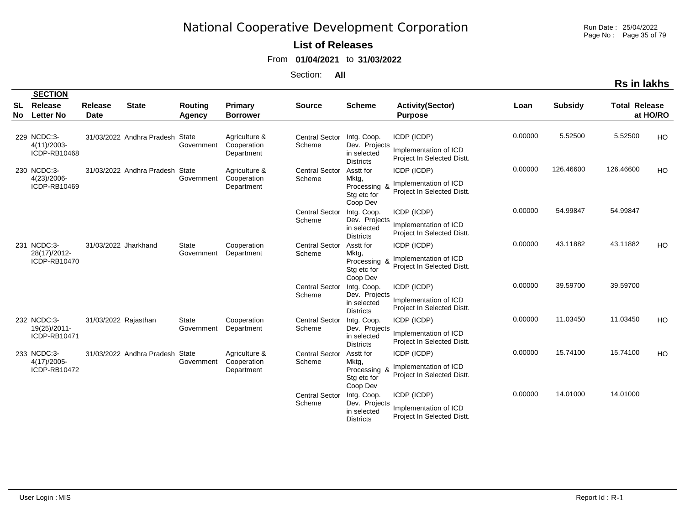Run Date : 25/04/2022 Page No : Page 35 of 79

### **List of Releases**

From **01/04/2021** to **31/03/2022**

Section: **All**

|          | <b>SECTION</b>                                |                               |                                 |                            |                                            |                                 |                                                                 |                                                                    |         |                |                      |          |
|----------|-----------------------------------------------|-------------------------------|---------------------------------|----------------------------|--------------------------------------------|---------------------------------|-----------------------------------------------------------------|--------------------------------------------------------------------|---------|----------------|----------------------|----------|
| SL<br>No | Release<br><b>Letter No</b>                   | <b>Release</b><br><b>Date</b> | <b>State</b>                    | Routing<br>Agency          | Primary<br><b>Borrower</b>                 | <b>Source</b>                   | <b>Scheme</b>                                                   | <b>Activity(Sector)</b><br><b>Purpose</b>                          | Loan    | <b>Subsidy</b> | <b>Total Release</b> | at HO/RO |
|          | 229 NCDC:3-<br>$4(11)/2003$ -<br>ICDP-RB10468 |                               | 31/03/2022 Andhra Pradesh State | Government                 | Agriculture &<br>Cooperation<br>Department | <b>Central Sector</b><br>Scheme | Intg. Coop.<br>Dev. Projects<br>in selected<br><b>Districts</b> | ICDP (ICDP)<br>Implementation of ICD<br>Project In Selected Distt. | 0.00000 | 5.52500        | 5.52500              | HO       |
|          | 230 NCDC:3-<br>4(23)/2006-<br>ICDP-RB10469    |                               | 31/03/2022 Andhra Pradesh State | Government                 | Agriculture &<br>Cooperation<br>Department | <b>Central Sector</b><br>Scheme | Asstt for<br>Mktg,<br>Processing 8<br>Stg etc for<br>Coop Dev   | ICDP (ICDP)<br>Implementation of ICD<br>Project In Selected Distt. | 0.00000 | 126.46600      | 126.46600            | HO       |
|          |                                               |                               |                                 |                            |                                            | <b>Central Sector</b><br>Scheme | Intg. Coop.<br>Dev. Projects<br>in selected<br><b>Districts</b> | ICDP (ICDP)<br>Implementation of ICD<br>Project In Selected Distt. | 0.00000 | 54.99847       | 54.99847             |          |
|          | 231 NCDC:3-<br>28(17)/2012-<br>ICDP-RB10470   | 31/03/2022 Jharkhand          |                                 | <b>State</b><br>Government | Cooperation<br>Department                  | <b>Central Sector</b><br>Scheme | Asstt for<br>Mktg,<br>Processing &<br>Stg etc for<br>Coop Dev   | ICDP (ICDP)<br>Implementation of ICD<br>Project In Selected Distt. | 0.00000 | 43.11882       | 43.11882             | HO       |
|          |                                               |                               |                                 |                            |                                            | <b>Central Sector</b><br>Scheme | Intg. Coop.<br>Dev. Projects<br>in selected<br><b>Districts</b> | ICDP (ICDP)<br>Implementation of ICD<br>Project In Selected Distt. | 0.00000 | 39.59700       | 39.59700             |          |
|          | 232 NCDC:3-<br>19(25)/2011-<br>ICDP-RB10471   | 31/03/2022 Rajasthan          |                                 | <b>State</b><br>Government | Cooperation<br>Department                  | <b>Central Sector</b><br>Scheme | Intg. Coop.<br>Dev. Projects<br>in selected<br><b>Districts</b> | ICDP (ICDP)<br>Implementation of ICD<br>Project In Selected Distt. | 0.00000 | 11.03450       | 11.03450             | HO       |
|          | 233 NCDC:3-<br>$4(17)/2005$ -<br>ICDP-RB10472 |                               | 31/03/2022 Andhra Pradesh State | Government                 | Agriculture &<br>Cooperation<br>Department | <b>Central Sector</b><br>Scheme | Asstt for<br>Mktg,<br>Processing &<br>Stg etc for<br>Coop Dev   | ICDP (ICDP)<br>Implementation of ICD<br>Project In Selected Distt. | 0.00000 | 15.74100       | 15.74100             | HO       |
|          |                                               |                               |                                 |                            |                                            | <b>Central Sector</b><br>Scheme | Intg. Coop.<br>Dev. Projects<br>in selected<br><b>Districts</b> | ICDP (ICDP)<br>Implementation of ICD<br>Project In Selected Distt. | 0.00000 | 14.01000       | 14.01000             |          |

**SECTION**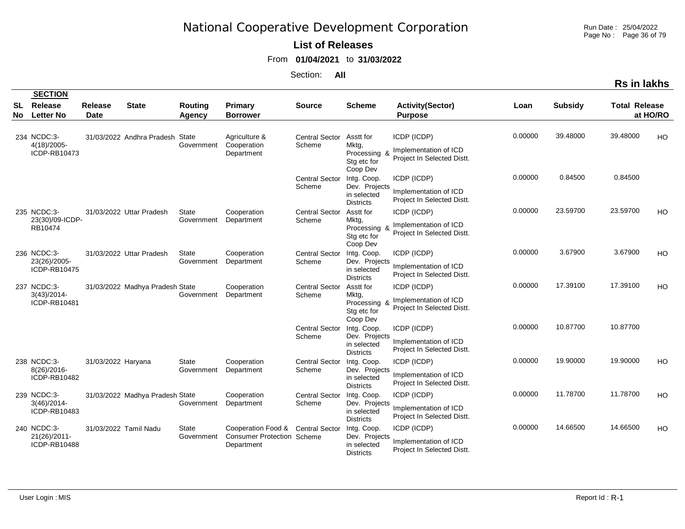Run Date : 25/04/2022 Page No : Page 36 of 79

#### **List of Releases**

From **01/04/2021** to **31/03/2022**

|           |                                               |                               |                                 |                                 |                                                                                      |                                 |                                                                 |                                                                    |         |                | Rs in lakhs                      |    |
|-----------|-----------------------------------------------|-------------------------------|---------------------------------|---------------------------------|--------------------------------------------------------------------------------------|---------------------------------|-----------------------------------------------------------------|--------------------------------------------------------------------|---------|----------------|----------------------------------|----|
|           | <b>SECTION</b>                                |                               |                                 |                                 |                                                                                      |                                 |                                                                 |                                                                    |         |                |                                  |    |
| SL<br>No. | Release<br><b>Letter No</b>                   | <b>Release</b><br><b>Date</b> | <b>State</b>                    | <b>Routing</b><br><b>Agency</b> | <b>Primary</b><br><b>Borrower</b>                                                    | <b>Source</b>                   | <b>Scheme</b>                                                   | <b>Activity(Sector)</b><br><b>Purpose</b>                          | Loan    | <b>Subsidy</b> | <b>Total Release</b><br>at HO/RO |    |
|           | 234 NCDC:3-<br>4(18)/2005-<br>ICDP-RB10473    |                               | 31/03/2022 Andhra Pradesh       | State<br>Government             | Agriculture &<br>Cooperation<br>Department                                           | <b>Central Sector</b><br>Scheme | Asstt for<br>Mktg,<br>Processing &<br>Stg etc for<br>Coop Dev   | ICDP (ICDP)<br>Implementation of ICD<br>Project In Selected Distt. | 0.00000 | 39.48000       | 39.48000                         | HO |
|           |                                               |                               |                                 |                                 |                                                                                      | <b>Central Sector</b><br>Scheme | Intg. Coop.<br>Dev. Projects<br>in selected<br><b>Districts</b> | ICDP (ICDP)<br>Implementation of ICD<br>Project In Selected Distt. | 0.00000 | 0.84500        | 0.84500                          |    |
|           | 235 NCDC:3-<br>23(30)/09-ICDP-<br>RB10474     |                               | 31/03/2022 Uttar Pradesh        | <b>State</b><br>Government      | Cooperation<br>Department                                                            | <b>Central Sector</b><br>Scheme | Asstt for<br>Mktg,<br>Processing<br>Stg etc for<br>Coop Dev     | ICDP (ICDP)<br>Implementation of ICD<br>Project In Selected Distt. | 0.00000 | 23.59700       | 23.59700                         | HO |
|           | 236 NCDC:3-<br>23(26)/2005-<br>ICDP-RB10475   |                               | 31/03/2022 Uttar Pradesh        | State<br>Government             | Cooperation<br>Department                                                            | <b>Central Sector</b><br>Scheme | Intg. Coop.<br>Dev. Projects<br>in selected<br><b>Districts</b> | ICDP (ICDP)<br>Implementation of ICD<br>Project In Selected Distt. | 0.00000 | 3.67900        | 3.67900                          | HO |
|           | 237 NCDC:3-<br>$3(43)/2014$ -<br>ICDP-RB10481 |                               | 31/03/2022 Madhya Pradesh State | Government                      | Cooperation<br>Department                                                            | <b>Central Sector</b><br>Scheme | Asstt for<br>Mktg,<br>Processing &<br>Stg etc for<br>Coop Dev   | ICDP (ICDP)<br>Implementation of ICD<br>Project In Selected Distt. | 0.00000 | 17.39100       | 17.39100                         | HO |
|           |                                               |                               |                                 |                                 |                                                                                      | <b>Central Sector</b><br>Scheme | Intg. Coop.<br>Dev. Projects<br>in selected<br><b>Districts</b> | ICDP (ICDP)<br>Implementation of ICD<br>Project In Selected Distt. | 0.00000 | 10.87700       | 10.87700                         |    |
|           | 238 NCDC:3-<br>8(26)/2016-<br>ICDP-RB10482    | 31/03/2022 Haryana            |                                 | <b>State</b><br>Government      | Cooperation<br>Department                                                            | <b>Central Sector</b><br>Scheme | Intg. Coop.<br>Dev. Projects<br>in selected<br><b>Districts</b> | ICDP (ICDP)<br>Implementation of ICD<br>Project In Selected Distt. | 0.00000 | 19.90000       | 19.90000                         | HO |
|           | 239 NCDC:3-<br>$3(46)/2014$ -<br>ICDP-RB10483 |                               | 31/03/2022 Madhya Pradesh State | Government                      | Cooperation<br>Department                                                            | <b>Central Sector</b><br>Scheme | Intg. Coop.<br>Dev. Projects<br>in selected<br><b>Districts</b> | ICDP (ICDP)<br>Implementation of ICD<br>Project In Selected Distt. | 0.00000 | 11.78700       | 11.78700                         | HO |
|           | 240 NCDC:3-<br>21(26)/2011-<br>ICDP-RB10488   |                               | 31/03/2022 Tamil Nadu           | State<br>Government             | Cooperation Food & Central Sector<br><b>Consumer Protection Scheme</b><br>Department |                                 | Intg. Coop.<br>Dev. Projects<br>in selected<br><b>Districts</b> | ICDP (ICDP)<br>Implementation of ICD<br>Project In Selected Distt. | 0.00000 | 14.66500       | 14.66500                         | HO |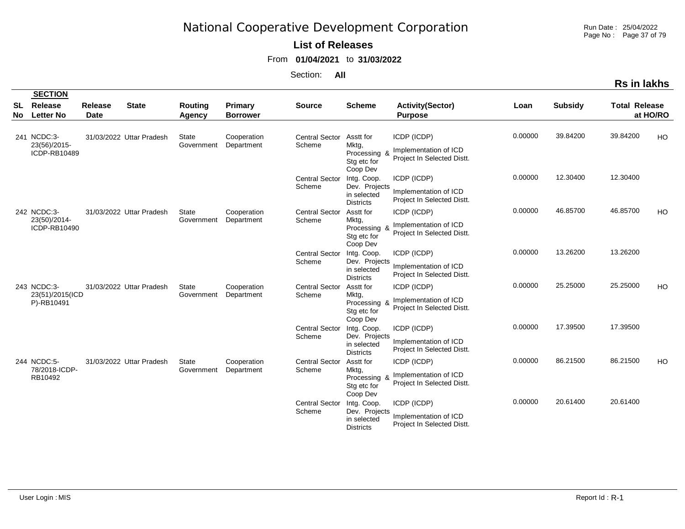Run Date : 25/04/2022 Page No : Page 37 of 79

### **List of Releases**

From **01/04/2021** to **31/03/2022**

|  | Rs in lakhs |  |
|--|-------------|--|
|  |             |  |

|            | <b>SECTION</b>                               |                               |                          |                            |                            |                                 |                                                                 |                                                                    |         |                |                      |          |
|------------|----------------------------------------------|-------------------------------|--------------------------|----------------------------|----------------------------|---------------------------------|-----------------------------------------------------------------|--------------------------------------------------------------------|---------|----------------|----------------------|----------|
| SL<br>No l | Release<br><b>Letter No</b>                  | <b>Release</b><br><b>Date</b> | <b>State</b>             | Routing<br>Agency          | Primary<br><b>Borrower</b> | <b>Source</b>                   | <b>Scheme</b>                                                   | <b>Activity(Sector)</b><br><b>Purpose</b>                          | Loan    | <b>Subsidy</b> | <b>Total Release</b> | at HO/RO |
|            | 241 NCDC:3-<br>23(56)/2015-<br>ICDP-RB10489  |                               | 31/03/2022 Uttar Pradesh | <b>State</b><br>Government | Cooperation<br>Department  | <b>Central Sector</b><br>Scheme | Asstt for<br>Mktg,<br>Processing &<br>Stg etc for<br>Coop Dev   | ICDP (ICDP)<br>Implementation of ICD<br>Project In Selected Distt. | 0.00000 | 39.84200       | 39.84200             | HO       |
|            |                                              |                               |                          |                            |                            | <b>Central Sector</b><br>Scheme | Intg. Coop.<br>Dev. Projects<br>in selected<br><b>Districts</b> | ICDP (ICDP)<br>Implementation of ICD<br>Project In Selected Distt. | 0.00000 | 12.30400       | 12.30400             |          |
|            | 242 NCDC:3-<br>23(50)/2014-<br>ICDP-RB10490  |                               | 31/03/2022 Uttar Pradesh | <b>State</b><br>Government | Cooperation<br>Department  | <b>Central Sector</b><br>Scheme | Asstt for<br>Mktg,<br>Processing &<br>Stg etc for<br>Coop Dev   | ICDP (ICDP)<br>Implementation of ICD<br>Project In Selected Distt. | 0.00000 | 46.85700       | 46.85700             | HO       |
|            |                                              |                               |                          |                            |                            | <b>Central Sector</b><br>Scheme | Intg. Coop.<br>Dev. Projects<br>in selected<br><b>Districts</b> | ICDP (ICDP)<br>Implementation of ICD<br>Project In Selected Distt. | 0.00000 | 13.26200       | 13.26200             |          |
|            | 243 NCDC:3-<br>23(51)/2015(ICD<br>P)-RB10491 |                               | 31/03/2022 Uttar Pradesh | <b>State</b><br>Government | Cooperation<br>Department  | <b>Central Sector</b><br>Scheme | Asstt for<br>Mktg,<br>Processing &<br>Stg etc for<br>Coop Dev   | ICDP (ICDP)<br>Implementation of ICD<br>Project In Selected Distt. | 0.00000 | 25.25000       | 25.25000             | HO       |
|            |                                              |                               |                          |                            |                            | <b>Central Sector</b><br>Scheme | Intg. Coop.<br>Dev. Projects<br>in selected<br><b>Districts</b> | ICDP (ICDP)<br>Implementation of ICD<br>Project In Selected Distt. | 0.00000 | 17.39500       | 17.39500             |          |
|            | 244 NCDC:5-<br>78/2018-ICDP-<br>RB10492      |                               | 31/03/2022 Uttar Pradesh | <b>State</b><br>Government | Cooperation<br>Department  | <b>Central Sector</b><br>Scheme | Asstt for<br>Mktg,<br>Processing &<br>Stg etc for<br>Coop Dev   | ICDP (ICDP)<br>Implementation of ICD<br>Project In Selected Distt. | 0.00000 | 86.21500       | 86.21500             | HO       |
|            |                                              |                               |                          |                            |                            | <b>Central Sector</b><br>Scheme | Intg. Coop.<br>Dev. Projects<br>in selected<br><b>Districts</b> | ICDP (ICDP)<br>Implementation of ICD<br>Project In Selected Distt. | 0.00000 | 20.61400       | 20.61400             |          |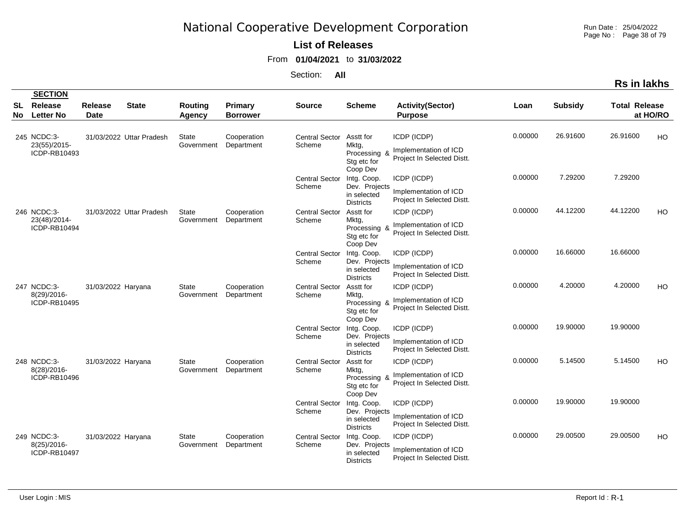Run Date : 25/04/2022 Page No : Page 38 of 79

### **List of Releases**

From **01/04/2021** to **31/03/2022**

|                 | <b>SECTION</b>                                |                        |                          |                            |                            |                                 |                                                                 |                                                                    |         |                |                      |          |
|-----------------|-----------------------------------------------|------------------------|--------------------------|----------------------------|----------------------------|---------------------------------|-----------------------------------------------------------------|--------------------------------------------------------------------|---------|----------------|----------------------|----------|
| <b>SL</b><br>No | Release<br><b>Letter No</b>                   | Release<br><b>Date</b> | <b>State</b>             | <b>Routing</b><br>Agency   | Primary<br><b>Borrower</b> | <b>Source</b>                   | <b>Scheme</b>                                                   | <b>Activity(Sector)</b><br><b>Purpose</b>                          | Loan    | <b>Subsidy</b> | <b>Total Release</b> | at HO/RO |
|                 | 245 NCDC:3-<br>23(55)/2015-<br>ICDP-RB10493   |                        | 31/03/2022 Uttar Pradesh | State<br>Government        | Cooperation<br>Department  | <b>Central Sector</b><br>Scheme | Asstt for<br>Mktg,<br>Processing 8<br>Stg etc for<br>Coop Dev   | ICDP (ICDP)<br>Implementation of ICD<br>Project In Selected Distt. | 0.00000 | 26.91600       | 26.91600             | HO       |
|                 |                                               |                        |                          |                            |                            | <b>Central Sector</b><br>Scheme | Intg. Coop.<br>Dev. Projects<br>in selected<br><b>Districts</b> | ICDP (ICDP)<br>Implementation of ICD<br>Project In Selected Distt. | 0.00000 | 7.29200        | 7.29200              |          |
|                 | 246 NCDC:3-<br>23(48)/2014-<br>ICDP-RB10494   |                        | 31/03/2022 Uttar Pradesh | <b>State</b><br>Government | Cooperation<br>Department  | <b>Central Sector</b><br>Scheme | Asstt for<br>Mktg,<br>Processing 8<br>Stg etc for<br>Coop Dev   | ICDP (ICDP)<br>Implementation of ICD<br>Project In Selected Distt. | 0.00000 | 44.12200       | 44.12200             | HO       |
|                 |                                               |                        |                          |                            |                            | <b>Central Sector</b><br>Scheme | Intg. Coop.<br>Dev. Projects<br>in selected<br><b>Districts</b> | ICDP (ICDP)<br>Implementation of ICD<br>Project In Selected Distt. | 0.00000 | 16.66000       | 16.66000             |          |
|                 | 247 NCDC:3-<br>8(29)/2016-<br>ICDP-RB10495    | 31/03/2022 Haryana     |                          | State<br>Government        | Cooperation<br>Department  | <b>Central Sector</b><br>Scheme | Asstt for<br>Mktg,<br>Processing 8<br>Stg etc for<br>Coop Dev   | ICDP (ICDP)<br>Implementation of ICD<br>Project In Selected Distt. | 0.00000 | 4.20000        | 4.20000              | HO       |
|                 |                                               |                        |                          |                            |                            | <b>Central Sector</b><br>Scheme | Intg. Coop.<br>Dev. Projects<br>in selected<br><b>Districts</b> | ICDP (ICDP)<br>Implementation of ICD<br>Project In Selected Distt. | 0.00000 | 19.90000       | 19.90000             |          |
|                 | 248 NCDC:3-<br>8(28)/2016-<br>ICDP-RB10496    | 31/03/2022 Haryana     |                          | State<br>Government        | Cooperation<br>Department  | <b>Central Sector</b><br>Scheme | Asstt for<br>Mktg,<br>Processing 8<br>Stg etc for<br>Coop Dev   | ICDP (ICDP)<br>Implementation of ICD<br>Project In Selected Distt. | 0.00000 | 5.14500        | 5.14500              | HO       |
|                 |                                               |                        |                          |                            |                            | Central Sector<br>Scheme        | Intg. Coop.<br>Dev. Projects<br>in selected<br><b>Districts</b> | ICDP (ICDP)<br>Implementation of ICD<br>Project In Selected Distt. | 0.00000 | 19.90000       | 19.90000             |          |
|                 | 249 NCDC:3-<br>$8(25)/2016$ -<br>ICDP-RB10497 | 31/03/2022 Haryana     |                          | State<br>Government        | Cooperation<br>Department  | <b>Central Sector</b><br>Scheme | Intg. Coop.<br>Dev. Projects<br>in selected<br><b>Districts</b> | ICDP (ICDP)<br>Implementation of ICD<br>Project In Selected Distt. | 0.00000 | 29.00500       | 29.00500             | HO       |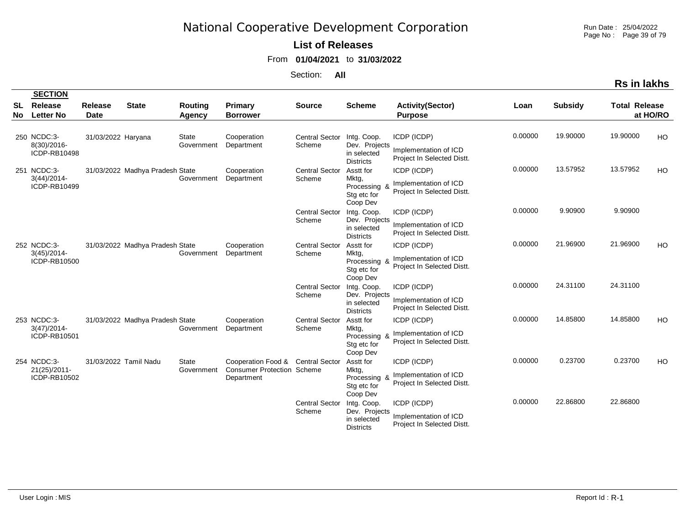Run Date : 25/04/2022 Page No : Page 39 of 79

#### **List of Releases**

From **01/04/2021** to **31/03/2022**

Section: **All**

|          | <b>SECTION</b>                                |                               |                                 |                            |                                                                       |                                 |                                                                 |                                                                    |         |                |                      |           |
|----------|-----------------------------------------------|-------------------------------|---------------------------------|----------------------------|-----------------------------------------------------------------------|---------------------------------|-----------------------------------------------------------------|--------------------------------------------------------------------|---------|----------------|----------------------|-----------|
| SL<br>No | Release<br><b>Letter No</b>                   | <b>Release</b><br><b>Date</b> | <b>State</b>                    | <b>Routing</b><br>Agency   | Primary<br><b>Borrower</b>                                            | <b>Source</b>                   | <b>Scheme</b>                                                   | <b>Activity(Sector)</b><br><b>Purpose</b>                          | Loan    | <b>Subsidy</b> | <b>Total Release</b> | at HO/RO  |
|          | 250 NCDC:3-<br>8(30)/2016-<br>ICDP-RB10498    | 31/03/2022 Haryana            |                                 | <b>State</b><br>Government | Cooperation<br>Department                                             | <b>Central Sector</b><br>Scheme | Intg. Coop.<br>Dev. Projects<br>in selected<br><b>Districts</b> | ICDP (ICDP)<br>Implementation of ICD<br>Project In Selected Distt. | 0.00000 | 19.90000       | 19.90000             | HO        |
|          | 251 NCDC:3-<br>$3(44)/2014$ -<br>ICDP-RB10499 |                               | 31/03/2022 Madhya Pradesh State | Government                 | Cooperation<br>Department                                             | <b>Central Sector</b><br>Scheme | Asstt for<br>Mktg,<br>Processing 8<br>Stg etc for<br>Coop Dev   | ICDP (ICDP)<br>Implementation of ICD<br>Project In Selected Distt. | 0.00000 | 13.57952       | 13.57952             | <b>HO</b> |
|          |                                               |                               |                                 |                            |                                                                       | <b>Central Sector</b><br>Scheme | Intg. Coop.<br>Dev. Projects<br>in selected<br><b>Districts</b> | ICDP (ICDP)<br>Implementation of ICD<br>Project In Selected Distt. | 0.00000 | 9.90900        | 9.90900              |           |
|          | 252 NCDC:3-<br>$3(45)/2014$ -<br>ICDP-RB10500 |                               | 31/03/2022 Madhya Pradesh State | Government                 | Cooperation<br>Department                                             | <b>Central Sector</b><br>Scheme | Asstt for<br>Mktg,<br>Processing 8<br>Stg etc for<br>Coop Dev   | ICDP (ICDP)<br>Implementation of ICD<br>Project In Selected Distt. | 0.00000 | 21.96900       | 21.96900             | HO        |
|          |                                               |                               |                                 |                            |                                                                       | <b>Central Sector</b><br>Scheme | Intg. Coop.<br>Dev. Projects<br>in selected<br><b>Districts</b> | ICDP (ICDP)<br>Implementation of ICD<br>Project In Selected Distt. | 0.00000 | 24.31100       | 24.31100             |           |
|          | 253 NCDC:3-<br>$3(47)/2014$ -<br>ICDP-RB10501 |                               | 31/03/2022 Madhya Pradesh State | Government                 | Cooperation<br>Department                                             | <b>Central Sector</b><br>Scheme | Asstt for<br>Mktg,<br>Processing &<br>Stg etc for<br>Coop Dev   | ICDP (ICDP)<br>Implementation of ICD<br>Project In Selected Distt. | 0.00000 | 14.85800       | 14.85800             | HO        |
|          | 254 NCDC:3-<br>21(25)/2011-<br>ICDP-RB10502   | 31/03/2022 Tamil Nadu         |                                 | <b>State</b><br>Government | Cooperation Food &<br><b>Consumer Protection Scheme</b><br>Department | <b>Central Sector</b>           | Asstt for<br>Mktg,<br>Processing 8<br>Stg etc for<br>Coop Dev   | ICDP (ICDP)<br>Implementation of ICD<br>Project In Selected Distt. | 0.00000 | 0.23700        | 0.23700              | HO.       |
|          |                                               |                               |                                 |                            |                                                                       | <b>Central Sector</b><br>Scheme | Intg. Coop.<br>Dev. Projects<br>in selected<br><b>Districts</b> | ICDP (ICDP)<br>Implementation of ICD<br>Project In Selected Distt. | 0.00000 | 22.86800       | 22.86800             |           |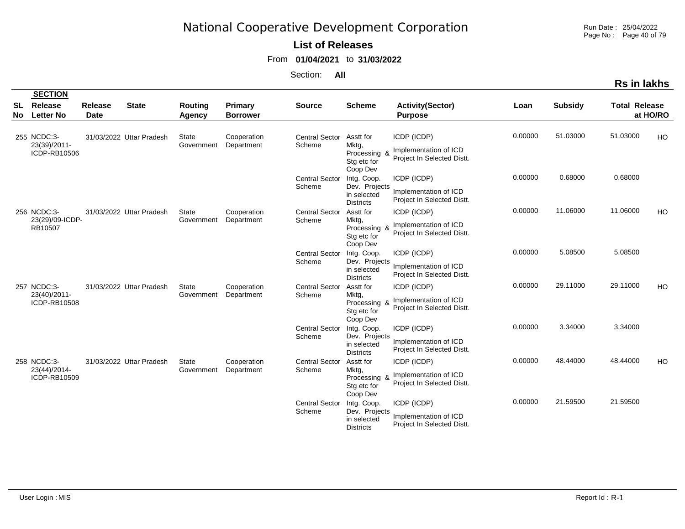Run Date : 25/04/2022 Page No : Page 40 of 79

**Rs in lakhs**

### **List of Releases**

From **01/04/2021** to **31/03/2022**

|                  | <b>SECTION</b>                              |                               |                          |                            |                            |                                 |                                                                 |                                                                    |         |                |                      |           |
|------------------|---------------------------------------------|-------------------------------|--------------------------|----------------------------|----------------------------|---------------------------------|-----------------------------------------------------------------|--------------------------------------------------------------------|---------|----------------|----------------------|-----------|
| <b>SL</b><br>No. | Release<br><b>Letter No</b>                 | <b>Release</b><br><b>Date</b> | <b>State</b>             | <b>Routing</b><br>Agency   | Primary<br><b>Borrower</b> | <b>Source</b>                   | <b>Scheme</b>                                                   | <b>Activity(Sector)</b><br><b>Purpose</b>                          | Loan    | <b>Subsidy</b> | <b>Total Release</b> | at HO/RO  |
|                  | 255 NCDC:3-<br>23(39)/2011-<br>ICDP-RB10506 |                               | 31/03/2022 Uttar Pradesh | <b>State</b><br>Government | Cooperation<br>Department  | <b>Central Sector</b><br>Scheme | Asstt for<br>Mktg,<br>Processing &<br>Stg etc for<br>Coop Dev   | ICDP (ICDP)<br>Implementation of ICD<br>Project In Selected Distt. | 0.00000 | 51.03000       | 51.03000             | HO        |
|                  |                                             |                               |                          |                            |                            | <b>Central Sector</b><br>Scheme | Intg. Coop.<br>Dev. Projects<br>in selected<br><b>Districts</b> | ICDP (ICDP)<br>Implementation of ICD<br>Project In Selected Distt. | 0.00000 | 0.68000        | 0.68000              |           |
|                  | 256 NCDC:3-<br>23(29)/09-ICDP-<br>RB10507   |                               | 31/03/2022 Uttar Pradesh | <b>State</b><br>Government | Cooperation<br>Department  | <b>Central Sector</b><br>Scheme | Asstt for<br>Mktg,<br>Processing &<br>Stg etc for<br>Coop Dev   | ICDP (ICDP)<br>Implementation of ICD<br>Project In Selected Distt. | 0.00000 | 11.06000       | 11.06000             | HO        |
|                  |                                             |                               |                          |                            |                            | <b>Central Sector</b><br>Scheme | Intg. Coop.<br>Dev. Projects<br>in selected<br><b>Districts</b> | ICDP (ICDP)<br>Implementation of ICD<br>Project In Selected Distt. | 0.00000 | 5.08500        | 5.08500              |           |
|                  | 257 NCDC:3-<br>23(40)/2011-<br>ICDP-RB10508 |                               | 31/03/2022 Uttar Pradesh | <b>State</b><br>Government | Cooperation<br>Department  | <b>Central Sector</b><br>Scheme | Asstt for<br>Mktg,<br>Processing &<br>Stg etc for<br>Coop Dev   | ICDP (ICDP)<br>Implementation of ICD<br>Project In Selected Distt. | 0.00000 | 29.11000       | 29.11000             | HO        |
|                  |                                             |                               |                          |                            |                            | <b>Central Sector</b><br>Scheme | Intg. Coop.<br>Dev. Projects<br>in selected<br><b>Districts</b> | ICDP (ICDP)<br>Implementation of ICD<br>Project In Selected Distt. | 0.00000 | 3.34000        | 3.34000              |           |
|                  | 258 NCDC:3-<br>23(44)/2014-<br>ICDP-RB10509 |                               | 31/03/2022 Uttar Pradesh | <b>State</b><br>Government | Cooperation<br>Department  | <b>Central Sector</b><br>Scheme | Asstt for<br>Mktg,<br>Processing &<br>Stg etc for<br>Coop Dev   | ICDP (ICDP)<br>Implementation of ICD<br>Project In Selected Distt. | 0.00000 | 48.44000       | 48.44000             | <b>HO</b> |
|                  |                                             |                               |                          |                            |                            | <b>Central Sector</b><br>Scheme | Intg. Coop.<br>Dev. Projects<br>in selected<br><b>Districts</b> | ICDP (ICDP)<br>Implementation of ICD<br>Project In Selected Distt. | 0.00000 | 21.59500       | 21.59500             |           |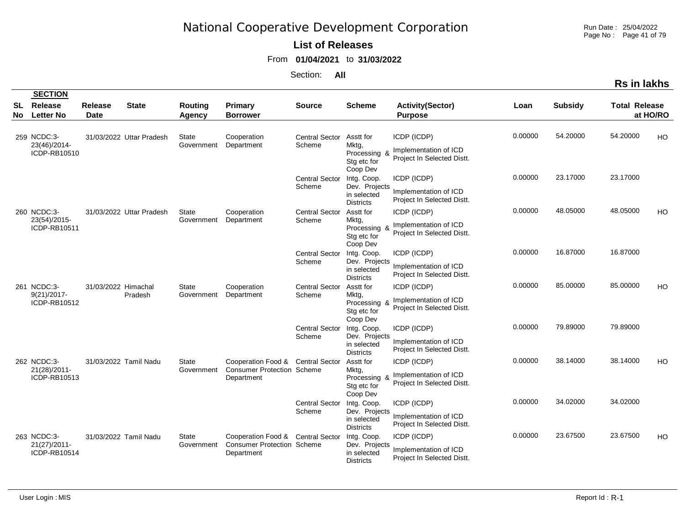Run Date : 25/04/2022 Page No : Page 41 of 79

**Rs in lakhs**

### **List of Releases**

From **01/04/2021** to **31/03/2022**

Section: **All**

| <b>SL</b><br>No. | <b>Release</b><br><b>Letter No</b>            | <b>Release</b><br><b>Date</b> | <b>State</b>             | Routing<br>Agency          | Primary<br><b>Borrower</b>                                                           | <b>Source</b>                   | <b>Scheme</b>                                                   | <b>Activity(Sector)</b><br><b>Purpose</b>                          | Loan    | <b>Subsidy</b> | <b>Total Release</b> | at HO/RO  |
|------------------|-----------------------------------------------|-------------------------------|--------------------------|----------------------------|--------------------------------------------------------------------------------------|---------------------------------|-----------------------------------------------------------------|--------------------------------------------------------------------|---------|----------------|----------------------|-----------|
|                  | 259 NCDC:3-<br>23(46)/2014-<br>ICDP-RB10510   |                               | 31/03/2022 Uttar Pradesh | <b>State</b><br>Government | Cooperation<br>Department                                                            | <b>Central Sector</b><br>Scheme | Asstt for<br>Mktg,<br>Processing &<br>Stg etc for<br>Coop Dev   | ICDP (ICDP)<br>Implementation of ICD<br>Project In Selected Distt. | 0.00000 | 54.20000       | 54.20000             | HO        |
|                  |                                               |                               |                          |                            |                                                                                      | <b>Central Sector</b><br>Scheme | Intg. Coop.<br>Dev. Projects<br>in selected<br><b>Districts</b> | ICDP (ICDP)<br>Implementation of ICD<br>Project In Selected Distt. | 0.00000 | 23.17000       | 23.17000             |           |
|                  | 260 NCDC:3-<br>23(54)/2015-<br>ICDP-RB10511   |                               | 31/03/2022 Uttar Pradesh | <b>State</b><br>Government | Cooperation<br>Department                                                            | <b>Central Sector</b><br>Scheme | Asstt for<br>Mktg,<br>Processing &<br>Stg etc for<br>Coop Dev   | ICDP (ICDP)<br>Implementation of ICD<br>Project In Selected Distt. | 0.00000 | 48.05000       | 48.05000             | HO        |
|                  |                                               |                               |                          |                            |                                                                                      | <b>Central Sector</b><br>Scheme | Intg. Coop.<br>Dev. Projects<br>in selected<br><b>Districts</b> | ICDP (ICDP)<br>Implementation of ICD<br>Project In Selected Distt. | 0.00000 | 16.87000       | 16.87000             |           |
|                  | 261 NCDC:3-<br>$9(21)/2017$ -<br>ICDP-RB10512 | 31/03/2022 Himachal           | Pradesh                  | <b>State</b><br>Government | Cooperation<br>Department                                                            | <b>Central Sector</b><br>Scheme | Asstt for<br>Mktg,<br>Processing &<br>Stg etc for<br>Coop Dev   | ICDP (ICDP)<br>Implementation of ICD<br>Project In Selected Distt. | 0.00000 | 85.00000       | 85.00000             | HO        |
|                  |                                               |                               |                          |                            |                                                                                      | <b>Central Sector</b><br>Scheme | Intg. Coop.<br>Dev. Projects<br>in selected<br><b>Districts</b> | ICDP (ICDP)<br>Implementation of ICD<br>Project In Selected Distt. | 0.00000 | 79.89000       | 79.89000             |           |
|                  | 262 NCDC:3-<br>21(28)/2011-<br>ICDP-RB10513   | 31/03/2022 Tamil Nadu         |                          | <b>State</b><br>Government | Cooperation Food & Central Sector<br><b>Consumer Protection Scheme</b><br>Department |                                 | Asstt for<br>Mktg,<br>Processing &<br>Stg etc for<br>Coop Dev   | ICDP (ICDP)<br>Implementation of ICD<br>Project In Selected Distt. | 0.00000 | 38.14000       | 38.14000             | <b>HO</b> |
|                  |                                               |                               |                          |                            |                                                                                      | <b>Central Sector</b><br>Scheme | Intg. Coop.<br>Dev. Projects<br>in selected<br><b>Districts</b> | ICDP (ICDP)<br>Implementation of ICD<br>Project In Selected Distt. | 0.00000 | 34.02000       | 34.02000             |           |
|                  | 263 NCDC:3-<br>21(27)/2011-<br>ICDP-RB10514   | 31/03/2022 Tamil Nadu         |                          | State<br>Government        | Cooperation Food & Central Sector<br><b>Consumer Protection Scheme</b><br>Department |                                 | Intg. Coop.<br>Dev. Projects<br>in selected<br><b>Districts</b> | ICDP (ICDP)<br>Implementation of ICD<br>Project In Selected Distt. | 0.00000 | 23.67500       | 23.67500             | HO        |

 **SECTION**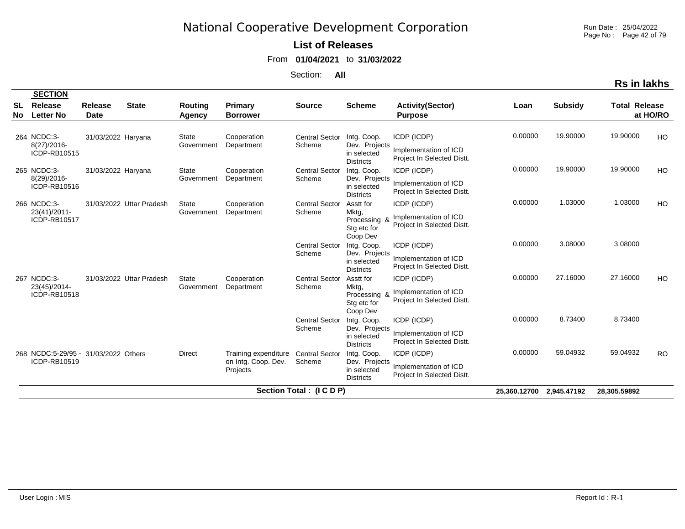Run Date : 25/04/2022 Page No : Page 42 of 79

### **List of Releases**

From **01/04/2021** to **31/03/2022**

Section: **All**

|                 | <b>SECTION</b>                                       |                        |                          |                            |                                                         |                                 |                                                                 |                                                                    |                          |                |                      |           |
|-----------------|------------------------------------------------------|------------------------|--------------------------|----------------------------|---------------------------------------------------------|---------------------------------|-----------------------------------------------------------------|--------------------------------------------------------------------|--------------------------|----------------|----------------------|-----------|
| SL<br><b>No</b> | Release<br><b>Letter No</b>                          | Release<br><b>Date</b> | <b>State</b>             | <b>Routing</b><br>Agency   | <b>Primary</b><br><b>Borrower</b>                       | <b>Source</b>                   | <b>Scheme</b>                                                   | <b>Activity(Sector)</b><br><b>Purpose</b>                          | Loan                     | <b>Subsidy</b> | <b>Total Release</b> | at HO/RO  |
|                 | 264 NCDC:3-<br>$8(27)/2016$ -<br>ICDP-RB10515        | 31/03/2022 Haryana     |                          | <b>State</b><br>Government | Cooperation<br>Department                               | <b>Central Sector</b><br>Scheme | Intg. Coop.<br>Dev. Projects<br>in selected<br><b>Districts</b> | ICDP (ICDP)<br>Implementation of ICD<br>Project In Selected Distt. | 0.00000                  | 19.90000       | 19.90000             | HO        |
|                 | 265 NCDC:3-<br>8(29)/2016-<br>ICDP-RB10516           | 31/03/2022 Haryana     |                          | <b>State</b><br>Government | Cooperation<br>Department                               | <b>Central Sector</b><br>Scheme | Intg. Coop.<br>Dev. Projects<br>in selected<br><b>Districts</b> | ICDP (ICDP)<br>Implementation of ICD<br>Project In Selected Distt. | 0.00000                  | 19.90000       | 19.90000             | HO        |
|                 | 266 NCDC:3-<br>23(41)/2011-<br>ICDP-RB10517          |                        | 31/03/2022 Uttar Pradesh | <b>State</b><br>Government | Cooperation<br>Department                               | <b>Central Sector</b><br>Scheme | Asstt for<br>Mktg,<br>Processing 8<br>Stg etc for<br>Coop Dev   | ICDP (ICDP)<br>Implementation of ICD<br>Project In Selected Distt. | 0.00000                  | 1.03000        | 1.03000              | HO        |
|                 |                                                      |                        |                          |                            |                                                         | Central Sector<br>Scheme        | Intg. Coop.<br>Dev. Projects<br>in selected<br><b>Districts</b> | ICDP (ICDP)<br>Implementation of ICD<br>Project In Selected Distt. | 0.00000                  | 3.08000        | 3.08000              |           |
|                 | 267 NCDC:3-<br>23(45)/2014-<br>ICDP-RB10518          |                        | 31/03/2022 Uttar Pradesh | State<br>Government        | Cooperation<br>Department                               | <b>Central Sector</b><br>Scheme | Asstt for<br>Mktg,<br>Processing &<br>Stg etc for<br>Coop Dev   | ICDP (ICDP)<br>Implementation of ICD<br>Project In Selected Distt. | 0.00000                  | 27.16000       | 27.16000             | HO        |
|                 |                                                      |                        |                          |                            |                                                         | <b>Central Sector</b><br>Scheme | Intg. Coop.<br>Dev. Projects<br>in selected<br><b>Districts</b> | ICDP (ICDP)<br>Implementation of ICD<br>Project In Selected Distt. | 0.00000                  | 8.73400        | 8.73400              |           |
|                 | 268 NCDC:5-29/95 - 31/03/2022 Others<br>ICDP-RB10519 |                        |                          | Direct                     | Training expenditure<br>on Intg. Coop. Dev.<br>Projects | <b>Central Sector</b><br>Scheme | Intg. Coop.<br>Dev. Projects<br>in selected<br><b>Districts</b> | ICDP (ICDP)<br>Implementation of ICD<br>Project In Selected Distt. | 0.00000                  | 59.04932       | 59.04932             | <b>RO</b> |
|                 |                                                      |                        |                          |                            |                                                         | Section Total: (ICDP)           |                                                                 |                                                                    | 25,360.12700 2,945.47192 |                | 28,305.59892         |           |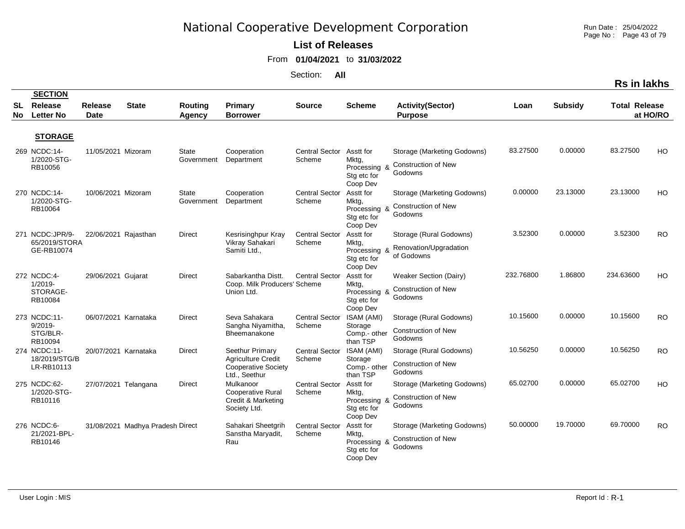Run Date : 25/04/2022 Page No : Page 43 of 79

**Rs in lakhs**

#### **List of Releases**

#### From **01/04/2021** to **31/03/2022**

|          | <b>SECTION</b>                                    |                               |                                  |                          |                                                                                             |                                 |                                                               |                                                                      |           |                |                      |           |
|----------|---------------------------------------------------|-------------------------------|----------------------------------|--------------------------|---------------------------------------------------------------------------------------------|---------------------------------|---------------------------------------------------------------|----------------------------------------------------------------------|-----------|----------------|----------------------|-----------|
| SL<br>No | Release<br><b>Letter No</b>                       | <b>Release</b><br><b>Date</b> | <b>State</b>                     | <b>Routing</b><br>Agency | Primary<br><b>Borrower</b>                                                                  | <b>Source</b>                   | <b>Scheme</b>                                                 | <b>Activity(Sector)</b><br><b>Purpose</b>                            | Loan      | <b>Subsidy</b> | <b>Total Release</b> | at HO/RO  |
|          | <b>STORAGE</b>                                    |                               |                                  |                          |                                                                                             |                                 |                                                               |                                                                      |           |                |                      |           |
|          | 269 NCDC:14-<br>1/2020-STG-<br>RB10056            | 11/05/2021 Mizoram            |                                  | State<br>Government      | Cooperation<br>Department                                                                   | <b>Central Sector</b><br>Scheme | Asstt for<br>Mktg,<br>Processing &<br>Stg etc for<br>Coop Dev | Storage (Marketing Godowns)<br><b>Construction of New</b><br>Godowns | 83.27500  | 0.00000        | 83.27500             | HO        |
|          | 270 NCDC:14-<br>1/2020-STG-<br>RB10064            | 10/06/2021 Mizoram            |                                  | State<br>Government      | Cooperation<br>Department                                                                   | Central Sector<br>Scheme        | Asstt for<br>Mktg,<br>Processing &<br>Stg etc for<br>Coop Dev | Storage (Marketing Godowns)<br><b>Construction of New</b><br>Godowns | 0.00000   | 23.13000       | 23.13000             | HO        |
|          | 271 NCDC:JPR/9-<br>65/2019/STORA<br>GE-RB10074    | 22/06/2021 Rajasthan          |                                  | Direct                   | Kesrisinghpur Kray<br>Vikray Sahakari<br>Samiti Ltd.,                                       | <b>Central Sector</b><br>Scheme | Asstt for<br>Mktg,<br>Processing &<br>Stg etc for<br>Coop Dev | Storage (Rural Godowns)<br>Renovation/Upgradation<br>of Godowns      | 3.52300   | 0.00000        | 3.52300              | <b>RO</b> |
|          | 272 NCDC:4-<br>$1/2019 -$<br>STORAGE-<br>RB10084  | 29/06/2021 Gujarat            |                                  | Direct                   | Sabarkantha Distt.<br>Coop. Milk Producers' Scheme<br>Union Ltd.                            | <b>Central Sector</b>           | Asstt for<br>Mktg,<br>Processing &<br>Stg etc for<br>Coop Dev | Weaker Section (Dairy)<br><b>Construction of New</b><br>Godowns      | 232.76800 | 1.86800        | 234.63600            | HO        |
|          | 273 NCDC:11-<br>$9/2019 -$<br>STG/BLR-<br>RB10094 | 06/07/2021 Karnataka          |                                  | <b>Direct</b>            | Seva Sahakara<br>Sangha Niyamitha,<br>Bheemanakone                                          | Central Sector<br>Scheme        | ISAM (AMI)<br>Storage<br>Comp.- other<br>than TSP             | Storage (Rural Godowns)<br><b>Construction of New</b><br>Godowns     | 10.15600  | 0.00000        | 10.15600             | <b>RO</b> |
|          | 274 NCDC:11-<br>18/2019/STG/B<br>LR-RB10113       | 20/07/2021 Karnataka          |                                  | <b>Direct</b>            | Seethur Primary<br><b>Agriculture Credit</b><br><b>Cooperative Society</b><br>Ltd., Seethur | <b>Central Sector</b><br>Scheme | ISAM (AMI)<br>Storage<br>Comp.- other<br>than TSP             | Storage (Rural Godowns)<br><b>Construction of New</b><br>Godowns     | 10.56250  | 0.00000        | 10.56250             | <b>RO</b> |
|          | 275 NCDC:62-<br>1/2020-STG-<br>RB10116            | 27/07/2021 Telangana          |                                  | Direct                   | Mulkanoor<br><b>Cooperative Rural</b><br>Credit & Marketing<br>Society Ltd.                 | <b>Central Sector</b><br>Scheme | Asstt for<br>Mktg,<br>Processing &<br>Stg etc for<br>Coop Dev | Storage (Marketing Godowns)<br><b>Construction of New</b><br>Godowns | 65.02700  | 0.00000        | 65.02700             | HO        |
|          | 276 NCDC:6-<br>21/2021-BPL-<br>RB10146            |                               | 31/08/2021 Madhya Pradesh Direct |                          | Sahakari Sheetgrih<br>Sanstha Maryadit,<br>Rau                                              | <b>Central Sector</b><br>Scheme | Asstt for<br>Mktg,<br>Processing &<br>Stg etc for<br>Coop Dev | Storage (Marketing Godowns)<br><b>Construction of New</b><br>Godowns | 50.00000  | 19.70000       | 69.70000             | <b>RO</b> |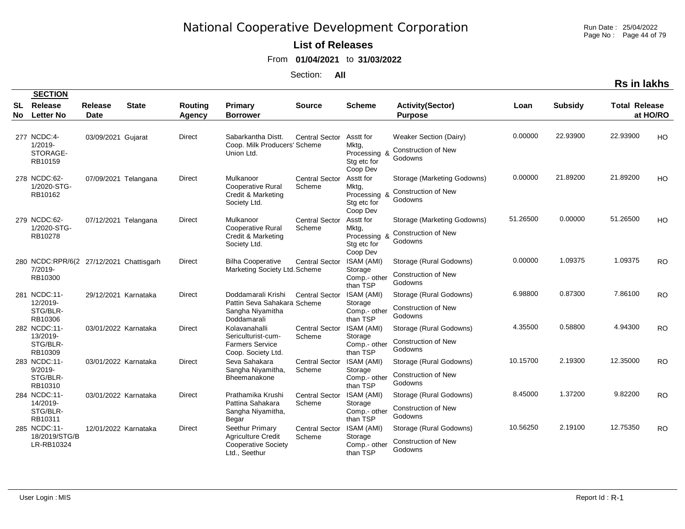Run Date : 25/04/2022 Page No : Page 44 of 79

### **List of Releases**

From **01/04/2021** to **31/03/2022**

Section: **All**

|           |                                                                  |                        |              |                          |                                                                                             |                                 |                                                               |                                                                      |          |                | <b>Rs in lakhs</b>   |           |
|-----------|------------------------------------------------------------------|------------------------|--------------|--------------------------|---------------------------------------------------------------------------------------------|---------------------------------|---------------------------------------------------------------|----------------------------------------------------------------------|----------|----------------|----------------------|-----------|
|           | <b>SECTION</b>                                                   |                        |              |                          |                                                                                             |                                 |                                                               |                                                                      |          |                |                      |           |
| SL<br>No. | Release<br><b>Letter No</b>                                      | <b>Release</b><br>Date | <b>State</b> | <b>Routing</b><br>Agency | Primary<br><b>Borrower</b>                                                                  | <b>Source</b>                   | <b>Scheme</b>                                                 | <b>Activity(Sector)</b><br><b>Purpose</b>                            | Loan     | <b>Subsidy</b> | <b>Total Release</b> | at HO/RO  |
|           | 277 NCDC:4-<br>$1/2019 -$<br>STORAGE-<br>RB10159                 | 03/09/2021 Gujarat     |              | Direct                   | Sabarkantha Distt.<br>Coop. Milk Producers' Scheme<br>Union Ltd.                            | <b>Central Sector</b>           | Asstt for<br>Mktg,<br>Processing &<br>Stg etc for<br>Coop Dev | Weaker Section (Dairy)<br><b>Construction of New</b><br>Godowns      | 0.00000  | 22.93900       | 22.93900             | HO        |
|           | 278 NCDC:62-<br>1/2020-STG-<br>RB10162                           | 07/09/2021 Telangana   |              | <b>Direct</b>            | Mulkanoor<br><b>Cooperative Rural</b><br>Credit & Marketing<br>Society Ltd.                 | <b>Central Sector</b><br>Scheme | Asstt for<br>Mktg,<br>Processing &<br>Stg etc for<br>Coop Dev | Storage (Marketing Godowns)<br><b>Construction of New</b><br>Godowns | 0.00000  | 21.89200       | 21.89200             | HO.       |
|           | 279 NCDC:62-<br>1/2020-STG-<br>RB10278                           | 07/12/2021 Telangana   |              | <b>Direct</b>            | Mulkanoor<br><b>Cooperative Rural</b><br>Credit & Marketing<br>Society Ltd.                 | <b>Central Sector</b><br>Scheme | Asstt for<br>Mktg,<br>Processing 8<br>Stg etc for<br>Coop Dev | Storage (Marketing Godowns)<br><b>Construction of New</b><br>Godowns | 51.26500 | 0.00000        | 51.26500             | HO        |
|           | 280 NCDC:RPR/6(2 27/12/2021 Chattisgarh<br>$7/2019 -$<br>RB10300 |                        |              | <b>Direct</b>            | <b>Bilha Cooperative</b><br>Marketing Society Ltd. Scheme                                   | <b>Central Sector</b>           | ISAM (AMI)<br>Storage<br>Comp.- other<br>than TSP             | Storage (Rural Godowns)<br><b>Construction of New</b><br>Godowns     | 0.00000  | 1.09375        | 1.09375              | <b>RO</b> |
|           | 281 NCDC:11-<br>12/2019-<br>STG/BLR-<br>RB10306                  | 29/12/2021 Karnataka   |              | Direct                   | Doddamarali Krishi<br>Pattin Seva Sahakara Scheme<br>Sangha Niyamitha<br>Doddamarali        | <b>Central Sector</b>           | ISAM (AMI)<br>Storage<br>Comp.- other<br>than TSP             | Storage (Rural Godowns)<br><b>Construction of New</b><br>Godowns     | 6.98800  | 0.87300        | 7.86100              | <b>RO</b> |
|           | 282 NCDC:11-<br>13/2019-<br>STG/BLR-<br>RB10309                  | 03/01/2022 Karnataka   |              | <b>Direct</b>            | Kolavanahalli<br>Sericulturist-cum-<br><b>Farmers Service</b><br>Coop. Society Ltd.         | <b>Central Sector</b><br>Scheme | ISAM (AMI)<br>Storage<br>Comp.- other<br>than TSP             | Storage (Rural Godowns)<br>Construction of New<br>Godowns            | 4.35500  | 0.58800        | 4.94300              | <b>RO</b> |
|           | 283 NCDC:11-<br>$9/2019 -$<br>STG/BLR-<br>RB10310                | 03/01/2022 Karnataka   |              | Direct                   | Seva Sahakara<br>Sangha Niyamitha,<br>Bheemanakone                                          | <b>Central Sector</b><br>Scheme | ISAM (AMI)<br>Storage<br>Comp.- other<br>than TSP             | Storage (Rural Godowns)<br><b>Construction of New</b><br>Godowns     | 10.15700 | 2.19300        | 12.35000             | <b>RO</b> |
|           | 284 NCDC:11-<br>14/2019-<br>STG/BLR-<br>RB10311                  | 03/01/2022 Karnataka   |              | <b>Direct</b>            | Prathamika Krushi<br>Pattina Sahakara<br>Sangha Niyamitha,<br>Begar                         | <b>Central Sector</b><br>Scheme | ISAM (AMI)<br>Storage<br>Comp.- other<br>than TSP             | Storage (Rural Godowns)<br><b>Construction of New</b><br>Godowns     | 8.45000  | 1.37200        | 9.82200              | <b>RO</b> |
|           | 285 NCDC:11-<br>18/2019/STG/B<br>LR-RB10324                      | 12/01/2022 Karnataka   |              | Direct                   | Seethur Primary<br><b>Agriculture Credit</b><br><b>Cooperative Society</b><br>Ltd., Seethur | <b>Central Sector</b><br>Scheme | ISAM (AMI)<br>Storage<br>Comp.- other<br>than TSP             | Storage (Rural Godowns)<br>Construction of New<br>Godowns            | 10.56250 | 2.19100        | 12.75350             | <b>RO</b> |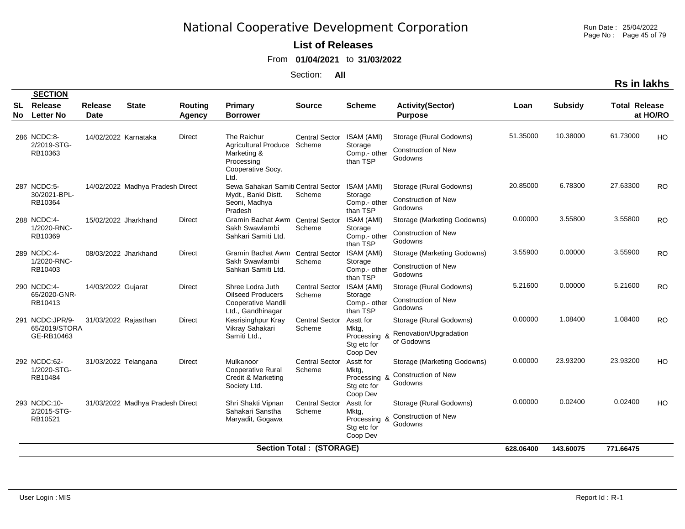Run Date : 25/04/2022 Page No : Page 45 of 79

#### **List of Releases**

From **01/04/2021** to **31/03/2022**

Section: **All**

|           |                                                |                        |                                  |                          |                                                                                                      |                                 |                                                               |                                                                      |           |                | <b>Rs in lakhs</b>   |           |
|-----------|------------------------------------------------|------------------------|----------------------------------|--------------------------|------------------------------------------------------------------------------------------------------|---------------------------------|---------------------------------------------------------------|----------------------------------------------------------------------|-----------|----------------|----------------------|-----------|
| SL<br>No. | <b>SECTION</b><br>Release<br><b>Letter No</b>  | <b>Release</b><br>Date | <b>State</b>                     | Routing<br><b>Agency</b> | Primary<br><b>Borrower</b>                                                                           | <b>Source</b>                   | <b>Scheme</b>                                                 | <b>Activity(Sector)</b><br><b>Purpose</b>                            | Loan      | <b>Subsidy</b> | <b>Total Release</b> | at HO/RO  |
|           | 286 NCDC:8-<br>2/2019-STG-<br>RB10363          | 14/02/2022 Karnataka   |                                  | Direct                   | The Raichur<br><b>Agricultural Produce</b><br>Marketing &<br>Processing<br>Cooperative Socy.<br>Ltd. | <b>Central Sector</b><br>Scheme | ISAM (AMI)<br>Storage<br>Comp.- other<br>than TSP             | Storage (Rural Godowns)<br><b>Construction of New</b><br>Godowns     | 51.35000  | 10.38000       | 61.73000             | HO        |
|           | 287 NCDC:5-<br>30/2021-BPL-<br>RB10364         |                        | 14/02/2022 Madhya Pradesh Direct |                          | Sewa Sahakari Samiti Central Sector<br>Mydt., Banki Distt.<br>Seoni, Madhya<br>Pradesh               | Scheme                          | ISAM (AMI)<br>Storage<br>Comp.- other<br>than TSP             | Storage (Rural Godowns)<br><b>Construction of New</b><br>Godowns     | 20.85000  | 6.78300        | 27.63300             | <b>RO</b> |
|           | 288 NCDC:4-<br>1/2020-RNC-<br>RB10369          | 15/02/2022 Jharkhand   |                                  | <b>Direct</b>            | Gramin Bachat Awm Central Sector<br>Sakh Swawlambi<br>Sahkari Samiti Ltd.                            | Scheme                          | ISAM (AMI)<br>Storage<br>Comp.- other<br>than TSP             | Storage (Marketing Godowns)<br><b>Construction of New</b><br>Godowns | 0.00000   | 3.55800        | 3.55800              | <b>RO</b> |
|           | 289 NCDC:4-<br>1/2020-RNC-<br>RB10403          | 08/03/2022 Jharkhand   |                                  | <b>Direct</b>            | Gramin Bachat Awm<br>Sakh Swawlambi<br>Sahkari Samiti Ltd.                                           | <b>Central Sector</b><br>Scheme | ISAM (AMI)<br>Storage<br>Comp.- other<br>than TSP             | Storage (Marketing Godowns)<br><b>Construction of New</b><br>Godowns | 3.55900   | 0.00000        | 3.55900              | <b>RO</b> |
|           | 290 NCDC:4-<br>65/2020-GNR-<br>RB10413         | 14/03/2022 Gujarat     |                                  | <b>Direct</b>            | Shree Lodra Juth<br><b>Oilseed Producers</b><br>Cooperative Mandli<br>Ltd., Gandhinagar              | <b>Central Sector</b><br>Scheme | ISAM (AMI)<br>Storage<br>Comp.- other<br>than TSP             | Storage (Rural Godowns)<br>Construction of New<br>Godowns            | 5.21600   | 0.00000        | 5.21600              | RO.       |
|           | 291 NCDC:JPR/9-<br>65/2019/STORA<br>GE-RB10463 | 31/03/2022 Rajasthan   |                                  | Direct                   | Kesrisinghpur Kray<br>Vikray Sahakari<br>Samiti Ltd.,                                                | <b>Central Sector</b><br>Scheme | Asstt for<br>Mktg,<br>Processing &<br>Stg etc for<br>Coop Dev | Storage (Rural Godowns)<br>Renovation/Upgradation<br>of Godowns      | 0.00000   | 1.08400        | 1.08400              | <b>RO</b> |
|           | 292 NCDC:62-<br>1/2020-STG-<br>RB10484         | 31/03/2022 Telangana   |                                  | <b>Direct</b>            | Mulkanoor<br><b>Cooperative Rural</b><br>Credit & Marketing<br>Society Ltd.                          | <b>Central Sector</b><br>Scheme | Asstt for<br>Mktg,<br>Processing &<br>Stg etc for<br>Coop Dev | Storage (Marketing Godowns)<br>Construction of New<br>Godowns        | 0.00000   | 23.93200       | 23.93200             | HO        |
|           | 293 NCDC:10-<br>2/2015-STG-<br>RB10521         |                        | 31/03/2022 Madhya Pradesh Direct |                          | Shri Shakti Vipnan<br>Sahakari Sanstha<br>Maryadit, Gogawa                                           | <b>Central Sector</b><br>Scheme | Asstt for<br>Mktg,<br>Processing &<br>Stg etc for<br>Coop Dev | Storage (Rural Godowns)<br><b>Construction of New</b><br>Godowns     | 0.00000   | 0.02400        | 0.02400              | HO        |
|           |                                                |                        |                                  |                          |                                                                                                      | <b>Section Total: (STORAGE)</b> |                                                               |                                                                      | 628.06400 | 143.60075      | 771.66475            |           |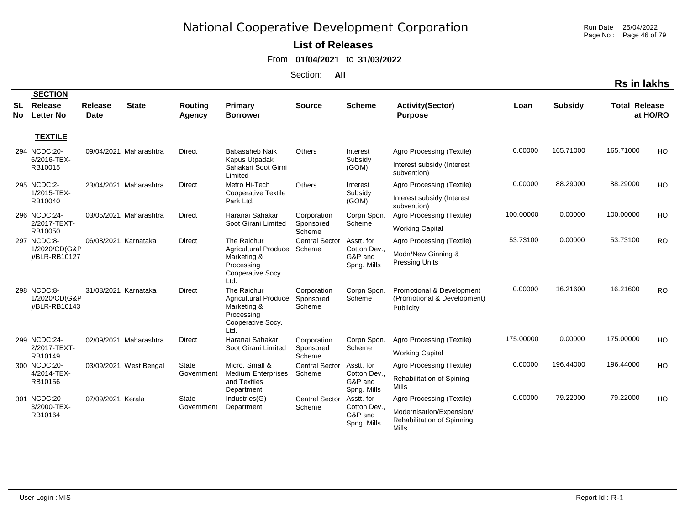**List of Releases** 

From **01/04/2021** to **31/03/2022**

Section: **All**

|          |                                               |                               |                        |                   |                                                                                                      |                                    |                                        |                                                                       |           |                | <b>Rs in lakhs</b>   |           |
|----------|-----------------------------------------------|-------------------------------|------------------------|-------------------|------------------------------------------------------------------------------------------------------|------------------------------------|----------------------------------------|-----------------------------------------------------------------------|-----------|----------------|----------------------|-----------|
|          | <b>SECTION</b>                                |                               |                        |                   |                                                                                                      |                                    |                                        |                                                                       |           |                |                      |           |
| SL<br>No | Release<br><b>Letter No</b>                   | <b>Release</b><br><b>Date</b> | <b>State</b>           | Routing<br>Agency | <b>Primary</b><br><b>Borrower</b>                                                                    | <b>Source</b>                      | <b>Scheme</b>                          | <b>Activity(Sector)</b><br><b>Purpose</b>                             | Loan      | <b>Subsidy</b> | <b>Total Release</b> | at HO/RO  |
|          | <b>TEXTILE</b>                                |                               |                        |                   |                                                                                                      |                                    |                                        |                                                                       |           |                |                      |           |
|          | 294 NCDC:20-                                  |                               | 09/04/2021 Maharashtra | Direct            | Babasaheb Naik                                                                                       | Others                             | Interest                               | Agro Processing (Textile)                                             | 0.00000   | 165.71000      | 165.71000            | HO        |
|          | 6/2016-TEX-<br>RB10015                        |                               |                        |                   | Kapus Utpadak<br>Sahakari Soot Girni<br>Limited                                                      |                                    | Subsidy<br>(GOM)                       | Interest subsidy (Interest<br>subvention)                             |           |                |                      |           |
|          | 295 NCDC:2-                                   |                               | 23/04/2021 Maharashtra | <b>Direct</b>     | Metro Hi-Tech                                                                                        | Others                             | Interest                               | Agro Processing (Textile)                                             | 0.00000   | 88.29000       | 88.29000             | HO        |
|          | 1/2015-TEX-<br>RB10040                        |                               |                        |                   | <b>Cooperative Textile</b><br>Park Ltd.                                                              |                                    | Subsidy<br>(GOM)                       | Interest subsidy (Interest<br>subvention)                             |           |                |                      |           |
|          | 296 NCDC:24-<br>2/2017-TEXT-                  |                               | 03/05/2021 Maharashtra | <b>Direct</b>     | Haranai Sahakari<br>Soot Girani Limited                                                              | Corporation                        | Corpn Spon.<br>Scheme                  | Agro Processing (Textile)                                             | 100.00000 | 0.00000        | 100.00000            | HO        |
|          | RB10050                                       |                               |                        |                   |                                                                                                      | Sponsored<br>Scheme                |                                        | <b>Working Capital</b>                                                |           |                |                      |           |
|          | 297 NCDC:8-                                   | 06/08/2021 Karnataka          |                        | <b>Direct</b>     | The Raichur                                                                                          | <b>Central Sector</b>              | Asstt. for                             | Agro Processing (Textile)                                             | 53.73100  | 0.00000        | 53.73100             | <b>RO</b> |
|          | 1/2020/CD(G&P<br>)/BLR-RB10127                |                               |                        |                   | <b>Agricultural Produce</b><br>Marketing &<br>Processing<br>Cooperative Socy.<br>Ltd.                | Scheme                             | Cotton Dev.,<br>G&P and<br>Spng. Mills | Modn/New Ginning &<br><b>Pressing Units</b>                           |           |                |                      |           |
|          | 298 NCDC:8-<br>1/2020/CD(G&P<br>)/BLR-RB10143 | 31/08/2021 Karnataka          |                        | <b>Direct</b>     | The Raichur<br><b>Agricultural Produce</b><br>Marketing &<br>Processing<br>Cooperative Socy.<br>Ltd. | Corporation<br>Sponsored<br>Scheme | Corpn Spon.<br>Scheme                  | Promotional & Development<br>(Promotional & Development)<br>Publicity | 0.00000   | 16.21600       | 16.21600             | <b>RO</b> |
|          | 299 NCDC:24-                                  |                               | 02/09/2021 Maharashtra | <b>Direct</b>     | Haranai Sahakari                                                                                     | Corporation                        | Corpn Spon.                            | Agro Processing (Textile)                                             | 175.00000 | 0.00000        | 175.00000            | HO        |
|          | 2/2017-TEXT-<br>RB10149                       |                               |                        |                   | Soot Girani Limited                                                                                  | Sponsored<br>Scheme                | Scheme                                 | <b>Working Capital</b>                                                |           |                |                      |           |
|          | 300 NCDC:20-                                  |                               | 03/09/2021 West Bengal | <b>State</b>      | Micro, Small &                                                                                       | <b>Central Sector</b>              | Asstt. for                             | Agro Processing (Textile)                                             | 0.00000   | 196.44000      | 196.44000            | HO        |
|          | 4/2014-TEX-<br>RB10156                        |                               |                        | Government        | <b>Medium Enterprises</b><br>and Textiles<br>Department                                              | Scheme                             | Cotton Dev.,<br>G&P and<br>Spng. Mills | Rehabilitation of Spining<br>Mills                                    |           |                |                      |           |
|          | 301 NCDC:20-                                  | 07/09/2021 Kerala             |                        | <b>State</b>      | Industries(G)                                                                                        | <b>Central Sector</b>              | Asstt. for                             | Agro Processing (Textile)                                             | 0.00000   | 79.22000       | 79.22000             | HO        |
|          | 3/2000-TEX-<br>RB10164                        |                               |                        | Government        | Department                                                                                           | Scheme                             | Cotton Dev.,<br>G&P and<br>Song Mille  | Modernisation/Expension/<br>Rehabilitation of Spinning                |           |                |                      |           |

Spng. Mills

Mills

Run Date : 25/04/2022 Page No : Page 46 of 79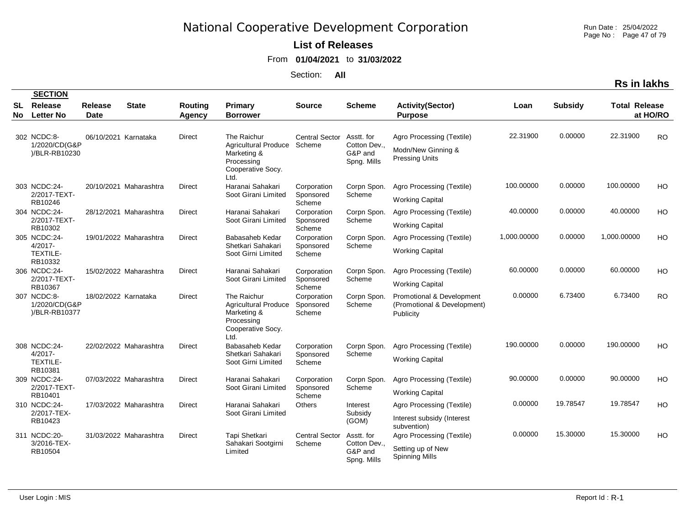Run Date : 25/04/2022 Page No : Page 47 of 79

### **List of Releases**

From **01/04/2021** to **31/03/2022**

Section: **All**

|                  |                                               |                        |                        |                                 |                                                                                                      |                                                   |                                      |                                                                       |             |                | <b>Rs in lakhs</b>   |           |
|------------------|-----------------------------------------------|------------------------|------------------------|---------------------------------|------------------------------------------------------------------------------------------------------|---------------------------------------------------|--------------------------------------|-----------------------------------------------------------------------|-------------|----------------|----------------------|-----------|
|                  | <b>SECTION</b>                                |                        |                        |                                 |                                                                                                      |                                                   |                                      |                                                                       |             |                |                      |           |
| <b>SL</b><br>No. | <b>Release</b><br><b>Letter No</b>            | <b>Release</b><br>Date | <b>State</b>           | <b>Routing</b><br><b>Agency</b> | Primary<br><b>Borrower</b>                                                                           | <b>Source</b>                                     | <b>Scheme</b>                        | <b>Activity(Sector)</b><br><b>Purpose</b>                             | Loan        | <b>Subsidy</b> | <b>Total Release</b> | at HO/RO  |
|                  | 302 NCDC:8-                                   | 06/10/2021 Karnataka   |                        | Direct                          | The Raichur                                                                                          | <b>Central Sector</b>                             | Asstt. for                           | Agro Processing (Textile)                                             | 22.31900    | 0.00000        | 22.31900             | <b>RO</b> |
|                  | 1/2020/CD(G&P<br>)/BLR-RB10230                |                        |                        |                                 | <b>Agricultural Produce</b><br>Marketing &<br>Processing<br>Cooperative Socy.<br>Ltd.                | Scheme                                            | Cotton Dev<br>G&P and<br>Spng. Mills | Modn/New Ginning &<br><b>Pressing Units</b>                           |             |                |                      |           |
|                  | 303 NCDC:24-                                  |                        | 20/10/2021 Maharashtra | <b>Direct</b>                   | Haranai Sahakari                                                                                     | Corporation                                       | Corpn Spon.                          | Agro Processing (Textile)                                             | 100.00000   | 0.00000        | 100.00000            | HO        |
|                  | 2/2017-TEXT-<br>RB10246                       |                        |                        |                                 | Soot Girani Limited                                                                                  | Sponsored<br>Scheme                               | Scheme                               | <b>Working Capital</b>                                                |             |                |                      |           |
|                  | 304 NCDC:24-                                  |                        | 28/12/2021 Maharashtra | Direct                          | Haranai Sahakari                                                                                     | Corporation                                       | Corpn Spon.                          | Agro Processing (Textile)                                             | 40.00000    | 0.00000        | 40.00000             | HO        |
|                  | 2/2017-TEXT-<br>RB10302                       |                        |                        |                                 | Soot Girani Limited                                                                                  | Sponsored<br>Scheme                               | Scheme                               | <b>Working Capital</b>                                                |             |                |                      |           |
|                  | 305 NCDC:24-                                  |                        | 19/01/2022 Maharashtra | Direct                          | Babasaheb Kedar                                                                                      | Corporation                                       | Corpn Spon.                          | Agro Processing (Textile)                                             | 1,000.00000 | 0.00000        | 1,000.00000          | HO        |
|                  | $4/2017 -$<br><b>TEXTILE-</b><br>RB10332      |                        |                        |                                 | Shetkari Sahakari<br>Soot Girni Limited                                                              | Sponsored<br>Scheme                               | Scheme                               | <b>Working Capital</b>                                                |             |                |                      |           |
|                  | 306 NCDC:24-                                  |                        | 15/02/2022 Maharashtra | Direct                          | Haranai Sahakari                                                                                     | Corpn Spon.<br>Corporation<br>Scheme<br>Sponsored | Agro Processing (Textile)            | 60.00000                                                              | 0.00000     | 60.00000       | HO                   |           |
|                  | 2/2017-TEXT-<br>RB10367                       |                        |                        |                                 | Soot Girani Limited                                                                                  | Scheme                                            |                                      | <b>Working Capital</b>                                                |             |                |                      |           |
|                  | 307 NCDC:8-<br>1/2020/CD(G&P<br>)/BLR-RB10377 | 18/02/2022 Karnataka   |                        | <b>Direct</b>                   | The Raichur<br><b>Agricultural Produce</b><br>Marketing &<br>Processing<br>Cooperative Socy.<br>Ltd. | Corporation<br>Sponsored<br>Scheme                | Corpn Spon.<br>Scheme                | Promotional & Development<br>(Promotional & Development)<br>Publicity | 0.00000     | 6.73400        | 6.73400              | <b>RO</b> |
|                  | 308 NCDC:24-                                  |                        | 22/02/2022 Maharashtra | Direct                          | Babasaheb Kedar                                                                                      | Corporation                                       | Corpn Spon.                          | Agro Processing (Textile)                                             | 190.00000   | 0.00000        | 190.00000            | HO        |
|                  | $4/2017 -$<br>TEXTILE-<br>RB10381             |                        |                        |                                 | Shetkari Sahakari<br>Soot Girni Limited                                                              | Sponsored<br>Scheme                               | Scheme                               | <b>Working Capital</b>                                                |             |                |                      |           |
|                  | 309 NCDC:24-                                  |                        | 07/03/2022 Maharashtra | <b>Direct</b>                   | Haranai Sahakari                                                                                     | Corporation                                       | Corpn Spon.                          | Agro Processing (Textile)                                             | 90.00000    | 0.00000        | 90.00000             | HO        |
|                  | 2/2017-TEXT-<br>RB10401                       |                        |                        |                                 | Soot Girani Limited                                                                                  | Sponsored<br>Scheme                               | Scheme                               | <b>Working Capital</b>                                                |             |                |                      |           |
|                  | 310 NCDC:24-                                  |                        | 17/03/2022 Maharashtra | <b>Direct</b>                   | Haranai Sahakari                                                                                     | <b>Others</b>                                     | Interest                             | Agro Processing (Textile)                                             | 0.00000     | 19.78547       | 19.78547             | HO        |
|                  | 2/2017-TEX-<br>RB10423                        |                        |                        |                                 | Soot Girani Limited                                                                                  |                                                   | Subsidy<br>(GOM)                     | Interest subsidy (Interest<br>subvention)                             |             |                |                      |           |
|                  | 311 NCDC:20-<br>3/2016-TEX-                   |                        | 31/03/2022 Maharashtra | Direct                          | Tapi Shetkari<br>Sahakari Sootgirni                                                                  | <b>Central Sector</b><br>Scheme                   | Asstt. for<br>Cotton Dev.,           | Agro Processing (Textile)                                             | 0.00000     | 15.30000       | 15.30000             | HO.       |
|                  | RB10504                                       |                        |                        |                                 | Limited                                                                                              |                                                   | G&P and<br>Song Mille                | Setting up of New<br><b>Spinning Mills</b>                            |             |                |                      |           |

Spng. Mills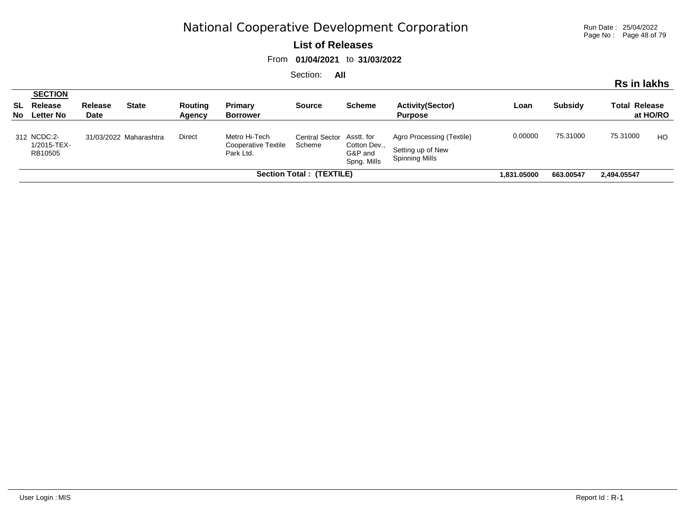Run Date : 25/04/2022 Page No : Page 48 of 79

**Rs in lakhs**

#### **List of Releases**

From **01/04/2021** to **31/03/2022**

|     |                                                         |                        |                        |                   |                                                          |                                     |                                        |                                                                  |         |                | טוואו ווו טרו        |          |
|-----|---------------------------------------------------------|------------------------|------------------------|-------------------|----------------------------------------------------------|-------------------------------------|----------------------------------------|------------------------------------------------------------------|---------|----------------|----------------------|----------|
| No. | <b>SECTION</b><br><b>SL</b> Release<br><b>Letter No</b> | <b>Release</b><br>Date | <b>State</b>           | Routing<br>Agency | Primary<br><b>Borrower</b>                               | <b>Source</b>                       | <b>Scheme</b>                          | <b>Activity(Sector)</b><br><b>Purpose</b>                        | Loan    | <b>Subsidy</b> | <b>Total Release</b> | at HO/RO |
|     | 312 NCDC:2-<br>1/2015-TEX-<br>RB10505                   |                        | 31/03/2022 Maharashtra | Direct            | Metro Hi-Tech<br><b>Cooperative Textile</b><br>Park Ltd. | Central Sector Asstt. for<br>Scheme | Cotton Dev.,<br>G&P and<br>Spng. Mills | Agro Processing (Textile)<br>Setting up of New<br>Spinning Mills | 0.00000 | 75.31000       | 75.31000             | HO       |
|     |                                                         |                        |                        | 1.831.05000       | 663.00547                                                | 2.494.05547                         |                                        |                                                                  |         |                |                      |          |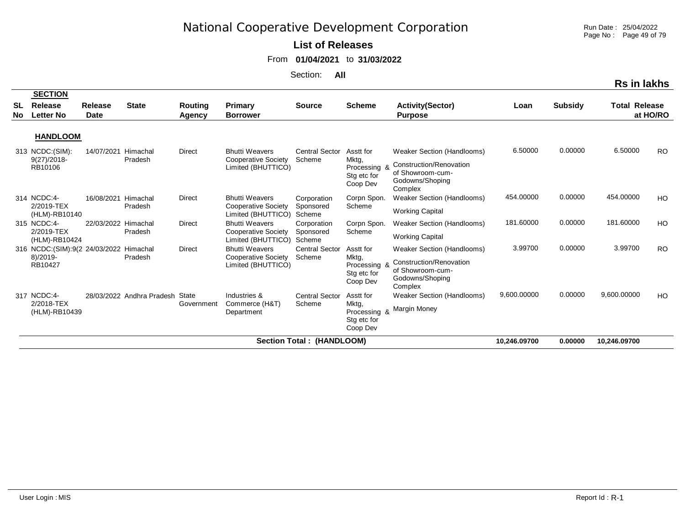Run Date : 25/04/2022 Page No : Page 49 of 79

#### **List of Releases**

From **01/04/2021** to **31/03/2022**

| <b>Rs in lakhs</b> |                                                                 |                     |                                 |                   |                                                                           |                                    |                                                               |                                                                                                         |              |                |                      |           |  |
|--------------------|-----------------------------------------------------------------|---------------------|---------------------------------|-------------------|---------------------------------------------------------------------------|------------------------------------|---------------------------------------------------------------|---------------------------------------------------------------------------------------------------------|--------------|----------------|----------------------|-----------|--|
| SL<br>No.          | <b>SECTION</b><br><b>Release</b><br><b>Letter No</b>            | Release<br>Date     | <b>State</b>                    | Routing<br>Agency | <b>Primary</b><br><b>Borrower</b>                                         | <b>Source</b>                      | <b>Scheme</b>                                                 | <b>Activity(Sector)</b><br><b>Purpose</b>                                                               | Loan         | <b>Subsidy</b> | <b>Total Release</b> | at HO/RO  |  |
|                    | <b>HANDLOOM</b>                                                 |                     |                                 |                   |                                                                           |                                    |                                                               |                                                                                                         |              |                |                      |           |  |
|                    | 313 NCDC: (SIM):<br>$9(27)/2018$ -<br>RB10106                   | 14/07/2021          | Himachal<br>Pradesh             | Direct            | <b>Bhutti Weavers</b><br>Cooperative Society<br>Limited (BHUTTICO)        | <b>Central Sector</b><br>Scheme    | Asstt for<br>Mktg,<br>Processing &<br>Stg etc for<br>Coop Dev | Weaker Section (Handlooms)<br>Construction/Renovation<br>of Showroom-cum-<br>Godowns/Shoping<br>Complex | 6.50000      | 0.00000        | 6.50000              | <b>RO</b> |  |
|                    | 314 NCDC:4-<br>2/2019-TEX<br>(HLM)-RB10140                      | 16/08/2021          | Himachal<br>Pradesh             | Direct            | <b>Bhutti Weavers</b><br><b>Cooperative Society</b><br>Limited (BHUTTICO) | Corporation<br>Sponsored<br>Scheme | Corpn Spon.<br>Scheme                                         | Weaker Section (Handlooms)<br><b>Working Capital</b>                                                    | 454.00000    | 0.00000        | 454.00000            | HO        |  |
|                    | 315 NCDC:4-<br>2/2019-TEX<br>(HLM)-RB10424                      | 22/03/2022 Himachal | Pradesh                         | <b>Direct</b>     | <b>Bhutti Weavers</b><br>Cooperative Society<br>Limited (BHUTTICO)        | Corporation<br>Sponsored<br>Scheme | Corpn Spon.<br>Scheme                                         | Weaker Section (Handlooms)<br><b>Working Capital</b>                                                    | 181.60000    | 0.00000        | 181.60000            | <b>HO</b> |  |
|                    | 316 NCDC:(SIM):9(2 24/03/2022 Himachal<br>$8)/2019-$<br>RB10427 |                     | Pradesh                         | Direct            | <b>Bhutti Weavers</b><br><b>Cooperative Society</b><br>Limited (BHUTTICO) | <b>Central Sector</b><br>Scheme    | Asstt for<br>Mktg,<br>Processing &<br>Stg etc for<br>Coop Dev | Weaker Section (Handlooms)<br>Construction/Renovation<br>of Showroom-cum-<br>Godowns/Shoping<br>Complex | 3.99700      | 0.00000        | 3.99700              | <b>RO</b> |  |
|                    | 317 NCDC:4-<br>2/2018-TEX<br>(HLM)-RB10439                      |                     | 28/03/2022 Andhra Pradesh State | Government        | Industries &<br>Commerce (H&T)<br>Department                              | <b>Central Sector</b><br>Scheme    | Asstt for<br>Mktg,<br>Processing &<br>Stg etc for<br>Coop Dev | Weaker Section (Handlooms)<br>Margin Money                                                              | 9,600.00000  | 0.00000        | 9,600.00000          | HO        |  |
|                    |                                                                 |                     |                                 |                   |                                                                           | Section Total: (HANDLOOM)          |                                                               |                                                                                                         | 10,246.09700 | 0.00000        | 10,246.09700         |           |  |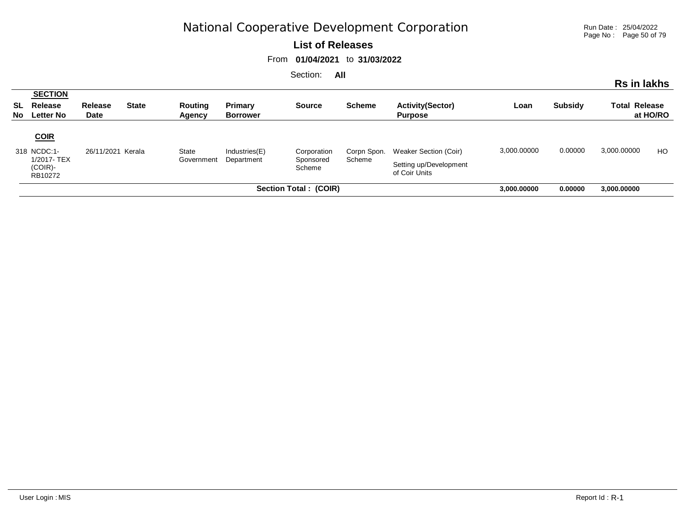Run Date : 25/04/2022 Page No : Page 50 of 79

#### **List of Releases**

From **01/04/2021** to **31/03/2022**

| . |                                              |                        |              |                          |                            |                     |                       |                                           |         |                |                      | Rs in lakhs |  |
|---|----------------------------------------------|------------------------|--------------|--------------------------|----------------------------|---------------------|-----------------------|-------------------------------------------|---------|----------------|----------------------|-------------|--|
|   | <b>SECTION</b><br>SL Release<br>No Letter No | <b>Release</b><br>Date | <b>State</b> | Routing<br><b>Agency</b> | Primary<br><b>Borrower</b> | <b>Source</b>       | <b>Scheme</b>         | <b>Activity(Sector)</b><br><b>Purpose</b> | Loan    | <b>Subsidy</b> | <b>Total Release</b> | at HO/RO    |  |
|   | <b>COIR</b>                                  |                        |              |                          |                            |                     |                       |                                           |         |                |                      |             |  |
|   | 318 NCDC:1-                                  | Kerala<br>26/11/2021   | State        | Industries(E)            | Corporation                | Corpn Spon.         | Weaker Section (Coir) | 3,000.00000                               | 0.00000 | 3,000.00000    | HO                   |             |  |
|   | 1/2017-TEX<br>$(COIR)$ -<br>RB10272          |                        |              | Government               | Department                 | Sponsored<br>Scheme | Scheme                | Setting up/Development<br>of Coir Units   |         |                |                      |             |  |
|   |                                              |                        |              | 3,000.00000              | 0.00000                    | 3,000.00000         |                       |                                           |         |                |                      |             |  |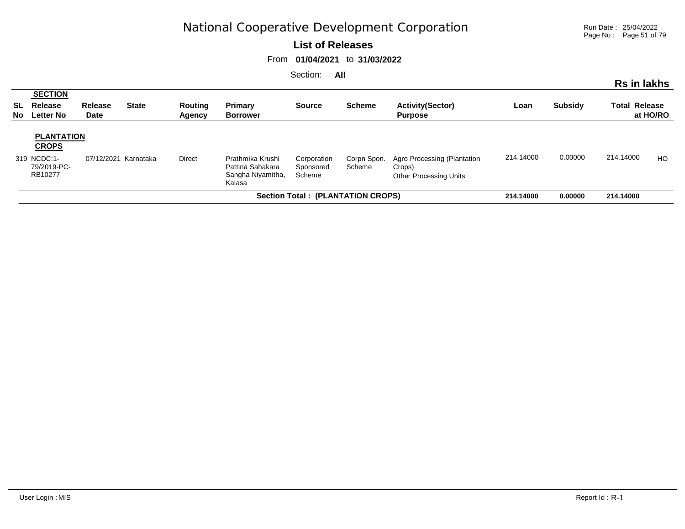Run Date : 25/04/2022 Page No : Page 51 of 79

#### **List of Releases**

From **01/04/2021** to **31/03/2022**

| occuon.<br>- AII                                                                                                |                                                  |                 |              |                   |                                                                     |                                    |                       |                                                                        |           |                |                      | Rs in lakhs    |
|-----------------------------------------------------------------------------------------------------------------|--------------------------------------------------|-----------------|--------------|-------------------|---------------------------------------------------------------------|------------------------------------|-----------------------|------------------------------------------------------------------------|-----------|----------------|----------------------|----------------|
| No l                                                                                                            | <b>SECTION</b><br>SL Release<br><b>Letter No</b> | Release<br>Date | <b>State</b> | Routing<br>Agency | Primary<br><b>Borrower</b>                                          | <b>Source</b>                      | <b>Scheme</b>         | <b>Activity(Sector)</b><br><b>Purpose</b>                              | Loan      | <b>Subsidy</b> | <b>Total Release</b> | at HO/RO       |
| <b>PLANTATION</b><br><b>CROPS</b><br>319 NCDC:1-<br>Direct<br>Karnataka<br>07/12/2021<br>79/2019-PC-<br>RB10277 |                                                  |                 |              |                   | Prathmika Krushi<br>Pattina Sahakara<br>Sangha Niyamitha,<br>Kalasa | Corporation<br>Sponsored<br>Scheme | Corpn Spon.<br>Scheme | Agro Processing (Plantation<br>Crops)<br><b>Other Processing Units</b> | 214.14000 | 0.00000        | 214.14000            | H <sub>O</sub> |
| Section Total : (PLANTATION CROPS)                                                                              |                                                  |                 |              |                   |                                                                     |                                    |                       |                                                                        |           | 0.00000        | 214.14000            |                |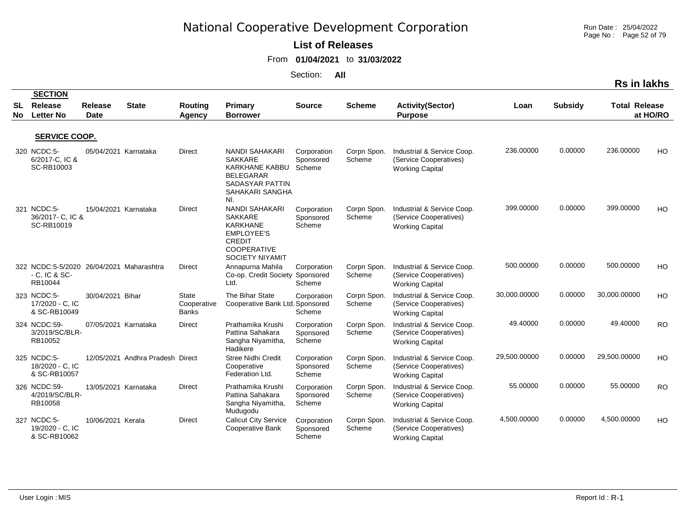Run Date : 25/04/2022 Page No : Page 52 of 79

#### **List of Releases**

From **01/04/2021** to **31/03/2022**

|            |                                                                           |                               |                                  |                                      |                                                                                                                                    |                                    |                       |                                                                                |              |                | <b>Rs in lakhs</b>   |           |
|------------|---------------------------------------------------------------------------|-------------------------------|----------------------------------|--------------------------------------|------------------------------------------------------------------------------------------------------------------------------------|------------------------------------|-----------------------|--------------------------------------------------------------------------------|--------------|----------------|----------------------|-----------|
| SL<br>No l | <b>SECTION</b><br>Release<br><b>Letter No</b>                             | <b>Release</b><br><b>Date</b> | <b>State</b>                     | <b>Routing</b><br><b>Agency</b>      | Primary<br><b>Borrower</b>                                                                                                         | <b>Source</b>                      | <b>Scheme</b>         | <b>Activity(Sector)</b><br><b>Purpose</b>                                      | Loan         | <b>Subsidy</b> | <b>Total Release</b> | at HO/RO  |
|            | SERVICE COOP.                                                             |                               |                                  |                                      |                                                                                                                                    |                                    |                       |                                                                                |              |                |                      |           |
|            | 320 NCDC:5-<br>6/2017-C, IC &<br>SC-RB10003                               | 05/04/2021 Karnataka          |                                  | <b>Direct</b>                        | <b>NANDI SAHAKARI</b><br><b>SAKKARE</b><br>KARKHANE KABBU<br><b>BELEGARAR</b><br><b>SADASYAR PATTIN</b><br>SAHAKARI SANGHA<br>NI.  | Corporation<br>Sponsored<br>Scheme | Corpn Spon.<br>Scheme | Industrial & Service Coop.<br>(Service Cooperatives)<br><b>Working Capital</b> | 236.00000    | 0.00000        | 236.00000            | HO        |
|            | 321 NCDC:5-<br>36/2017- C, IC &<br>SC-RB10019                             | 15/04/2021 Karnataka          |                                  | <b>Direct</b>                        | <b>NANDI SAHAKARI</b><br>SAKKARE<br>KARKHANE<br><b>EMPLOYEE'S</b><br><b>CREDIT</b><br><b>COOPERATIVE</b><br><b>SOCIETY NIYAMIT</b> | Corporation<br>Sponsored<br>Scheme | Corpn Spon.<br>Scheme | Industrial & Service Coop.<br>(Service Cooperatives)<br><b>Working Capital</b> | 399.00000    | 0.00000        | 399.00000            | HO        |
|            | 322 NCDC:5-5/2020 26/04/2021 Maharashtra<br>$-$ C, IC & SC $-$<br>RB10044 |                               |                                  | Direct                               | Annapurna Mahila<br>Co-op. Credit Society Sponsored<br>Ltd.                                                                        | Corporation<br>Scheme              | Corpn Spon.<br>Scheme | Industrial & Service Coop.<br>(Service Cooperatives)<br><b>Working Capital</b> | 500.00000    | 0.00000        | 500.00000            | <b>HO</b> |
|            | 323 NCDC:5-<br>17/2020 - C. IC<br>& SC-RB10049                            | 30/04/2021 Bihar              |                                  | State<br>Cooperative<br><b>Banks</b> | The Bihar State<br>Cooperative Bank Ltd. Sponsored                                                                                 | Corporation<br>Scheme              | Corpn Spon.<br>Scheme | Industrial & Service Coop.<br>(Service Cooperatives)<br><b>Working Capital</b> | 30,000.00000 | 0.00000        | 30,000.00000         | <b>HO</b> |
|            | 324 NCDC:59-<br>3/2019/SC/BLR-<br>RB10052                                 | 07/05/2021 Karnataka          |                                  | <b>Direct</b>                        | Prathamika Krushi<br>Pattina Sahakara<br>Sangha Niyamitha,<br>Hadikere                                                             | Corporation<br>Sponsored<br>Scheme | Corpn Spon.<br>Scheme | Industrial & Service Coop.<br>(Service Cooperatives)<br><b>Working Capital</b> | 49.40000     | 0.00000        | 49.40000             | <b>RO</b> |
|            | 325 NCDC:5-<br>18/2020 - C, IC<br>& SC-RB10057                            |                               | 12/05/2021 Andhra Pradesh Direct |                                      | <b>Stree Nidhi Credit</b><br>Cooperative<br>Federation Ltd.                                                                        | Corporation<br>Sponsored<br>Scheme | Corpn Spon.<br>Scheme | Industrial & Service Coop.<br>(Service Cooperatives)<br><b>Working Capital</b> | 29,500.00000 | 0.00000        | 29,500.00000         | <b>HO</b> |
|            | 326 NCDC:59-<br>4/2019/SC/BLR-<br>RB10058                                 | 13/05/2021 Karnataka          |                                  | Direct                               | Prathamika Krushi<br>Pattina Sahakara<br>Sangha Niyamitha,<br>Mudugodu                                                             | Corporation<br>Sponsored<br>Scheme | Corpn Spon.<br>Scheme | Industrial & Service Coop.<br>(Service Cooperatives)<br><b>Working Capital</b> | 55.00000     | 0.00000        | 55.00000             | <b>RO</b> |
|            | 327 NCDC:5-<br>19/2020 - C, IC<br>& SC-RB10062                            | 10/06/2021 Kerala             |                                  | <b>Direct</b>                        | <b>Calicut City Service</b><br>Cooperative Bank                                                                                    | Corporation<br>Sponsored<br>Scheme | Corpn Spon.<br>Scheme | Industrial & Service Coop.<br>(Service Cooperatives)<br><b>Working Capital</b> | 4,500.00000  | 0.00000        | 4,500.00000          | HO        |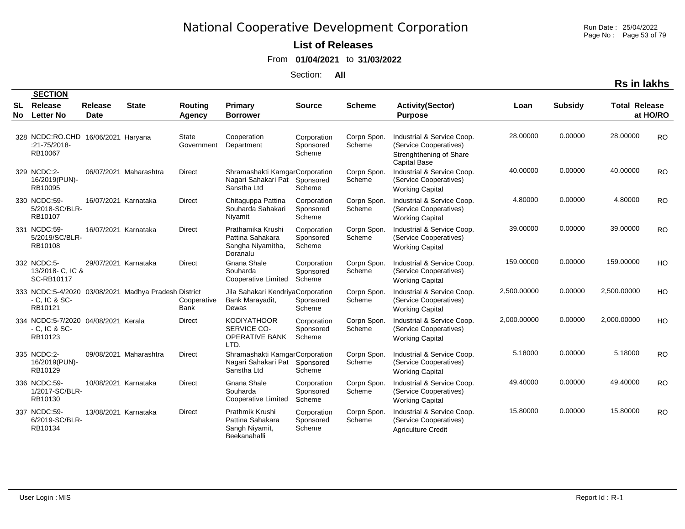Run Date : 25/04/2022 Page No : Page 53 of 79

### **List of Releases**

From **01/04/2021** to **31/03/2022**

Section: **All**

|          | <b>SECTION</b>                                                       |                        |                                                      |                            |                                                                                |                                    |                       |                                                                                                        |             |                |                      |                |
|----------|----------------------------------------------------------------------|------------------------|------------------------------------------------------|----------------------------|--------------------------------------------------------------------------------|------------------------------------|-----------------------|--------------------------------------------------------------------------------------------------------|-------------|----------------|----------------------|----------------|
| SL<br>No | Release<br><b>Letter No</b>                                          | Release<br><b>Date</b> | <b>State</b>                                         | Routing<br>Agency          | <b>Primary</b><br><b>Borrower</b>                                              | <b>Source</b>                      | <b>Scheme</b>         | <b>Activity(Sector)</b><br><b>Purpose</b>                                                              | Loan        | <b>Subsidy</b> | <b>Total Release</b> | at HO/RO       |
|          | 328 NCDC:RO.CHD 16/06/2021 Haryana<br>:21-75/2018-<br>RB10067        |                        |                                                      | <b>State</b><br>Government | Cooperation<br>Department                                                      | Corporation<br>Sponsored<br>Scheme | Corpn Spon.<br>Scheme | Industrial & Service Coop.<br>(Service Cooperatives)<br>Strenghthening of Share<br><b>Capital Base</b> | 28.00000    | 0.00000        | 28.00000             | <b>RO</b>      |
|          | 329 NCDC:2-<br>16/2019(PUN)-<br>RB10095                              |                        | 06/07/2021 Maharashtra                               | Direct                     | Shramashakti KamgarCorporation<br>Nagari Sahakari Pat Sponsored<br>Sanstha Ltd | Scheme                             | Corpn Spon.<br>Scheme | Industrial & Service Coop.<br>(Service Cooperatives)<br><b>Working Capital</b>                         | 40.00000    | 0.00000        | 40.00000             | <b>RO</b>      |
|          | 330 NCDC:59-<br>5/2018-SC/BLR-<br>RB10107                            | 16/07/2021 Karnataka   |                                                      | <b>Direct</b>              | Chitaguppa Pattina<br>Souharda Sahakari<br>Niyamit                             | Corporation<br>Sponsored<br>Scheme | Corpn Spon.<br>Scheme | Industrial & Service Coop.<br>(Service Cooperatives)<br><b>Working Capital</b>                         | 4.80000     | 0.00000        | 4.80000              | <b>RO</b>      |
|          | 331 NCDC:59-<br>5/2019/SC/BLR-<br>RB10108                            | 16/07/2021 Karnataka   |                                                      | <b>Direct</b>              | Prathamika Krushi<br>Pattina Sahakara<br>Sangha Niyamitha,<br>Doranalu         | Corporation<br>Sponsored<br>Scheme | Corpn Spon.<br>Scheme | Industrial & Service Coop.<br>(Service Cooperatives)<br><b>Working Capital</b>                         | 39.00000    | 0.00000        | 39.00000             | <b>RO</b>      |
|          | 332 NCDC:5-<br>13/2018- C, IC &<br>SC-RB10117                        | 29/07/2021 Karnataka   |                                                      | <b>Direct</b>              | Gnana Shale<br>Souharda<br><b>Cooperative Limited</b>                          | Corporation<br>Sponsored<br>Scheme | Corpn Spon.<br>Scheme | Industrial & Service Coop.<br>(Service Cooperatives)<br><b>Working Capital</b>                         | 159.00000   | 0.00000        | 159.00000            | H <sub>O</sub> |
|          | $-$ C, IC & SC $-$<br>RB10121                                        |                        | 333 NCDC:5-4/2020 03/08/2021 Madhya Pradesh District | Cooperative<br>Bank        | Jila Sahakari KendriyaCorporation<br>Bank Marayadit,<br>Dewas                  | Sponsored<br>Scheme                | Corpn Spon.<br>Scheme | Industrial & Service Coop.<br>(Service Cooperatives)<br><b>Working Capital</b>                         | 2,500.00000 | 0.00000        | 2,500.00000          | <b>HO</b>      |
|          | 334 NCDC:5-7/2020 04/08/2021 Kerala<br>$-$ C, IC & SC $-$<br>RB10123 |                        |                                                      | Direct                     | <b>KODIYATHOOR</b><br>SERVICE CO-<br><b>OPERATIVE BANK</b><br>LTD.             | Corporation<br>Sponsored<br>Scheme | Corpn Spon.<br>Scheme | Industrial & Service Coop.<br>(Service Cooperatives)<br><b>Working Capital</b>                         | 2,000.00000 | 0.00000        | 2,000.00000          | H <sub>O</sub> |
|          | 335 NCDC:2-<br>16/2019(PUN)-<br>RB10129                              |                        | 09/08/2021 Maharashtra                               | <b>Direct</b>              | Shramashakti KamgarCorporation<br>Nagari Sahakari Pat<br>Sanstha Ltd           | Sponsored<br>Scheme                | Corpn Spon.<br>Scheme | Industrial & Service Coop.<br>(Service Cooperatives)<br><b>Working Capital</b>                         | 5.18000     | 0.00000        | 5.18000              | <b>RO</b>      |
|          | 336 NCDC:59-<br>1/2017-SC/BLR-<br>RB10130                            | 10/08/2021 Karnataka   |                                                      | Direct                     | Gnana Shale<br>Souharda<br>Cooperative Limited                                 | Corporation<br>Sponsored<br>Scheme | Corpn Spon.<br>Scheme | Industrial & Service Coop.<br>(Service Cooperatives)<br><b>Working Capital</b>                         | 49.40000    | 0.00000        | 49.40000             | <b>RO</b>      |
|          | 337 NCDC:59-<br>6/2019-SC/BLR-<br>RB10134                            | 13/08/2021 Karnataka   |                                                      | Direct                     | Prathmik Krushi<br>Pattina Sahakara<br>Sangh Niyamit,<br>Beekanahalli          | Corporation<br>Sponsored<br>Scheme | Corpn Spon.<br>Scheme | Industrial & Service Coop.<br>(Service Cooperatives)<br><b>Agriculture Credit</b>                      | 15.80000    | 0.00000        | 15.80000             | <b>RO</b>      |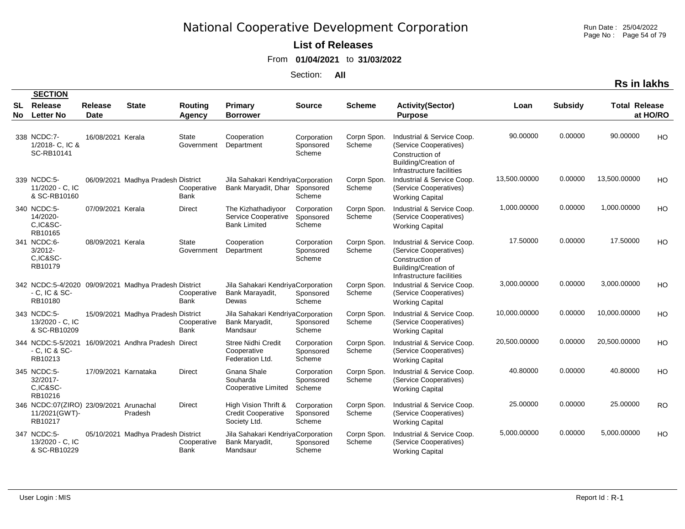Run Date : 25/04/2022 Page No : Page 54 of 79

### **List of Releases**

From **01/04/2021** to **31/03/2022**

Section: **All**

|          | <b>SECTION</b>                                           |                      |                                                      |                            |                                                                   |                                    |                       |                                                                                                                              |              |                |                      |           |
|----------|----------------------------------------------------------|----------------------|------------------------------------------------------|----------------------------|-------------------------------------------------------------------|------------------------------------|-----------------------|------------------------------------------------------------------------------------------------------------------------------|--------------|----------------|----------------------|-----------|
| SL<br>No | Release<br><b>Letter No</b>                              | Release<br>Date      | <b>State</b>                                         | Routing<br>Agency          | <b>Primary</b><br><b>Borrower</b>                                 | <b>Source</b>                      | <b>Scheme</b>         | <b>Activity(Sector)</b><br><b>Purpose</b>                                                                                    | Loan         | <b>Subsidy</b> | <b>Total Release</b> | at HO/RO  |
|          | 338 NCDC:7-<br>1/2018- C, IC &<br>SC-RB10141             | 16/08/2021 Kerala    |                                                      | <b>State</b><br>Government | Cooperation<br>Department                                         | Corporation<br>Sponsored<br>Scheme | Corpn Spon.<br>Scheme | Industrial & Service Coop.<br>(Service Cooperatives)<br>Construction of<br>Building/Creation of<br>Infrastructure facilities | 90.00000     | 0.00000        | 90.00000             | HO        |
|          | 339 NCDC:5-<br>11/2020 - C, IC<br>& SC-RB10160           |                      | 06/09/2021 Madhya Pradesh District                   | Cooperative<br>Bank        | Jila Sahakari KendriyaCorporation<br>Bank Maryadit, Dhar          | Sponsored<br>Scheme                | Corpn Spon.<br>Scheme | Industrial & Service Coop.<br>(Service Cooperatives)<br><b>Working Capital</b>                                               | 13,500.00000 | 0.00000        | 13,500.00000         | HO        |
|          | 340 NCDC:5-<br>14/2020-<br>C,IC&SC-<br>RB10165           | 07/09/2021 Kerala    |                                                      | Direct                     | The Kizhathadiyoor<br>Service Cooperative<br><b>Bank Limited</b>  | Corporation<br>Sponsored<br>Scheme | Corpn Spon.<br>Scheme | Industrial & Service Coop.<br>(Service Cooperatives)<br><b>Working Capital</b>                                               | 1,000.00000  | 0.00000        | 1,000.00000          | HO        |
|          | 341 NCDC:6-<br>$3/2012 -$<br>C,IC&SC-<br>RB10179         | 08/09/2021 Kerala    |                                                      | <b>State</b><br>Government | Cooperation<br>Department                                         | Corporation<br>Sponsored<br>Scheme | Corpn Spon.<br>Scheme | Industrial & Service Coop.<br>(Service Cooperatives)<br>Construction of<br>Building/Creation of<br>Infrastructure facilities | 17.50000     | 0.00000        | 17.50000             | HO        |
|          | $-C.$ IC & SC-<br>RB10180                                |                      | 342 NCDC:5-4/2020 09/09/2021 Madhya Pradesh District | Cooperative<br>Bank        | Jila Sahakari KendriyaCorporation<br>Bank Marayadit,<br>Dewas     | Sponsored<br>Scheme                | Corpn Spon.<br>Scheme | Industrial & Service Coop.<br>(Service Cooperatives)<br><b>Working Capital</b>                                               | 3,000.00000  | 0.00000        | 3,000.00000          | HO        |
|          | 343 NCDC:5-<br>13/2020 - C, IC<br>& SC-RB10209           |                      | 15/09/2021 Madhya Pradesh District                   | Cooperative<br>Bank        | Jila Sahakari KendriyaCorporation<br>Bank Maryadit,<br>Mandsaur   | Sponsored<br>Scheme                | Corpn Spon.<br>Scheme | Industrial & Service Coop.<br>(Service Cooperatives)<br><b>Working Capital</b>                                               | 10,000.00000 | 0.00000        | 10,000.00000         | HO        |
|          | 344 NCDC:5-5/2021<br>$-$ C, IC & SC $-$<br>RB10213       |                      | 16/09/2021 Andhra Pradesh Direct                     |                            | Stree Nidhi Credit<br>Cooperative<br>Federation Ltd.              | Corporation<br>Sponsored<br>Scheme | Corpn Spon.<br>Scheme | Industrial & Service Coop.<br>(Service Cooperatives)<br><b>Working Capital</b>                                               | 20,500.00000 | 0.00000        | 20,500.00000         | HO        |
|          | 345 NCDC:5-<br>32/2017-<br>C,IC&SC-<br>RB10216           | 17/09/2021 Karnataka |                                                      | <b>Direct</b>              | Gnana Shale<br>Souharda<br>Cooperative Limited                    | Corporation<br>Sponsored<br>Scheme | Corpn Spon.<br>Scheme | Industrial & Service Coop.<br>(Service Cooperatives)<br><b>Working Capital</b>                                               | 40.80000     | 0.00000        | 40.80000             | HO        |
|          | 346 NCDC:07(ZIRO) 23/09/2021<br>11/2021(GWT)-<br>RB10217 |                      | Arunachal<br>Pradesh                                 | <b>Direct</b>              | High Vision Thrift &<br><b>Credit Cooperative</b><br>Society Ltd. | Corporation<br>Sponsored<br>Scheme | Corpn Spon.<br>Scheme | Industrial & Service Coop.<br>(Service Cooperatives)<br><b>Working Capital</b>                                               | 25.00000     | 0.00000        | 25.00000             | <b>RO</b> |
|          | 347 NCDC:5-<br>13/2020 - C, IC<br>& SC-RB10229           |                      | 05/10/2021 Madhya Pradesh District                   | Cooperative<br>Bank        | Jila Sahakari KendriyaCorporation<br>Bank Maryadit,<br>Mandsaur   | Sponsored<br>Scheme                | Corpn Spon.<br>Scheme | Industrial & Service Coop.<br>(Service Cooperatives)<br><b>Working Capital</b>                                               | 5,000.00000  | 0.00000        | 5,000.00000          | HO        |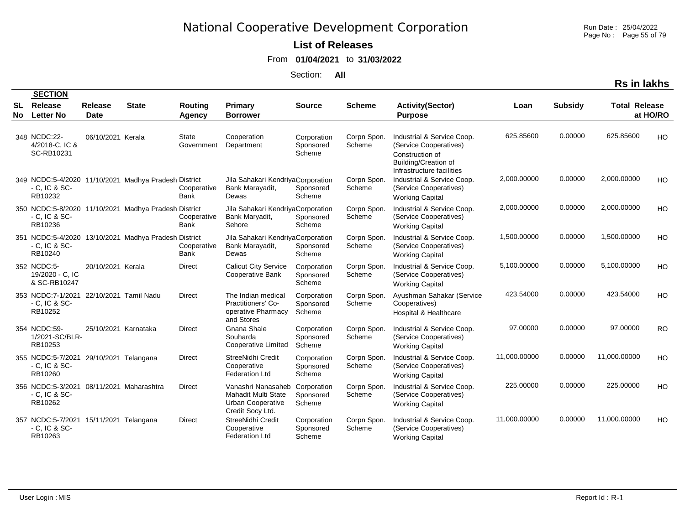Run Date : 25/04/2022 Page No : Page 55 of 79

#### **List of Releases**

From **01/04/2021** to **31/03/2022**

Section: **All**

| <b>SECTION</b>                                                           |                        |                                                      |                            |                                                                                    |                                    |                       |                                                                                                                                     |              |                |                      |           |
|--------------------------------------------------------------------------|------------------------|------------------------------------------------------|----------------------------|------------------------------------------------------------------------------------|------------------------------------|-----------------------|-------------------------------------------------------------------------------------------------------------------------------------|--------------|----------------|----------------------|-----------|
| <b>SL</b> Release<br>No Letter No                                        | Release<br><b>Date</b> | <b>State</b>                                         | Routing<br>Agency          | Primary<br><b>Borrower</b>                                                         | <b>Source</b>                      | <b>Scheme</b>         | <b>Activity(Sector)</b><br><b>Purpose</b>                                                                                           | Loan         | <b>Subsidy</b> | <b>Total Release</b> | at HO/RO  |
| 348 NCDC:22-<br>4/2018-C, IC &<br>SC-RB10231                             | 06/10/2021 Kerala      |                                                      | State<br>Government        | Cooperation<br>Department                                                          | Corporation<br>Sponsored<br>Scheme | Corpn Spon.<br>Scheme | Industrial & Service Coop.<br>(Service Cooperatives)<br>Construction of<br><b>Building/Creation of</b><br>Infrastructure facilities | 625.85600    | 0.00000        | 625.85600            | HO        |
| $-$ C, IC & SC $-$<br>RB10232                                            |                        | 349 NCDC:5-4/2020 11/10/2021 Madhya Pradesh District | Cooperative<br><b>Bank</b> | Jila Sahakari KendriyaCorporation<br>Bank Marayadit,<br>Dewas                      | Sponsored<br>Scheme                | Corpn Spon.<br>Scheme | Industrial & Service Coop.<br>(Service Cooperatives)<br><b>Working Capital</b>                                                      | 2,000.00000  | 0.00000        | 2,000.00000          | HO        |
| $-$ C, IC & SC-<br>RB10236                                               |                        | 350 NCDC:5-8/2020 11/10/2021 Madhya Pradesh District | Cooperative<br><b>Bank</b> | Jila Sahakari KendriyaCorporation<br>Bank Maryadit,<br>Sehore                      | Sponsored<br>Scheme                | Corpn Spon.<br>Scheme | Industrial & Service Coop.<br>(Service Cooperatives)<br><b>Working Capital</b>                                                      | 2,000.00000  | 0.00000        | 2,000.00000          | HO        |
| $-C.$ IC & SC-<br>RB10240                                                |                        | 351 NCDC:5-4/2020 13/10/2021 Madhya Pradesh District | Cooperative<br><b>Bank</b> | Jila Sahakari KendriyaCorporation<br>Bank Marayadit,<br>Dewas                      | Sponsored<br>Scheme                | Corpn Spon.<br>Scheme | Industrial & Service Coop.<br>(Service Cooperatives)<br><b>Working Capital</b>                                                      | 1,500.00000  | 0.00000        | 1,500.00000          | HO        |
| 352 NCDC:5-<br>19/2020 - C, IC<br>& SC-RB10247                           | 20/10/2021 Kerala      |                                                      | <b>Direct</b>              | <b>Calicut City Service</b><br>Cooperative Bank                                    | Corporation<br>Sponsored<br>Scheme | Corpn Spon.<br>Scheme | Industrial & Service Coop.<br>(Service Cooperatives)<br><b>Working Capital</b>                                                      | 5,100.00000  | 0.00000        | 5,100.00000          | HO        |
| 353 NCDC:7-1/2021 22/10/2021 Tamil Nadu<br>$-$ C, IC & SC $-$<br>RB10252 |                        |                                                      | <b>Direct</b>              | The Indian medical<br>Practitioners' Co-<br>operative Pharmacy<br>and Stores       | Corporation<br>Sponsored<br>Scheme | Corpn Spon.<br>Scheme | Ayushman Sahakar (Service<br>Cooperatives)<br>Hospital & Healthcare                                                                 | 423.54000    | 0.00000        | 423.54000            | HO        |
| 354 NCDC:59-<br>1/2021-SC/BLR-<br>RB10253                                | 25/10/2021 Karnataka   |                                                      | <b>Direct</b>              | Gnana Shale<br>Souharda<br>Cooperative Limited                                     | Corporation<br>Sponsored<br>Scheme | Corpn Spon.<br>Scheme | Industrial & Service Coop.<br>(Service Cooperatives)<br><b>Working Capital</b>                                                      | 97.00000     | 0.00000        | 97.00000             | <b>RO</b> |
| 355 NCDC:5-7/2021 29/10/2021 Telangana<br>$-$ C, IC & SC-<br>RB10260     |                        |                                                      | <b>Direct</b>              | StreeNidhi Credit<br>Cooperative<br><b>Federation Ltd</b>                          | Corporation<br>Sponsored<br>Scheme | Corpn Spon.<br>Scheme | Industrial & Service Coop.<br>(Service Cooperatives)<br><b>Working Capital</b>                                                      | 11,000.00000 | 0.00000        | 11,000.00000         | HO        |
| 356 NCDC:5-3/2021 08/11/2021 Maharashtra<br>$-C.$ IC & SC-<br>RB10262    |                        |                                                      | <b>Direct</b>              | Vanashri Nanasaheb<br>Mahadit Multi State<br>Urban Cooperative<br>Credit Socy Ltd. | Corporation<br>Sponsored<br>Scheme | Corpn Spon.<br>Scheme | Industrial & Service Coop.<br>(Service Cooperatives)<br><b>Working Capital</b>                                                      | 225.00000    | 0.00000        | 225.00000            | HO        |
| 357 NCDC:5-7/2021 15/11/2021 Telangana<br>$-$ C, IC & SC-<br>RB10263     |                        |                                                      | <b>Direct</b>              | StreeNidhi Credit<br>Cooperative<br><b>Federation Ltd</b>                          | Corporation<br>Sponsored<br>Scheme | Corpn Spon.<br>Scheme | Industrial & Service Coop.<br>(Service Cooperatives)<br><b>Working Capital</b>                                                      | 11,000.00000 | 0.00000        | 11,000.00000         | HO        |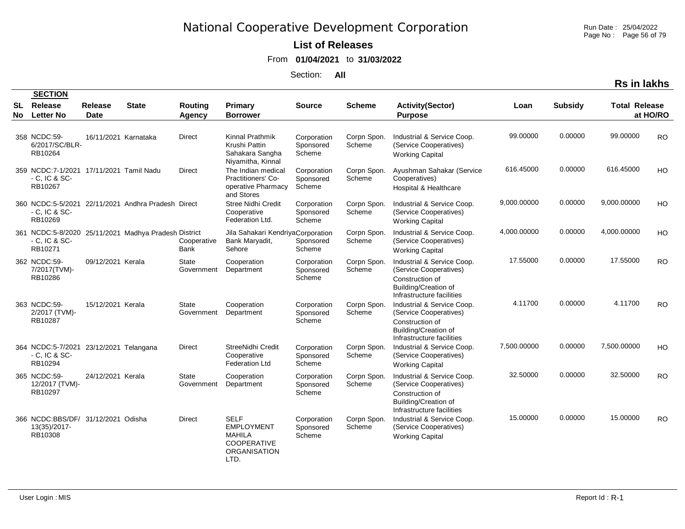### **List of Releases**

#### From **01/04/2021** to **31/03/2022**

Section: **All**

| ın ı | іакг |
|------|------|
|      |      |

|    | <b>SECTION</b>                                                       |                               |                                                      |                            |                                                                                                 |                                    |                       |                                                                                                                                     |             |                |                      |           |
|----|----------------------------------------------------------------------|-------------------------------|------------------------------------------------------|----------------------------|-------------------------------------------------------------------------------------------------|------------------------------------|-----------------------|-------------------------------------------------------------------------------------------------------------------------------------|-------------|----------------|----------------------|-----------|
| No | <b>SL</b> Release<br><b>Letter No</b>                                | <b>Release</b><br><b>Date</b> | <b>State</b>                                         | Routing<br>Agency          | <b>Primary</b><br><b>Borrower</b>                                                               | <b>Source</b>                      | <b>Scheme</b>         | <b>Activity(Sector)</b><br><b>Purpose</b>                                                                                           | Loan        | <b>Subsidy</b> | <b>Total Release</b> | at HO/RO  |
|    | 358 NCDC:59-<br>6/2017/SC/BLR-<br>RB10264                            | 16/11/2021 Karnataka          |                                                      | <b>Direct</b>              | Kinnal Prathmik<br>Krushi Pattin<br>Sahakara Sangha<br>Niyamitha, Kinnal                        | Corporation<br>Sponsored<br>Scheme | Corpn Spon.<br>Scheme | Industrial & Service Coop.<br>(Service Cooperatives)<br><b>Working Capital</b>                                                      | 99.00000    | 0.00000        | 99.00000             | <b>RO</b> |
|    | 359 NCDC:7-1/2021 17/11/2021 Tamil Nadu<br>$-C.$ IC & SC-<br>RB10267 |                               |                                                      | <b>Direct</b>              | The Indian medical<br>Practitioners' Co-<br>operative Pharmacy<br>and Stores                    | Corporation<br>Sponsored<br>Scheme | Corpn Spon.<br>Scheme | Ayushman Sahakar (Service<br>Cooperatives)<br>Hospital & Healthcare                                                                 | 616.45000   | 0.00000        | 616.45000            | HO        |
|    | $-C$ , IC & SC-<br>RB10269                                           |                               | 360 NCDC:5-5/2021 22/11/2021 Andhra Pradesh Direct   |                            | <b>Stree Nidhi Credit</b><br>Cooperative<br>Federation Ltd.                                     | Corporation<br>Sponsored<br>Scheme | Corpn Spon.<br>Scheme | Industrial & Service Coop.<br>(Service Cooperatives)<br><b>Working Capital</b>                                                      | 9,000.00000 | 0.00000        | 9,000.00000          | HO        |
|    | $-$ C, IC & SC $-$<br>RB10271                                        |                               | 361 NCDC:5-8/2020 25/11/2021 Madhya Pradesh District | Cooperative<br>Bank        | Jila Sahakari KendriyaCorporation<br>Bank Maryadit,<br>Sehore                                   | Sponsored<br>Scheme                | Corpn Spon.<br>Scheme | Industrial & Service Coop.<br>(Service Cooperatives)<br><b>Working Capital</b>                                                      | 4,000.00000 | 0.00000        | 4,000.00000          | HO        |
|    | 362 NCDC:59-<br>7/2017(TVM)-<br>RB10286                              | 09/12/2021 Kerala             |                                                      | <b>State</b><br>Government | Cooperation<br>Department                                                                       | Corporation<br>Sponsored<br>Scheme | Corpn Spon.<br>Scheme | Industrial & Service Coop.<br>(Service Cooperatives)<br>Construction of<br>Building/Creation of<br>Infrastructure facilities        | 17.55000    | 0.00000        | 17.55000             | <b>RO</b> |
|    | 363 NCDC:59-<br>2/2017 (TVM)-<br>RB10287                             | 15/12/2021 Kerala             |                                                      | <b>State</b><br>Government | Cooperation<br>Department                                                                       | Corporation<br>Sponsored<br>Scheme | Corpn Spon.<br>Scheme | Industrial & Service Coop.<br>(Service Cooperatives)<br>Construction of<br><b>Building/Creation of</b><br>Infrastructure facilities | 4.11700     | 0.00000        | 4.11700              | <b>RO</b> |
|    | 364 NCDC:5-7/2021 23/12/2021 Telangana<br>$-$ C, IC & SC-<br>RB10294 |                               |                                                      | Direct                     | StreeNidhi Credit<br>Cooperative<br><b>Federation Ltd</b>                                       | Corporation<br>Sponsored<br>Scheme | Corpn Spon.<br>Scheme | Industrial & Service Coop.<br>(Service Cooperatives)<br><b>Working Capital</b>                                                      | 7,500.00000 | 0.00000        | 7,500.00000          | HO        |
|    | 365 NCDC:59-<br>12/2017 (TVM)-<br>RB10297                            | 24/12/2021 Kerala             |                                                      | State<br>Government        | Cooperation<br>Department                                                                       | Corporation<br>Sponsored<br>Scheme | Corpn Spon.<br>Scheme | Industrial & Service Coop.<br>(Service Cooperatives)<br>Construction of<br><b>Building/Creation of</b><br>Infrastructure facilities | 32.50000    | 0.00000        | 32.50000             | <b>RO</b> |
|    | 366 NCDC:BBS/DF/ 31/12/2021 Odisha<br>13(35)/2017-<br>RB10308        |                               |                                                      | Direct                     | <b>SELF</b><br><b>EMPLOYMENT</b><br><b>MAHILA</b><br><b>COOPERATIVE</b><br>ORGANISATION<br>LTD. | Corporation<br>Sponsored<br>Scheme | Corpn Spon.<br>Scheme | Industrial & Service Coop.<br>(Service Cooperatives)<br><b>Working Capital</b>                                                      | 15.00000    | 0.00000        | 15.00000             | <b>RO</b> |

**SECTION**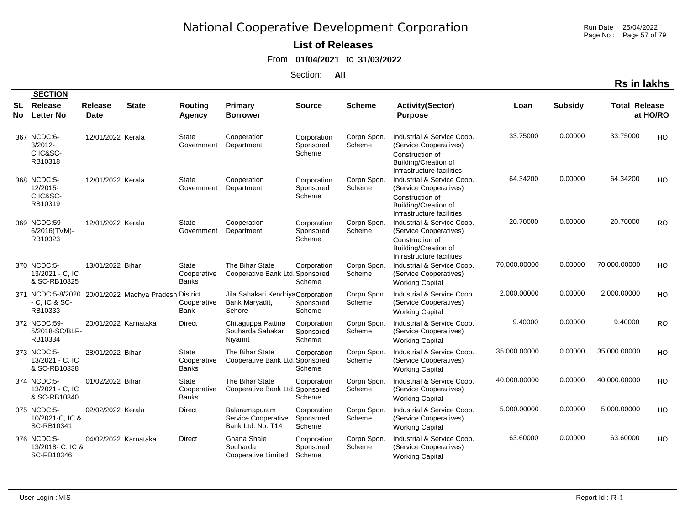Run Date : 25/04/2022 Page No : Page 57 of 79

### **List of Releases**

From **01/04/2021** to **31/03/2022**

Section: **All**

|    | <b>SECTION</b>                                   |                               |                                                      |                                             |                                                               |                                    |                       |                                                                                                                                     |              |                |                      |           |
|----|--------------------------------------------------|-------------------------------|------------------------------------------------------|---------------------------------------------|---------------------------------------------------------------|------------------------------------|-----------------------|-------------------------------------------------------------------------------------------------------------------------------------|--------------|----------------|----------------------|-----------|
| No | <b>SL</b> Release<br><b>Letter No</b>            | <b>Release</b><br><b>Date</b> | <b>State</b>                                         | Routing<br>Agency                           | <b>Primary</b><br><b>Borrower</b>                             | <b>Source</b>                      | <b>Scheme</b>         | <b>Activity(Sector)</b><br><b>Purpose</b>                                                                                           | Loan         | <b>Subsidy</b> | <b>Total Release</b> | at HO/RO  |
|    | 367 NCDC:6-<br>$3/2012 -$<br>C.IC&SC-<br>RB10318 | 12/01/2022 Kerala             |                                                      | State<br>Government                         | Cooperation<br>Department                                     | Corporation<br>Sponsored<br>Scheme | Corpn Spon.<br>Scheme | Industrial & Service Coop.<br>(Service Cooperatives)<br>Construction of<br><b>Building/Creation of</b><br>Infrastructure facilities | 33.75000     | 0.00000        | 33.75000             | HO        |
|    | 368 NCDC:5-<br>12/2015-<br>C,IC&SC-<br>RB10319   | 12/01/2022 Kerala             |                                                      | State<br>Government                         | Cooperation<br>Department                                     | Corporation<br>Sponsored<br>Scheme | Corpn Spon.<br>Scheme | Industrial & Service Coop.<br>(Service Cooperatives)<br>Construction of<br><b>Building/Creation of</b><br>Infrastructure facilities | 64.34200     | 0.00000        | 64.34200             | HO        |
|    | 369 NCDC:59-<br>6/2016(TVM)-<br>RB10323          | 12/01/2022 Kerala             |                                                      | State<br>Government                         | Cooperation<br>Department                                     | Corporation<br>Sponsored<br>Scheme | Corpn Spon.<br>Scheme | Industrial & Service Coop.<br>(Service Cooperatives)<br>Construction of<br>Building/Creation of<br>Infrastructure facilities        | 20.70000     | 0.00000        | 20.70000             | <b>RO</b> |
|    | 370 NCDC:5-<br>13/2021 - C, IC<br>& SC-RB10325   | 13/01/2022 Bihar              |                                                      | <b>State</b><br>Cooperative<br><b>Banks</b> | The Bihar State<br>Cooperative Bank Ltd. Sponsored            | Corporation<br>Scheme              | Corpn Spon.<br>Scheme | Industrial & Service Coop.<br>(Service Cooperatives)<br><b>Working Capital</b>                                                      | 70,000.00000 | 0.00000        | 70,000.00000         | HO        |
|    | $-$ C, IC & SC $-$<br>RB10333                    |                               | 371 NCDC:5-8/2020 20/01/2022 Madhya Pradesh District | Cooperative<br><b>Bank</b>                  | Jila Sahakari KendriyaCorporation<br>Bank Maryadit,<br>Sehore | Sponsored<br>Scheme                | Corpn Spon.<br>Scheme | Industrial & Service Coop.<br>(Service Cooperatives)<br><b>Working Capital</b>                                                      | 2,000.00000  | 0.00000        | 2,000.00000          | HO        |
|    | 372 NCDC:59-<br>5/2018-SC/BLR-<br>RB10334        | 20/01/2022 Karnataka          |                                                      | <b>Direct</b>                               | Chitaguppa Pattina<br>Souharda Sahakari<br>Nivamit            | Corporation<br>Sponsored<br>Scheme | Corpn Spon.<br>Scheme | Industrial & Service Coop.<br>(Service Cooperatives)<br><b>Working Capital</b>                                                      | 9.40000      | 0.00000        | 9.40000              | <b>RO</b> |
|    | 373 NCDC:5-<br>13/2021 - C, IC<br>& SC-RB10338   | 28/01/2022 Bihar              |                                                      | State<br>Cooperative<br><b>Banks</b>        | The Bihar State<br>Cooperative Bank Ltd. Sponsored            | Corporation<br>Scheme              | Corpn Spon.<br>Scheme | Industrial & Service Coop.<br>(Service Cooperatives)<br><b>Working Capital</b>                                                      | 35,000.00000 | 0.00000        | 35,000.00000         | HO        |
|    | 374 NCDC:5-<br>13/2021 - C, IC<br>& SC-RB10340   | 01/02/2022 Bihar              |                                                      | State<br>Cooperative<br><b>Banks</b>        | The Bihar State<br>Cooperative Bank Ltd. Sponsored            | Corporation<br>Scheme              | Corpn Spon.<br>Scheme | Industrial & Service Coop.<br>(Service Cooperatives)<br><b>Working Capital</b>                                                      | 40,000.00000 | 0.00000        | 40,000.00000         | HO        |
|    | 375 NCDC:5-<br>10/2021-C, IC &<br>SC-RB10341     | 02/02/2022 Kerala             |                                                      | Direct                                      | Balaramapuram<br>Service Cooperative<br>Bank Ltd. No. T14     | Corporation<br>Sponsored<br>Scheme | Corpn Spon.<br>Scheme | Industrial & Service Coop.<br>(Service Cooperatives)<br><b>Working Capital</b>                                                      | 5,000.00000  | 0.00000        | 5,000.00000          | HO        |
|    | 376 NCDC:5-<br>13/2018- C, IC &<br>SC-RB10346    | 04/02/2022 Karnataka          |                                                      | <b>Direct</b>                               | Gnana Shale<br>Souharda<br>Cooperative Limited                | Corporation<br>Sponsored<br>Scheme | Corpn Spon.<br>Scheme | Industrial & Service Coop.<br>(Service Cooperatives)<br><b>Working Capital</b>                                                      | 63.60000     | 0.00000        | 63.60000             | HO        |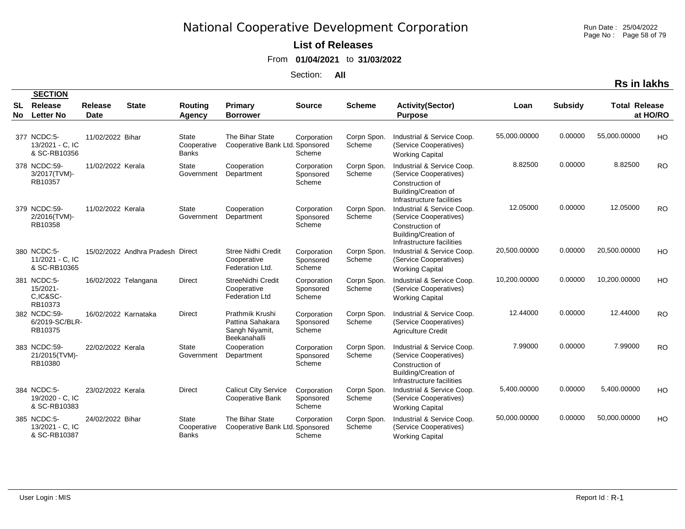Run Date : 25/04/2022 Page No : Page 58 of 79

### **List of Releases**

From **01/04/2021** to **31/03/2022**

Section: **All**

|                        | <b>SECTION</b>                                 |                        |                                  |                                             |                                                                       |                                    |                       |                                                                                                                                     |              |                |                      |           |
|------------------------|------------------------------------------------|------------------------|----------------------------------|---------------------------------------------|-----------------------------------------------------------------------|------------------------------------|-----------------------|-------------------------------------------------------------------------------------------------------------------------------------|--------------|----------------|----------------------|-----------|
| <b>SL</b><br><b>No</b> | Release<br><b>Letter No</b>                    | Release<br><b>Date</b> | <b>State</b>                     | Routing<br>Agency                           | <b>Primary</b><br><b>Borrower</b>                                     | <b>Source</b>                      | <b>Scheme</b>         | <b>Activity(Sector)</b><br><b>Purpose</b>                                                                                           | Loan         | <b>Subsidy</b> | <b>Total Release</b> | at HO/RO  |
|                        | 377 NCDC:5-<br>13/2021 - C, IC<br>& SC-RB10356 | 11/02/2022 Bihar       |                                  | <b>State</b><br>Cooperative<br><b>Banks</b> | The Bihar State<br>Cooperative Bank Ltd. Sponsored                    | Corporation<br>Scheme              | Corpn Spon.<br>Scheme | Industrial & Service Coop.<br>(Service Cooperatives)<br><b>Working Capital</b>                                                      | 55,000.00000 | 0.00000        | 55,000.00000         | HO        |
|                        | 378 NCDC:59-<br>3/2017(TVM)-<br>RB10357        | 11/02/2022 Kerala      |                                  | <b>State</b><br>Government                  | Cooperation<br>Department                                             | Corporation<br>Sponsored<br>Scheme | Corpn Spon.<br>Scheme | Industrial & Service Coop.<br>(Service Cooperatives)<br>Construction of<br><b>Building/Creation of</b><br>Infrastructure facilities | 8.82500      | 0.00000        | 8.82500              | <b>RO</b> |
|                        | 379 NCDC:59-<br>2/2016(TVM)-<br>RB10358        | 11/02/2022 Kerala      |                                  | <b>State</b><br>Government                  | Cooperation<br>Department                                             | Corporation<br>Sponsored<br>Scheme | Corpn Spon.<br>Scheme | Industrial & Service Coop.<br>(Service Cooperatives)<br>Construction of<br>Building/Creation of<br>Infrastructure facilities        | 12.05000     | 0.00000        | 12.05000             | <b>RO</b> |
|                        | 380 NCDC:5-<br>11/2021 - C, IC<br>& SC-RB10365 |                        | 15/02/2022 Andhra Pradesh Direct |                                             | <b>Stree Nidhi Credit</b><br>Cooperative<br>Federation Ltd.           | Corporation<br>Sponsored<br>Scheme | Corpn Spon.<br>Scheme | Industrial & Service Coop.<br>(Service Cooperatives)<br><b>Working Capital</b>                                                      | 20,500.00000 | 0.00000        | 20,500.00000         | HO        |
|                        | 381 NCDC:5-<br>15/2021-<br>C.IC&SC-<br>RB10373 | 16/02/2022 Telangana   |                                  | <b>Direct</b>                               | StreeNidhi Credit<br>Cooperative<br><b>Federation Ltd</b>             | Corporation<br>Sponsored<br>Scheme | Corpn Spon.<br>Scheme | Industrial & Service Coop.<br>(Service Cooperatives)<br><b>Working Capital</b>                                                      | 10,200.00000 | 0.00000        | 10,200.00000         | HO        |
|                        | 382 NCDC:59-<br>6/2019-SC/BLR-<br>RB10375      | 16/02/2022 Karnataka   |                                  | <b>Direct</b>                               | Prathmik Krushi<br>Pattina Sahakara<br>Sangh Niyamit,<br>Beekanahalli | Corporation<br>Sponsored<br>Scheme | Corpn Spon.<br>Scheme | Industrial & Service Coop.<br>(Service Cooperatives)<br><b>Agriculture Credit</b>                                                   | 12.44000     | 0.00000        | 12.44000             | <b>RO</b> |
|                        | 383 NCDC:59-<br>21/2015(TVM)-<br>RB10380       | 22/02/2022 Kerala      |                                  | State<br>Government                         | Cooperation<br>Department                                             | Corporation<br>Sponsored<br>Scheme | Corpn Spon.<br>Scheme | Industrial & Service Coop.<br>(Service Cooperatives)<br>Construction of<br><b>Building/Creation of</b><br>Infrastructure facilities | 7.99000      | 0.00000        | 7.99000              | <b>RO</b> |
|                        | 384 NCDC:5-<br>19/2020 - C, IC<br>& SC-RB10383 | 23/02/2022 Kerala      |                                  | <b>Direct</b>                               | <b>Calicut City Service</b><br>Cooperative Bank                       | Corporation<br>Sponsored<br>Scheme | Corpn Spon.<br>Scheme | Industrial & Service Coop.<br>(Service Cooperatives)<br><b>Working Capital</b>                                                      | 5,400.00000  | 0.00000        | 5,400.00000          | HO        |
|                        | 385 NCDC:5-<br>13/2021 - C, IC<br>& SC-RB10387 | 24/02/2022 Bihar       |                                  | <b>State</b><br>Cooperative<br><b>Banks</b> | The Bihar State<br>Cooperative Bank Ltd. Sponsored                    | Corporation<br>Scheme              | Corpn Spon.<br>Scheme | Industrial & Service Coop.<br>(Service Cooperatives)<br><b>Working Capital</b>                                                      | 50,000.00000 | 0.00000        | 50,000.00000         | HO        |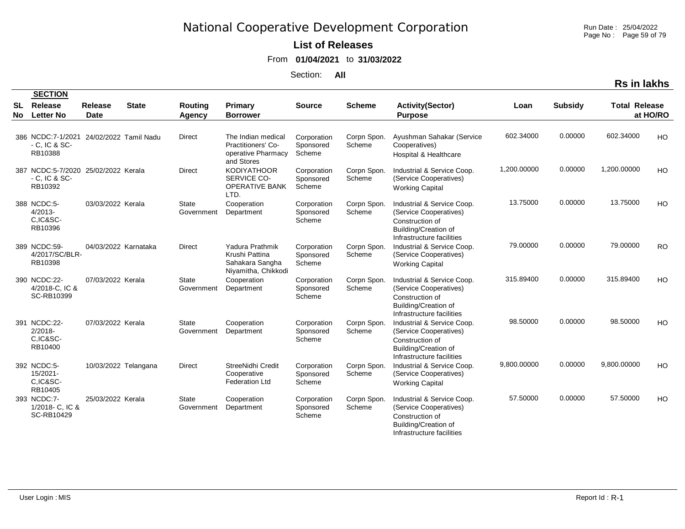Run Date : 25/04/2022 Page No : Page 59 of 79

### **List of Releases**

From **01/04/2021** to **31/03/2022**

Section: **All**

|          | <b>SECTION</b>                                                           |                        |              |                            |                                                                              |                                    |                       |                                                                                                                              |             |                |                      |           |
|----------|--------------------------------------------------------------------------|------------------------|--------------|----------------------------|------------------------------------------------------------------------------|------------------------------------|-----------------------|------------------------------------------------------------------------------------------------------------------------------|-------------|----------------|----------------------|-----------|
| SL<br>No | Release<br><b>Letter No</b>                                              | Release<br><b>Date</b> | <b>State</b> | Routing<br>Agency          | Primary<br><b>Borrower</b>                                                   | <b>Source</b>                      | <b>Scheme</b>         | <b>Activity(Sector)</b><br><b>Purpose</b>                                                                                    | Loan        | <b>Subsidy</b> | <b>Total Release</b> | at HO/RO  |
|          |                                                                          |                        |              |                            |                                                                              |                                    |                       |                                                                                                                              |             |                |                      |           |
|          | 386 NCDC:7-1/2021 24/02/2022 Tamil Nadu<br>$-$ C, IC & SC $-$<br>RB10388 |                        |              | Direct                     | The Indian medical<br>Practitioners' Co-<br>operative Pharmacy<br>and Stores | Corporation<br>Sponsored<br>Scheme | Corpn Spon.<br>Scheme | Ayushman Sahakar (Service<br>Cooperatives)<br>Hospital & Healthcare                                                          | 602.34000   | 0.00000        | 602.34000            | <b>HO</b> |
|          | 387 NCDC:5-7/2020 25/02/2022 Kerala<br>$-$ C. IC & SC $-$<br>RB10392     |                        |              | <b>Direct</b>              | <b>KODIYATHOOR</b><br>SERVICE CO-<br>OPERATIVE BANK<br>LTD.                  | Corporation<br>Sponsored<br>Scheme | Corpn Spon.<br>Scheme | Industrial & Service Coop.<br>(Service Cooperatives)<br><b>Working Capital</b>                                               | 1,200.00000 | 0.00000        | 1,200.00000          | HO        |
|          | 388 NCDC:5-<br>$4/2013-$<br>C.IC&SC-<br>RB10396                          | 03/03/2022 Kerala      |              | <b>State</b><br>Government | Cooperation<br>Department                                                    | Corporation<br>Sponsored<br>Scheme | Corpn Spon.<br>Scheme | Industrial & Service Coop.<br>(Service Cooperatives)<br>Construction of<br>Building/Creation of<br>Infrastructure facilities | 13.75000    | 0.00000        | 13.75000             | HO        |
|          | 389 NCDC:59-<br>4/2017/SC/BLR-<br>RB10398                                | 04/03/2022 Karnataka   |              | <b>Direct</b>              | Yadura Prathmik<br>Krushi Pattina<br>Sahakara Sangha<br>Niyamitha, Chikkodi  | Corporation<br>Sponsored<br>Scheme | Corpn Spon.<br>Scheme | Industrial & Service Coop.<br>(Service Cooperatives)<br><b>Working Capital</b>                                               | 79.00000    | 0.00000        | 79.00000             | <b>RO</b> |
|          | 390 NCDC:22-<br>4/2018 C. IC &<br>SC-RB10399                             | 07/03/2022 Kerala      |              | <b>State</b><br>Government | Cooperation<br>Department                                                    | Corporation<br>Sponsored<br>Scheme | Corpn Spon.<br>Scheme | Industrial & Service Coop.<br>(Service Cooperatives)<br>Construction of<br>Building/Creation of<br>Infrastructure facilities | 315.89400   | 0.00000        | 315.89400            | <b>HO</b> |
|          | 391 NCDC:22-<br>$2/2018 -$<br>C.IC&SC-<br>RB10400                        | 07/03/2022 Kerala      |              | <b>State</b><br>Government | Cooperation<br>Department                                                    | Corporation<br>Sponsored<br>Scheme | Corpn Spon.<br>Scheme | Industrial & Service Coop.<br>(Service Cooperatives)<br>Construction of<br>Building/Creation of<br>Infrastructure facilities | 98.50000    | 0.00000        | 98.50000             | <b>HO</b> |
|          | 392 NCDC:5-<br>15/2021-<br>C.IC&SC-<br>RB10405                           | 10/03/2022 Telangana   |              | <b>Direct</b>              | StreeNidhi Credit<br>Cooperative<br><b>Federation Ltd</b>                    | Corporation<br>Sponsored<br>Scheme | Corpn Spon.<br>Scheme | Industrial & Service Coop.<br>(Service Cooperatives)<br><b>Working Capital</b>                                               | 9,800.00000 | 0.00000        | 9,800.00000          | HO        |
|          | 393 NCDC:7-<br>1/2018- C, IC &<br>SC-RB10429                             | 25/03/2022 Kerala      |              | <b>State</b><br>Government | Cooperation<br>Department                                                    | Corporation<br>Sponsored<br>Scheme | Corpn Spon.<br>Scheme | Industrial & Service Coop.<br>(Service Cooperatives)<br>Construction of<br>Building/Creation of<br>Infrastructure facilities | 57.50000    | 0.00000        | 57.50000             | HO        |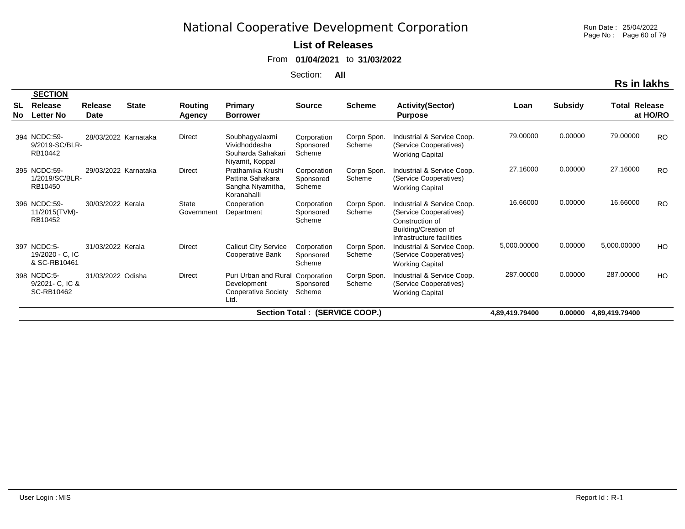Run Date : 25/04/2022 Page No : Page 60 of 79

### **List of Releases**

From **01/04/2021** to **31/03/2022**

Section: **All**

|                 | <b>SECTION</b>                                 |                        |              |                            |                                                                                       |                                    |                       |                                                                                                                              |                |                |                      |           |
|-----------------|------------------------------------------------|------------------------|--------------|----------------------------|---------------------------------------------------------------------------------------|------------------------------------|-----------------------|------------------------------------------------------------------------------------------------------------------------------|----------------|----------------|----------------------|-----------|
| <b>SL</b><br>No | Release<br><b>Letter No</b>                    | <b>Release</b><br>Date | <b>State</b> | Routing<br>Agency          | Primary<br><b>Borrower</b>                                                            | <b>Source</b>                      | <b>Scheme</b>         | <b>Activity(Sector)</b><br><b>Purpose</b>                                                                                    | Loan           | <b>Subsidy</b> | <b>Total Release</b> | at HO/RO  |
|                 | 394 NCDC:59-<br>9/2019-SC/BLR-<br>RB10442      | 28/03/2022 Karnataka   |              | <b>Direct</b>              | Soubhagyalaxmi<br>Vividhoddesha<br>Souharda Sahakari<br>Niyamit, Koppal               | Corporation<br>Sponsored<br>Scheme | Corpn Spon.<br>Scheme | Industrial & Service Coop.<br>(Service Cooperatives)<br><b>Working Capital</b>                                               | 79.00000       | 0.00000        | 79.00000             | <b>RO</b> |
|                 | 395 NCDC:59-<br>1/2019/SC/BLR-<br>RB10450      | 29/03/2022 Karnataka   |              | <b>Direct</b>              | Prathamika Krushi<br>Pattina Sahakara<br>Sangha Niyamitha,<br>Koranahalli             | Corporation<br>Sponsored<br>Scheme | Corpn Spon.<br>Scheme | Industrial & Service Coop.<br>(Service Cooperatives)<br><b>Working Capital</b>                                               | 27.16000       | 0.00000        | 27.16000             | <b>RO</b> |
|                 | 396 NCDC:59-<br>11/2015(TVM)-<br>RB10452       | 30/03/2022 Kerala      |              | <b>State</b><br>Government | Cooperation<br>Department                                                             | Corporation<br>Sponsored<br>Scheme | Corpn Spon.<br>Scheme | Industrial & Service Coop.<br>(Service Cooperatives)<br>Construction of<br>Building/Creation of<br>Infrastructure facilities | 16.66000       | 0.00000        | 16.66000             | <b>RO</b> |
|                 | 397 NCDC:5-<br>19/2020 - C, IC<br>& SC-RB10461 | 31/03/2022 Kerala      |              | <b>Direct</b>              | <b>Calicut City Service</b><br><b>Cooperative Bank</b>                                | Corporation<br>Sponsored<br>Scheme | Corpn Spon.<br>Scheme | Industrial & Service Coop.<br>(Service Cooperatives)<br><b>Working Capital</b>                                               | 5,000.00000    | 0.00000        | 5,000.00000          | HO        |
|                 | 398 NCDC:5-<br>9/2021 - C. IC &<br>SC-RB10462  | 31/03/2022 Odisha      |              | <b>Direct</b>              | Puri Urban and Rural Corporation<br>Development<br><b>Cooperative Society</b><br>Ltd. | Sponsored<br>Scheme                | Corpn Spon.<br>Scheme | Industrial & Service Coop.<br>(Service Cooperatives)<br><b>Working Capital</b>                                               | 287.00000      | 0.00000        | 287.00000            | HO        |
|                 |                                                |                        |              |                            |                                                                                       | Section Total : (SERVICE COOP.)    |                       |                                                                                                                              | 4.89.419.79400 | 0.00000        | 4,89,419.79400       |           |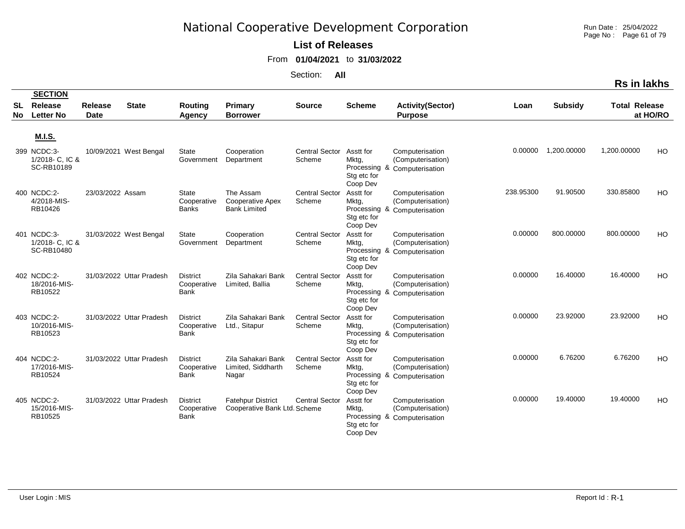Run Date : 25/04/2022 Page No : Page 61 of 79

**Rs in lakhs**

### **List of Releases**

From **01/04/2021** to **31/03/2022**

|                 | <b>SECTION</b>                               |                               |                          |                                               |                                                             |                                 |                                               |                                                                      |           |                |                      |           |
|-----------------|----------------------------------------------|-------------------------------|--------------------------|-----------------------------------------------|-------------------------------------------------------------|---------------------------------|-----------------------------------------------|----------------------------------------------------------------------|-----------|----------------|----------------------|-----------|
| SL<br><b>No</b> | Release<br><b>Letter No</b>                  | <b>Release</b><br><b>Date</b> | <b>State</b>             | Routing<br>Agency                             | Primary<br><b>Borrower</b>                                  | <b>Source</b>                   | <b>Scheme</b>                                 | <b>Activity(Sector)</b><br><b>Purpose</b>                            | Loan      | <b>Subsidy</b> | <b>Total Release</b> | at HO/RO  |
|                 | <b>M.I.S.</b>                                |                               |                          |                                               |                                                             |                                 |                                               |                                                                      |           |                |                      |           |
|                 | 399 NCDC:3-<br>1/2018 C. IC &<br>SC-RB10189  |                               | 10/09/2021 West Bengal   | <b>State</b><br>Government                    | Cooperation<br>Department                                   | <b>Central Sector</b><br>Scheme | Asstt for<br>Mktg,<br>Stg etc for<br>Coop Dev | Computerisation<br>(Computerisation)<br>Processing & Computerisation | 0.00000   | 1,200.00000    | 1,200.00000          | <b>HO</b> |
|                 | 400 NCDC:2-<br>4/2018-MIS-<br>RB10426        | 23/03/2022 Assam              |                          | State<br>Cooperative<br><b>Banks</b>          | The Assam<br><b>Cooperative Apex</b><br><b>Bank Limited</b> | <b>Central Sector</b><br>Scheme | Asstt for<br>Mktg,<br>Stg etc for<br>Coop Dev | Computerisation<br>(Computerisation)<br>Processing & Computerisation | 238.95300 | 91.90500       | 330.85800            | HO        |
|                 | 401 NCDC:3-<br>1/2018- C, IC &<br>SC-RB10480 |                               | 31/03/2022 West Bengal   | State<br>Government                           | Cooperation<br>Department                                   | <b>Central Sector</b><br>Scheme | Asstt for<br>Mktg,<br>Stg etc for<br>Coop Dev | Computerisation<br>(Computerisation)<br>Processing & Computerisation | 0.00000   | 800.00000      | 800.00000            | HO        |
|                 | 402 NCDC:2-<br>18/2016-MIS-<br>RB10522       |                               | 31/03/2022 Uttar Pradesh | <b>District</b><br>Cooperative<br>Bank        | Zila Sahakari Bank<br>Limited, Ballia                       | <b>Central Sector</b><br>Scheme | Asstt for<br>Mktg,<br>Stg etc for<br>Coop Dev | Computerisation<br>(Computerisation)<br>Processing & Computerisation | 0.00000   | 16.40000       | 16.40000             | HO        |
|                 | 403 NCDC:2-<br>10/2016-MIS-<br>RB10523       |                               | 31/03/2022 Uttar Pradesh | <b>District</b><br>Cooperative<br><b>Bank</b> | Zila Sahakari Bank<br>Ltd., Sitapur                         | <b>Central Sector</b><br>Scheme | Asstt for<br>Mktg,<br>Stg etc for<br>Coop Dev | Computerisation<br>(Computerisation)<br>Processing & Computerisation | 0.00000   | 23.92000       | 23.92000             | HO        |
|                 | 404 NCDC:2-<br>17/2016-MIS-<br>RB10524       |                               | 31/03/2022 Uttar Pradesh | <b>District</b><br>Cooperative<br>Bank        | Zila Sahakari Bank<br>Limited, Siddharth<br>Nagar           | <b>Central Sector</b><br>Scheme | Asstt for<br>Mktg,<br>Stg etc for<br>Coop Dev | Computerisation<br>(Computerisation)<br>Processing & Computerisation | 0.00000   | 6.76200        | 6.76200              | HO        |
|                 | 405 NCDC:2-<br>15/2016-MIS-<br>RB10525       |                               | 31/03/2022 Uttar Pradesh | <b>District</b><br>Cooperative<br>Bank        | <b>Fatehpur District</b><br>Cooperative Bank Ltd. Scheme    | <b>Central Sector</b>           | Asstt for<br>Mktg,<br>Stg etc for<br>Coop Dev | Computerisation<br>(Computerisation)<br>Processing & Computerisation | 0.00000   | 19.40000       | 19.40000             | HO        |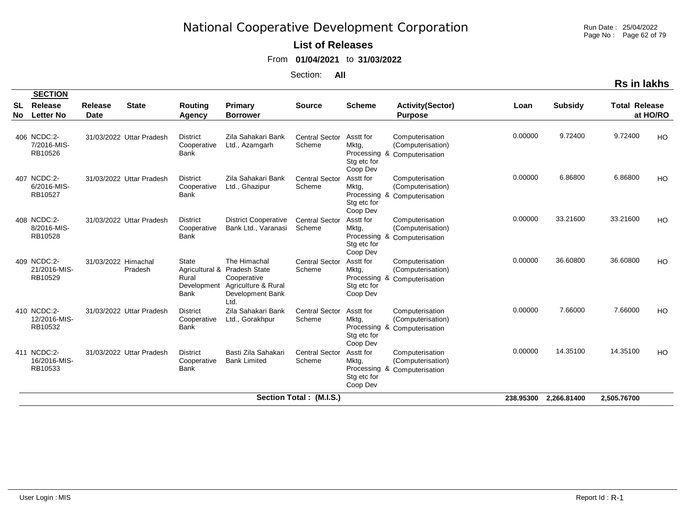Run Date : 25/04/2022 Page No : Page 62 of 79

### **List of Releases**

From **01/04/2021** to **31/03/2022**

Section: **All**

|                 | <b>SECTION</b>                         |                        |                          |                                                                       |                                                                                                 |                                 |                                               |                                                                      |           |                |                      |          |
|-----------------|----------------------------------------|------------------------|--------------------------|-----------------------------------------------------------------------|-------------------------------------------------------------------------------------------------|---------------------------------|-----------------------------------------------|----------------------------------------------------------------------|-----------|----------------|----------------------|----------|
| <b>SL</b><br>No | Release<br><b>Letter No</b>            | Release<br><b>Date</b> | <b>State</b>             | Routing<br><b>Agency</b>                                              | Primary<br><b>Borrower</b>                                                                      | <b>Source</b>                   | <b>Scheme</b>                                 | <b>Activity(Sector)</b><br><b>Purpose</b>                            | Loan      | <b>Subsidy</b> | <b>Total Release</b> | at HO/RO |
|                 | 406 NCDC:2-<br>7/2016-MIS-<br>RB10526  |                        | 31/03/2022 Uttar Pradesh | <b>District</b><br>Cooperative<br><b>Bank</b>                         | Zila Sahakari Bank<br>Ltd., Azamgarh                                                            | <b>Central Sector</b><br>Scheme | Asstt for<br>Mktg,<br>Stg etc for<br>Coop Dev | Computerisation<br>(Computerisation)<br>Processing & Computerisation | 0.00000   | 9.72400        | 9.72400              | HO       |
|                 | 407 NCDC:2-<br>6/2016-MIS-<br>RB10527  |                        | 31/03/2022 Uttar Pradesh | <b>District</b><br>Cooperative<br><b>Bank</b>                         | Zila Sahakari Bank<br>Ltd., Ghazipur                                                            | <b>Central Sector</b><br>Scheme | Asstt for<br>Mktg,<br>Stg etc for<br>Coop Dev | Computerisation<br>(Computerisation)<br>Processing & Computerisation | 0.00000   | 6.86800        | 6.86800              | HO       |
|                 | 408 NCDC:2-<br>8/2016-MIS-<br>RB10528  |                        | 31/03/2022 Uttar Pradesh | <b>District</b><br>Cooperative<br><b>Bank</b>                         | <b>District Cooperative</b><br>Bank Ltd., Varanasi                                              | <b>Central Sector</b><br>Scheme | Asstt for<br>Mktg,<br>Stg etc for<br>Coop Dev | Computerisation<br>(Computerisation)<br>Processing & Computerisation | 0.00000   | 33.21600       | 33.21600             | HO       |
|                 | 409 NCDC:2-<br>21/2016-MIS-<br>RB10529 | 31/03/2022 Himachal    | Pradesh                  | <b>State</b><br>Agricultural &<br>Rural<br>Development<br><b>Bank</b> | The Himachal<br>Pradesh State<br>Cooperative<br>Agriculture & Rural<br>Development Bank<br>Ltd. | <b>Central Sector</b><br>Scheme | Asstt for<br>Mktg,<br>Stg etc for<br>Coop Dev | Computerisation<br>(Computerisation)<br>Processing & Computerisation | 0.00000   | 36.60800       | 36.60800             | HO       |
|                 | 410 NCDC:2-<br>12/2016-MIS-<br>RB10532 |                        | 31/03/2022 Uttar Pradesh | <b>District</b><br>Cooperative<br><b>Bank</b>                         | Zila Sahakari Bank<br>Ltd., Gorakhpur                                                           | <b>Central Sector</b><br>Scheme | Asstt for<br>Mktg,<br>Stg etc for<br>Coop Dev | Computerisation<br>(Computerisation)<br>Processing & Computerisation | 0.00000   | 7.66000        | 7.66000              | HO       |
|                 | 411 NCDC:2-<br>16/2016-MIS-<br>RB10533 |                        | 31/03/2022 Uttar Pradesh | <b>District</b><br>Cooperative<br><b>Bank</b>                         | Basti Zila Sahakari<br><b>Bank Limited</b>                                                      | <b>Central Sector</b><br>Scheme | Asstt for<br>Mktg,<br>Stg etc for<br>Coop Dev | Computerisation<br>(Computerisation)<br>Processing & Computerisation | 0.00000   | 14.35100       | 14.35100             | HO       |
|                 |                                        |                        |                          |                                                                       |                                                                                                 | Section Total: (M.I.S.)         |                                               |                                                                      | 238.95300 | 2,266.81400    | 2,505.76700          |          |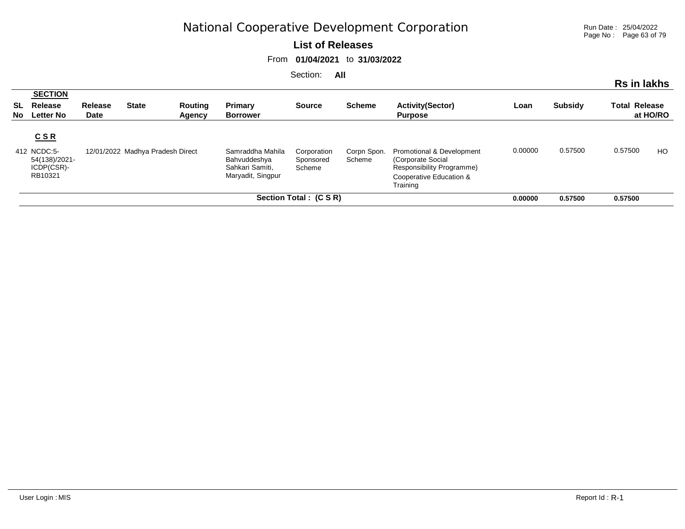Run Date : 25/04/2022 Page No : Page 63 of 79

#### **List of Releases**

From **01/04/2021** to **31/03/2022**

|          |                                                                  |                        |                                  |                   |                                                                          | <b>UUUUU</b> UU                    | $\sim$                |                                                                                                                    |         |                | Rs in lakhs          |          |
|----------|------------------------------------------------------------------|------------------------|----------------------------------|-------------------|--------------------------------------------------------------------------|------------------------------------|-----------------------|--------------------------------------------------------------------------------------------------------------------|---------|----------------|----------------------|----------|
| SL<br>No | <b>SECTION</b><br>Release<br><b>Letter No</b>                    | Release<br><b>Date</b> | <b>State</b>                     | Routing<br>Agency | Primary<br><b>Borrower</b>                                               | <b>Source</b>                      | <b>Scheme</b>         | <b>Activity(Sector)</b><br><b>Purpose</b>                                                                          | Loan    | <b>Subsidy</b> | <b>Total Release</b> | at HO/RO |
|          | $C$ S R<br>412 NCDC:5-<br>54(138)/2021-<br>ICDP(CSR)-<br>RB10321 |                        | 12/01/2022 Madhya Pradesh Direct |                   | Samraddha Mahila<br>Bahvuddeshya<br>Sahkari Samiti.<br>Maryadit, Singpur | Corporation<br>Sponsored<br>Scheme | Corpn Spon.<br>Scheme | Promotional & Development<br>(Corporate Social<br>Responsibility Programme)<br>Cooperative Education &<br>Training | 0.00000 | 0.57500        | 0.57500              | HO.      |
|          |                                                                  |                        |                                  |                   |                                                                          | Section Total : (C S R)            |                       |                                                                                                                    | 0.00000 | 0.57500        | 0.57500              |          |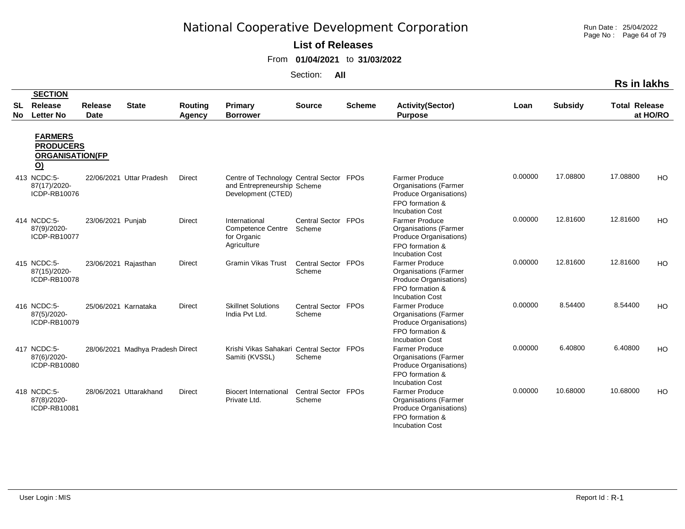**List of Releases** 

From **01/04/2021** to **31/03/2022**

Section: **All**

|           |                                                                                          |                      |                                  |               |                                                                                               |                               |               |                                                                                                                                                        |         |                |                      | NS III IANIIS |
|-----------|------------------------------------------------------------------------------------------|----------------------|----------------------------------|---------------|-----------------------------------------------------------------------------------------------|-------------------------------|---------------|--------------------------------------------------------------------------------------------------------------------------------------------------------|---------|----------------|----------------------|---------------|
| <b>SL</b> | <b>SECTION</b><br>Release                                                                | <b>Release</b>       | <b>State</b>                     | Routing       | Primary                                                                                       | <b>Source</b>                 | <b>Scheme</b> | <b>Activity(Sector)</b>                                                                                                                                | Loan    | <b>Subsidy</b> | <b>Total Release</b> |               |
| <b>No</b> | <b>Letter No</b>                                                                         | <b>Date</b>          |                                  | Agency        | <b>Borrower</b>                                                                               |                               |               | <b>Purpose</b>                                                                                                                                         |         |                |                      | at HO/RO      |
|           | <b>FARMERS</b><br><b>PRODUCERS</b><br><b>ORGANISATION(FP</b><br>$\underline{\mathsf{O}}$ |                      |                                  |               |                                                                                               |                               |               |                                                                                                                                                        |         |                |                      |               |
|           | 413 NCDC:5-<br>87(17)/2020-<br>ICDP-RB10076                                              |                      | 22/06/2021 Uttar Pradesh         | <b>Direct</b> | Centre of Technology Central Sector FPOs<br>and Entrepreneurship Scheme<br>Development (CTED) |                               |               | <b>Farmer Produce</b><br><b>Organisations</b> (Farmer<br>Produce Organisations)<br>FPO formation &<br><b>Incubation Cost</b>                           | 0.00000 | 17.08800       | 17.08800             | HO            |
|           | 414 NCDC:5-<br>87(9)/2020-<br>ICDP-RB10077                                               | 23/06/2021 Punjab    |                                  | <b>Direct</b> | International<br><b>Competence Centre</b><br>for Organic<br>Agriculture                       | Central Sector FPOs<br>Scheme |               | <b>Farmer Produce</b><br><b>Organisations</b> (Farmer<br>Produce Organisations)<br>FPO formation &<br><b>Incubation Cost</b>                           | 0.00000 | 12.81600       | 12.81600             | HO            |
|           | 415 NCDC:5-<br>87(15)/2020-<br>ICDP-RB10078                                              | 23/06/2021 Rajasthan |                                  | <b>Direct</b> | <b>Gramin Vikas Trust</b>                                                                     | Central Sector FPOs<br>Scheme |               | <b>Farmer Produce</b><br><b>Organisations</b> (Farmer<br>Produce Organisations)<br>FPO formation &<br><b>Incubation Cost</b>                           | 0.00000 | 12.81600       | 12.81600             | HO            |
|           | 416 NCDC:5-<br>87(5)/2020-<br>ICDP-RB10079                                               | 25/06/2021 Karnataka |                                  | <b>Direct</b> | <b>Skillnet Solutions</b><br>India Pvt Ltd.                                                   | Central Sector FPOs<br>Scheme |               | <b>Farmer Produce</b><br><b>Organisations</b> (Farmer<br>Produce Organisations)<br>FPO formation &<br><b>Incubation Cost</b>                           | 0.00000 | 8.54400        | 8.54400              | HO            |
|           | 417 NCDC:5-<br>87(6)/2020-<br>ICDP-RB10080                                               |                      | 28/06/2021 Madhya Pradesh Direct |               | Krishi Vikas Sahakari Central Sector FPOs<br>Samiti (KVSSL)                                   | Scheme                        |               | <b>Farmer Produce</b><br><b>Organisations</b> (Farmer<br>Produce Organisations)<br>FPO formation &                                                     | 0.00000 | 6.40800        | 6.40800              | HO            |
|           | 418 NCDC:5-<br>87(8)/2020-<br>ICDP-RB10081                                               |                      | 28/06/2021 Uttarakhand           | <b>Direct</b> | <b>Biocert International</b><br>Private Ltd.                                                  | Central Sector FPOs<br>Scheme |               | <b>Incubation Cost</b><br><b>Farmer Produce</b><br><b>Organisations (Farmer</b><br>Produce Organisations)<br>FPO formation &<br><b>Incubation Cost</b> | 0.00000 | 10.68000       | 10.68000             | HO            |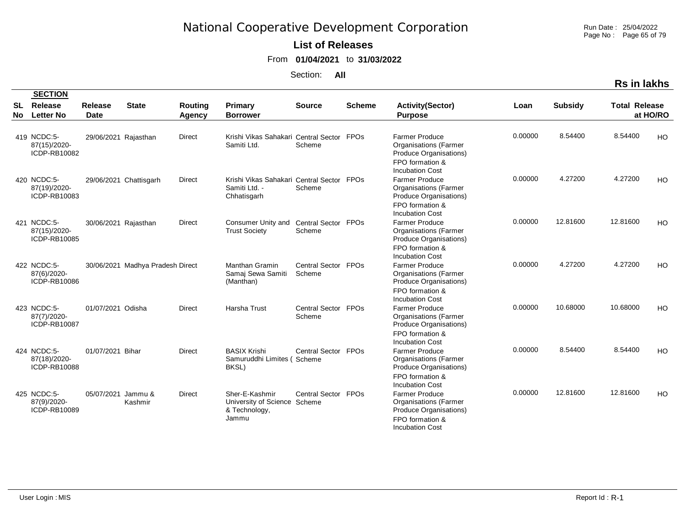Run Date : 25/04/2022 Page No : Page 65 of 79

### **List of Releases**

From **01/04/2021** to **31/03/2022**

| <b>Rs in lakhs</b> |
|--------------------|
|--------------------|

|          | <b>SECTION</b>                              |                        |                                  |                   |                                                                           |                               |                        |                                                                                                                              |         |                |                      |          |
|----------|---------------------------------------------|------------------------|----------------------------------|-------------------|---------------------------------------------------------------------------|-------------------------------|------------------------|------------------------------------------------------------------------------------------------------------------------------|---------|----------------|----------------------|----------|
| SL<br>No | Release<br><b>Letter No</b>                 | Release<br><b>Date</b> | <b>State</b>                     | Routing<br>Agency | <b>Primary</b><br><b>Borrower</b>                                         | <b>Source</b>                 | <b>Scheme</b>          | <b>Activity(Sector)</b><br><b>Purpose</b>                                                                                    | Loan    | <b>Subsidy</b> | <b>Total Release</b> | at HO/RO |
|          | 419 NCDC:5-<br>87(15)/2020-<br>ICDP-RB10082 | 29/06/2021 Rajasthan   |                                  | <b>Direct</b>     | Krishi Vikas Sahakari Central Sector<br>Samiti Ltd.                       | Scheme                        | FPOs                   | <b>Farmer Produce</b><br><b>Organisations (Farmer</b><br>Produce Organisations)<br>FPO formation &<br><b>Incubation Cost</b> | 0.00000 | 8.54400        | 8.54400              | HO       |
|          | 420 NCDC:5-<br>87(19)/2020-<br>ICDP-RB10083 |                        | 29/06/2021 Chattisgarh           | Direct            | Krishi Vikas Sahakari Central Sector FPOs<br>Samiti Ltd. -<br>Chhatisgarh | Scheme                        |                        | <b>Farmer Produce</b><br><b>Organisations</b> (Farmer<br>Produce Organisations)<br>FPO formation &<br><b>Incubation Cost</b> | 0.00000 | 4.27200        | 4.27200              | HO       |
|          | 421 NCDC:5-<br>87(15)/2020-<br>ICDP-RB10085 | 30/06/2021 Rajasthan   |                                  | <b>Direct</b>     | Consumer Unity and<br><b>Trust Society</b>                                | Central Sector FPOs<br>Scheme |                        | <b>Farmer Produce</b><br><b>Organisations</b> (Farmer<br>Produce Organisations)<br>FPO formation &<br><b>Incubation Cost</b> | 0.00000 | 12.81600       | 12.81600             | HO.      |
|          | 422 NCDC:5-<br>87(6)/2020-<br>ICDP-RB10086  |                        | 30/06/2021 Madhya Pradesh Direct |                   | Manthan Gramin<br>Samaj Sewa Samiti<br>(Manthan)                          | Central Sector<br>Scheme      | <b>FPO<sub>s</sub></b> | <b>Farmer Produce</b><br><b>Organisations (Farmer</b><br>Produce Organisations)<br>FPO formation &<br><b>Incubation Cost</b> | 0.00000 | 4.27200        | 4.27200              | HO       |
|          | 423 NCDC:5-<br>87(7)/2020-<br>ICDP-RB10087  | 01/07/2021 Odisha      |                                  | <b>Direct</b>     | Harsha Trust                                                              | Central Sector FPOs<br>Scheme |                        | <b>Farmer Produce</b><br><b>Organisations (Farmer</b><br>Produce Organisations)<br>FPO formation &<br><b>Incubation Cost</b> | 0.00000 | 10.68000       | 10.68000             | HO       |
|          | 424 NCDC:5-<br>87(18)/2020-<br>ICDP-RB10088 | 01/07/2021 Bihar       |                                  | <b>Direct</b>     | <b>BASIX Krishi</b><br>Samuruddhi Limites (Scheme<br>BKSL)                | Central Sector FPOs           |                        | <b>Farmer Produce</b><br><b>Organisations (Farmer</b><br>Produce Organisations)<br>FPO formation &<br><b>Incubation Cost</b> | 0.00000 | 8.54400        | 8.54400              | HO.      |
|          | 425 NCDC:5-<br>87(9)/2020-<br>ICDP-RB10089  | 05/07/2021             | Jammu &<br>Kashmir               | <b>Direct</b>     | Sher-E-Kashmir<br>University of Science<br>& Technology,<br>Jammu         | Central Sector FPOs<br>Scheme |                        | <b>Farmer Produce</b><br><b>Organisations (Farmer</b><br>Produce Organisations)<br>FPO formation &<br><b>Incubation Cost</b> | 0.00000 | 12.81600       | 12.81600             | HO       |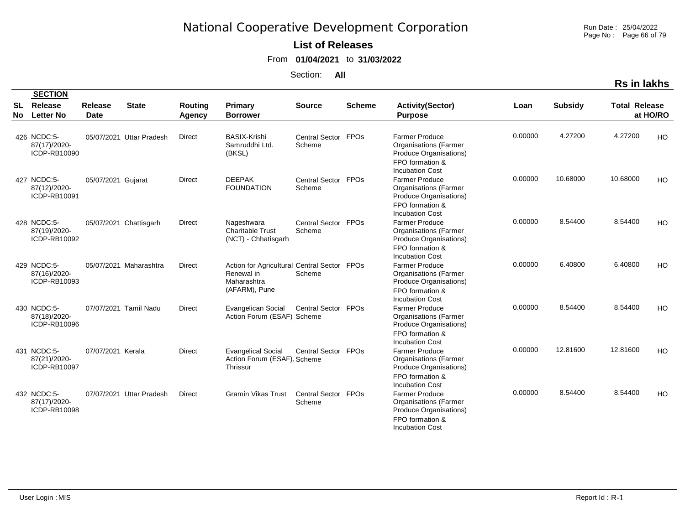Run Date : 25/04/2022 Page No : Page 66 of 79

### **List of Releases**

From **01/04/2021** to **31/03/2022**

Section: **All**

|           | <b>SECTION</b>                              |                               |                          |                          |                                                                                           |                               |               |                                                                                                                              |         |                |                      |          |
|-----------|---------------------------------------------|-------------------------------|--------------------------|--------------------------|-------------------------------------------------------------------------------------------|-------------------------------|---------------|------------------------------------------------------------------------------------------------------------------------------|---------|----------------|----------------------|----------|
| SL<br>No. | Release<br><b>Letter No</b>                 | <b>Release</b><br><b>Date</b> | <b>State</b>             | Routing<br><b>Agency</b> | <b>Primary</b><br><b>Borrower</b>                                                         | <b>Source</b>                 | <b>Scheme</b> | <b>Activity(Sector)</b><br><b>Purpose</b>                                                                                    | Loan    | <b>Subsidy</b> | <b>Total Release</b> | at HO/RO |
|           | 426 NCDC:5-<br>87(17)/2020-<br>ICDP-RB10090 |                               | 05/07/2021 Uttar Pradesh | Direct                   | <b>BASIX-Krishi</b><br>Samruddhi Ltd.<br>(BKSL)                                           | Central Sector FPOs<br>Scheme |               | <b>Farmer Produce</b><br><b>Organisations (Farmer</b><br>Produce Organisations)<br>FPO formation &<br><b>Incubation Cost</b> | 0.00000 | 4.27200        | 4.27200              | HO       |
|           | 427 NCDC:5-<br>87(12)/2020-<br>ICDP-RB10091 | 05/07/2021 Gujarat            |                          | <b>Direct</b>            | <b>DEEPAK</b><br><b>FOUNDATION</b>                                                        | Central Sector FPOs<br>Scheme |               | <b>Farmer Produce</b><br><b>Organisations</b> (Farmer<br>Produce Organisations)<br>FPO formation &<br><b>Incubation Cost</b> | 0.00000 | 10.68000       | 10.68000             | HO       |
|           | 428 NCDC:5-<br>87(19)/2020-<br>ICDP-RB10092 |                               | 05/07/2021 Chattisgarh   | <b>Direct</b>            | Nageshwara<br><b>Charitable Trust</b><br>(NCT) - Chhatisgarh                              | Central Sector FPOs<br>Scheme |               | <b>Farmer Produce</b><br><b>Organisations (Farmer</b><br>Produce Organisations)<br>FPO formation &<br><b>Incubation Cost</b> | 0.00000 | 8.54400        | 8.54400              | HO       |
|           | 429 NCDC:5-<br>87(16)/2020-<br>ICDP-RB10093 |                               | 05/07/2021 Maharashtra   | <b>Direct</b>            | Action for Agricultural Central Sector FPOs<br>Renewal in<br>Maharashtra<br>(AFARM), Pune | Scheme                        |               | <b>Farmer Produce</b><br><b>Organisations (Farmer</b><br>Produce Organisations)<br>FPO formation &<br><b>Incubation Cost</b> | 0.00000 | 6.40800        | 6.40800              | HO       |
|           | 430 NCDC:5-<br>87(18)/2020-<br>ICDP-RB10096 |                               | 07/07/2021 Tamil Nadu    | <b>Direct</b>            | <b>Evangelican Social</b><br>Action Forum (ESAF) Scheme                                   | Central Sector FPOs           |               | <b>Farmer Produce</b><br><b>Organisations (Farmer</b><br>Produce Organisations)<br>FPO formation &<br><b>Incubation Cost</b> | 0.00000 | 8.54400        | 8.54400              | HO       |
|           | 431 NCDC:5-<br>87(21)/2020-<br>ICDP-RB10097 | 07/07/2021 Kerala             |                          | Direct                   | <b>Evangelical Social</b><br>Action Forum (ESAF), Scheme<br>Thrissur                      | Central Sector FPOs           |               | <b>Farmer Produce</b><br><b>Organisations (Farmer</b><br>Produce Organisations)<br>FPO formation &<br><b>Incubation Cost</b> | 0.00000 | 12.81600       | 12.81600             | HO       |
|           | 432 NCDC:5-<br>87(17)/2020-<br>ICDP-RB10098 |                               | 07/07/2021 Uttar Pradesh | <b>Direct</b>            | <b>Gramin Vikas Trust</b>                                                                 | Central Sector FPOs<br>Scheme |               | <b>Farmer Produce</b><br><b>Organisations (Farmer</b><br>Produce Organisations)<br>FPO formation &<br><b>Incubation Cost</b> | 0.00000 | 8.54400        | 8.54400              | HO       |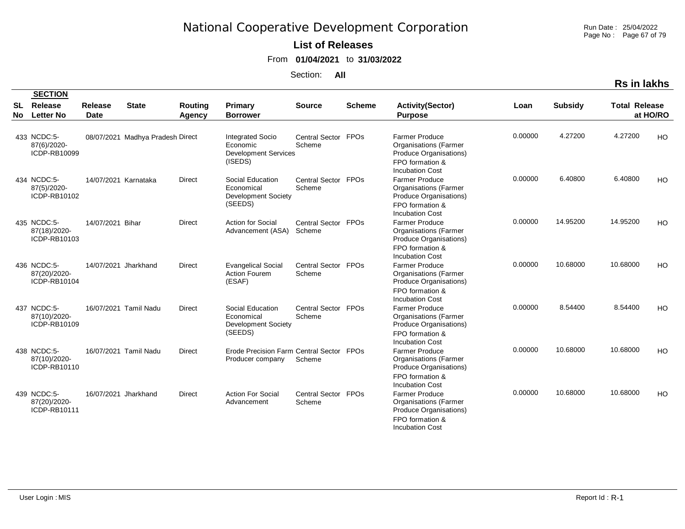Run Date : 25/04/2022 Page No : Page 67 of 79

**Rs in lakhs**

### **List of Releases**

From **01/04/2021** to **31/03/2022**

Section: **All**

| <b>SL</b><br>No. | <b>Release</b><br><b>Letter No</b>          | <b>Release</b><br><b>Date</b> | <b>State</b>                     | Routing<br>Agency | Primary<br><b>Borrower</b>                                                    | <b>Source</b>                 | <b>Scheme</b>          | <b>Activity(Sector)</b><br><b>Purpose</b>                                                                                    | Loan    | <b>Subsidy</b> | <b>Total Release</b> | at HO/RO  |
|------------------|---------------------------------------------|-------------------------------|----------------------------------|-------------------|-------------------------------------------------------------------------------|-------------------------------|------------------------|------------------------------------------------------------------------------------------------------------------------------|---------|----------------|----------------------|-----------|
|                  | 433 NCDC:5-<br>87(6)/2020-<br>ICDP-RB10099  |                               | 08/07/2021 Madhya Pradesh Direct |                   | <b>Integrated Socio</b><br>Economic<br><b>Development Services</b><br>(ISEDS) | Central Sector FPOs<br>Scheme |                        | <b>Farmer Produce</b><br><b>Organisations (Farmer</b><br>Produce Organisations)<br>FPO formation &<br><b>Incubation Cost</b> | 0.00000 | 4.27200        | 4.27200              | <b>HO</b> |
|                  | 434 NCDC:5-<br>87(5)/2020-<br>ICDP-RB10102  | 14/07/2021 Karnataka          |                                  | Direct            | Social Education<br>Economical<br>Development Society<br>(SEEDS)              | Central Sector<br>Scheme      | <b>FPOs</b>            | <b>Farmer Produce</b><br><b>Organisations (Farmer</b><br>Produce Organisations)<br>FPO formation &<br><b>Incubation Cost</b> | 0.00000 | 6.40800        | 6.40800              | HO        |
|                  | 435 NCDC:5-<br>87(18)/2020-<br>ICDP-RB10103 | 14/07/2021 Bihar              |                                  | <b>Direct</b>     | <b>Action for Social</b><br>Advancement (ASA)                                 | Central Sector<br>Scheme      | <b>FPO<sub>s</sub></b> | <b>Farmer Produce</b><br><b>Organisations (Farmer</b><br>Produce Organisations)<br>FPO formation &<br><b>Incubation Cost</b> | 0.00000 | 14.95200       | 14.95200             | HO        |
|                  | 436 NCDC:5-<br>87(20)/2020-<br>ICDP-RB10104 | 14/07/2021 Jharkhand          |                                  | <b>Direct</b>     | <b>Evangelical Social</b><br><b>Action Fourem</b><br>(ESAF)                   | Central Sector FPOs<br>Scheme |                        | <b>Farmer Produce</b><br><b>Organisations (Farmer</b><br>Produce Organisations)<br>FPO formation &<br><b>Incubation Cost</b> | 0.00000 | 10.68000       | 10.68000             | HO.       |
|                  | 437 NCDC:5-<br>87(10)/2020-<br>ICDP-RB10109 |                               | 16/07/2021 Tamil Nadu            | <b>Direct</b>     | Social Education<br>Economical<br>Development Society<br>(SEEDS)              | Central Sector FPOs<br>Scheme |                        | <b>Farmer Produce</b><br><b>Organisations (Farmer</b><br>Produce Organisations)<br>FPO formation &<br><b>Incubation Cost</b> | 0.00000 | 8.54400        | 8.54400              | HO.       |
|                  | 438 NCDC:5-<br>87(10)/2020-<br>ICDP-RB10110 |                               | 16/07/2021 Tamil Nadu            | <b>Direct</b>     | Erode Precision Farm Central Sector FPOs<br>Producer company                  | Scheme                        |                        | <b>Farmer Produce</b><br><b>Organisations (Farmer</b><br>Produce Organisations)<br>FPO formation &<br><b>Incubation Cost</b> | 0.00000 | 10.68000       | 10.68000             | <b>HO</b> |
|                  | 439 NCDC:5-<br>87(20)/2020-<br>ICDP-RB10111 | 16/07/2021 Jharkhand          |                                  | <b>Direct</b>     | <b>Action For Social</b><br>Advancement                                       | Central Sector FPOs<br>Scheme |                        | <b>Farmer Produce</b><br><b>Organisations (Farmer</b><br>Produce Organisations)<br>FPO formation &                           | 0.00000 | 10.68000       | 10.68000             | HO        |

Incubation Cost

 **SECTION**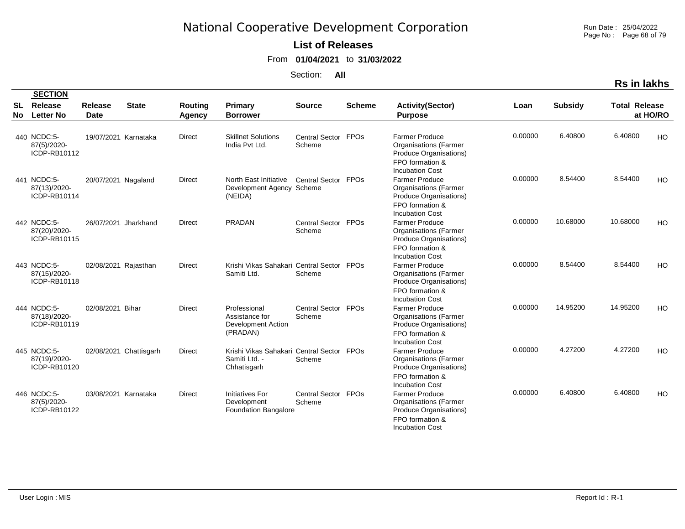Run Date : 25/04/2022 Page No : Page 68 of 79

### **List of Releases**

From **01/04/2021** to **31/03/2022**

|  | <b>रेड in lakhs</b> |  |
|--|---------------------|--|
|  |                     |  |

|           | <b>SECTION</b>                              |                               |                        |                          |                                                                           |                               |               |                                                                                                                              |         |                |                      |          |
|-----------|---------------------------------------------|-------------------------------|------------------------|--------------------------|---------------------------------------------------------------------------|-------------------------------|---------------|------------------------------------------------------------------------------------------------------------------------------|---------|----------------|----------------------|----------|
| SL<br>No. | Release<br><b>Letter No</b>                 | <b>Release</b><br><b>Date</b> | <b>State</b>           | Routing<br><b>Agency</b> | <b>Primary</b><br><b>Borrower</b>                                         | <b>Source</b>                 | <b>Scheme</b> | <b>Activity(Sector)</b><br><b>Purpose</b>                                                                                    | Loan    | <b>Subsidy</b> | <b>Total Release</b> | at HO/RO |
|           | 440 NCDC:5-<br>87(5)/2020-<br>ICDP-RB10112  |                               | 19/07/2021 Karnataka   | Direct                   | <b>Skillnet Solutions</b><br>India Pvt Ltd.                               | Central Sector FPOs<br>Scheme |               | <b>Farmer Produce</b><br><b>Organisations (Farmer</b><br>Produce Organisations)<br>FPO formation &<br><b>Incubation Cost</b> | 0.00000 | 6.40800        | 6.40800              | HO       |
|           | 441 NCDC:5-<br>87(13)/2020-<br>ICDP-RB10114 | 20/07/2021 Nagaland           |                        | <b>Direct</b>            | North East Initiative<br>Development Agency Scheme<br>(NEIDA)             | Central Sector FPOs           |               | <b>Farmer Produce</b><br><b>Organisations</b> (Farmer<br>Produce Organisations)<br>FPO formation &<br><b>Incubation Cost</b> | 0.00000 | 8.54400        | 8.54400              | HO       |
|           | 442 NCDC:5-<br>87(20)/2020-<br>ICDP-RB10115 |                               | 26/07/2021 Jharkhand   | <b>Direct</b>            | <b>PRADAN</b>                                                             | Central Sector FPOs<br>Scheme |               | <b>Farmer Produce</b><br><b>Organisations (Farmer</b><br>Produce Organisations)<br>FPO formation &<br><b>Incubation Cost</b> | 0.00000 | 10.68000       | 10.68000             | HO       |
|           | 443 NCDC:5-<br>87(15)/2020-<br>ICDP-RB10118 | 02/08/2021 Rajasthan          |                        | <b>Direct</b>            | Krishi Vikas Sahakari Central Sector FPOs<br>Samiti Ltd.                  | Scheme                        |               | <b>Farmer Produce</b><br><b>Organisations (Farmer</b><br>Produce Organisations)<br>FPO formation &<br><b>Incubation Cost</b> | 0.00000 | 8.54400        | 8.54400              | HO       |
|           | 444 NCDC:5-<br>87(18)/2020-<br>ICDP-RB10119 | 02/08/2021 Bihar              |                        | <b>Direct</b>            | Professional<br>Assistance for<br>Development Action<br>(PRADAN)          | Central Sector FPOs<br>Scheme |               | <b>Farmer Produce</b><br><b>Organisations (Farmer</b><br>Produce Organisations)<br>FPO formation &<br><b>Incubation Cost</b> | 0.00000 | 14.95200       | 14.95200             | HO       |
|           | 445 NCDC:5-<br>87(19)/2020-<br>ICDP-RB10120 |                               | 02/08/2021 Chattisgarh | <b>Direct</b>            | Krishi Vikas Sahakari Central Sector FPOs<br>Samiti Ltd. -<br>Chhatisgarh | Scheme                        |               | <b>Farmer Produce</b><br><b>Organisations (Farmer</b><br>Produce Organisations)<br>FPO formation &<br><b>Incubation Cost</b> | 0.00000 | 4.27200        | 4.27200              | HO       |
|           | 446 NCDC:5-<br>87(5)/2020-<br>ICDP-RB10122  | 03/08/2021 Karnataka          |                        | <b>Direct</b>            | Initiatives For<br>Development<br><b>Foundation Bangalore</b>             | Central Sector FPOs<br>Scheme |               | <b>Farmer Produce</b><br><b>Organisations (Farmer</b><br>Produce Organisations)<br>FPO formation &<br><b>Incubation Cost</b> | 0.00000 | 6.40800        | 6.40800              | HO       |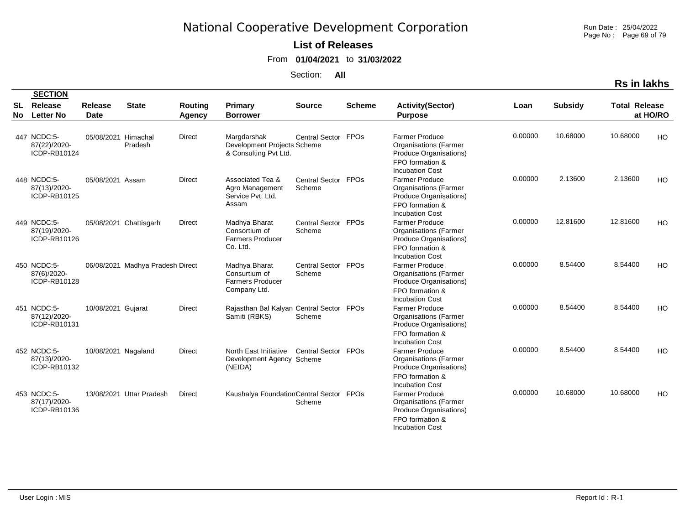Run Date : 25/04/2022 Page No : Page 69 of 79

### **List of Releases**

From **01/04/2021** to **31/03/2022**

|  | ın lakr |
|--|---------|
|  |         |

|                 | <b>SECTION</b>                              |                               |                                  |                   |                                                                           |                               |               |                                                                                                                              |         |                |                      |           |
|-----------------|---------------------------------------------|-------------------------------|----------------------------------|-------------------|---------------------------------------------------------------------------|-------------------------------|---------------|------------------------------------------------------------------------------------------------------------------------------|---------|----------------|----------------------|-----------|
| <b>SL</b><br>No | Release<br><b>Letter No</b>                 | <b>Release</b><br><b>Date</b> | <b>State</b>                     | Routing<br>Agency | Primary<br><b>Borrower</b>                                                | <b>Source</b>                 | <b>Scheme</b> | <b>Activity(Sector)</b><br><b>Purpose</b>                                                                                    | Loan    | <b>Subsidy</b> | <b>Total Release</b> | at HO/RO  |
|                 | 447 NCDC:5-<br>87(22)/2020-<br>ICDP-RB10124 | 05/08/2021                    | Himachal<br>Pradesh              | Direct            | Margdarshak<br>Development Projects Scheme<br>& Consulting Pvt Ltd.       | Central Sector FPOs           |               | <b>Farmer Produce</b><br><b>Organisations (Farmer</b><br>Produce Organisations)<br>FPO formation &<br><b>Incubation Cost</b> | 0.00000 | 10.68000       | 10.68000             | <b>HO</b> |
|                 | 448 NCDC:5-<br>87(13)/2020-<br>ICDP-RB10125 | 05/08/2021 Assam              |                                  | <b>Direct</b>     | Associated Tea &<br>Agro Management<br>Service Pvt. Ltd.<br>Assam         | Central Sector FPOs<br>Scheme |               | <b>Farmer Produce</b><br><b>Organisations (Farmer</b><br>Produce Organisations)<br>FPO formation &<br><b>Incubation Cost</b> | 0.00000 | 2.13600        | 2.13600              | HO        |
|                 | 449 NCDC:5-<br>87(19)/2020-<br>ICDP-RB10126 |                               | 05/08/2021 Chattisgarh           | <b>Direct</b>     | Madhya Bharat<br>Consortium of<br><b>Farmers Producer</b><br>Co. Ltd.     | Central Sector FPOs<br>Scheme |               | <b>Farmer Produce</b><br><b>Organisations (Farmer</b><br>Produce Organisations)<br>FPO formation &<br><b>Incubation Cost</b> | 0.00000 | 12.81600       | 12.81600             | HO        |
|                 | 450 NCDC:5-<br>87(6)/2020-<br>ICDP-RB10128  |                               | 06/08/2021 Madhya Pradesh Direct |                   | Madhya Bharat<br>Consurtium of<br><b>Farmers Producer</b><br>Company Ltd. | Central Sector FPOs<br>Scheme |               | <b>Farmer Produce</b><br><b>Organisations (Farmer</b><br>Produce Organisations)<br>FPO formation &<br><b>Incubation Cost</b> | 0.00000 | 8.54400        | 8.54400              | HO        |
|                 | 451 NCDC:5-<br>87(12)/2020-<br>ICDP-RB10131 | 10/08/2021 Gujarat            |                                  | <b>Direct</b>     | Rajasthan Bal Kalyan Central Sector FPOs<br>Samiti (RBKS)                 | Scheme                        |               | <b>Farmer Produce</b><br><b>Organisations (Farmer</b><br>Produce Organisations)<br>FPO formation &<br><b>Incubation Cost</b> | 0.00000 | 8.54400        | 8.54400              | HO        |
|                 | 452 NCDC:5-<br>87(13)/2020-<br>ICDP-RB10132 | 10/08/2021 Nagaland           |                                  | <b>Direct</b>     | North East Initiative<br>Development Agency Scheme<br>(NEIDA)             | Central Sector FPOs           |               | <b>Farmer Produce</b><br><b>Organisations (Farmer</b><br>Produce Organisations)<br>FPO formation &<br><b>Incubation Cost</b> | 0.00000 | 8.54400        | 8.54400              | HO        |
|                 | 453 NCDC:5-<br>87(17)/2020-<br>ICDP-RB10136 |                               | 13/08/2021 Uttar Pradesh         | Direct            | Kaushalya Foundation Central Sector FPOs                                  | Scheme                        |               | <b>Farmer Produce</b><br><b>Organisations</b> (Farmer<br>Produce Organisations)<br>FPO formation &<br><b>Incubation Cost</b> | 0.00000 | 10.68000       | 10.68000             | HO        |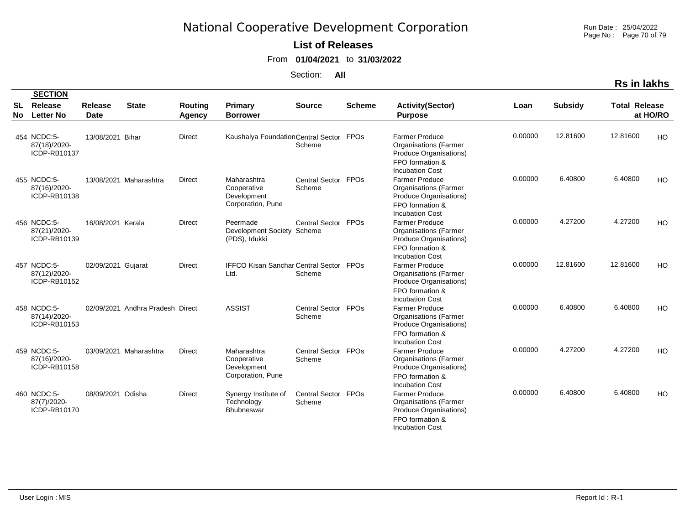Run Date : 25/04/2022 Page No : Page 70 of 79

### **List of Releases**

From **01/04/2021** to **31/03/2022**

Section: **All**

|                  |                                             |                               |                                  |                   |                                                                |                               |               |                                                                                                                              |         |                | <b>Rs in lakhs</b>               |           |
|------------------|---------------------------------------------|-------------------------------|----------------------------------|-------------------|----------------------------------------------------------------|-------------------------------|---------------|------------------------------------------------------------------------------------------------------------------------------|---------|----------------|----------------------------------|-----------|
|                  | <b>SECTION</b>                              |                               |                                  |                   |                                                                |                               |               |                                                                                                                              |         |                |                                  |           |
| <b>SL</b><br>No. | Release<br><b>Letter No</b>                 | <b>Release</b><br><b>Date</b> | <b>State</b>                     | Routing<br>Agency | <b>Primary</b><br><b>Borrower</b>                              | <b>Source</b>                 | <b>Scheme</b> | <b>Activity(Sector)</b><br><b>Purpose</b>                                                                                    | Loan    | <b>Subsidy</b> | <b>Total Release</b><br>at HO/RO |           |
|                  | 454 NCDC:5-<br>87(18)/2020-<br>ICDP-RB10137 | 13/08/2021 Bihar              |                                  | <b>Direct</b>     | Kaushalya Foundation Central Sector FPOs                       | Scheme                        |               | <b>Farmer Produce</b><br><b>Organisations (Farmer</b><br>Produce Organisations)<br>FPO formation &<br><b>Incubation Cost</b> | 0.00000 | 12.81600       | 12.81600                         | HO        |
|                  | 455 NCDC:5-<br>87(16)/2020-<br>ICDP-RB10138 |                               | 13/08/2021 Maharashtra           | <b>Direct</b>     | Maharashtra<br>Cooperative<br>Development<br>Corporation, Pune | Central Sector FPOs<br>Scheme |               | Farmer Produce<br><b>Organisations (Farmer</b><br>Produce Organisations)<br>FPO formation &<br><b>Incubation Cost</b>        | 0.00000 | 6.40800        | 6.40800                          | HO        |
|                  | 456 NCDC:5-<br>87(21)/2020-<br>ICDP-RB10139 | 16/08/2021 Kerala             |                                  | <b>Direct</b>     | Peermade<br>Development Society Scheme<br>(PDS), Idukki        | Central Sector FPOs           |               | <b>Farmer Produce</b><br><b>Organisations (Farmer</b><br>Produce Organisations)<br>FPO formation &<br><b>Incubation Cost</b> | 0.00000 | 4.27200        | 4.27200                          | HO        |
|                  | 457 NCDC:5-<br>87(12)/2020-<br>ICDP-RB10152 | 02/09/2021 Gujarat            |                                  | <b>Direct</b>     | <b>IFFCO Kisan Sanchar Central Sector FPOs</b><br>Ltd.         | Scheme                        |               | <b>Farmer Produce</b><br><b>Organisations (Farmer</b><br>Produce Organisations)<br>FPO formation &<br><b>Incubation Cost</b> | 0.00000 | 12.81600       | 12.81600                         | HO.       |
|                  | 458 NCDC:5-<br>87(14)/2020-<br>ICDP-RB10153 |                               | 02/09/2021 Andhra Pradesh Direct |                   | <b>ASSIST</b>                                                  | Central Sector FPOs<br>Scheme |               | <b>Farmer Produce</b><br><b>Organisations (Farmer</b><br>Produce Organisations)<br>FPO formation &<br><b>Incubation Cost</b> | 0.00000 | 6.40800        | 6.40800                          | <b>HO</b> |
|                  | 459 NCDC:5-<br>87(16)/2020-<br>ICDP-RB10158 |                               | 03/09/2021 Maharashtra           | <b>Direct</b>     | Maharashtra<br>Cooperative<br>Development<br>Corporation, Pune | Central Sector FPOs<br>Scheme |               | <b>Farmer Produce</b><br><b>Organisations (Farmer</b><br>Produce Organisations)<br>FPO formation &<br><b>Incubation Cost</b> | 0.00000 | 4.27200        | 4.27200                          | HO        |
|                  | 460 NCDC:5-<br>87(7)/2020-<br>ICDP-RB10170  | 08/09/2021 Odisha             |                                  | <b>Direct</b>     | Synergy Institute of<br>Technology<br><b>Bhubneswar</b>        | Central Sector FPOs<br>Scheme |               | <b>Farmer Produce</b><br><b>Organisations (Farmer</b><br>Produce Organisations)<br>FPO formation &<br><b>Incubation Cost</b> | 0.00000 | 6.40800        | 6.40800                          | HO        |

User Login : MIS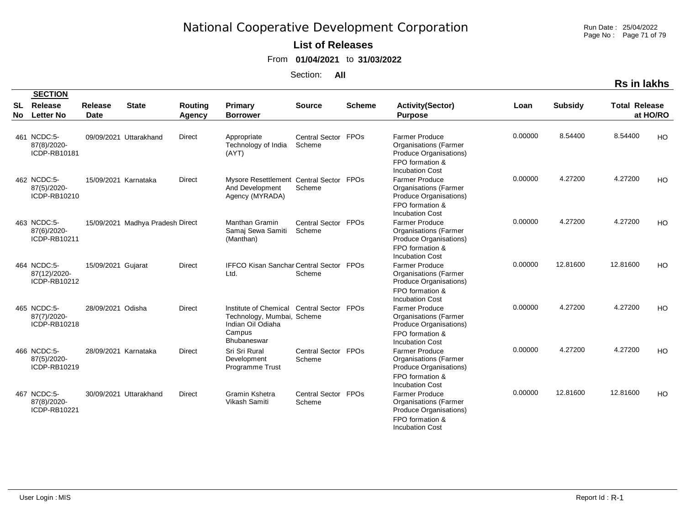Run Date : 25/04/2022 Page No : Page 71 of 79

### **List of Releases**

From **01/04/2021** to **31/03/2022**

Section: **All**

|          | <b>SECTION</b>                              |                        |                                  |                   |                                                                                                   |                               |               |                                                                                                                              |         |                |                      |          |
|----------|---------------------------------------------|------------------------|----------------------------------|-------------------|---------------------------------------------------------------------------------------------------|-------------------------------|---------------|------------------------------------------------------------------------------------------------------------------------------|---------|----------------|----------------------|----------|
| SL<br>No | Release<br><b>Letter No</b>                 | Release<br><b>Date</b> | <b>State</b>                     | Routing<br>Agency | <b>Primary</b><br><b>Borrower</b>                                                                 | <b>Source</b>                 | <b>Scheme</b> | <b>Activity(Sector)</b><br><b>Purpose</b>                                                                                    | Loan    | <b>Subsidy</b> | <b>Total Release</b> | at HO/RO |
|          | 461 NCDC:5-<br>87(8)/2020-<br>ICDP-RB10181  |                        | 09/09/2021 Uttarakhand           | <b>Direct</b>     | Appropriate<br>Technology of India<br>(AYT)                                                       | Central Sector FPOs<br>Scheme |               | <b>Farmer Produce</b><br><b>Organisations (Farmer</b><br>Produce Organisations)<br>FPO formation &<br><b>Incubation Cost</b> | 0.00000 | 8.54400        | 8.54400              | HO       |
|          | 462 NCDC:5-<br>87(5)/2020-<br>ICDP-RB10210  | 15/09/2021 Karnataka   |                                  | <b>Direct</b>     | Mysore Resettlement Central Sector FPOs<br>And Development<br>Agency (MYRADA)                     | Scheme                        |               | <b>Farmer Produce</b><br><b>Organisations</b> (Farmer<br>Produce Organisations)<br>FPO formation &<br><b>Incubation Cost</b> | 0.00000 | 4.27200        | 4.27200              | HO       |
|          | 463 NCDC:5-<br>87(6)/2020-<br>ICDP-RB10211  |                        | 15/09/2021 Madhya Pradesh Direct |                   | Manthan Gramin<br>Samaj Sewa Samiti<br>(Manthan)                                                  | Central Sector FPOs<br>Scheme |               | <b>Farmer Produce</b><br><b>Organisations (Farmer</b><br>Produce Organisations)<br>FPO formation &<br><b>Incubation Cost</b> | 0.00000 | 4.27200        | 4.27200              | HO       |
|          | 464 NCDC:5-<br>87(12)/2020-<br>ICDP-RB10212 | 15/09/2021 Gujarat     |                                  | <b>Direct</b>     | IFFCO Kisan Sanchar Central Sector FPOs<br>Ltd.                                                   | Scheme                        |               | <b>Farmer Produce</b><br><b>Organisations (Farmer</b><br>Produce Organisations)<br>FPO formation &<br><b>Incubation Cost</b> | 0.00000 | 12.81600       | 12.81600             | HO       |
|          | 465 NCDC:5-<br>87(7)/2020-<br>ICDP-RB10218  | 28/09/2021 Odisha      |                                  | <b>Direct</b>     | Institute of Chemical<br>Technology, Mumbai, Scheme<br>Indian Oil Odiaha<br>Campus<br>Bhubaneswar | Central Sector FPOs           |               | <b>Farmer Produce</b><br><b>Organisations (Farmer</b><br>Produce Organisations)<br>FPO formation &<br><b>Incubation Cost</b> | 0.00000 | 4.27200        | 4.27200              | HO       |
|          | 466 NCDC:5-<br>87(5)/2020-<br>ICDP-RB10219  | 28/09/2021 Karnataka   |                                  | <b>Direct</b>     | Sri Sri Rural<br>Development<br><b>Programme Trust</b>                                            | Central Sector FPOs<br>Scheme |               | <b>Farmer Produce</b><br><b>Organisations (Farmer</b><br>Produce Organisations)<br>FPO formation &<br><b>Incubation Cost</b> | 0.00000 | 4.27200        | 4.27200              | HO       |
|          | 467 NCDC:5-<br>87(8)/2020-<br>ICDP-RB10221  |                        | 30/09/2021 Uttarakhand           | <b>Direct</b>     | Gramin Kshetra<br>Vikash Samiti                                                                   | Central Sector FPOs<br>Scheme |               | <b>Farmer Produce</b><br><b>Organisations (Farmer</b><br>Produce Organisations)<br>FPO formation &<br><b>Incubation Cost</b> | 0.00000 | 12.81600       | 12.81600             | HO       |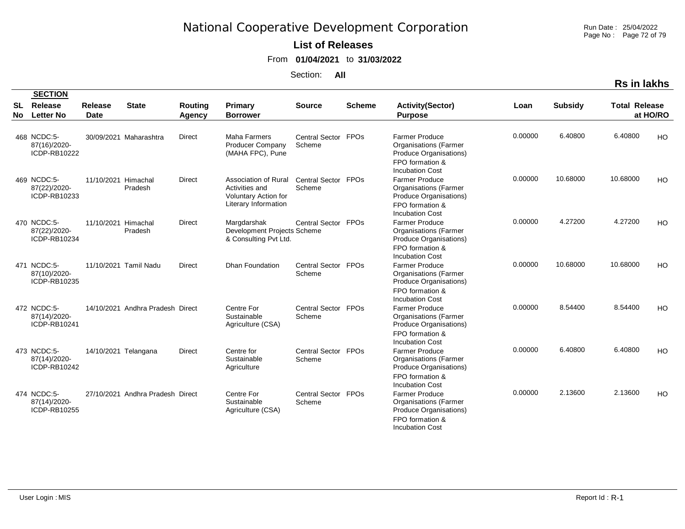Run Date : 25/04/2022 Page No : Page 72 of 79

### **List of Releases**

From **01/04/2021** to **31/03/2022**

Section: **All**

|          | <b>SECTION</b>                              |                               |                                  |                                 |                                                                                               |                               |               |                                                                                                                              |         |                |                      |           |
|----------|---------------------------------------------|-------------------------------|----------------------------------|---------------------------------|-----------------------------------------------------------------------------------------------|-------------------------------|---------------|------------------------------------------------------------------------------------------------------------------------------|---------|----------------|----------------------|-----------|
| SL<br>No | Release<br><b>Letter No</b>                 | <b>Release</b><br><b>Date</b> | <b>State</b>                     | <b>Routing</b><br><b>Agency</b> | Primary<br><b>Borrower</b>                                                                    | <b>Source</b>                 | <b>Scheme</b> | <b>Activity(Sector)</b><br><b>Purpose</b>                                                                                    | Loan    | <b>Subsidy</b> | <b>Total Release</b> | at HO/RO  |
|          | 468 NCDC:5-<br>87(16)/2020-<br>ICDP-RB10222 |                               | 30/09/2021 Maharashtra           | <b>Direct</b>                   | <b>Maha Farmers</b><br><b>Producer Company</b><br>(MAHA FPC), Pune                            | Central Sector FPOs<br>Scheme |               | <b>Farmer Produce</b><br><b>Organisations (Farmer</b><br>Produce Organisations)<br>FPO formation &<br><b>Incubation Cost</b> | 0.00000 | 6.40800        | 6.40800              | HO        |
|          | 469 NCDC:5-<br>87(22)/2020-<br>ICDP-RB10233 | 11/10/2021 Himachal           | Pradesh                          | <b>Direct</b>                   | Association of Rural<br>Activities and<br><b>Voluntary Action for</b><br>Literary Information | Central Sector FPOs<br>Scheme |               | <b>Farmer Produce</b><br><b>Organisations (Farmer</b><br>Produce Organisations)<br>FPO formation &<br><b>Incubation Cost</b> | 0.00000 | 10.68000       | 10.68000             | HO        |
|          | 470 NCDC:5-<br>87(22)/2020-<br>ICDP-RB10234 | 11/10/2021 Himachal           | Pradesh                          | <b>Direct</b>                   | Margdarshak<br>Development Projects Scheme<br>& Consulting Pvt Ltd.                           | Central Sector FPOs           |               | <b>Farmer Produce</b><br><b>Organisations</b> (Farmer<br>Produce Organisations)<br>FPO formation &<br><b>Incubation Cost</b> | 0.00000 | 4.27200        | 4.27200              | HO.       |
|          | 471 NCDC:5-<br>87(10)/2020-<br>ICDP-RB10235 |                               | 11/10/2021 Tamil Nadu            | <b>Direct</b>                   | <b>Dhan Foundation</b>                                                                        | Central Sector FPOs<br>Scheme |               | <b>Farmer Produce</b><br><b>Organisations (Farmer</b><br>Produce Organisations)<br>FPO formation &<br><b>Incubation Cost</b> | 0.00000 | 10.68000       | 10.68000             | <b>HO</b> |
|          | 472 NCDC:5-<br>87(14)/2020-<br>ICDP-RB10241 |                               | 14/10/2021 Andhra Pradesh Direct |                                 | Centre For<br>Sustainable<br>Agriculture (CSA)                                                | Central Sector<br>Scheme      | <b>FPOs</b>   | <b>Farmer Produce</b><br><b>Organisations (Farmer</b><br>Produce Organisations)<br>FPO formation &<br><b>Incubation Cost</b> | 0.00000 | 8.54400        | 8.54400              | <b>HO</b> |
|          | 473 NCDC:5-<br>87(14)/2020-<br>ICDP-RB10242 | 14/10/2021 Telangana          |                                  | Direct                          | Centre for<br>Sustainable<br>Agriculture                                                      | Central Sector FPOs<br>Scheme |               | <b>Farmer Produce</b><br><b>Organisations (Farmer</b><br>Produce Organisations)<br>FPO formation &<br><b>Incubation Cost</b> | 0.00000 | 6.40800        | 6.40800              | <b>HO</b> |
|          | 474 NCDC:5-<br>87(14)/2020-<br>ICDP-RB10255 |                               | 27/10/2021 Andhra Pradesh Direct |                                 | Centre For<br>Sustainable<br>Agriculture (CSA)                                                | Central Sector FPOs<br>Scheme |               | <b>Farmer Produce</b><br><b>Organisations</b> (Farmer<br>Produce Organisations)<br>FPO formation &<br><b>Incubation Cost</b> | 0.00000 | 2.13600        | 2.13600              | HO        |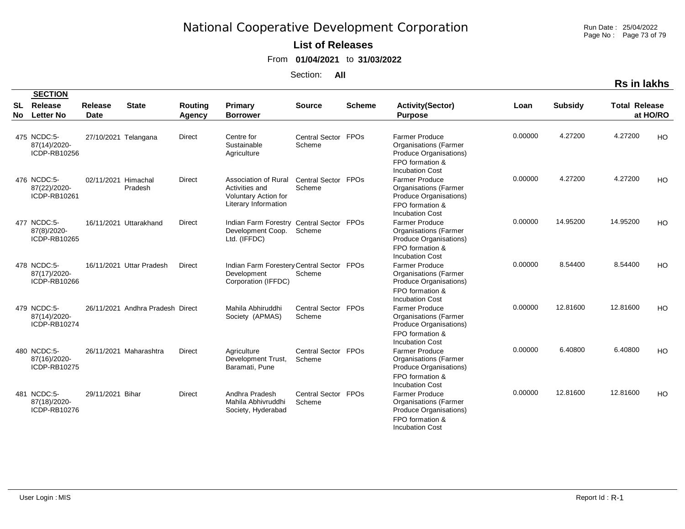Run Date : 25/04/2022 Page No : Page 73 of 79

#### **List of Releases**

From **01/04/2021** to **31/03/2022**

Section: **All**

**Rs in lakhs**

|          | <b>SECTION</b>                              |                               |                                  |                          |                                                                                                      |                               |               |                                                                                                                              |         |                |                      |          |
|----------|---------------------------------------------|-------------------------------|----------------------------------|--------------------------|------------------------------------------------------------------------------------------------------|-------------------------------|---------------|------------------------------------------------------------------------------------------------------------------------------|---------|----------------|----------------------|----------|
| SL<br>No | Release<br><b>Letter No</b>                 | <b>Release</b><br><b>Date</b> | <b>State</b>                     | <b>Routing</b><br>Agency | <b>Primary</b><br><b>Borrower</b>                                                                    | <b>Source</b>                 | <b>Scheme</b> | <b>Activity(Sector)</b><br><b>Purpose</b>                                                                                    | Loan    | <b>Subsidy</b> | <b>Total Release</b> | at HO/RO |
|          | 475 NCDC:5-<br>87(14)/2020-<br>ICDP-RB10256 | 27/10/2021 Telangana          |                                  | <b>Direct</b>            | Centre for<br>Sustainable<br>Agriculture                                                             | Central Sector FPOs<br>Scheme |               | <b>Farmer Produce</b><br><b>Organisations (Farmer</b><br>Produce Organisations)<br>FPO formation &<br><b>Incubation Cost</b> | 0.00000 | 4.27200        | 4.27200              | HO       |
|          | 476 NCDC:5-<br>87(22)/2020-<br>ICDP-RB10261 | 02/11/2021 Himachal           | Pradesh                          | <b>Direct</b>            | <b>Association of Rural</b><br>Activities and<br><b>Voluntary Action for</b><br>Literary Information | Central Sector FPOs<br>Scheme |               | <b>Farmer Produce</b><br><b>Organisations (Farmer</b><br>Produce Organisations)<br>FPO formation &<br><b>Incubation Cost</b> | 0.00000 | 4.27200        | 4.27200              | HO       |
|          | 477 NCDC:5-<br>87(8)/2020-<br>ICDP-RB10265  |                               | 16/11/2021 Uttarakhand           | <b>Direct</b>            | Indian Farm Forestry Central Sector FPOs<br>Development Coop.<br>Ltd. (IFFDC)                        | Scheme                        |               | <b>Farmer Produce</b><br><b>Organisations (Farmer</b><br>Produce Organisations)<br>FPO formation &<br><b>Incubation Cost</b> | 0.00000 | 14.95200       | 14.95200             | HO       |
|          | 478 NCDC:5-<br>87(17)/2020-<br>ICDP-RB10266 |                               | 16/11/2021 Uttar Pradesh         | Direct                   | Indian Farm Forestery Central Sector<br>Development<br>Corporation (IFFDC)                           | Scheme                        | <b>FPOs</b>   | <b>Farmer Produce</b><br><b>Organisations (Farmer</b><br>Produce Organisations)<br>FPO formation &<br><b>Incubation Cost</b> | 0.00000 | 8.54400        | 8.54400              | HO       |
|          | 479 NCDC:5-<br>87(14)/2020-<br>ICDP-RB10274 |                               | 26/11/2021 Andhra Pradesh Direct |                          | Mahila Abhiruddhi<br>Society (APMAS)                                                                 | Central Sector<br>Scheme      | <b>FPOs</b>   | <b>Farmer Produce</b><br><b>Organisations (Farmer</b><br>Produce Organisations)<br>FPO formation &<br><b>Incubation Cost</b> | 0.00000 | 12.81600       | 12.81600             | HO       |
|          | 480 NCDC:5-<br>87(16)/2020-<br>ICDP-RB10275 |                               | 26/11/2021 Maharashtra           | <b>Direct</b>            | Agriculture<br>Development Trust,<br>Baramati, Pune                                                  | Central Sector FPOs<br>Scheme |               | <b>Farmer Produce</b><br><b>Organisations (Farmer</b><br>Produce Organisations)<br>FPO formation &<br><b>Incubation Cost</b> | 0.00000 | 6.40800        | 6.40800              | HO       |
|          | 481 NCDC:5-<br>87(18)/2020-<br>ICDP-RB10276 | 29/11/2021 Bihar              |                                  | Direct                   | Andhra Pradesh<br>Mahila Abhivruddhi<br>Society, Hyderabad                                           | Central Sector FPOs<br>Scheme |               | <b>Farmer Produce</b><br><b>Organisations (Farmer</b><br>Produce Organisations)<br>FPO formation &<br><b>Incubation Cost</b> | 0.00000 | 12.81600       | 12.81600             | HO       |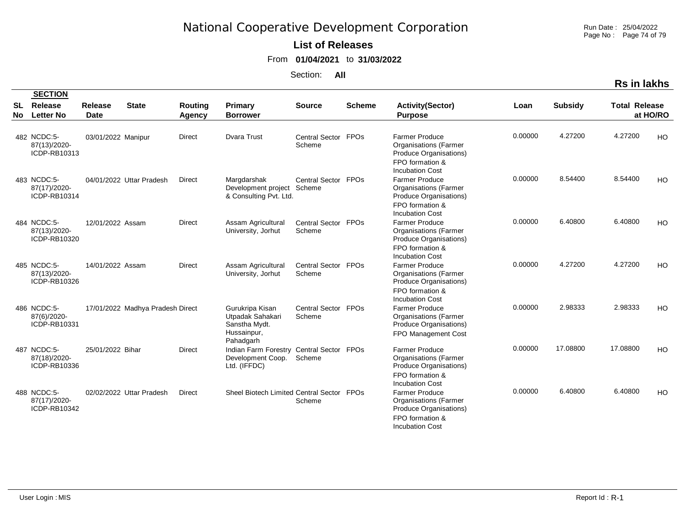Run Date : 25/04/2022 Page No : Page 74 of 79

#### **List of Releases**

From **01/04/2021** to **31/03/2022**

Section: **All**

**Rs in lakhs**

|          | <b>SECTION</b>                              |                    |                                  |                   |                                                                                  |                               |               |                                                                                                                                                     |         |                |                      |          |
|----------|---------------------------------------------|--------------------|----------------------------------|-------------------|----------------------------------------------------------------------------------|-------------------------------|---------------|-----------------------------------------------------------------------------------------------------------------------------------------------------|---------|----------------|----------------------|----------|
| SL<br>No | Release<br><b>Letter No</b>                 | Release<br>Date    | <b>State</b>                     | Routing<br>Agency | <b>Primary</b><br><b>Borrower</b>                                                | <b>Source</b>                 | <b>Scheme</b> | <b>Activity(Sector)</b><br><b>Purpose</b>                                                                                                           | Loan    | <b>Subsidy</b> | <b>Total Release</b> | at HO/RO |
|          | 482 NCDC:5-<br>87(13)/2020-<br>ICDP-RB10313 | 03/01/2022 Manipur |                                  | <b>Direct</b>     | <b>Dvara Trust</b>                                                               | Central Sector FPOs<br>Scheme |               | <b>Farmer Produce</b><br><b>Organisations (Farmer</b><br>Produce Organisations)<br>FPO formation &                                                  | 0.00000 | 4.27200        | 4.27200              | HO       |
|          | 483 NCDC:5-<br>87(17)/2020-<br>ICDP-RB10314 |                    | 04/01/2022 Uttar Pradesh         | <b>Direct</b>     | Margdarshak<br>Development project<br>& Consulting Pvt. Ltd.                     | Central Sector FPOs<br>Scheme |               | <b>Incubation Cost</b><br><b>Farmer Produce</b><br><b>Organisations (Farmer</b><br>Produce Organisations)<br>FPO formation &                        | 0.00000 | 8.54400        | 8.54400              | HO       |
|          | 484 NCDC:5-<br>87(13)/2020-<br>ICDP-RB10320 | 12/01/2022 Assam   |                                  | <b>Direct</b>     | Assam Agricultural<br>University, Jorhut                                         | Central Sector FPOs<br>Scheme |               | <b>Incubation Cost</b><br><b>Farmer Produce</b><br><b>Organisations (Farmer</b><br>Produce Organisations)<br>FPO formation &                        | 0.00000 | 6.40800        | 6.40800              | HO       |
|          | 485 NCDC:5-<br>87(13)/2020-<br>ICDP-RB10326 | 14/01/2022 Assam   |                                  | <b>Direct</b>     | Assam Agricultural<br>University, Jorhut                                         | Central Sector FPOs<br>Scheme |               | <b>Incubation Cost</b><br><b>Farmer Produce</b><br><b>Organisations (Farmer</b><br>Produce Organisations)                                           | 0.00000 | 4.27200        | 4.27200              | HO       |
|          | 486 NCDC:5-<br>87(6)/2020-<br>ICDP-RB10331  |                    | 17/01/2022 Madhya Pradesh Direct |                   | Gurukripa Kisan<br>Utpadak Sahakari<br>Sanstha Mydt.<br>Hussainpur,<br>Pahadgarh | Central Sector FPOs<br>Scheme |               | FPO formation &<br><b>Incubation Cost</b><br><b>Farmer Produce</b><br><b>Organisations (Farmer</b><br>Produce Organisations)<br>FPO Management Cost | 0.00000 | 2.98333        | 2.98333              | HO       |
|          | 487 NCDC:5-<br>87(18)/2020-<br>ICDP-RB10336 | 25/01/2022 Bihar   |                                  | <b>Direct</b>     | Indian Farm Forestry Central Sector FPOs<br>Development Coop.<br>Ltd. (IFFDC)    | Scheme                        |               | <b>Farmer Produce</b><br><b>Organisations (Farmer</b><br>Produce Organisations)<br>FPO formation &<br><b>Incubation Cost</b>                        | 0.00000 | 17.08800       | 17.08800             | HO       |
|          | 488 NCDC:5-<br>87(17)/2020-<br>ICDP-RB10342 |                    | 02/02/2022 Uttar Pradesh         | <b>Direct</b>     | Sheel Biotech Limited Central Sector FPOs                                        | Scheme                        |               | <b>Farmer Produce</b><br><b>Organisations (Farmer</b><br>Produce Organisations)<br>FPO formation &<br><b>Incubation Cost</b>                        | 0.00000 | 6.40800        | 6.40800              | HO       |

**SECTION**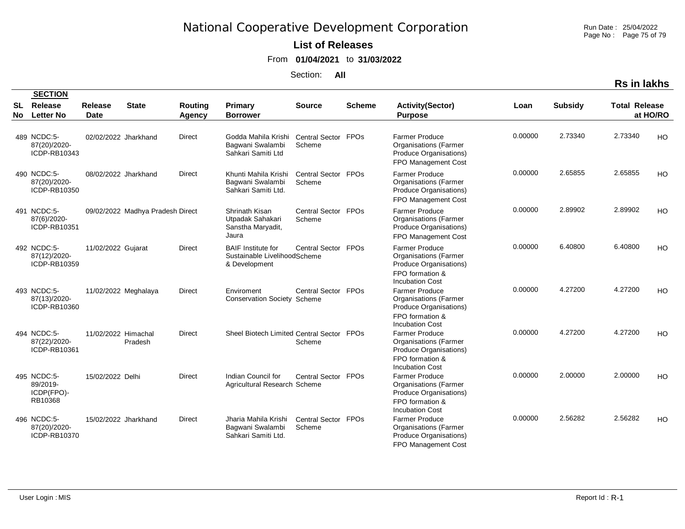Run Date : 25/04/2022 Page No : Page 75 of 79

#### **List of Releases**

From **01/04/2021** to **31/03/2022**

Section: **All**

| <b>Rs in lakhs</b> |
|--------------------|
|--------------------|

|    | <b>SECTION</b>                                   |                      |                                  |               |                                                                            |                                 |               |                                                                                                                              |         |                |                      |           |
|----|--------------------------------------------------|----------------------|----------------------------------|---------------|----------------------------------------------------------------------------|---------------------------------|---------------|------------------------------------------------------------------------------------------------------------------------------|---------|----------------|----------------------|-----------|
| SL | Release                                          | Release              | <b>State</b>                     | Routing       | Primary                                                                    | <b>Source</b>                   | <b>Scheme</b> | <b>Activity(Sector)</b>                                                                                                      | Loan    | <b>Subsidy</b> | <b>Total Release</b> |           |
| No | <b>Letter No</b>                                 | <b>Date</b>          |                                  | Agency        | <b>Borrower</b>                                                            |                                 |               | <b>Purpose</b>                                                                                                               |         |                |                      | at HO/RO  |
|    | 489 NCDC:5-<br>87(20)/2020-<br>ICDP-RB10343      | 02/02/2022 Jharkhand |                                  | <b>Direct</b> | Godda Mahila Krishi<br>Bagwani Swalambi<br>Sahkari Samiti Ltd              | <b>Central Sector</b><br>Scheme | <b>FPOs</b>   | <b>Farmer Produce</b><br><b>Organisations (Farmer</b><br>Produce Organisations)<br>FPO Management Cost                       | 0.00000 | 2.73340        | 2.73340              | HO        |
|    | 490 NCDC:5-<br>87(20)/2020-<br>ICDP-RB10350      | 08/02/2022 Jharkhand |                                  | <b>Direct</b> | Khunti Mahila Krishi<br>Bagwani Swalambi<br>Sahkari Samiti Ltd.            | Central Sector FPOs<br>Scheme   |               | <b>Farmer Produce</b><br><b>Organisations (Farmer</b><br>Produce Organisations)<br>FPO Management Cost                       | 0.00000 | 2.65855        | 2.65855              | <b>HO</b> |
|    | 491 NCDC:5-<br>87(6)/2020-<br>ICDP-RB10351       |                      | 09/02/2022 Madhya Pradesh Direct |               | Shrinath Kisan<br>Utpadak Sahakari<br>Sanstha Maryadit,<br>Jaura           | Central Sector FPOs<br>Scheme   |               | <b>Farmer Produce</b><br><b>Organisations (Farmer</b><br>Produce Organisations)<br>FPO Management Cost                       | 0.00000 | 2.89902        | 2.89902              | <b>HO</b> |
|    | 492 NCDC:5-<br>87(12)/2020-<br>ICDP-RB10359      | 11/02/2022 Gujarat   |                                  | <b>Direct</b> | <b>BAIF</b> Institute for<br>Sustainable LivelihoodScheme<br>& Development | Central Sector FPOs             |               | <b>Farmer Produce</b><br><b>Organisations (Farmer</b><br>Produce Organisations)<br>FPO formation &<br><b>Incubation Cost</b> | 0.00000 | 6.40800        | 6.40800              | HO        |
|    | 493 NCDC:5-<br>87(13)/2020-<br>ICDP-RB10360      | 11/02/2022 Meghalaya |                                  | Direct        | Enviroment<br><b>Conservation Society Scheme</b>                           | Central Sector                  | FPOs          | <b>Farmer Produce</b><br><b>Organisations (Farmer</b><br>Produce Organisations)<br>FPO formation &<br><b>Incubation Cost</b> | 0.00000 | 4.27200        | 4.27200              | <b>HO</b> |
|    | 494 NCDC:5-<br>87(22)/2020-<br>ICDP-RB10361      | 11/02/2022 Himachal  | Pradesh                          | <b>Direct</b> | Sheel Biotech Limited Central Sector FPOs                                  | Scheme                          |               | <b>Farmer Produce</b><br><b>Organisations (Farmer</b><br>Produce Organisations)<br>FPO formation &<br><b>Incubation Cost</b> | 0.00000 | 4.27200        | 4.27200              | HO        |
|    | 495 NCDC:5-<br>89/2019-<br>ICDP(FPO)-<br>RB10368 | 15/02/2022 Delhi     |                                  | Direct        | Indian Council for<br>Agricultural Research Scheme                         | Central Sector FPOs             |               | <b>Farmer Produce</b><br><b>Organisations (Farmer</b><br>Produce Organisations)<br>FPO formation &<br><b>Incubation Cost</b> | 0.00000 | 2.00000        | 2.00000              | HO        |
|    | 496 NCDC:5-<br>87(20)/2020-<br>ICDP-RB10370      | 15/02/2022 Jharkhand |                                  | <b>Direct</b> | Jharia Mahila Krishi<br>Bagwani Swalambi<br>Sahkari Samiti Ltd.            | Central Sector FPOs<br>Scheme   |               | <b>Farmer Produce</b><br><b>Organisations (Farmer</b><br>Produce Organisations)<br>FPO Management Cost                       | 0.00000 | 2.56282        | 2.56282              | <b>HO</b> |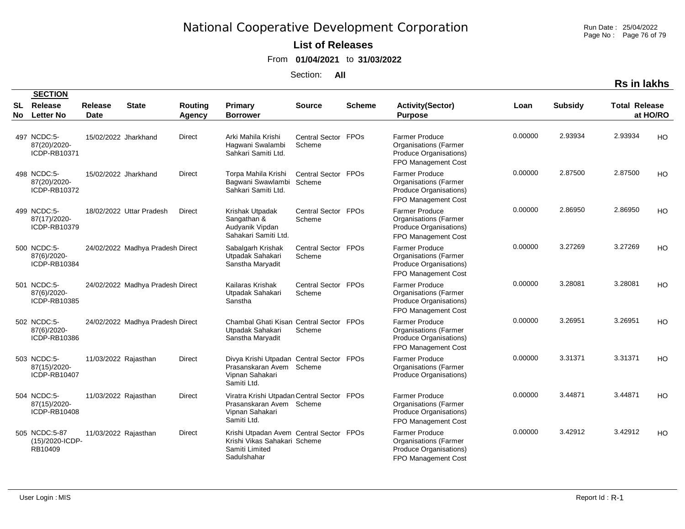Run Date : 25/04/2022 Page No : Page 76 of 79

#### **List of Releases**

From **01/04/2021** to **31/03/2022**

Section: **All**

**Rs in lakhs**

|          | <b>SECTION</b>                              |                        |                                  |                   |                                                                                                          |                               |               |                                                                                                        |         |                |                      |                |
|----------|---------------------------------------------|------------------------|----------------------------------|-------------------|----------------------------------------------------------------------------------------------------------|-------------------------------|---------------|--------------------------------------------------------------------------------------------------------|---------|----------------|----------------------|----------------|
| SL<br>No | Release<br><b>Letter No</b>                 | Release<br><b>Date</b> | <b>State</b>                     | Routing<br>Agency | <b>Primary</b><br><b>Borrower</b>                                                                        | <b>Source</b>                 | <b>Scheme</b> | <b>Activity(Sector)</b><br><b>Purpose</b>                                                              | Loan    | <b>Subsidy</b> | <b>Total Release</b> | at HO/RO       |
|          | 497 NCDC:5-<br>87(20)/2020-<br>ICDP-RB10371 | 15/02/2022 Jharkhand   |                                  | Direct            | Arki Mahila Krishi<br>Hagwani Swalambi<br>Sahkari Samiti Ltd.                                            | Central Sector FPOs<br>Scheme |               | <b>Farmer Produce</b><br><b>Organisations (Farmer</b><br>Produce Organisations)<br>FPO Management Cost | 0.00000 | 2.93934        | 2.93934              | HO             |
|          | 498 NCDC:5-<br>87(20)/2020-<br>ICDP-RB10372 | 15/02/2022 Jharkhand   |                                  | <b>Direct</b>     | Torpa Mahila Krishi<br>Bagwani Swawlambi<br>Sahkari Samiti Ltd.                                          | Central Sector FPOs<br>Scheme |               | <b>Farmer Produce</b><br><b>Organisations (Farmer</b><br>Produce Organisations)<br>FPO Management Cost | 0.00000 | 2.87500        | 2.87500              | HO             |
|          | 499 NCDC:5-<br>87(17)/2020-<br>ICDP-RB10379 |                        | 18/02/2022 Uttar Pradesh         | Direct            | Krishak Utpadak<br>Sangathan &<br>Audyanik Vipdan<br>Sahakari Samiti Ltd.                                | Central Sector FPOs<br>Scheme |               | <b>Farmer Produce</b><br><b>Organisations (Farmer</b><br>Produce Organisations)<br>FPO Management Cost | 0.00000 | 2.86950        | 2.86950              | <b>HO</b>      |
|          | 500 NCDC:5-<br>87(6)/2020-<br>ICDP-RB10384  |                        | 24/02/2022 Madhya Pradesh Direct |                   | Sabalgarh Krishak<br>Utpadak Sahakari<br>Sanstha Maryadit                                                | Central Sector FPOs<br>Scheme |               | <b>Farmer Produce</b><br><b>Organisations (Farmer</b><br>Produce Organisations)<br>FPO Management Cost | 0.00000 | 3.27269        | 3.27269              | HO             |
|          | 501 NCDC:5-<br>87(6)/2020-<br>ICDP-RB10385  |                        | 24/02/2022 Madhya Pradesh Direct |                   | Kailaras Krishak<br>Utpadak Sahakari<br>Sanstha                                                          | Central Sector FPOs<br>Scheme |               | <b>Farmer Produce</b><br><b>Organisations (Farmer</b><br>Produce Organisations)<br>FPO Management Cost | 0.00000 | 3.28081        | 3.28081              | HO             |
|          | 502 NCDC:5-<br>87(6)/2020-<br>ICDP-RB10386  |                        | 24/02/2022 Madhya Pradesh Direct |                   | Chambal Ghati Kisan Central Sector FPOs<br>Utpadak Sahakari<br>Sanstha Maryadit                          | Scheme                        |               | <b>Farmer Produce</b><br><b>Organisations (Farmer</b><br>Produce Organisations)<br>FPO Management Cost | 0.00000 | 3.26951        | 3.26951              | <b>HO</b>      |
|          | 503 NCDC:5-<br>87(15)/2020-<br>ICDP-RB10407 | 11/03/2022 Rajasthan   |                                  | Direct            | Divya Krishi Utpadan Central Sector FPOs<br>Prasanskaran Avem Scheme<br>Vipnan Sahakari<br>Samiti Ltd.   |                               |               | <b>Farmer Produce</b><br><b>Organisations (Farmer</b><br>Produce Organisations)                        | 0.00000 | 3.31371        | 3.31371              | H <sub>O</sub> |
|          | 504 NCDC:5-<br>87(15)/2020-<br>ICDP-RB10408 | 11/03/2022 Rajasthan   |                                  | Direct            | Viratra Krishi Utpadan Central Sector FPOs<br>Prasanskaran Avem Scheme<br>Vipnan Sahakari<br>Samiti Ltd. |                               |               | <b>Farmer Produce</b><br><b>Organisations (Farmer</b><br>Produce Organisations)<br>FPO Management Cost | 0.00000 | 3.44871        | 3.44871              | HO             |
|          | 505 NCDC:5-87<br>(15)/2020-ICDP-<br>RB10409 | 11/03/2022 Rajasthan   |                                  | Direct            | Krishi Utpadan Avem Central Sector FPOs<br>Krishi Vikas Sahakari Scheme<br>Samiti Limited<br>Sadulshahar |                               |               | <b>Farmer Produce</b><br><b>Organisations (Farmer</b><br>Produce Organisations)<br>FPO Management Cost | 0.00000 | 3.42912        | 3.42912              | <b>HO</b>      |

**SECTION**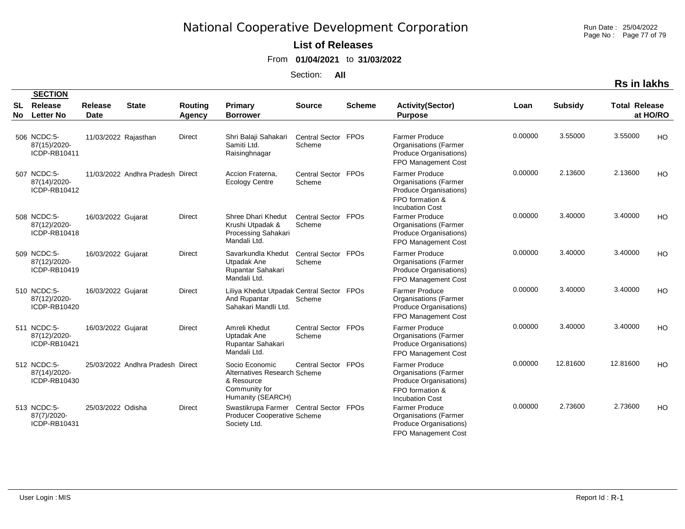Run Date : 25/04/2022 Page No : Page 77 of 79

### **List of Releases**

From **01/04/2021** to **31/03/2022**

Section: **All**

| <b>Rs in lakhs</b> |
|--------------------|
|--------------------|

|                  | <b>SECTION</b>                              |                        |                                  |                          |                                                                                                    |                               |               |                                                                                                                              |         |                |                      |           |
|------------------|---------------------------------------------|------------------------|----------------------------------|--------------------------|----------------------------------------------------------------------------------------------------|-------------------------------|---------------|------------------------------------------------------------------------------------------------------------------------------|---------|----------------|----------------------|-----------|
| <b>SL</b><br>No. | Release<br><b>Letter No</b>                 | Release<br><b>Date</b> | <b>State</b>                     | Routing<br><b>Agency</b> | Primary<br><b>Borrower</b>                                                                         | <b>Source</b>                 | <b>Scheme</b> | <b>Activity(Sector)</b><br><b>Purpose</b>                                                                                    | Loan    | <b>Subsidy</b> | <b>Total Release</b> | at HO/RO  |
|                  | 506 NCDC:5-<br>87(15)/2020-<br>ICDP-RB10411 | 11/03/2022 Rajasthan   |                                  | <b>Direct</b>            | Shri Balaji Sahakari<br>Samiti Ltd.<br>Raisinghnagar                                               | Central Sector FPOs<br>Scheme |               | <b>Farmer Produce</b><br><b>Organisations (Farmer</b><br>Produce Organisations)<br>FPO Management Cost                       | 0.00000 | 3.55000        | 3.55000              | <b>HO</b> |
|                  | 507 NCDC:5-<br>87(14)/2020-<br>ICDP-RB10412 |                        | 11/03/2022 Andhra Pradesh Direct |                          | Accion Fraterna.<br><b>Ecology Centre</b>                                                          | Central Sector FPOs<br>Scheme |               | <b>Farmer Produce</b><br><b>Organisations (Farmer</b><br>Produce Organisations)<br>FPO formation &<br><b>Incubation Cost</b> | 0.00000 | 2.13600        | 2.13600              | <b>HO</b> |
|                  | 508 NCDC:5-<br>87(12)/2020-<br>ICDP-RB10418 | 16/03/2022 Gujarat     |                                  | <b>Direct</b>            | Shree Dhari Khedut<br>Krushi Utpadak &<br>Processing Sahakari<br>Mandali Ltd.                      | Central Sector FPOs<br>Scheme |               | <b>Farmer Produce</b><br><b>Organisations (Farmer</b><br>Produce Organisations)<br>FPO Management Cost                       | 0.00000 | 3.40000        | 3.40000              | HO        |
|                  | 509 NCDC:5-<br>87(12)/2020-<br>ICDP-RB10419 | 16/03/2022 Gujarat     |                                  | <b>Direct</b>            | Savarkundla Khedut<br>Utpadak Ane<br>Rupantar Sahakari<br>Mandali Ltd.                             | Central Sector FPOs<br>Scheme |               | <b>Farmer Produce</b><br><b>Organisations (Farmer</b><br>Produce Organisations)<br>FPO Management Cost                       | 0.00000 | 3.40000        | 3.40000              | HO.       |
|                  | 510 NCDC:5-<br>87(12)/2020-<br>ICDP-RB10420 | 16/03/2022 Gujarat     |                                  | Direct                   | Liliya Khedut Utpadak Central Sector FPOs<br>And Rupantar<br>Sahakari Mandli Ltd.                  | Scheme                        |               | <b>Farmer Produce</b><br><b>Organisations (Farmer</b><br>Produce Organisations)<br>FPO Management Cost                       | 0.00000 | 3.40000        | 3.40000              | <b>HO</b> |
|                  | 511 NCDC:5-<br>87(12)/2020-<br>ICDP-RB10421 | 16/03/2022 Gujarat     |                                  | <b>Direct</b>            | Amreli Khedut<br>Uptadak Ane<br>Rupantar Sahakari<br>Mandali Ltd.                                  | Central Sector FPOs<br>Scheme |               | <b>Farmer Produce</b><br><b>Organisations (Farmer</b><br>Produce Organisations)<br>FPO Management Cost                       | 0.00000 | 3.40000        | 3.40000              | HO.       |
|                  | 512 NCDC:5-<br>87(14)/2020-<br>ICDP-RB10430 |                        | 25/03/2022 Andhra Pradesh Direct |                          | Socio Economic<br>Alternatives Research Scheme<br>& Resource<br>Community for<br>Humanity (SEARCH) | Central Sector FPOs           |               | Farmer Produce<br><b>Organisations (Farmer</b><br>Produce Organisations)<br>FPO formation &<br><b>Incubation Cost</b>        | 0.00000 | 12.81600       | 12.81600             | HO.       |
|                  | 513 NCDC:5-<br>87(7)/2020-<br>ICDP-RB10431  | 25/03/2022 Odisha      |                                  | <b>Direct</b>            | Swastikrupa Farmer Central Sector FPOs<br><b>Producer Cooperative Scheme</b><br>Society Ltd.       |                               |               | <b>Farmer Produce</b><br><b>Organisations (Farmer</b><br>Produce Organisations)<br>FPO Management Cost                       | 0.00000 | 2.73600        | 2.73600              | HO        |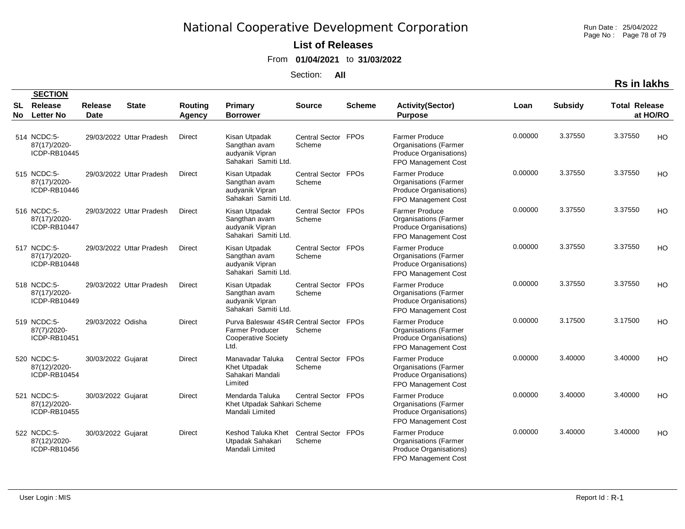Run Date : 25/04/2022 Page No : Page 78 of 79

### **List of Releases**

From **01/04/2021** to **31/03/2022**

Section: **All**

|                | Rs in lakhs                                 |
|----------------|---------------------------------------------|
| <b>Subsidy</b> | <b>Total Release</b><br>$\rightarrow$ HO/DO |

| <b>SL</b><br><b>No</b> | Release<br><b>Letter No</b>                 | <b>Release</b><br><b>Date</b> | <b>State</b>             | <b>Routing</b><br>Agency | <b>Primary</b><br><b>Borrower</b>                                                                       | <b>Source</b>                 | <b>Scheme</b> | <b>Activity(Sector)</b><br><b>Purpose</b>                                                              | Loan    | <b>Subsidy</b> | <b>Total Release</b> | at HO/RO  |
|------------------------|---------------------------------------------|-------------------------------|--------------------------|--------------------------|---------------------------------------------------------------------------------------------------------|-------------------------------|---------------|--------------------------------------------------------------------------------------------------------|---------|----------------|----------------------|-----------|
|                        | 514 NCDC:5-<br>87(17)/2020-<br>ICDP-RB10445 |                               | 29/03/2022 Uttar Pradesh | <b>Direct</b>            | Kisan Utpadak<br>Sangthan avam<br>audyanik Vipran<br>Sahakari Samiti Ltd.                               | Central Sector FPOs<br>Scheme |               | <b>Farmer Produce</b><br><b>Organisations (Farmer</b><br>Produce Organisations)<br>FPO Management Cost | 0.00000 | 3.37550        | 3.37550              | <b>HO</b> |
|                        | 515 NCDC:5-<br>87(17)/2020-<br>ICDP-RB10446 |                               | 29/03/2022 Uttar Pradesh | Direct                   | Kisan Utpadak<br>Sangthan avam<br>audyanik Vipran<br>Sahakari Samiti Ltd.                               | Central Sector FPOs<br>Scheme |               | <b>Farmer Produce</b><br><b>Organisations (Farmer</b><br>Produce Organisations)<br>FPO Management Cost | 0.00000 | 3.37550        | 3.37550              | <b>HO</b> |
|                        | 516 NCDC:5-<br>87(17)/2020-<br>ICDP-RB10447 |                               | 29/03/2022 Uttar Pradesh | <b>Direct</b>            | Kisan Utpadak<br>Sangthan avam<br>audyanik Vipran<br>Sahakari Samiti Ltd.                               | Central Sector FPOs<br>Scheme |               | <b>Farmer Produce</b><br><b>Organisations</b> (Farmer<br>Produce Organisations)<br>FPO Management Cost | 0.00000 | 3.37550        | 3.37550              | HO        |
|                        | 517 NCDC:5-<br>87(17)/2020-<br>ICDP-RB10448 |                               | 29/03/2022 Uttar Pradesh | Direct                   | Kisan Utpadak<br>Sangthan avam<br>audyanik Vipran<br>Sahakari Samiti Ltd.                               | Central Sector FPOs<br>Scheme |               | <b>Farmer Produce</b><br><b>Organisations</b> (Farmer<br>Produce Organisations)<br>FPO Management Cost | 0.00000 | 3.37550        | 3.37550              | HO        |
|                        | 518 NCDC:5-<br>87(17)/2020-<br>ICDP-RB10449 |                               | 29/03/2022 Uttar Pradesh | Direct                   | Kisan Utpadak<br>Sangthan avam<br>audyanik Vipran<br>Sahakari Samiti Ltd.                               | Central Sector FPOs<br>Scheme |               | <b>Farmer Produce</b><br><b>Organisations (Farmer</b><br>Produce Organisations)<br>FPO Management Cost | 0.00000 | 3.37550        | 3.37550              | HO        |
|                        | 519 NCDC:5-<br>87(7)/2020-<br>ICDP-RB10451  | 29/03/2022 Odisha             |                          | <b>Direct</b>            | Purva Baleswar 4S4R Central Sector FPOs<br><b>Farmer Producer</b><br><b>Cooperative Society</b><br>Ltd. | Scheme                        |               | Farmer Produce<br><b>Organisations (Farmer</b><br>Produce Organisations)<br>FPO Management Cost        | 0.00000 | 3.17500        | 3.17500              | HO        |
|                        | 520 NCDC:5-<br>87(12)/2020-<br>ICDP-RB10454 | 30/03/2022 Gujarat            |                          | <b>Direct</b>            | Manavadar Taluka<br>Khet Utpadak<br>Sahakari Mandali<br>Limited                                         | Central Sector FPOs<br>Scheme |               | <b>Farmer Produce</b><br><b>Organisations (Farmer</b><br>Produce Organisations)<br>FPO Management Cost | 0.00000 | 3.40000        | 3.40000              | HO        |
|                        | 521 NCDC:5-<br>87(12)/2020-<br>ICDP-RB10455 | 30/03/2022 Gujarat            |                          | <b>Direct</b>            | Mendarda Taluka<br>Khet Utpadak Sahkari Scheme<br>Mandali Limited                                       | Central Sector FPOs           |               | <b>Farmer Produce</b><br><b>Organisations (Farmer</b><br>Produce Organisations)<br>FPO Management Cost | 0.00000 | 3.40000        | 3.40000              | HO        |
|                        | 522 NCDC:5-<br>87(12)/2020-<br>ICDP-RB10456 | 30/03/2022 Gujarat            |                          | <b>Direct</b>            | Keshod Taluka Khet<br>Utpadak Sahakari<br>Mandali Limited                                               | Central Sector FPOs<br>Scheme |               | <b>Farmer Produce</b><br><b>Organisations (Farmer</b><br>Produce Organisations)<br>FPO Management Cost | 0.00000 | 3.40000        | 3.40000              | HO        |

 **SECTION**